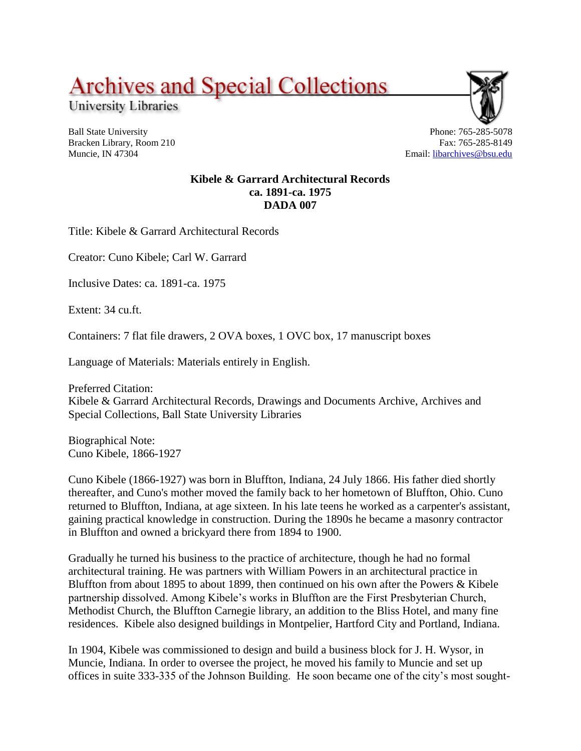## **Archives and Special Collections**

University Libraries

Ball State University Bracken Library, Room 210 Muncie, IN 47304

Phone: 765-285-5078 Fax: 765-285-8149 Email: [libarchives@bsu.edu](mailto:libarchives@bsu.edu)

## **Kibele & Garrard Architectural Records ca. 1891-ca. 1975 DADA 007**

Title: Kibele & Garrard Architectural Records

Creator: Cuno Kibele; Carl W. Garrard

Inclusive Dates: ca. 1891-ca. 1975

Extent: 34 cu.ft.

Containers: 7 flat file drawers, 2 OVA boxes, 1 OVC box, 17 manuscript boxes

Language of Materials: Materials entirely in English.

Preferred Citation: Kibele & Garrard Architectural Records, Drawings and Documents Archive, Archives and Special Collections, Ball State University Libraries

Biographical Note: Cuno Kibele, 1866-1927

Cuno Kibele (1866-1927) was born in Bluffton, Indiana, 24 July 1866. His father died shortly thereafter, and Cuno's mother moved the family back to her hometown of Bluffton, Ohio. Cuno returned to Bluffton, Indiana, at age sixteen. In his late teens he worked as a carpenter's assistant, gaining practical knowledge in construction. During the 1890s he became a masonry contractor in Bluffton and owned a brickyard there from 1894 to 1900.

Gradually he turned his business to the practice of architecture, though he had no formal architectural training. He was partners with William Powers in an architectural practice in Bluffton from about 1895 to about 1899, then continued on his own after the Powers & Kibele partnership dissolved. Among Kibele's works in Bluffton are the First Presbyterian Church, Methodist Church, the Bluffton Carnegie library, an addition to the Bliss Hotel, and many fine residences. Kibele also designed buildings in Montpelier, Hartford City and Portland, Indiana.

In 1904, Kibele was commissioned to design and build a business block for J. H. Wysor, in Muncie, Indiana. In order to oversee the project, he moved his family to Muncie and set up offices in suite 333-335 of the Johnson Building. He soon became one of the city's most sought-

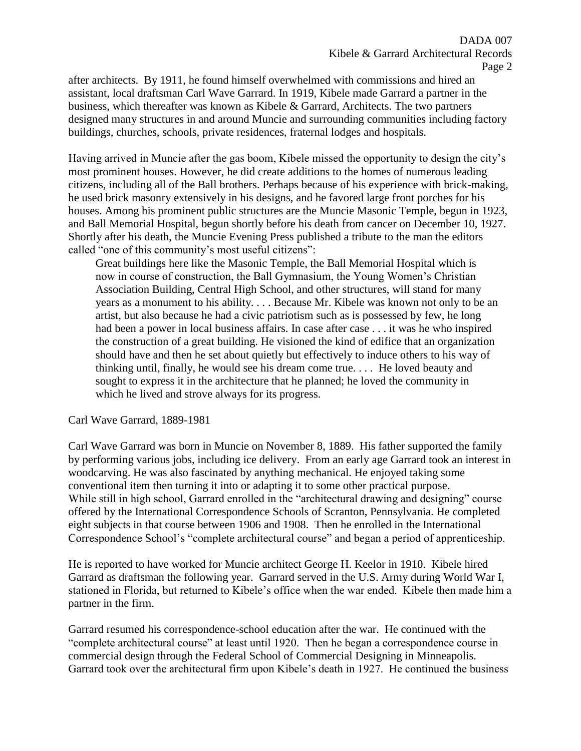after architects. By 1911, he found himself overwhelmed with commissions and hired an assistant, local draftsman Carl Wave Garrard. In 1919, Kibele made Garrard a partner in the business, which thereafter was known as Kibele & Garrard, Architects. The two partners designed many structures in and around Muncie and surrounding communities including factory buildings, churches, schools, private residences, fraternal lodges and hospitals.

Having arrived in Muncie after the gas boom, Kibele missed the opportunity to design the city's most prominent houses. However, he did create additions to the homes of numerous leading citizens, including all of the Ball brothers. Perhaps because of his experience with brick-making, he used brick masonry extensively in his designs, and he favored large front porches for his houses. Among his prominent public structures are the Muncie Masonic Temple, begun in 1923, and Ball Memorial Hospital, begun shortly before his death from cancer on December 10, 1927. Shortly after his death, the Muncie Evening Press published a tribute to the man the editors called "one of this community's most useful citizens":

Great buildings here like the Masonic Temple, the Ball Memorial Hospital which is now in course of construction, the Ball Gymnasium, the Young Women's Christian Association Building, Central High School, and other structures, will stand for many years as a monument to his ability. . . . Because Mr. Kibele was known not only to be an artist, but also because he had a civic patriotism such as is possessed by few, he long had been a power in local business affairs. In case after case . . . it was he who inspired the construction of a great building. He visioned the kind of edifice that an organization should have and then he set about quietly but effectively to induce others to his way of thinking until, finally, he would see his dream come true. . . . He loved beauty and sought to express it in the architecture that he planned; he loved the community in which he lived and strove always for its progress.

Carl Wave Garrard, 1889-1981

Carl Wave Garrard was born in Muncie on November 8, 1889. His father supported the family by performing various jobs, including ice delivery. From an early age Garrard took an interest in woodcarving. He was also fascinated by anything mechanical. He enjoyed taking some conventional item then turning it into or adapting it to some other practical purpose. While still in high school, Garrard enrolled in the "architectural drawing and designing" course offered by the International Correspondence Schools of Scranton, Pennsylvania. He completed eight subjects in that course between 1906 and 1908. Then he enrolled in the International Correspondence School's "complete architectural course" and began a period of apprenticeship.

He is reported to have worked for Muncie architect George H. Keelor in 1910. Kibele hired Garrard as draftsman the following year. Garrard served in the U.S. Army during World War I, stationed in Florida, but returned to Kibele's office when the war ended. Kibele then made him a partner in the firm.

Garrard resumed his correspondence-school education after the war. He continued with the "complete architectural course" at least until 1920. Then he began a correspondence course in commercial design through the Federal School of Commercial Designing in Minneapolis. Garrard took over the architectural firm upon Kibele's death in 1927. He continued the business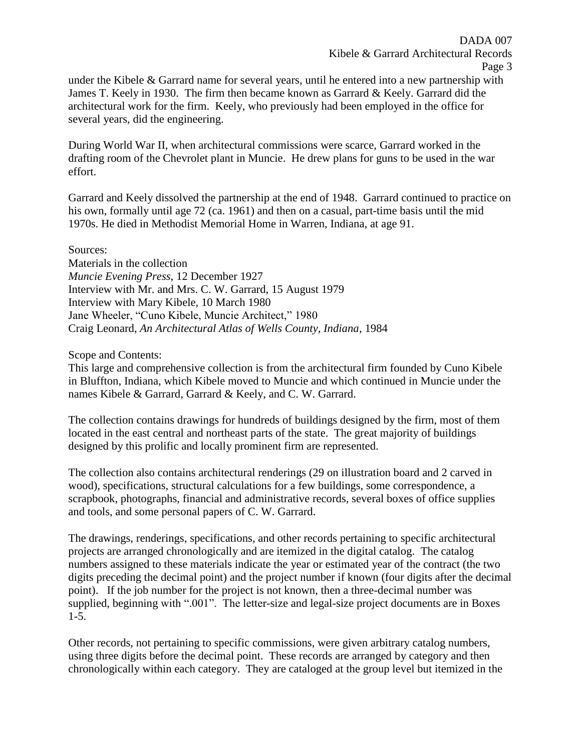under the Kibele & Garrard name for several years, until he entered into a new partnership with James T. Keely in 1930. The firm then became known as Garrard & Keely. Garrard did the architectural work for the firm. Keely, who previously had been employed in the office for several years, did the engineering.

During World War II, when architectural commissions were scarce, Garrard worked in the drafting room of the Chevrolet plant in Muncie. He drew plans for guns to be used in the war effort.

Garrard and Keely dissolved the partnership at the end of 1948. Garrard continued to practice on his own, formally until age 72 (ca. 1961) and then on a casual, part-time basis until the mid 1970s. He died in Methodist Memorial Home in Warren, Indiana, at age 91.

Sources:

Materials in the collection *Muncie Evening Press*, 12 December 1927 Interview with Mr. and Mrs. C. W. Garrard, 15 August 1979 Interview with Mary Kibele, 10 March 1980 Jane Wheeler, "Cuno Kibele, Muncie Architect," 1980 Craig Leonard, *An Architectural Atlas of Wells County, Indiana*, 1984

Scope and Contents:

This large and comprehensive collection is from the architectural firm founded by Cuno Kibele in Bluffton, Indiana, which Kibele moved to Muncie and which continued in Muncie under the names Kibele & Garrard, Garrard & Keely, and C. W. Garrard.

The collection contains drawings for hundreds of buildings designed by the firm, most of them located in the east central and northeast parts of the state. The great majority of buildings designed by this prolific and locally prominent firm are represented.

The collection also contains architectural renderings (29 on illustration board and 2 carved in wood), specifications, structural calculations for a few buildings, some correspondence, a scrapbook, photographs, financial and administrative records, several boxes of office supplies and tools, and some personal papers of C. W. Garrard.

The drawings, renderings, specifications, and other records pertaining to specific architectural projects are arranged chronologically and are itemized in the digital catalog. The catalog numbers assigned to these materials indicate the year or estimated year of the contract (the two digits preceding the decimal point) and the project number if known (four digits after the decimal point). If the job number for the project is not known, then a three-decimal number was supplied, beginning with ".001". The letter-size and legal-size project documents are in Boxes 1-5.

Other records, not pertaining to specific commissions, were given arbitrary catalog numbers, using three digits before the decimal point. These records are arranged by category and then chronologically within each category. They are cataloged at the group level but itemized in the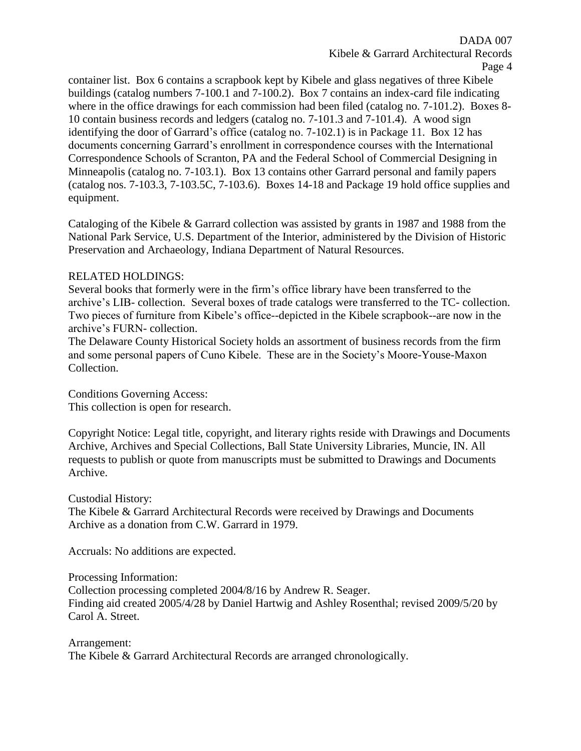container list. Box 6 contains a scrapbook kept by Kibele and glass negatives of three Kibele buildings (catalog numbers 7-100.1 and 7-100.2). Box 7 contains an index-card file indicating where in the office drawings for each commission had been filed (catalog no. 7-101.2). Boxes 8-10 contain business records and ledgers (catalog no. 7-101.3 and 7-101.4). A wood sign identifying the door of Garrard's office (catalog no. 7-102.1) is in Package 11. Box 12 has documents concerning Garrard's enrollment in correspondence courses with the International Correspondence Schools of Scranton, PA and the Federal School of Commercial Designing in Minneapolis (catalog no. 7-103.1). Box 13 contains other Garrard personal and family papers (catalog nos. 7-103.3, 7-103.5C, 7-103.6). Boxes 14-18 and Package 19 hold office supplies and equipment.

Cataloging of the Kibele & Garrard collection was assisted by grants in 1987 and 1988 from the National Park Service, U.S. Department of the Interior, administered by the Division of Historic Preservation and Archaeology, Indiana Department of Natural Resources.

## RELATED HOLDINGS:

Several books that formerly were in the firm's office library have been transferred to the archive's LIB- collection. Several boxes of trade catalogs were transferred to the TC- collection. Two pieces of furniture from Kibele's office--depicted in the Kibele scrapbook--are now in the archive's FURN- collection.

The Delaware County Historical Society holds an assortment of business records from the firm and some personal papers of Cuno Kibele. These are in the Society's Moore-Youse-Maxon Collection.

Conditions Governing Access: This collection is open for research.

Copyright Notice: Legal title, copyright, and literary rights reside with Drawings and Documents Archive, Archives and Special Collections, Ball State University Libraries, Muncie, IN. All requests to publish or quote from manuscripts must be submitted to Drawings and Documents Archive.

Custodial History: The Kibele & Garrard Architectural Records were received by Drawings and Documents Archive as a donation from C.W. Garrard in 1979.

Accruals: No additions are expected.

Processing Information: Collection processing completed 2004/8/16 by Andrew R. Seager. Finding aid created 2005/4/28 by Daniel Hartwig and Ashley Rosenthal; revised 2009/5/20 by Carol A. Street.

Arrangement: The Kibele & Garrard Architectural Records are arranged chronologically.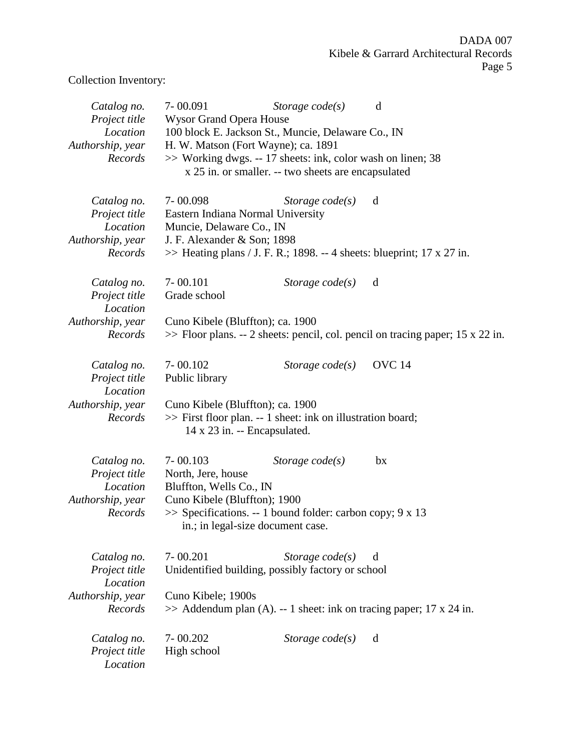Collection Inventory:

| Catalog no.<br>Project title<br>Location<br>Authorship, year<br>Records | 7-00.091<br><b>Wysor Grand Opera House</b><br>H. W. Matson (Fort Wayne); ca. 1891                        | Storage $code(s)$<br>100 block E. Jackson St., Muncie, Delaware Co., IN<br>>> Working dwgs. -- 17 sheets: ink, color wash on linen; 38<br>x 25 in. or smaller. -- two sheets are encapsulated | d                                                                                 |
|-------------------------------------------------------------------------|----------------------------------------------------------------------------------------------------------|-----------------------------------------------------------------------------------------------------------------------------------------------------------------------------------------------|-----------------------------------------------------------------------------------|
| Catalog no.<br>Project title<br>Location<br>Authorship, year<br>Records | 7-00.098<br>Eastern Indiana Normal University<br>Muncie, Delaware Co., IN<br>J. F. Alexander & Son; 1898 | Storage $code(s)$<br>$\gg$ Heating plans / J. F. R.; 1898. -- 4 sheets: blueprint; 17 x 27 in.                                                                                                | d                                                                                 |
| Catalog no.<br>Project title<br>Location                                | 7-00.101<br>Grade school                                                                                 | Storage $code(s)$                                                                                                                                                                             | d                                                                                 |
| Authorship, year<br>Records                                             | Cuno Kibele (Bluffton); ca. 1900                                                                         |                                                                                                                                                                                               | $\gg$ Floor plans. -- 2 sheets: pencil, col. pencil on tracing paper; 15 x 22 in. |
| Catalog no.<br>Project title<br>Location                                | $7 - 00.102$<br>Public library                                                                           | Storage $code(s)$                                                                                                                                                                             | <b>OVC</b> 14                                                                     |
| Authorship, year<br>Records                                             | Cuno Kibele (Bluffton); ca. 1900<br>14 x 23 in. -- Encapsulated.                                         | >> First floor plan. -- 1 sheet: ink on illustration board;                                                                                                                                   |                                                                                   |
| Catalog no.<br>Project title<br>Location<br>Authorship, year<br>Records | $7 - 00.103$<br>North, Jere, house<br>Bluffton, Wells Co., IN<br>Cuno Kibele (Bluffton); 1900            | Storage $code(s)$<br>$\gg$ Specifications. -- 1 bound folder: carbon copy; 9 x 13                                                                                                             | bx                                                                                |
|                                                                         |                                                                                                          | in.; in legal-size document case.                                                                                                                                                             |                                                                                   |
| Catalog no.<br>Project title<br>Location                                | 7-00.201                                                                                                 | Storage $code(s)$<br>Unidentified building, possibly factory or school                                                                                                                        | d                                                                                 |
| Authorship, year<br>Records                                             | Cuno Kibele; 1900s                                                                                       | $\gg$ Addendum plan (A). -- 1 sheet: ink on tracing paper; 17 x 24 in.                                                                                                                        |                                                                                   |
| Catalog no.<br>Project title<br>Location                                | 7-00.202<br>High school                                                                                  | Storage $code(s)$                                                                                                                                                                             | d                                                                                 |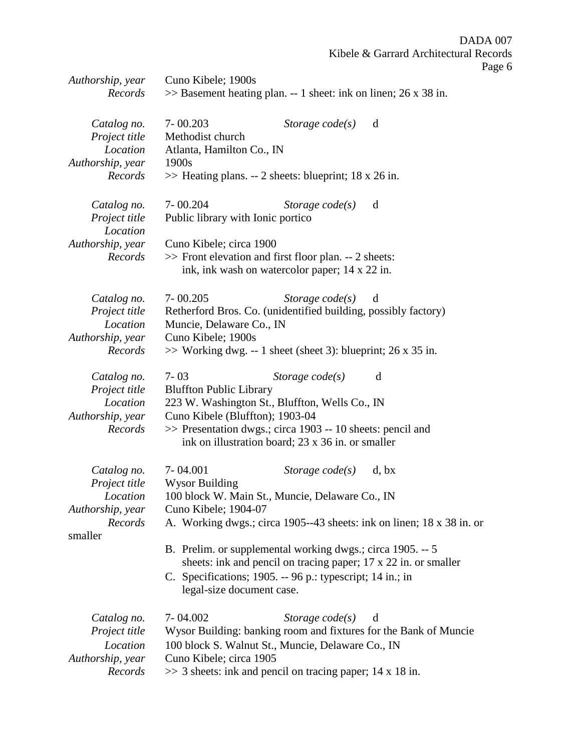| Authorship, year<br>Records                                                        | Cuno Kibele; 1900s<br>$\gg$ Basement heating plan. -- 1 sheet: ink on linen; 26 x 38 in.                                                                                                                                                                                                                                                                                                                                                       |
|------------------------------------------------------------------------------------|------------------------------------------------------------------------------------------------------------------------------------------------------------------------------------------------------------------------------------------------------------------------------------------------------------------------------------------------------------------------------------------------------------------------------------------------|
| Catalog no.<br>Project title<br>Location<br>Authorship, year<br>Records            | $7 - 00.203$<br>Storage $code(s)$<br>d<br>Methodist church<br>Atlanta, Hamilton Co., IN<br>1900s<br>$\gg$ Heating plans. -- 2 sheets: blueprint; 18 x 26 in.                                                                                                                                                                                                                                                                                   |
| Catalog no.<br>Project title<br>Location<br>Authorship, year<br>Records            | 7-00.204<br>Storage $code(s)$<br>d<br>Public library with Ionic portico<br>Cuno Kibele; circa 1900<br>>> Front elevation and first floor plan. -- 2 sheets:<br>ink, ink wash on watercolor paper; 14 x 22 in.                                                                                                                                                                                                                                  |
| Catalog no.<br>Project title<br>Location<br>Authorship, year<br>Records            | $7 - 00.205$<br>Storage $code(s)$<br>d<br>Retherford Bros. Co. (unidentified building, possibly factory)<br>Muncie, Delaware Co., IN<br>Cuno Kibele; 1900s<br>$\gg$ Working dwg. -- 1 sheet (sheet 3): blueprint; 26 x 35 in.                                                                                                                                                                                                                  |
| Catalog no.<br>Project title<br>Location<br>Authorship, year<br>Records            | $7 - 03$<br>Storage $code(s)$<br>d<br><b>Bluffton Public Library</b><br>223 W. Washington St., Bluffton, Wells Co., IN<br>Cuno Kibele (Bluffton); 1903-04<br>>> Presentation dwgs.; circa 1903 -- 10 sheets: pencil and<br>ink on illustration board; 23 x 36 in. or smaller                                                                                                                                                                   |
| Catalog no.<br>Project title<br>Location<br>Authorship, year<br>Records<br>smaller | 7-04.001<br>Storage $code(s)$<br>d, bx<br><b>Wysor Building</b><br>100 block W. Main St., Muncie, Delaware Co., IN<br>Cuno Kibele; 1904-07<br>A. Working dwgs.; circa 1905--43 sheets: ink on linen; 18 x 38 in. or<br>B. Prelim. or supplemental working dwgs.; circa 1905. -- 5<br>sheets: ink and pencil on tracing paper; 17 x 22 in. or smaller<br>C. Specifications; 1905. -- 96 p.: typescript; 14 in.; in<br>legal-size document case. |
| Catalog no.<br>Project title<br>Location<br>Authorship, year<br>Records            | 7-04.002<br>Storage $code(s)$<br>d<br>Wysor Building: banking room and fixtures for the Bank of Muncie<br>100 block S. Walnut St., Muncie, Delaware Co., IN<br>Cuno Kibele; circa 1905<br>$\gg$ 3 sheets: ink and pencil on tracing paper; 14 x 18 in.                                                                                                                                                                                         |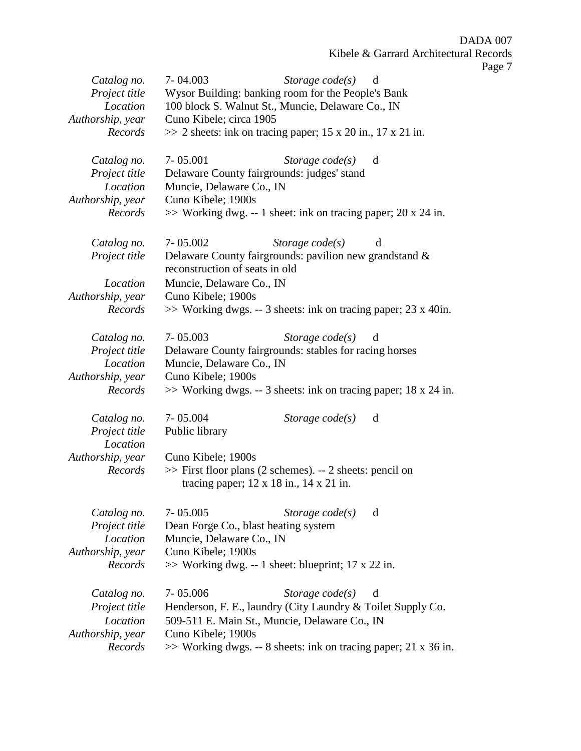| $7 - 05.001$<br>Catalog no.<br>Storage $code(s)$<br>d<br>Delaware County fairgrounds: judges' stand<br>Project title<br>Location<br>Muncie, Delaware Co., IN<br>Authorship, year<br>Cuno Kibele; 1900s<br>Records<br>$\gg$ Working dwg. -- 1 sheet: ink on tracing paper; 20 x 24 in.<br>7-05.002<br>Storage $code(s)$<br>Catalog no.<br>d<br>Delaware County fairgrounds: pavilion new grandstand &<br>Project title<br>reconstruction of seats in old<br>Location<br>Muncie, Delaware Co., IN<br>Authorship, year<br>Cuno Kibele; 1900s<br>>> Working dwgs. -- 3 sheets: ink on tracing paper; 23 x 40in.<br>Records<br>$7 - 05.003$<br>Catalog no.<br>Storage $code(s)$<br>d<br>Delaware County fairgrounds: stables for racing horses<br>Project title<br>Location<br>Muncie, Delaware Co., IN<br>Authorship, year<br>Cuno Kibele; 1900s<br>>> Working dwgs. -- 3 sheets: ink on tracing paper; 18 x 24 in.<br>Records<br>7-05.004<br>Catalog no.<br>Storage $code(s)$<br>d<br>Project title<br>Public library<br>Location<br>Authorship, year<br>Cuno Kibele; 1900s<br>Records<br>$\gg$ First floor plans (2 schemes). -- 2 sheets: pencil on<br>tracing paper; 12 x 18 in., 14 x 21 in. |
|-----------------------------------------------------------------------------------------------------------------------------------------------------------------------------------------------------------------------------------------------------------------------------------------------------------------------------------------------------------------------------------------------------------------------------------------------------------------------------------------------------------------------------------------------------------------------------------------------------------------------------------------------------------------------------------------------------------------------------------------------------------------------------------------------------------------------------------------------------------------------------------------------------------------------------------------------------------------------------------------------------------------------------------------------------------------------------------------------------------------------------------------------------------------------------------------------|
|                                                                                                                                                                                                                                                                                                                                                                                                                                                                                                                                                                                                                                                                                                                                                                                                                                                                                                                                                                                                                                                                                                                                                                                               |
|                                                                                                                                                                                                                                                                                                                                                                                                                                                                                                                                                                                                                                                                                                                                                                                                                                                                                                                                                                                                                                                                                                                                                                                               |
|                                                                                                                                                                                                                                                                                                                                                                                                                                                                                                                                                                                                                                                                                                                                                                                                                                                                                                                                                                                                                                                                                                                                                                                               |
|                                                                                                                                                                                                                                                                                                                                                                                                                                                                                                                                                                                                                                                                                                                                                                                                                                                                                                                                                                                                                                                                                                                                                                                               |
|                                                                                                                                                                                                                                                                                                                                                                                                                                                                                                                                                                                                                                                                                                                                                                                                                                                                                                                                                                                                                                                                                                                                                                                               |
|                                                                                                                                                                                                                                                                                                                                                                                                                                                                                                                                                                                                                                                                                                                                                                                                                                                                                                                                                                                                                                                                                                                                                                                               |
|                                                                                                                                                                                                                                                                                                                                                                                                                                                                                                                                                                                                                                                                                                                                                                                                                                                                                                                                                                                                                                                                                                                                                                                               |
|                                                                                                                                                                                                                                                                                                                                                                                                                                                                                                                                                                                                                                                                                                                                                                                                                                                                                                                                                                                                                                                                                                                                                                                               |
|                                                                                                                                                                                                                                                                                                                                                                                                                                                                                                                                                                                                                                                                                                                                                                                                                                                                                                                                                                                                                                                                                                                                                                                               |
|                                                                                                                                                                                                                                                                                                                                                                                                                                                                                                                                                                                                                                                                                                                                                                                                                                                                                                                                                                                                                                                                                                                                                                                               |
|                                                                                                                                                                                                                                                                                                                                                                                                                                                                                                                                                                                                                                                                                                                                                                                                                                                                                                                                                                                                                                                                                                                                                                                               |
|                                                                                                                                                                                                                                                                                                                                                                                                                                                                                                                                                                                                                                                                                                                                                                                                                                                                                                                                                                                                                                                                                                                                                                                               |
|                                                                                                                                                                                                                                                                                                                                                                                                                                                                                                                                                                                                                                                                                                                                                                                                                                                                                                                                                                                                                                                                                                                                                                                               |
|                                                                                                                                                                                                                                                                                                                                                                                                                                                                                                                                                                                                                                                                                                                                                                                                                                                                                                                                                                                                                                                                                                                                                                                               |
|                                                                                                                                                                                                                                                                                                                                                                                                                                                                                                                                                                                                                                                                                                                                                                                                                                                                                                                                                                                                                                                                                                                                                                                               |
| Catalog no.<br>$7 - 05.005$<br>Storage $code(s)$<br>d                                                                                                                                                                                                                                                                                                                                                                                                                                                                                                                                                                                                                                                                                                                                                                                                                                                                                                                                                                                                                                                                                                                                         |
| Project title<br>Dean Forge Co., blast heating system                                                                                                                                                                                                                                                                                                                                                                                                                                                                                                                                                                                                                                                                                                                                                                                                                                                                                                                                                                                                                                                                                                                                         |
| Location<br>Muncie, Delaware Co., IN                                                                                                                                                                                                                                                                                                                                                                                                                                                                                                                                                                                                                                                                                                                                                                                                                                                                                                                                                                                                                                                                                                                                                          |
| Authorship, year<br>Cuno Kibele; 1900s                                                                                                                                                                                                                                                                                                                                                                                                                                                                                                                                                                                                                                                                                                                                                                                                                                                                                                                                                                                                                                                                                                                                                        |
| Records<br>$\gg$ Working dwg. -- 1 sheet: blueprint; 17 x 22 in.                                                                                                                                                                                                                                                                                                                                                                                                                                                                                                                                                                                                                                                                                                                                                                                                                                                                                                                                                                                                                                                                                                                              |
| 7-05.006<br>Catalog no.<br>Storage $code(s)$<br>d                                                                                                                                                                                                                                                                                                                                                                                                                                                                                                                                                                                                                                                                                                                                                                                                                                                                                                                                                                                                                                                                                                                                             |
| Project title<br>Henderson, F. E., laundry (City Laundry & Toilet Supply Co.                                                                                                                                                                                                                                                                                                                                                                                                                                                                                                                                                                                                                                                                                                                                                                                                                                                                                                                                                                                                                                                                                                                  |
| Location<br>509-511 E. Main St., Muncie, Delaware Co., IN                                                                                                                                                                                                                                                                                                                                                                                                                                                                                                                                                                                                                                                                                                                                                                                                                                                                                                                                                                                                                                                                                                                                     |
| Authorship, year<br>Cuno Kibele; 1900s                                                                                                                                                                                                                                                                                                                                                                                                                                                                                                                                                                                                                                                                                                                                                                                                                                                                                                                                                                                                                                                                                                                                                        |
| $\gg$ Working dwgs. -- 8 sheets: ink on tracing paper; 21 x 36 in.<br>Records                                                                                                                                                                                                                                                                                                                                                                                                                                                                                                                                                                                                                                                                                                                                                                                                                                                                                                                                                                                                                                                                                                                 |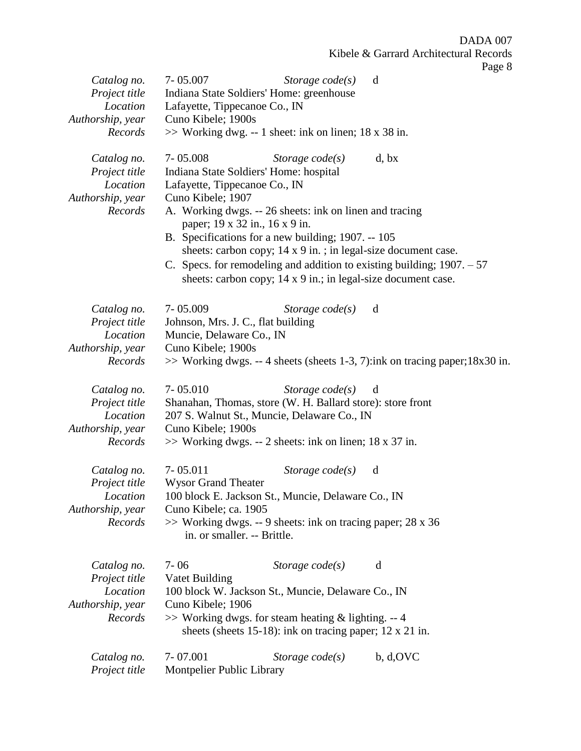| Catalog no.<br>Project title<br>Location<br>Authorship, year<br>Records | 7-05.007<br>Indiana State Soldiers' Home: greenhouse<br>Lafayette, Tippecanoe Co., IN<br>Cuno Kibele; 1900s  | Storage $code(s)$<br>$\gg$ Working dwg. -- 1 sheet: ink on linen; 18 x 38 in.                                                                                                             | d                                                                               |
|-------------------------------------------------------------------------|--------------------------------------------------------------------------------------------------------------|-------------------------------------------------------------------------------------------------------------------------------------------------------------------------------------------|---------------------------------------------------------------------------------|
| Catalog no.<br>Project title<br>Location<br>Authorship, year            | $7 - 05.008$<br>Indiana State Soldiers' Home: hospital<br>Lafayette, Tippecanoe Co., IN<br>Cuno Kibele; 1907 | Storage $code(s)$                                                                                                                                                                         | d, bx                                                                           |
| Records                                                                 | paper; 19 x 32 in., 16 x 9 in.                                                                               | A. Working dwgs. -- 26 sheets: ink on linen and tracing<br>B. Specifications for a new building; 1907. -- 105                                                                             |                                                                                 |
|                                                                         |                                                                                                              | sheets: carbon copy; 14 x 9 in.; in legal-size document case.<br>sheets: carbon copy; 14 x 9 in.; in legal-size document case.                                                            | C. Specs. for remodeling and addition to existing building; $1907 - 57$         |
| Catalog no.<br>Project title<br>Location<br>Authorship, year            | 7-05.009<br>Johnson, Mrs. J. C., flat building<br>Muncie, Delaware Co., IN<br>Cuno Kibele; 1900s             | Storage $code(s)$                                                                                                                                                                         | d                                                                               |
| Records                                                                 |                                                                                                              |                                                                                                                                                                                           | $\gg$ Working dwgs. -- 4 sheets (sheets 1-3, 7):ink on tracing paper; 18x30 in. |
| Catalog no.<br>Project title<br>Location<br>Authorship, year<br>Records | $7 - 05.010$<br>Cuno Kibele; 1900s                                                                           | Storage $code(s)$<br>Shanahan, Thomas, store (W. H. Ballard store): store front<br>207 S. Walnut St., Muncie, Delaware Co., IN<br>>> Working dwgs. -- 2 sheets: ink on linen; 18 x 37 in. | d                                                                               |
| Catalog no.<br>Project title<br>Location                                | $7 - 05.011$<br><b>Wysor Grand Theater</b>                                                                   | Storage $code(s)$<br>100 block E. Jackson St., Muncie, Delaware Co., IN                                                                                                                   | d                                                                               |
| Authorship, year<br>Records                                             | Cuno Kibele; ca. 1905<br>in. or smaller. -- Brittle.                                                         | $\gg$ Working dwgs. -- 9 sheets: ink on tracing paper; 28 x 36                                                                                                                            |                                                                                 |
| Catalog no.<br>Project title                                            | $7 - 06$<br>Vatet Building                                                                                   | Storage $code(s)$                                                                                                                                                                         | d                                                                               |
| Location<br>Authorship, year<br>Records                                 | Cuno Kibele; 1906                                                                                            | 100 block W. Jackson St., Muncie, Delaware Co., IN<br>$\gg$ Working dwgs. for steam heating & lighting. -- 4<br>sheets (sheets $15-18$ ): ink on tracing paper; $12 \times 21$ in.        |                                                                                 |
| Catalog no.<br>Project title                                            | 7-07.001<br>Montpelier Public Library                                                                        | Storage $code(s)$                                                                                                                                                                         | b, d, OVC                                                                       |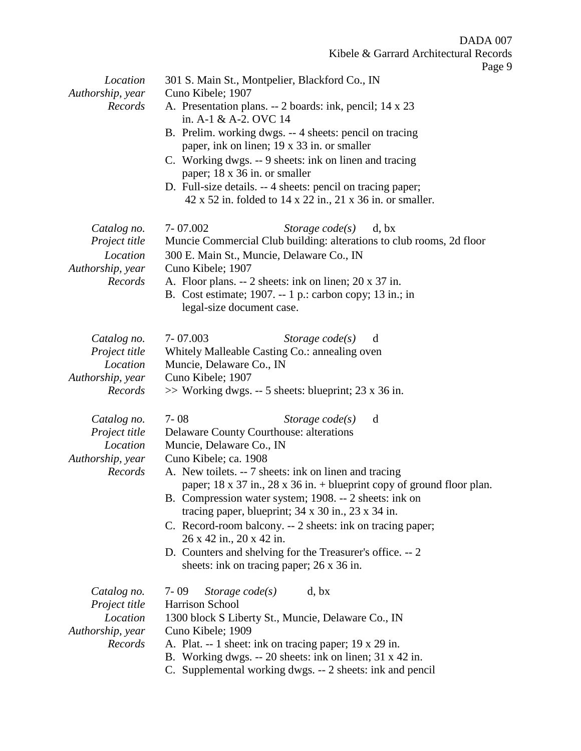|                                                                         | r aj                                                                                                                                                                                                                                                                                                                                                                                                                                                                                                                                                                                                                         |
|-------------------------------------------------------------------------|------------------------------------------------------------------------------------------------------------------------------------------------------------------------------------------------------------------------------------------------------------------------------------------------------------------------------------------------------------------------------------------------------------------------------------------------------------------------------------------------------------------------------------------------------------------------------------------------------------------------------|
| Location<br>Authorship, year<br>Records                                 | 301 S. Main St., Montpelier, Blackford Co., IN<br>Cuno Kibele; 1907<br>A. Presentation plans. -- 2 boards: ink, pencil; 14 x 23<br>in. A-1 & A-2. OVC 14<br>B. Prelim. working dwgs. -- 4 sheets: pencil on tracing<br>paper, ink on linen; 19 x 33 in. or smaller<br>C. Working dwgs. -- 9 sheets: ink on linen and tracing<br>paper; 18 x 36 in. or smaller<br>D. Full-size details. -- 4 sheets: pencil on tracing paper;<br>42 x 52 in. folded to 14 x 22 in., 21 x 36 in. or smaller.                                                                                                                                   |
| Catalog no.<br>Project title<br>Location<br>Authorship, year<br>Records | 7-07.002<br>Storage $code(s)$<br>d, bx<br>Muncie Commercial Club building: alterations to club rooms, 2d floor<br>300 E. Main St., Muncie, Delaware Co., IN<br>Cuno Kibele; 1907<br>A. Floor plans. -- 2 sheets: ink on linen; 20 x 37 in.<br>B. Cost estimate; 1907. -- 1 p.: carbon copy; 13 in.; in<br>legal-size document case.                                                                                                                                                                                                                                                                                          |
| Catalog no.<br>Project title<br>Location<br>Authorship, year<br>Records | 7-07.003<br>Storage $code(s)$<br>d<br>Whitely Malleable Casting Co.: annealing oven<br>Muncie, Delaware Co., IN<br>Cuno Kibele; 1907<br>>> Working dwgs. -- 5 sheets: blueprint; 23 x 36 in.                                                                                                                                                                                                                                                                                                                                                                                                                                 |
| Catalog no.<br>Project title<br>Location<br>Authorship, year<br>Records | $7 - 08$<br>Storage $code(s)$<br>d<br><b>Delaware County Courthouse: alterations</b><br>Muncie, Delaware Co., IN<br>Cuno Kibele; ca. 1908<br>A. New toilets. -- 7 sheets: ink on linen and tracing<br>paper; $18 \times 37$ in., $28 \times 36$ in. + blueprint copy of ground floor plan.<br>B. Compression water system; 1908. -- 2 sheets: ink on<br>tracing paper, blueprint; $34 \times 30$ in., $23 \times 34$ in.<br>C. Record-room balcony. -- 2 sheets: ink on tracing paper;<br>26 x 42 in., 20 x 42 in.<br>D. Counters and shelving for the Treasurer's office. -- 2<br>sheets: ink on tracing paper; 26 x 36 in. |
| Catalog no.<br>Project title<br>Location<br>Authorship, year<br>Records | $7 - 09$<br>Storage $code(s)$<br>d, bx<br>Harrison School<br>1300 block S Liberty St., Muncie, Delaware Co., IN<br>Cuno Kibele; 1909<br>A. Plat. -- 1 sheet: ink on tracing paper; 19 x 29 in.<br>B. Working dwgs. -- 20 sheets: ink on linen; 31 x 42 in.<br>C. Supplemental working dwgs. -- 2 sheets: ink and pencil                                                                                                                                                                                                                                                                                                      |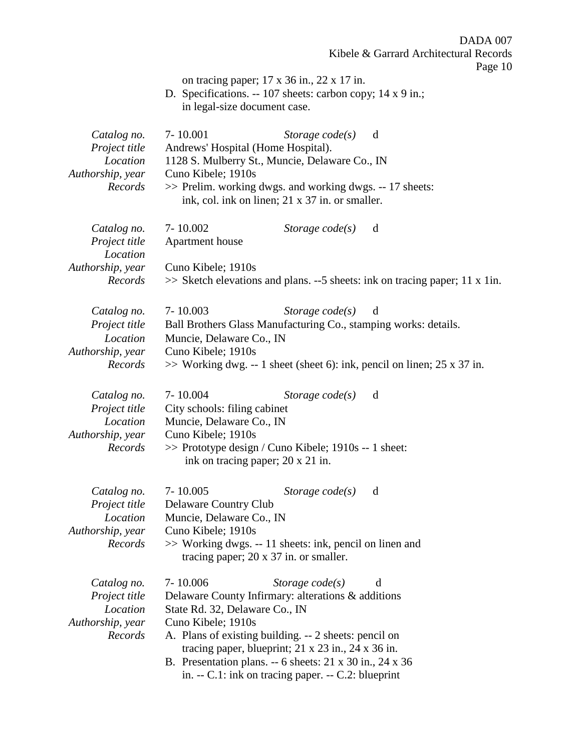DADA 007 Kibele & Garrard Architectural Records Page 10 on tracing paper; 17 x 36 in., 22 x 17 in. D. Specifications. -- 107 sheets: carbon copy; 14 x 9 in.; in legal-size document case. *Catalog no.* 7- 10.001 *Storage code(s)* d *Project title* Andrews' Hospital (Home Hospital). *Location* 1128 S. Mulberry St., Muncie, Delaware Co., IN *Authorship, year* Cuno Kibele; 1910s *Records* >> Prelim. working dwgs. and working dwgs. -- 17 sheets: ink, col. ink on linen; 21 x 37 in. or smaller. *Catalog no.* 7- 10.002 *Storage code(s)* d *Project title* Apartment house *Location Authorship, year* Cuno Kibele; 1910s *Records*  $\gg$  Sketch elevations and plans. --5 sheets: ink on tracing paper; 11 x 1in. *Catalog no.* 7- 10.003 *Storage code(s)* d *Project title* Ball Brothers Glass Manufacturing Co., stamping works: details. *Location* Muncie, Delaware Co., IN *Authorship, year* Cuno Kibele; 1910s *Records* >> Working dwg. -- 1 sheet (sheet 6): ink, pencil on linen; 25 x 37 in. *Catalog no.* 7- 10.004 *Storage code(s)* d *Project title* City schools: filing cabinet *Location* Muncie, Delaware Co., IN *Authorship, year* Cuno Kibele; 1910s *Records* >> Prototype design / Cuno Kibele; 1910s -- 1 sheet: ink on tracing paper; 20 x 21 in. *Catalog no.* 7- 10.005 *Storage code(s)* d *Project title* Delaware Country Club *Location* Muncie, Delaware Co., IN *Authorship, year* Cuno Kibele; 1910s *Records* >> Working dwgs. -- 11 sheets: ink, pencil on linen and tracing paper; 20 x 37 in. or smaller. *Catalog no.* 7- 10.006 *Storage code(s)* d *Project title* Delaware County Infirmary: alterations & additions *Location* State Rd. 32, Delaware Co., IN *Authorship, year* Cuno Kibele; 1910s *Records* A. Plans of existing building. -- 2 sheets: pencil on tracing paper, blueprint;  $21 \times 23$  in.,  $24 \times 36$  in. B. Presentation plans. -- 6 sheets: 21 x 30 in., 24 x 36 in. -- C.1: ink on tracing paper. -- C.2: blueprint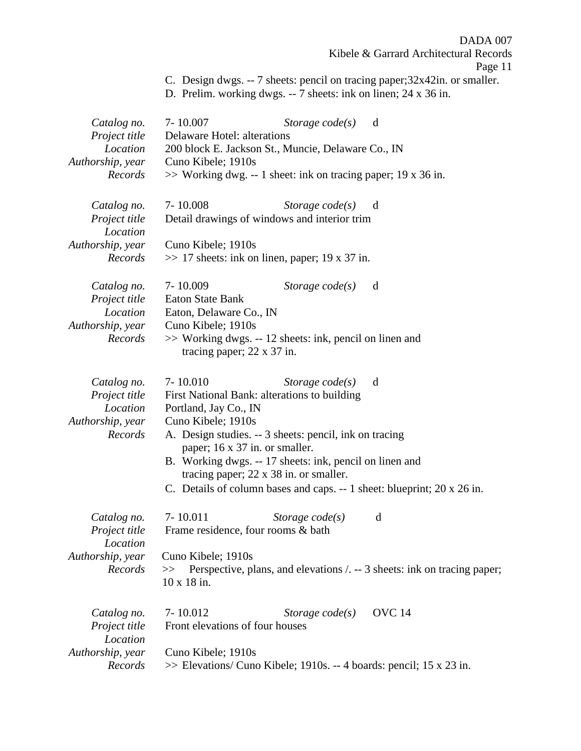|                                          | DADA 007<br>Kibele & Garrard Architectural Records                                                                                            |
|------------------------------------------|-----------------------------------------------------------------------------------------------------------------------------------------------|
|                                          | Page 11                                                                                                                                       |
|                                          | C. Design dwgs. -- 7 sheets: pencil on tracing paper; 32x42in. or smaller.<br>D. Prelim. working dwgs. -- 7 sheets: ink on linen; 24 x 36 in. |
| Catalog no.<br>Project title             | 7-10.007<br>Storage $code(s)$<br>d<br>Delaware Hotel: alterations                                                                             |
| Location<br>Authorship, year             | 200 block E. Jackson St., Muncie, Delaware Co., IN<br>Cuno Kibele; 1910s                                                                      |
| Records                                  | $\gg$ Working dwg. -- 1 sheet: ink on tracing paper; 19 x 36 in.                                                                              |
| Catalog no.                              | 7-10.008<br>Storage $code(s)$<br>d                                                                                                            |
| Project title<br>Location                | Detail drawings of windows and interior trim                                                                                                  |
| Authorship, year                         | Cuno Kibele; 1910s                                                                                                                            |
| Records                                  | $\gg$ 17 sheets: ink on linen, paper; 19 x 37 in.                                                                                             |
| Catalog no.                              | 7-10.009<br>Storage $code(s)$<br>d                                                                                                            |
| Project title<br>Location                | <b>Eaton State Bank</b><br>Eaton, Delaware Co., IN                                                                                            |
| Authorship, year                         | Cuno Kibele; 1910s                                                                                                                            |
| Records                                  | >> Working dwgs. -- 12 sheets: ink, pencil on linen and<br>tracing paper; $22 \times 37$ in.                                                  |
| Catalog no.                              | $7 - 10.010$<br>Storage $code(s)$<br>d                                                                                                        |
| Project title<br>Location                | First National Bank: alterations to building<br>Portland, Jay Co., IN                                                                         |
| Authorship, year<br>Records              | Cuno Kibele; 1910s<br>A. Design studies. -- 3 sheets: pencil, ink on tracing                                                                  |
|                                          | paper; 16 x 37 in. or smaller.                                                                                                                |
|                                          | B. Working dwgs. -- 17 sheets: ink, pencil on linen and<br>tracing paper; $22 \times 38$ in. or smaller.                                      |
|                                          | C. Details of column bases and caps. -- 1 sheet: blueprint; 20 x 26 in.                                                                       |
| Catalog no.<br>Project title<br>Location | 7-10.011<br>Storage $code(s)$<br>d<br>Frame residence, four rooms & bath                                                                      |
| Authorship, year                         | Cuno Kibele; 1910s                                                                                                                            |
| Records                                  | Perspective, plans, and elevations / . -- 3 sheets: ink on tracing paper;<br>>><br>10 x 18 in.                                                |
| Catalog no.<br>Project title             | <b>OVC</b> 14<br>7-10.012<br>Storage $code(s)$<br>Front elevations of four houses                                                             |
| Location<br>Authorship, year             | Cuno Kibele; 1910s                                                                                                                            |
| Records                                  | $\gg$ Elevations/ Cuno Kibele; 1910s. -- 4 boards: pencil; 15 x 23 in.                                                                        |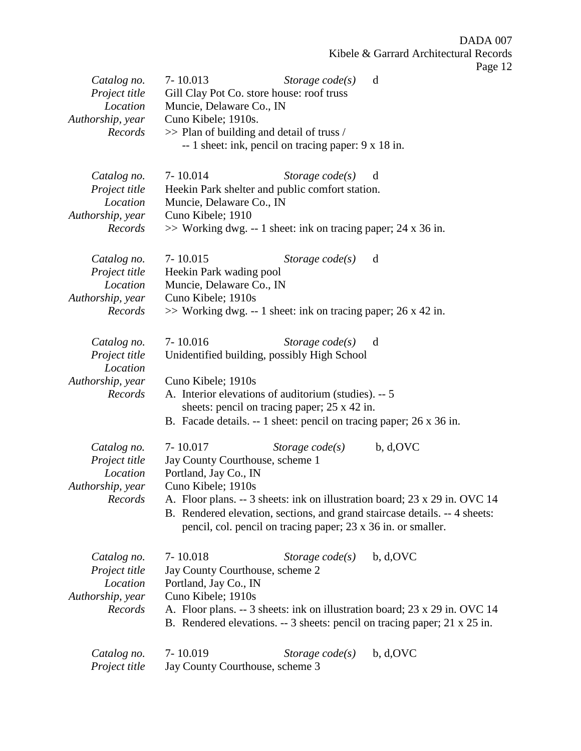| U |  |
|---|--|
|   |  |

| Catalog no.<br>Project title | 7-10.013<br>Storage $code(s)$<br>d<br>Gill Clay Pot Co. store house: roof truss                                                                          |  |  |
|------------------------------|----------------------------------------------------------------------------------------------------------------------------------------------------------|--|--|
| Location                     | Muncie, Delaware Co., IN                                                                                                                                 |  |  |
| Authorship, year             | Cuno Kibele; 1910s.                                                                                                                                      |  |  |
| Records                      | >> Plan of building and detail of truss /                                                                                                                |  |  |
|                              | -- 1 sheet: ink, pencil on tracing paper: 9 x 18 in.                                                                                                     |  |  |
|                              |                                                                                                                                                          |  |  |
| Catalog no.<br>Project title | 7-10.014<br>Storage $code(s)$<br>d<br>Heekin Park shelter and public comfort station.                                                                    |  |  |
| Location                     | Muncie, Delaware Co., IN                                                                                                                                 |  |  |
| Authorship, year             | Cuno Kibele; 1910                                                                                                                                        |  |  |
| Records                      | $\gg$ Working dwg. -- 1 sheet: ink on tracing paper; 24 x 36 in.                                                                                         |  |  |
| Catalog no.                  | $7 - 10.015$<br>Storage $code(s)$<br>d                                                                                                                   |  |  |
| Project title                | Heekin Park wading pool                                                                                                                                  |  |  |
| Location                     | Muncie, Delaware Co., IN                                                                                                                                 |  |  |
| Authorship, year             | Cuno Kibele; 1910s                                                                                                                                       |  |  |
| Records                      | $\gg$ Working dwg. -- 1 sheet: ink on tracing paper; 26 x 42 in.                                                                                         |  |  |
| Catalog no.                  | 7-10.016<br>Storage $code(s)$<br>d                                                                                                                       |  |  |
| Project title                | Unidentified building, possibly High School                                                                                                              |  |  |
| Location                     |                                                                                                                                                          |  |  |
| Authorship, year<br>Records  | Cuno Kibele; 1910s<br>A. Interior elevations of auditorium (studies). -- 5                                                                               |  |  |
|                              | sheets: pencil on tracing paper; 25 x 42 in.                                                                                                             |  |  |
|                              | B. Facade details. -- 1 sheet: pencil on tracing paper; 26 x 36 in.                                                                                      |  |  |
| Catalog no.                  | b, d, OVC<br>7-10.017<br>Storage $code(s)$                                                                                                               |  |  |
| Project title                | Jay County Courthouse, scheme 1                                                                                                                          |  |  |
| Location                     | Portland, Jay Co., IN                                                                                                                                    |  |  |
| Authorship, year             | Cuno Kibele; 1910s                                                                                                                                       |  |  |
| Records                      | A. Floor plans. -- 3 sheets: ink on illustration board; 23 x 29 in. OVC 14<br>B. Rendered elevation, sections, and grand staircase details. -- 4 sheets: |  |  |
|                              | pencil, col. pencil on tracing paper; 23 x 36 in. or smaller.                                                                                            |  |  |
| Catalog no.                  | 7-10.018<br>b, d, OVC<br>Storage $code(s)$                                                                                                               |  |  |
| Project title                | Jay County Courthouse, scheme 2                                                                                                                          |  |  |
| Location                     | Portland, Jay Co., IN                                                                                                                                    |  |  |
| Authorship, year             | Cuno Kibele; 1910s                                                                                                                                       |  |  |
| Records                      | A. Floor plans. -- 3 sheets: ink on illustration board; 23 x 29 in. OVC 14                                                                               |  |  |
|                              | B. Rendered elevations. -- 3 sheets: pencil on tracing paper; 21 x 25 in.                                                                                |  |  |
| Catalog no.                  | 7-10.019<br>b, d, OVC<br>Storage $code(s)$                                                                                                               |  |  |
| Project title                | Jay County Courthouse, scheme 3                                                                                                                          |  |  |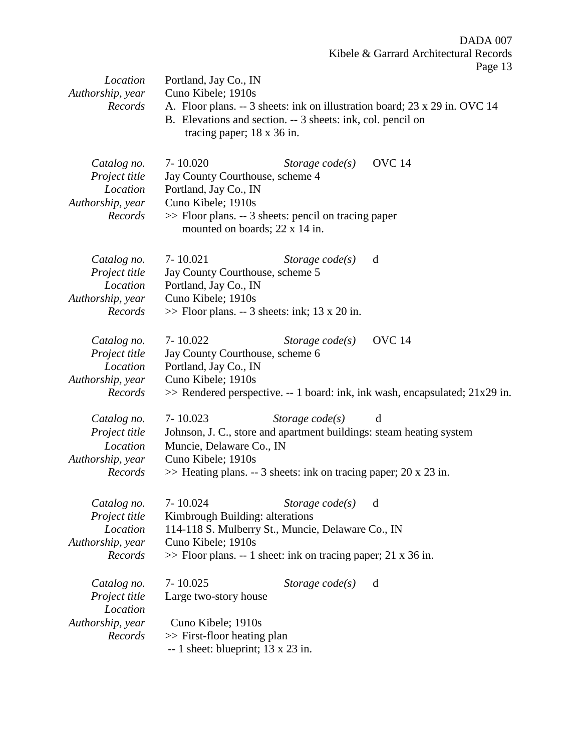| Location                    | Portland, Jay Co., IN                                    |                                                                     |                                                                                |
|-----------------------------|----------------------------------------------------------|---------------------------------------------------------------------|--------------------------------------------------------------------------------|
| Authorship, year            | Cuno Kibele; 1910s                                       |                                                                     |                                                                                |
| Records                     |                                                          |                                                                     | A. Floor plans. -- 3 sheets: ink on illustration board; 23 x 29 in. OVC 14     |
|                             |                                                          | B. Elevations and section. -- 3 sheets: ink, col. pencil on         |                                                                                |
|                             | tracing paper; $18 \times 36$ in.                        |                                                                     |                                                                                |
|                             |                                                          |                                                                     |                                                                                |
| Catalog no.                 | 7-10.020                                                 | Storage $code(s)$                                                   | <b>OVC 14</b>                                                                  |
| Project title               | Jay County Courthouse, scheme 4                          |                                                                     |                                                                                |
| Location                    | Portland, Jay Co., IN                                    |                                                                     |                                                                                |
| Authorship, year            | Cuno Kibele; 1910s                                       |                                                                     |                                                                                |
| Records                     |                                                          | >> Floor plans. -- 3 sheets: pencil on tracing paper                |                                                                                |
|                             | mounted on boards; 22 x 14 in.                           |                                                                     |                                                                                |
|                             |                                                          |                                                                     |                                                                                |
|                             | 7-10.021                                                 |                                                                     | d                                                                              |
| Catalog no.                 |                                                          | Storage $code(s)$                                                   |                                                                                |
| Project title<br>Location   | Jay County Courthouse, scheme 5<br>Portland, Jay Co., IN |                                                                     |                                                                                |
|                             | Cuno Kibele; 1910s                                       |                                                                     |                                                                                |
| Authorship, year<br>Records |                                                          | $\gg$ Floor plans. -- 3 sheets: ink; 13 x 20 in.                    |                                                                                |
|                             |                                                          |                                                                     |                                                                                |
|                             |                                                          |                                                                     | <b>OVC 14</b>                                                                  |
| Catalog no.                 | 7-10.022                                                 | Storage $code(s)$                                                   |                                                                                |
| Project title               | Jay County Courthouse, scheme 6                          |                                                                     |                                                                                |
| Location                    | Portland, Jay Co., IN                                    |                                                                     |                                                                                |
| Authorship, year            | Cuno Kibele; 1910s                                       |                                                                     |                                                                                |
| Records                     |                                                          |                                                                     | $\gg$ Rendered perspective. -- 1 board: ink, ink wash, encapsulated; 21x29 in. |
| Catalog no.                 | 7-10.023                                                 | Storage $code(s)$                                                   | d                                                                              |
| Project title               |                                                          |                                                                     | Johnson, J. C., store and apartment buildings: steam heating system            |
| Location                    | Muncie, Delaware Co., IN                                 |                                                                     |                                                                                |
| Authorship, year            | Cuno Kibele; 1910s                                       |                                                                     |                                                                                |
| Records                     |                                                          | $\gg$ Heating plans. -- 3 sheets: ink on tracing paper; 20 x 23 in. |                                                                                |
|                             |                                                          |                                                                     |                                                                                |
| Catalog no.                 | 7-10.024                                                 | Storage $code(s)$                                                   | d                                                                              |
| Project title               | Kimbrough Building: alterations                          |                                                                     |                                                                                |
| Location                    |                                                          | 114-118 S. Mulberry St., Muncie, Delaware Co., IN                   |                                                                                |
| Authorship, year            | Cuno Kibele; 1910s                                       |                                                                     |                                                                                |
| Records                     |                                                          | $\gg$ Floor plans. -- 1 sheet: ink on tracing paper; 21 x 36 in.    |                                                                                |
|                             |                                                          |                                                                     |                                                                                |
| Catalog no.                 | 7-10.025                                                 | Storage $code(s)$                                                   | d                                                                              |
| Project title               | Large two-story house                                    |                                                                     |                                                                                |
| Location                    |                                                          |                                                                     |                                                                                |
| Authorship, year            | Cuno Kibele; 1910s                                       |                                                                     |                                                                                |
| Records                     | >> First-floor heating plan                              |                                                                     |                                                                                |
|                             | $-1$ sheet: blueprint; 13 x 23 in.                       |                                                                     |                                                                                |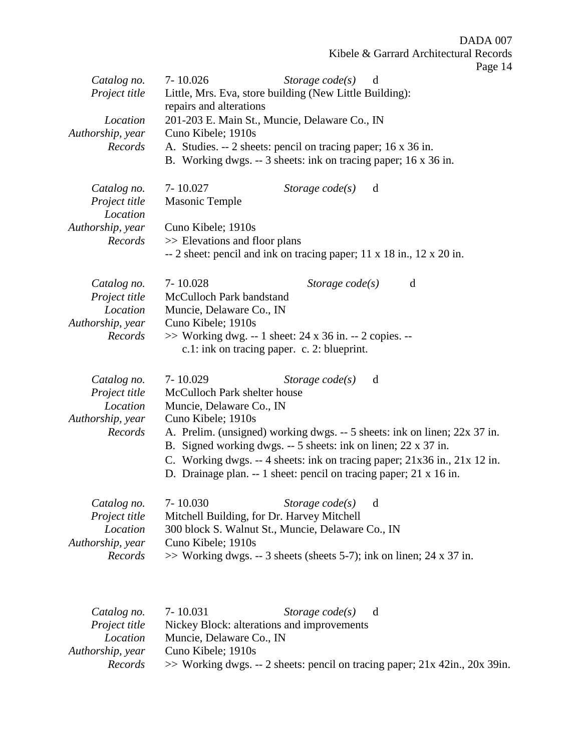DADA 007

Kibele & Garrard Architectural Records

Page 14

|                                          | -07                                                                                                                                                               |
|------------------------------------------|-------------------------------------------------------------------------------------------------------------------------------------------------------------------|
| Catalog no.<br>Project title             | 7-10.026<br>Storage $code(s)$<br>d<br>Little, Mrs. Eva, store building (New Little Building):<br>repairs and alterations                                          |
| Location<br>Authorship, year             | 201-203 E. Main St., Muncie, Delaware Co., IN<br>Cuno Kibele; 1910s                                                                                               |
| Records                                  | A. Studies. -- 2 sheets: pencil on tracing paper; 16 x 36 in.<br>B. Working dwgs. -- 3 sheets: ink on tracing paper; 16 x 36 in.                                  |
| Catalog no.<br>Project title<br>Location | 7-10.027<br>Storage $code(s)$<br>d<br><b>Masonic Temple</b>                                                                                                       |
| Authorship, year<br>Records              | Cuno Kibele; 1910s<br>>> Elevations and floor plans                                                                                                               |
|                                          | $-2$ sheet: pencil and ink on tracing paper; 11 x 18 in., 12 x 20 in.                                                                                             |
| Catalog no.<br>Project title<br>Location | 7-10.028<br>Storage $code(s)$<br>d<br><b>McCulloch Park bandstand</b><br>Muncie, Delaware Co., IN                                                                 |
| Authorship, year<br>Records              | Cuno Kibele; 1910s<br>$\gg$ Working dwg. -- 1 sheet: 24 x 36 in. -- 2 copies. --<br>$c.1$ : ink on tracing paper. c. 2: blueprint.                                |
| Catalog no.<br>Project title<br>Location | 7-10.029<br>Storage $code(s)$<br>d<br>McCulloch Park shelter house<br>Muncie, Delaware Co., IN                                                                    |
| Authorship, year<br>Records              | Cuno Kibele; 1910s<br>A. Prelim. (unsigned) working dwgs. -- 5 sheets: ink on linen; 22x 37 in.<br>B. Signed working dwgs. -- 5 sheets: ink on linen; 22 x 37 in. |
|                                          | C. Working dwgs. -- 4 sheets: ink on tracing paper; 21x36 in., 21x 12 in.<br>D. Drainage plan. -- 1 sheet: pencil on tracing paper; 21 x 16 in.                   |
| Catalog no.<br>Project title             | 7-10.030<br>Storage $code(s)$<br>d<br>Mitchell Building, for Dr. Harvey Mitchell                                                                                  |
| Location<br>Authorship, year             | 300 block S. Walnut St., Muncie, Delaware Co., IN<br>Cuno Kibele; 1910s                                                                                           |
| Records                                  | $\gg$ Working dwgs. -- 3 sheets (sheets 5-7); ink on linen; 24 x 37 in.                                                                                           |
| Catalog no.<br>Project title             | 7-10.031<br>Storage $code(s)$<br>d<br>Nickey Block: alterations and improvements                                                                                  |
| Location                                 | Muncie, Delaware Co., IN                                                                                                                                          |

*Authorship, year* Cuno Kibele; 1910s<br>*Records* >> Working dwgs. ->> Working dwgs. -- 2 sheets: pencil on tracing paper; 21x 42in., 20x 39in.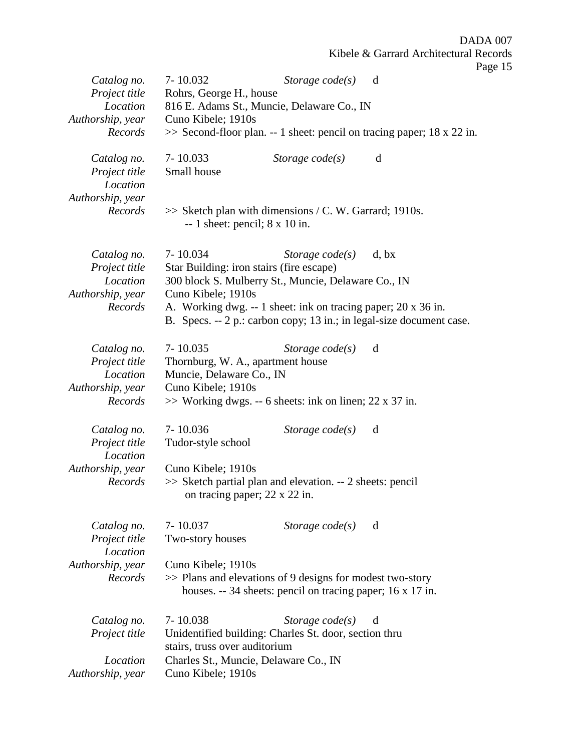| Catalog no.<br>Project title<br>Location<br>Authorship, year<br>Records | 7-10.032<br>Rohrs, George H., house<br>Cuno Kibele; 1910s | Storage $code(s)$<br>816 E. Adams St., Muncie, Delaware Co., IN                                                                       | d<br>$\gg$ Second-floor plan. -- 1 sheet: pencil on tracing paper; 18 x 22 in. |
|-------------------------------------------------------------------------|-----------------------------------------------------------|---------------------------------------------------------------------------------------------------------------------------------------|--------------------------------------------------------------------------------|
| Catalog no.<br>Project title<br>Location                                | 7-10.033<br>Small house                                   | Storage $code(s)$                                                                                                                     | d                                                                              |
| Authorship, year<br>Records                                             | $-1$ sheet: pencil; $8 \times 10$ in.                     | $\gg$ Sketch plan with dimensions / C. W. Garrard; 1910s.                                                                             |                                                                                |
| Catalog no.<br>Project title                                            | 7-10.034<br>Star Building: iron stairs (fire escape)      | Storage $code(s)$                                                                                                                     | d, bx                                                                          |
| Location                                                                |                                                           | 300 block S. Mulberry St., Muncie, Delaware Co., IN                                                                                   |                                                                                |
| Authorship, year<br>Records                                             | Cuno Kibele; 1910s                                        |                                                                                                                                       |                                                                                |
|                                                                         |                                                           | A. Working dwg. -- 1 sheet: ink on tracing paper; 20 x 36 in.<br>B. Specs. -- 2 p.: carbon copy; 13 in.; in legal-size document case. |                                                                                |
| Catalog no.                                                             | 7-10.035                                                  | Storage $code(s)$                                                                                                                     | d                                                                              |
| Project title                                                           | Thornburg, W. A., apartment house                         |                                                                                                                                       |                                                                                |
| Location                                                                | Muncie, Delaware Co., IN                                  |                                                                                                                                       |                                                                                |
| Authorship, year                                                        | Cuno Kibele; 1910s                                        |                                                                                                                                       |                                                                                |
| Records                                                                 |                                                           | $\gg$ Working dwgs. -- 6 sheets: ink on linen; 22 x 37 in.                                                                            |                                                                                |
| Catalog no.                                                             | 7-10.036                                                  | Storage $code(s)$                                                                                                                     | d                                                                              |
| Project title                                                           | Tudor-style school                                        |                                                                                                                                       |                                                                                |
| Location                                                                |                                                           |                                                                                                                                       |                                                                                |
| Authorship, year                                                        | Cuno Kibele; 1910s                                        |                                                                                                                                       |                                                                                |
| Records                                                                 | on tracing paper; 22 x 22 in.                             | >> Sketch partial plan and elevation. -- 2 sheets: pencil                                                                             |                                                                                |
| Catalog no.                                                             | 7-10.037                                                  | Storage $code(s)$                                                                                                                     | d                                                                              |
| Project title<br>Location                                               | Two-story houses                                          |                                                                                                                                       |                                                                                |
| Authorship, year                                                        | Cuno Kibele; 1910s                                        |                                                                                                                                       |                                                                                |
| Records                                                                 |                                                           | >> Plans and elevations of 9 designs for modest two-story                                                                             |                                                                                |
|                                                                         |                                                           | houses. -- 34 sheets: pencil on tracing paper; 16 x 17 in.                                                                            |                                                                                |
| Catalog no.                                                             | 7-10.038                                                  | Storage $code(s)$                                                                                                                     | d                                                                              |
| Project title                                                           | stairs, truss over auditorium                             | Unidentified building: Charles St. door, section thru                                                                                 |                                                                                |
| Location                                                                | Charles St., Muncie, Delaware Co., IN                     |                                                                                                                                       |                                                                                |
| Authorship, year                                                        | Cuno Kibele; 1910s                                        |                                                                                                                                       |                                                                                |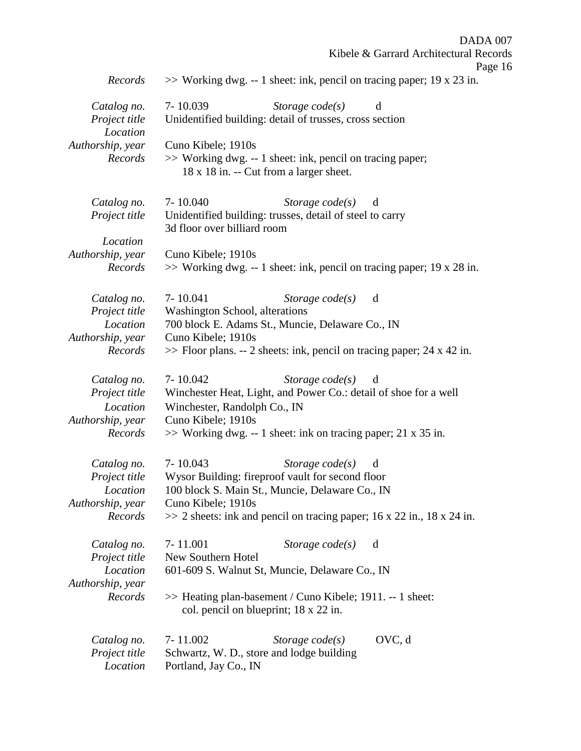|                                                                         | DADA 007<br>Kibele & Garrard Architectural Records<br>Page 16                                                                                                                                                                                |
|-------------------------------------------------------------------------|----------------------------------------------------------------------------------------------------------------------------------------------------------------------------------------------------------------------------------------------|
| Records                                                                 | $\gg$ Working dwg. -- 1 sheet: ink, pencil on tracing paper; 19 x 23 in.                                                                                                                                                                     |
| Catalog no.<br>Project title<br>Location                                | 7-10.039<br>Storage $code(s)$<br>d<br>Unidentified building: detail of trusses, cross section                                                                                                                                                |
| Authorship, year<br>Records                                             | Cuno Kibele; 1910s<br>>> Working dwg. -- 1 sheet: ink, pencil on tracing paper;<br>18 x 18 in. -- Cut from a larger sheet.                                                                                                                   |
| Catalog no.<br>Project title<br>Location                                | 7-10.040<br>Storage $code(s)$<br>d<br>Unidentified building: trusses, detail of steel to carry<br>3d floor over billiard room                                                                                                                |
| Authorship, year<br>Records                                             | Cuno Kibele; 1910s<br>$\gg$ Working dwg. -- 1 sheet: ink, pencil on tracing paper; 19 x 28 in.                                                                                                                                               |
| Catalog no.<br>Project title<br>Location<br>Authorship, year<br>Records | 7-10.041<br>Storage code(s)<br>d<br>Washington School, alterations<br>700 block E. Adams St., Muncie, Delaware Co., IN<br>Cuno Kibele; 1910s<br>$\gg$ Floor plans. -- 2 sheets: ink, pencil on tracing paper; 24 x 42 in.                    |
| Catalog no.<br>Project title<br>Location<br>Authorship, year<br>Records | 7-10.042<br>Storage $code(s)$<br>d<br>Winchester Heat, Light, and Power Co.: detail of shoe for a well<br>Winchester, Randolph Co., IN<br>Cuno Kibele; 1910s<br>$\gg$ Working dwg. -- 1 sheet: ink on tracing paper; 21 x 35 in.             |
| Catalog no.<br>Project title<br>Location<br>Authorship, year<br>Records | 7-10.043<br>Storage $code(s)$<br>d<br>Wysor Building: fireproof vault for second floor<br>100 block S. Main St., Muncie, Delaware Co., IN<br>Cuno Kibele; 1910s<br>$\gg$ 2 sheets: ink and pencil on tracing paper; 16 x 22 in., 18 x 24 in. |
| Catalog no.<br>Project title<br>Location<br>Authorship, year<br>Records | 7-11.001<br>Storage $code(s)$<br>d<br>New Southern Hotel<br>601-609 S. Walnut St, Muncie, Delaware Co., IN<br>>> Heating plan-basement / Cuno Kibele; 1911. -- 1 sheet:<br>col. pencil on blueprint; 18 x 22 in.                             |
| Catalog no.<br>Project title<br>Location                                | OVC, d<br>7-11.002<br>Storage $code(s)$<br>Schwartz, W. D., store and lodge building<br>Portland, Jay Co., IN                                                                                                                                |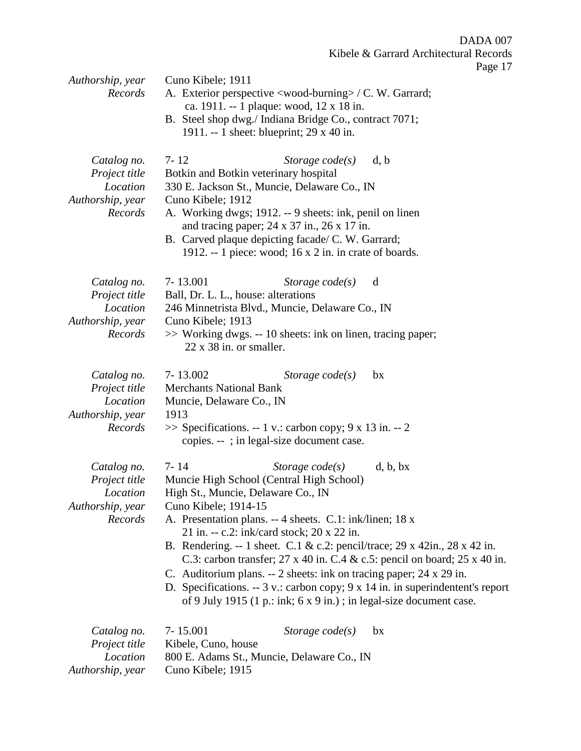Page 17

| Authorship, year          | - ־ ס־<br>Cuno Kibele; 1911                                                                                                                           |
|---------------------------|-------------------------------------------------------------------------------------------------------------------------------------------------------|
| Records                   | A. Exterior perspective <wood-burning>/ C. W. Garrard;</wood-burning>                                                                                 |
|                           | ca. 1911. -- 1 plaque: wood, 12 x 18 in.                                                                                                              |
|                           | B. Steel shop dwg./ Indiana Bridge Co., contract 7071;                                                                                                |
|                           | 1911. -- 1 sheet: blueprint; 29 x 40 in.                                                                                                              |
| Catalog no.               | $7 - 12$<br>Storage $code(s)$<br>d, b                                                                                                                 |
| Project title             | Botkin and Botkin veterinary hospital                                                                                                                 |
| Location                  | 330 E. Jackson St., Muncie, Delaware Co., IN                                                                                                          |
| Authorship, year          | Cuno Kibele; 1912                                                                                                                                     |
| Records                   | A. Working dwgs; 1912. -- 9 sheets: ink, penil on linen                                                                                               |
|                           | and tracing paper; 24 x 37 in., 26 x 17 in.                                                                                                           |
|                           | B. Carved plaque depicting facade/ C. W. Garrard;                                                                                                     |
|                           | 1912. -- 1 piece: wood; 16 x 2 in. in crate of boards.                                                                                                |
| Catalog no.               | 7-13.001<br>Storage $code(s)$<br>d                                                                                                                    |
| Project title             | Ball, Dr. L. L., house: alterations                                                                                                                   |
| Location                  | 246 Minnetrista Blvd., Muncie, Delaware Co., IN                                                                                                       |
| Authorship, year          | Cuno Kibele; 1913                                                                                                                                     |
| Records                   | >> Working dwgs. -- 10 sheets: ink on linen, tracing paper;                                                                                           |
|                           | $22 \times 38$ in. or smaller.                                                                                                                        |
| Catalog no.               | 7-13.002<br>Storage $code(s)$<br>bx                                                                                                                   |
| Project title             | <b>Merchants National Bank</b>                                                                                                                        |
| Location                  | Muncie, Delaware Co., IN                                                                                                                              |
| Authorship, year          | 1913                                                                                                                                                  |
| Records                   | $\gg$ Specifications. -- 1 v.: carbon copy; 9 x 13 in. -- 2                                                                                           |
|                           | copies. -- ; in legal-size document case.                                                                                                             |
| Catalog no.               | $7 - 14$<br>Storage $code(s)$<br>d, b, bx                                                                                                             |
| Project title             | Muncie High School (Central High School)                                                                                                              |
| Location                  | High St., Muncie, Delaware Co., IN                                                                                                                    |
| Authorship, year          | Cuno Kibele; 1914-15                                                                                                                                  |
| Records                   | A. Presentation plans. -- 4 sheets. C.1: ink/linen; 18 x                                                                                              |
|                           | 21 in. -- c.2: ink/card stock; 20 x 22 in.                                                                                                            |
|                           | B. Rendering. -- 1 sheet. C.1 & c.2: pencil/trace; $29 \times 42$ in., $28 \times 42$ in.                                                             |
|                           | C.3: carbon transfer; $27 \times 40$ in. C.4 & c.5: pencil on board; $25 \times 40$ in.                                                               |
|                           | C. Auditorium plans. $-2$ sheets: ink on tracing paper; 24 x 29 in.<br>D. Specifications. -- 3 v.: carbon copy; 9 x 14 in. in superindentent's report |
|                           | of 9 July 1915 (1 p.: ink; $6 \times 9$ in.); in legal-size document case.                                                                            |
|                           |                                                                                                                                                       |
| Catalog no.               | 7-15.001<br>Storage $code(s)$<br>bx                                                                                                                   |
| Project title<br>Location | Kibele, Cuno, house<br>800 E. Adams St., Muncie, Delaware Co., IN                                                                                     |
| Authorship, year          | Cuno Kibele; 1915                                                                                                                                     |
|                           |                                                                                                                                                       |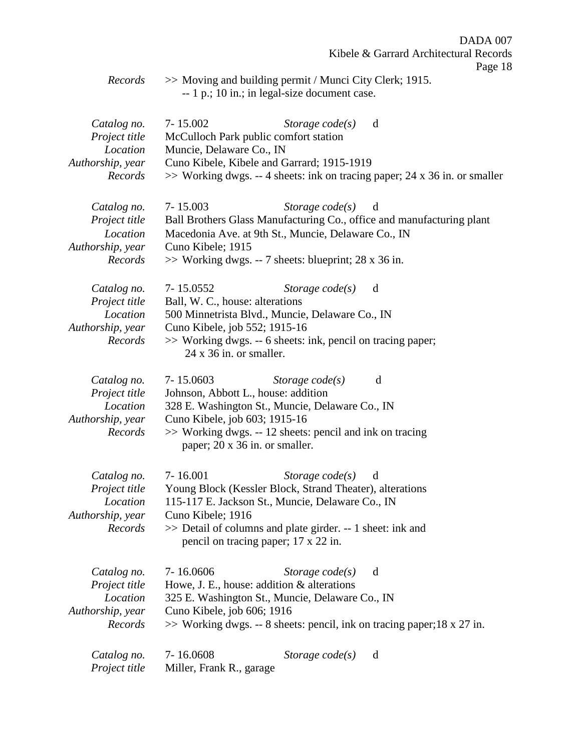Kibele & Garrard Architectural Records Page 18 *Records* >> Moving and building permit / Munci City Clerk; 1915. -- 1 p.; 10 in.; in legal-size document case. *Catalog no.* 7- 15.002 *Storage code(s)* d *Project title* McCulloch Park public comfort station *Location* Muncie, Delaware Co., IN *Authorship, year* Cuno Kibele, Kibele and Garrard; 1915-1919 *Records* >> Working dwgs. -- 4 sheets: ink on tracing paper; 24 x 36 in. or smaller *Catalog no.* 7- 15.003 *Storage code(s)* d *Project title* Ball Brothers Glass Manufacturing Co., office and manufacturing plant *Location* Macedonia Ave. at 9th St., Muncie, Delaware Co., IN *Authorship, year* Cuno Kibele; 1915 *Records* >> Working dwgs. -- 7 sheets: blueprint; 28 x 36 in. *Catalog no.* 7- 15.0552 *Storage code(s)* d *Project title* Ball, W. C., house: alterations *Location* 500 Minnetrista Blvd., Muncie, Delaware Co., IN *Authorship, year* Cuno Kibele, job 552; 1915-16 *Records*  $\gg$  Working dwgs. -- 6 sheets: ink, pencil on tracing paper; 24 x 36 in. or smaller. *Catalog no.* 7- 15.0603 *Storage code(s)* d *Project title* Johnson, Abbott L., house: addition *Location* 328 E. Washington St., Muncie, Delaware Co., IN *Authorship, year* Cuno Kibele, job 603; 1915-16 *Records* >> Working dwgs. -- 12 sheets: pencil and ink on tracing paper; 20 x 36 in. or smaller. *Catalog no.* 7- 16.001 *Storage code(s)* d *Project title* Young Block (Kessler Block, Strand Theater), alterations *Location* 115-117 E. Jackson St., Muncie, Delaware Co., IN *Authorship, year* Cuno Kibele; 1916 *Records* >> Detail of columns and plate girder. -- 1 sheet: ink and pencil on tracing paper; 17 x 22 in. *Catalog no.* 7- 16.0606 *Storage code(s)* d *Project title* Howe, J. E., house: addition & alterations *Location* 325 E. Washington St., Muncie, Delaware Co., IN *Authorship, year* Cuno Kibele, job 606; 1916 *Records* >> Working dwgs. -- 8 sheets: pencil, ink on tracing paper;18 x 27 in.

DADA 007

*Catalog no.* 7- 16.0608 *Storage code(s)* d *Project title* Miller, Frank R., garage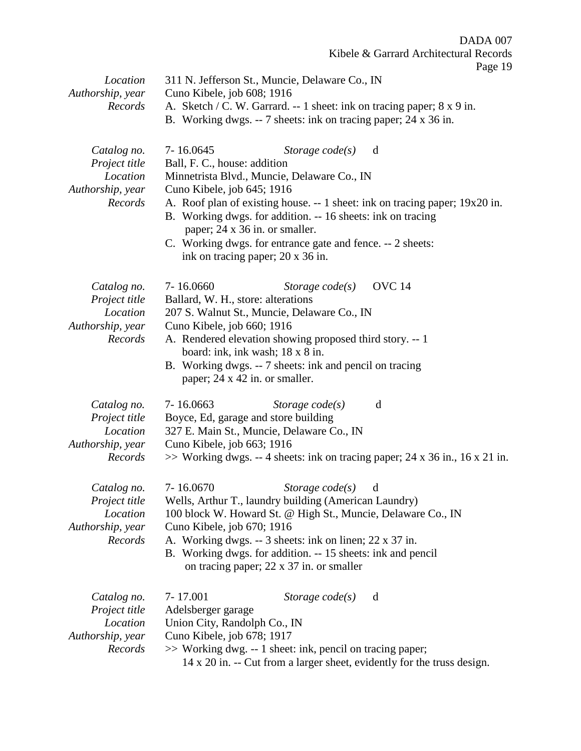DADA 007

Kibele & Garrard Architectural Records

| L<br>ъ. | ١ |
|---------|---|
|         |   |

| Location<br>Authorship, year<br>Records                                 | 311 N. Jefferson St., Muncie, Delaware Co., IN<br>Cuno Kibele, job 608; 1916<br>A. Sketch / C. W. Garrard. -- 1 sheet: ink on tracing paper; 8 x 9 in.<br>B. Working dwgs. -- 7 sheets: ink on tracing paper; 24 x 36 in.                                                                                                                                                                                                           |
|-------------------------------------------------------------------------|-------------------------------------------------------------------------------------------------------------------------------------------------------------------------------------------------------------------------------------------------------------------------------------------------------------------------------------------------------------------------------------------------------------------------------------|
| Catalog no.<br>Project title<br>Location<br>Authorship, year<br>Records | 7-16.0645<br>Storage $code(s)$<br>d<br>Ball, F. C., house: addition<br>Minnetrista Blvd., Muncie, Delaware Co., IN<br>Cuno Kibele, job 645; 1916<br>A. Roof plan of existing house. -- 1 sheet: ink on tracing paper; 19x20 in.<br>B. Working dwgs. for addition. -- 16 sheets: ink on tracing<br>paper; 24 x 36 in. or smaller.<br>C. Working dwgs. for entrance gate and fence. -- 2 sheets:<br>ink on tracing paper; 20 x 36 in. |
| Catalog no.<br>Project title<br>Location<br>Authorship, year<br>Records | <b>OVC</b> 14<br>7-16.0660<br>Storage $code(s)$<br>Ballard, W. H., store: alterations<br>207 S. Walnut St., Muncie, Delaware Co., IN<br>Cuno Kibele, job 660; 1916<br>A. Rendered elevation showing proposed third story. -- 1<br>board: ink, ink wash; 18 x 8 in.<br>B. Working dwgs. -- 7 sheets: ink and pencil on tracing<br>paper; 24 x 42 in. or smaller.                                                                     |
| Catalog no.<br>Project title<br>Location<br>Authorship, year<br>Records | 7-16.0663<br>d<br>Storage $code(s)$<br>Boyce, Ed, garage and store building<br>327 E. Main St., Muncie, Delaware Co., IN<br>Cuno Kibele, job 663; 1916<br>$\gg$ Working dwgs. -- 4 sheets: ink on tracing paper; 24 x 36 in., 16 x 21 in.                                                                                                                                                                                           |
| Catalog no.<br>Project title<br>Location<br>Authorship, year<br>Records | 7-16.0670<br>Storage $code(s)$<br>d<br>Wells, Arthur T., laundry building (American Laundry)<br>100 block W. Howard St. @ High St., Muncie, Delaware Co., IN<br>Cuno Kibele, job 670; 1916<br>A. Working dwgs. -- 3 sheets: ink on linen; 22 x 37 in.<br>B. Working dwgs. for addition. -- 15 sheets: ink and pencil<br>on tracing paper; 22 x 37 in. or smaller                                                                    |
| Catalog no.<br>Project title<br>Location<br>Authorship, year<br>Records | 7-17.001<br>Storage $code(s)$<br>d<br>Adelsberger garage<br>Union City, Randolph Co., IN<br>Cuno Kibele, job 678; 1917<br>>> Working dwg. -- 1 sheet: ink, pencil on tracing paper;<br>14 x 20 in. -- Cut from a larger sheet, evidently for the truss design.                                                                                                                                                                      |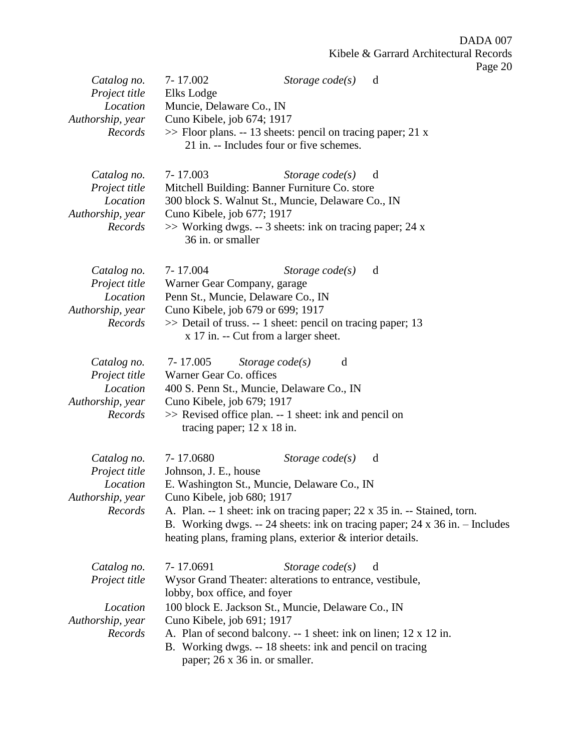| Catalog no.<br>Project title<br>Location<br>Authorship, year<br>Records | 7-17.002<br>Elks Lodge<br>Muncie, Delaware Co., IN<br>Cuno Kibele, job 674; 1917                                   | Storage $code(s)$<br>$\gg$ Floor plans. -- 13 sheets: pencil on tracing paper; 21 x<br>21 in. -- Includes four or five schemes.                                                                                                                                   | d                                                                                                                                                            |
|-------------------------------------------------------------------------|--------------------------------------------------------------------------------------------------------------------|-------------------------------------------------------------------------------------------------------------------------------------------------------------------------------------------------------------------------------------------------------------------|--------------------------------------------------------------------------------------------------------------------------------------------------------------|
| Catalog no.<br>Project title<br>Location<br>Authorship, year<br>Records | 7-17.003<br>Cuno Kibele, job 677; 1917<br>36 in. or smaller                                                        | Storage $code(s)$<br>Mitchell Building: Banner Furniture Co. store<br>300 block S. Walnut St., Muncie, Delaware Co., IN<br>>> Working dwgs. -- 3 sheets: ink on tracing paper; 24 x                                                                               | d                                                                                                                                                            |
| Catalog no.<br>Project title<br>Location<br>Authorship, year<br>Records | 7-17.004<br>Warner Gear Company, garage<br>Penn St., Muncie, Delaware Co., IN<br>Cuno Kibele, job 679 or 699; 1917 | Storage $code(s)$<br>>> Detail of truss. -- 1 sheet: pencil on tracing paper; 13<br>x 17 in. -- Cut from a larger sheet.                                                                                                                                          | d                                                                                                                                                            |
| Catalog no.<br>Project title<br>Location<br>Authorship, year<br>Records | 7-17.005<br>Warner Gear Co. offices<br>Cuno Kibele, job 679; 1917<br>tracing paper; $12 \times 18$ in.             | Storage $code(s)$<br>d<br>400 S. Penn St., Muncie, Delaware Co., IN<br>$\gg$ Revised office plan. -- 1 sheet: ink and pencil on                                                                                                                                   |                                                                                                                                                              |
| Catalog no.<br>Project title<br>Location<br>Authorship, year<br>Records | 7-17.0680<br>Johnson, J. E., house<br>Cuno Kibele, job 680; 1917                                                   | Storage $code(s)$<br>E. Washington St., Muncie, Delaware Co., IN<br>heating plans, framing plans, exterior & interior details.                                                                                                                                    | d<br>A. Plan. -- 1 sheet: ink on tracing paper; 22 x 35 in. -- Stained, torn.<br>B. Working dwgs. -- 24 sheets: ink on tracing paper; 24 x 36 in. - Includes |
| Catalog no.<br>Project title<br>Location<br>Authorship, year<br>Records | 7-17.0691<br>lobby, box office, and foyer<br>Cuno Kibele, job 691; 1917<br>paper; 26 x 36 in. or smaller.          | Storage code(s)<br>Wysor Grand Theater: alterations to entrance, vestibule,<br>100 block E. Jackson St., Muncie, Delaware Co., IN<br>A. Plan of second balcony. -- 1 sheet: ink on linen; 12 x 12 in.<br>B. Working dwgs. -- 18 sheets: ink and pencil on tracing | d                                                                                                                                                            |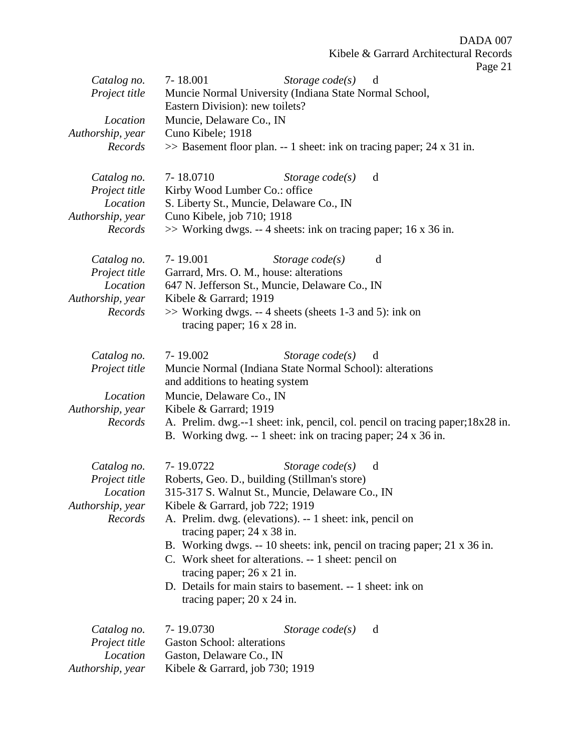DADA 007

Kibele & Garrard Architectural Records

|--|--|--|

| Catalog no.<br>Project title                                            | 7-18.001<br>Storage $code(s)$<br>d<br>Muncie Normal University (Indiana State Normal School,<br>Eastern Division): new toilets?                                                                                                                                                                                                                                                                                                                                                                                                                         |
|-------------------------------------------------------------------------|---------------------------------------------------------------------------------------------------------------------------------------------------------------------------------------------------------------------------------------------------------------------------------------------------------------------------------------------------------------------------------------------------------------------------------------------------------------------------------------------------------------------------------------------------------|
| Location<br>Authorship, year<br>Records                                 | Muncie, Delaware Co., IN<br>Cuno Kibele; 1918<br>$\gg$ Basement floor plan. -- 1 sheet: ink on tracing paper; 24 x 31 in.                                                                                                                                                                                                                                                                                                                                                                                                                               |
| Catalog no.<br>Project title<br>Location<br>Authorship, year<br>Records | 7-18.0710<br>Storage $code(s)$<br>d<br>Kirby Wood Lumber Co.: office<br>S. Liberty St., Muncie, Delaware Co., IN<br>Cuno Kibele, job 710; 1918<br>$\gg$ Working dwgs. -- 4 sheets: ink on tracing paper; 16 x 36 in.                                                                                                                                                                                                                                                                                                                                    |
| Catalog no.<br>Project title<br>Location<br>Authorship, year<br>Records | 7-19.001<br>Storage $code(s)$<br>d<br>Garrard, Mrs. O. M., house: alterations<br>647 N. Jefferson St., Muncie, Delaware Co., IN<br>Kibele & Garrard; 1919<br>$\gg$ Working dwgs. -- 4 sheets (sheets 1-3 and 5): ink on<br>tracing paper; $16 \times 28$ in.                                                                                                                                                                                                                                                                                            |
| Catalog no.<br>Project title<br>Location<br>Authorship, year<br>Records | 7-19.002<br>Storage $code(s)$<br>d<br>Muncie Normal (Indiana State Normal School): alterations<br>and additions to heating system<br>Muncie, Delaware Co., IN<br>Kibele & Garrard; 1919<br>A. Prelim. dwg.--1 sheet: ink, pencil, col. pencil on tracing paper; 18x28 in.<br>B. Working dwg. -- 1 sheet: ink on tracing paper; 24 x 36 in.                                                                                                                                                                                                              |
| Catalog no.<br>Project title<br>Location<br>Authorship, year<br>Records | 7-19.0722<br>Storage $code(s)$<br>d<br>Roberts, Geo. D., building (Stillman's store)<br>315-317 S. Walnut St., Muncie, Delaware Co., IN<br>Kibele & Garrard, job 722; 1919<br>A. Prelim. dwg. (elevations). -- 1 sheet: ink, pencil on<br>tracing paper; $24 \times 38$ in.<br>B. Working dwgs. -- 10 sheets: ink, pencil on tracing paper; 21 x 36 in.<br>C. Work sheet for alterations. -- 1 sheet: pencil on<br>tracing paper; $26 \times 21$ in.<br>D. Details for main stairs to basement. -- 1 sheet: ink on<br>tracing paper; $20 \times 24$ in. |
| Catalog no.<br>Project title<br>Location<br>Authorship, year            | 7-19.0730<br>Storage $code(s)$<br>d<br><b>Gaston School: alterations</b><br>Gaston, Delaware Co., IN<br>Kibele & Garrard, job $730$ ; 1919                                                                                                                                                                                                                                                                                                                                                                                                              |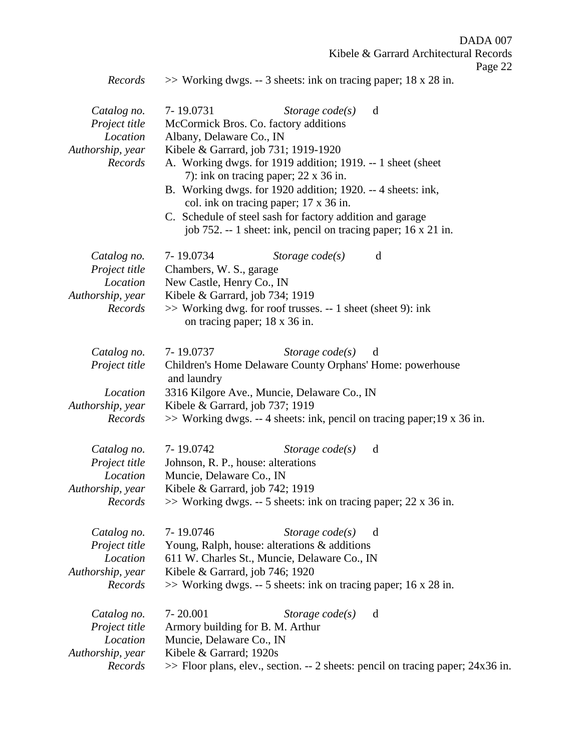Page 22

*Records* >> Working dwgs. -- 3 sheets: ink on tracing paper; 18 x 28 in.

| Catalog no.<br>Project title<br>Location<br>Authorship, year<br>Records | 7-19.0731<br>Storage $code(s)$<br>d<br>McCormick Bros. Co. factory additions<br>Albany, Delaware Co., IN<br>Kibele & Garrard, job 731; 1919-1920<br>A. Working dwgs. for 1919 addition; 1919. -- 1 sheet (sheet<br>7): ink on tracing paper; $22 \times 36$ in.<br>B. Working dwgs. for 1920 addition; 1920. -- 4 sheets: ink,<br>col. ink on tracing paper; 17 x 36 in.<br>C. Schedule of steel sash for factory addition and garage<br>job 752. -- 1 sheet: ink, pencil on tracing paper; 16 x 21 in. |
|-------------------------------------------------------------------------|---------------------------------------------------------------------------------------------------------------------------------------------------------------------------------------------------------------------------------------------------------------------------------------------------------------------------------------------------------------------------------------------------------------------------------------------------------------------------------------------------------|
| Catalog no.<br>Project title<br>Location<br>Authorship, year<br>Records | 7-19.0734<br>d<br>Storage $code(s)$<br>Chambers, W. S., garage<br>New Castle, Henry Co., IN<br>Kibele & Garrard, job 734; 1919<br>>> Working dwg. for roof trusses. -- 1 sheet (sheet 9): ink<br>on tracing paper; 18 x 36 in.                                                                                                                                                                                                                                                                          |
| Catalog no.<br>Project title<br>Location<br>Authorship, year<br>Records | 7-19.0737<br>Storage $code(s)$<br>d<br>Children's Home Delaware County Orphans' Home: powerhouse<br>and laundry<br>3316 Kilgore Ave., Muncie, Delaware Co., IN<br>Kibele & Garrard, job 737; 1919<br>$\gg$ Working dwgs. -- 4 sheets: ink, pencil on tracing paper; 19 x 36 in.                                                                                                                                                                                                                         |
| Catalog no.<br>Project title<br>Location<br>Authorship, year<br>Records | 7-19.0742<br>Storage $code(s)$<br>d<br>Johnson, R. P., house: alterations<br>Muncie, Delaware Co., IN<br>Kibele & Garrard, job 742; 1919<br>$\gg$ Working dwgs. -- 5 sheets: ink on tracing paper; 22 x 36 in.                                                                                                                                                                                                                                                                                          |
| Catalog no.<br>Project title<br>Location<br>Authorship, year<br>Records | 7-19.0746<br>Storage $code(s)$<br>d<br>Young, Ralph, house: alterations & additions<br>611 W. Charles St., Muncie, Delaware Co., IN<br>Kibele & Garrard, job $746$ ; 1920<br>$\gg$ Working dwgs. -- 5 sheets: ink on tracing paper; 16 x 28 in.                                                                                                                                                                                                                                                         |
| Catalog no.<br>Project title<br>Location<br>Authorship, year<br>Records | 7-20.001<br>Storage $code(s)$<br>d<br>Armory building for B. M. Arthur<br>Muncie, Delaware Co., IN<br>Kibele & Garrard; 1920s<br>>> Floor plans, elev., section. -- 2 sheets: pencil on tracing paper; 24x36 in.                                                                                                                                                                                                                                                                                        |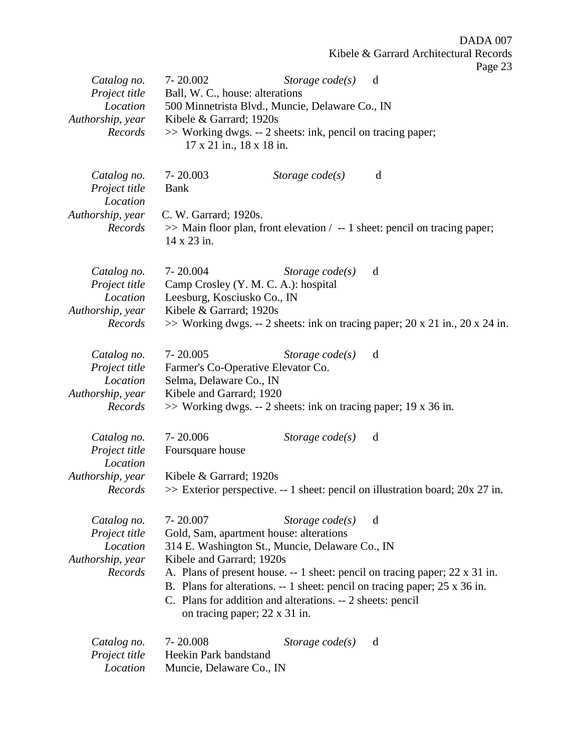| ш<br>त्राण |  |
|------------|--|
|            |  |

| Catalog no.<br>Project title<br>Location<br>Authorship, year<br>Records | $7 - 20.002$<br>Ball, W. C., house: alterations<br>Kibele & Garrard; 1920s<br>17 x 21 in., 18 x 18 in. | Storage $code(s)$<br>500 Minnetrista Blvd., Muncie, Delaware Co., IN<br>>> Working dwgs. -- 2 sheets: ink, pencil on tracing paper;                                                                            | ັ<br>d                                                                                                                                                         |
|-------------------------------------------------------------------------|--------------------------------------------------------------------------------------------------------|----------------------------------------------------------------------------------------------------------------------------------------------------------------------------------------------------------------|----------------------------------------------------------------------------------------------------------------------------------------------------------------|
| Catalog no.<br>Project title<br>Location<br>Authorship, year<br>Records | $7 - 20.003$<br><b>Bank</b><br>C. W. Garrard; 1920s.<br>14 x 23 in.                                    | Storage $code(s)$                                                                                                                                                                                              | d<br>$\gg$ Main floor plan, front elevation / -- 1 sheet: pencil on tracing paper;                                                                             |
| Catalog no.<br>Project title<br>Location<br>Authorship, year<br>Records | 7-20.004<br>Leesburg, Kosciusko Co., IN<br>Kibele & Garrard; 1920s                                     | Storage $code(s)$<br>Camp Crosley (Y. M. C. A.): hospital                                                                                                                                                      | d<br>$\gg$ Working dwgs. -- 2 sheets: ink on tracing paper; 20 x 21 in., 20 x 24 in.                                                                           |
| Catalog no.<br>Project title<br>Location<br>Authorship, year<br>Records | $7 - 20.005$<br>Selma, Delaware Co., IN<br>Kibele and Garrard; 1920                                    | Storage $code(s)$<br>Farmer's Co-Operative Elevator Co.<br>$\gg$ Working dwgs. -- 2 sheets: ink on tracing paper; 19 x 36 in.                                                                                  | d                                                                                                                                                              |
| Catalog no.<br>Project title<br>Location<br>Authorship, year<br>Records | 7-20.006<br>Foursquare house<br>Kibele & Garrard; 1920s                                                | Storage $code(s)$                                                                                                                                                                                              | d<br>$\gg$ Exterior perspective. -- 1 sheet: pencil on illustration board; 20x 27 in.                                                                          |
| Catalog no.<br>Project title<br>Location<br>Authorship, year<br>Records | 7-20.007<br>Kibele and Garrard; 1920s                                                                  | Storage $code(s)$<br>Gold, Sam, apartment house: alterations<br>314 E. Washington St., Muncie, Delaware Co., IN<br>C. Plans for addition and alterations. -- 2 sheets: pencil<br>on tracing paper; 22 x 31 in. | d<br>A. Plans of present house. -- 1 sheet: pencil on tracing paper; 22 x 31 in.<br>B. Plans for alterations. -- 1 sheet: pencil on tracing paper; 25 x 36 in. |
| Catalog no.<br>Project title<br>Location                                | $7 - 20.008$<br>Heekin Park bandstand<br>Muncie, Delaware Co., IN                                      | Storage $code(s)$                                                                                                                                                                                              | d                                                                                                                                                              |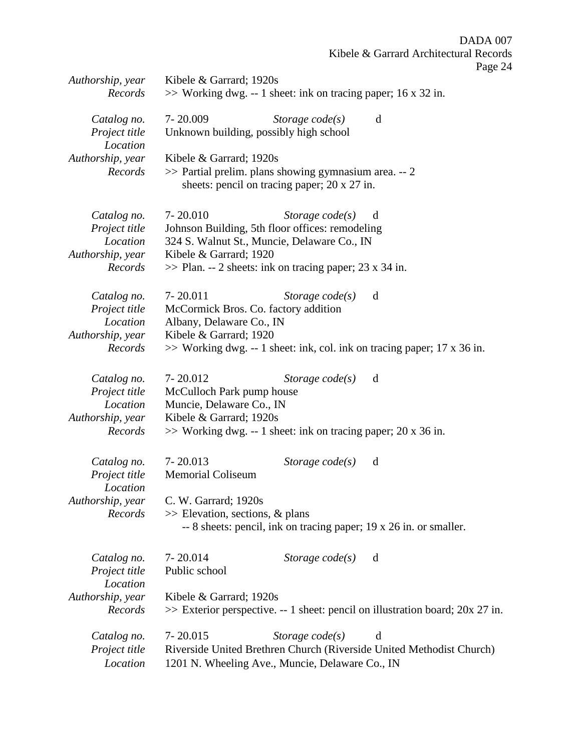| Authorship, year | Kibele & Garrard; 1920s              |                                                                                                       |                                                                                  |  |  |
|------------------|--------------------------------------|-------------------------------------------------------------------------------------------------------|----------------------------------------------------------------------------------|--|--|
| Records          |                                      | >> Working dwg. -- 1 sheet: ink on tracing paper; 16 x 32 in.                                         |                                                                                  |  |  |
| Catalog no.      | 7-20.009                             | Storage $code(s)$                                                                                     | d                                                                                |  |  |
| Project title    |                                      | Unknown building, possibly high school                                                                |                                                                                  |  |  |
| Location         |                                      |                                                                                                       |                                                                                  |  |  |
| Authorship, year | Kibele & Garrard; 1920s              |                                                                                                       |                                                                                  |  |  |
| Records          |                                      | >> Partial prelim. plans showing gymnasium area. -- 2<br>sheets: pencil on tracing paper; 20 x 27 in. |                                                                                  |  |  |
|                  |                                      |                                                                                                       |                                                                                  |  |  |
| Catalog no.      | $7 - 20.010$                         | Storage $code(s)$                                                                                     | d                                                                                |  |  |
| Project title    |                                      | Johnson Building, 5th floor offices: remodeling                                                       |                                                                                  |  |  |
| Location         |                                      | 324 S. Walnut St., Muncie, Delaware Co., IN                                                           |                                                                                  |  |  |
| Authorship, year | Kibele & Garrard; 1920               |                                                                                                       |                                                                                  |  |  |
| Records          |                                      | $\gg$ Plan. -- 2 sheets: ink on tracing paper; 23 x 34 in.                                            |                                                                                  |  |  |
| Catalog no.      | $7 - 20.011$                         | Storage $code(s)$                                                                                     | d                                                                                |  |  |
| Project title    | McCormick Bros. Co. factory addition |                                                                                                       |                                                                                  |  |  |
| Location         | Albany, Delaware Co., IN             |                                                                                                       |                                                                                  |  |  |
| Authorship, year | Kibele & Garrard; 1920               |                                                                                                       |                                                                                  |  |  |
| Records          |                                      |                                                                                                       | $\gg$ Working dwg. -- 1 sheet: ink, col. ink on tracing paper; 17 x 36 in.       |  |  |
| Catalog no.      | 7-20.012                             | Storage $code(s)$                                                                                     | d                                                                                |  |  |
| Project title    | McCulloch Park pump house            |                                                                                                       |                                                                                  |  |  |
| Location         | Muncie, Delaware Co., IN             |                                                                                                       |                                                                                  |  |  |
| Authorship, year | Kibele & Garrard; 1920s              |                                                                                                       |                                                                                  |  |  |
| Records          |                                      | $\gg$ Working dwg. -- 1 sheet: ink on tracing paper; 20 x 36 in.                                      |                                                                                  |  |  |
| Catalog no.      | $7 - 20.013$                         | Storage code(s)                                                                                       | d                                                                                |  |  |
| Project title    | <b>Memorial Coliseum</b>             |                                                                                                       |                                                                                  |  |  |
| Location         |                                      |                                                                                                       |                                                                                  |  |  |
| Authorship, year | C. W. Garrard; 1920s                 |                                                                                                       |                                                                                  |  |  |
| Records          | $\gg$ Elevation, sections, & plans   |                                                                                                       |                                                                                  |  |  |
|                  |                                      | -- 8 sheets: pencil, ink on tracing paper; 19 x 26 in. or smaller.                                    |                                                                                  |  |  |
| Catalog no.      | $7 - 20.014$                         | Storage $code(s)$                                                                                     | d                                                                                |  |  |
| Project title    | Public school                        |                                                                                                       |                                                                                  |  |  |
| Location         |                                      |                                                                                                       |                                                                                  |  |  |
| Authorship, year | Kibele & Garrard; 1920s              |                                                                                                       |                                                                                  |  |  |
| Records          |                                      |                                                                                                       | $\gg$ Exterior perspective. -- 1 sheet: pencil on illustration board; 20x 27 in. |  |  |
| Catalog no.      | 7-20.015                             | Storage $code(s)$                                                                                     | d                                                                                |  |  |
| Project title    |                                      |                                                                                                       | Riverside United Brethren Church (Riverside United Methodist Church)             |  |  |
| Location         |                                      | 1201 N. Wheeling Ave., Muncie, Delaware Co., IN                                                       |                                                                                  |  |  |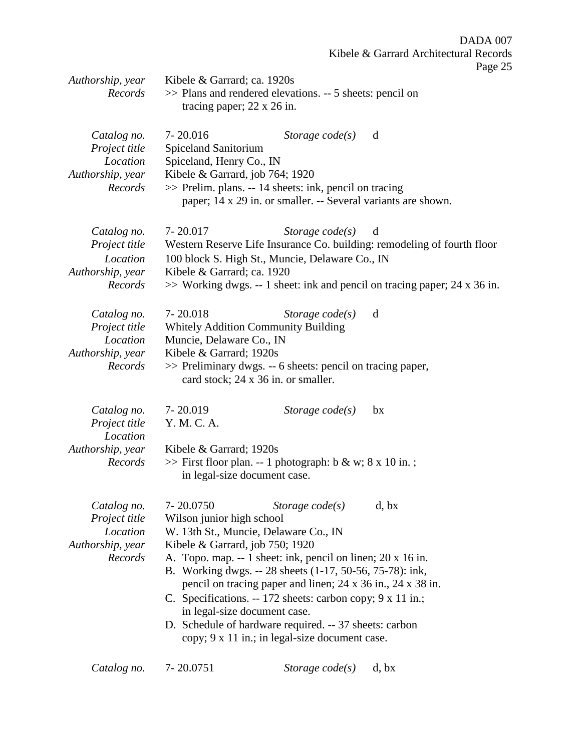| Authorship, year<br>Records                                             | Kibele & Garrard; ca. 1920s<br>tracing paper; $22 \times 26$ in.                                    | >> Plans and rendered elevations. -- 5 sheets: pencil on                                                                                                                                                                                                                                                                                                                                                                                                       |                                                                                                                                                              |
|-------------------------------------------------------------------------|-----------------------------------------------------------------------------------------------------|----------------------------------------------------------------------------------------------------------------------------------------------------------------------------------------------------------------------------------------------------------------------------------------------------------------------------------------------------------------------------------------------------------------------------------------------------------------|--------------------------------------------------------------------------------------------------------------------------------------------------------------|
| Catalog no.<br>Project title<br>Location<br>Authorship, year<br>Records | $7 - 20.016$<br>Spiceland Sanitorium<br>Spiceland, Henry Co., IN<br>Kibele & Garrard, job 764; 1920 | Storage $code(s)$<br>>> Prelim. plans. -- 14 sheets: ink, pencil on tracing<br>paper; 14 x 29 in. or smaller. -- Several variants are shown.                                                                                                                                                                                                                                                                                                                   | d                                                                                                                                                            |
| Catalog no.<br>Project title<br>Location<br>Authorship, year<br>Records | $7 - 20.017$<br>Kibele & Garrard; ca. 1920                                                          | Storage $code(s)$<br>100 block S. High St., Muncie, Delaware Co., IN                                                                                                                                                                                                                                                                                                                                                                                           | d<br>Western Reserve Life Insurance Co. building: remodeling of fourth floor<br>$\gg$ Working dwgs. -- 1 sheet: ink and pencil on tracing paper; 24 x 36 in. |
| Catalog no.<br>Project title<br>Location<br>Authorship, year<br>Records | $7 - 20.018$<br>Muncie, Delaware Co., IN<br>Kibele & Garrard; 1920s                                 | Storage $code(s)$<br>Whitely Addition Community Building<br>>> Preliminary dwgs. -- 6 sheets: pencil on tracing paper,<br>card stock; 24 x 36 in. or smaller.                                                                                                                                                                                                                                                                                                  | d                                                                                                                                                            |
| Catalog no.<br>Project title<br>Location<br>Authorship, year<br>Records | 7-20.019<br>Y. M. C. A.<br>Kibele & Garrard; 1920s                                                  | Storage $code(s)$<br>>> First floor plan. -- 1 photograph: b & w; 8 x 10 in.;<br>in legal-size document case.                                                                                                                                                                                                                                                                                                                                                  | bx                                                                                                                                                           |
| Catalog no.<br>Project title<br>Location<br>Authorship, year<br>Records | 7-20.0750<br>Wilson junior high school<br>Kibele & Garrard, job 750; 1920                           | Storage $code(s)$<br>W. 13th St., Muncie, Delaware Co., IN<br>A. Topo. map. -- 1 sheet: ink, pencil on linen; 20 x 16 in.<br>B. Working dwgs. -- 28 sheets (1-17, 50-56, 75-78): ink,<br>pencil on tracing paper and linen; 24 x 36 in., 24 x 38 in.<br>C. Specifications. -- 172 sheets: carbon copy; 9 x 11 in.;<br>in legal-size document case.<br>D. Schedule of hardware required. -- 37 sheets: carbon<br>copy; 9 x 11 in.; in legal-size document case. | d, bx                                                                                                                                                        |
| Catalog no.                                                             | 7-20.0751                                                                                           | Storage $code(s)$                                                                                                                                                                                                                                                                                                                                                                                                                                              | d, bx                                                                                                                                                        |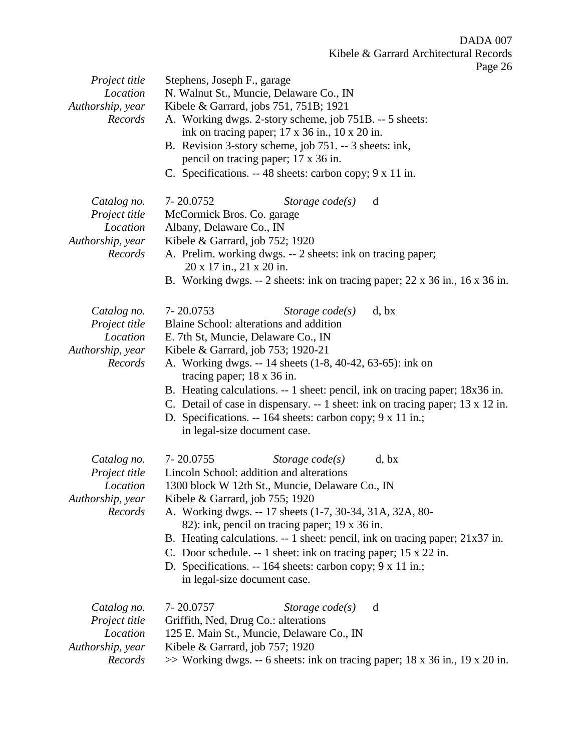*Project title* Stephens, Joseph F., garage *Location* N. Walnut St., Muncie, Delaware Co., IN *Authorship, year* Kibele & Garrard, jobs 751, 751B; 1921 *Records* A. Working dwgs. 2-story scheme, job 751B. -- 5 sheets: ink on tracing paper; 17 x 36 in., 10 x 20 in. B. Revision 3-story scheme, job 751. -- 3 sheets: ink, pencil on tracing paper; 17 x 36 in. C. Specifications. -- 48 sheets: carbon copy; 9 x 11 in. *Catalog no.* 7- 20.0752 *Storage code(s)* d *Project title* McCormick Bros. Co. garage *Location* Albany, Delaware Co., IN *Authorship, year* Kibele & Garrard, job 752; 1920 *Records* A. Prelim. working dwgs. -- 2 sheets: ink on tracing paper; 20 x 17 in., 21 x 20 in. B. Working dwgs. -- 2 sheets: ink on tracing paper; 22 x 36 in., 16 x 36 in. *Catalog no.* 7- 20.0753 *Storage code(s)* d, bx *Project title* Blaine School: alterations and addition *Location* E. 7th St, Muncie, Delaware Co., IN *Authorship, year* Kibele & Garrard, job 753; 1920-21 *Records* A. Working dwgs. -- 14 sheets (1-8, 40-42, 63-65): ink on tracing paper; 18 x 36 in. B. Heating calculations. -- 1 sheet: pencil, ink on tracing paper; 18x36 in. C. Detail of case in dispensary. -- 1 sheet: ink on tracing paper; 13 x 12 in. D. Specifications. -- 164 sheets: carbon copy; 9 x 11 in.; in legal-size document case. *Catalog no.* 7- 20.0755 *Storage code(s)* d, bx *Project title* Lincoln School: addition and alterations *Location* 1300 block W 12th St., Muncie, Delaware Co., IN *Authorship, year* Kibele & Garrard, job 755; 1920 *Records* A. Working dwgs. -- 17 sheets (1-7, 30-34, 31A, 32A, 80- 82): ink, pencil on tracing paper; 19 x 36 in. B. Heating calculations. -- 1 sheet: pencil, ink on tracing paper; 21x37 in. C. Door schedule. -- 1 sheet: ink on tracing paper; 15 x 22 in. D. Specifications. -- 164 sheets: carbon copy; 9 x 11 in.; in legal-size document case. *Catalog no.* 7- 20.0757 *Storage code(s)* d *Project title* Griffith, Ned, Drug Co.: alterations *Location* 125 E. Main St., Muncie, Delaware Co., IN *Authorship, year* Kibele & Garrard, job 757; 1920 *Records* >> Working dwgs. -- 6 sheets: ink on tracing paper; 18 x 36 in., 19 x 20 in.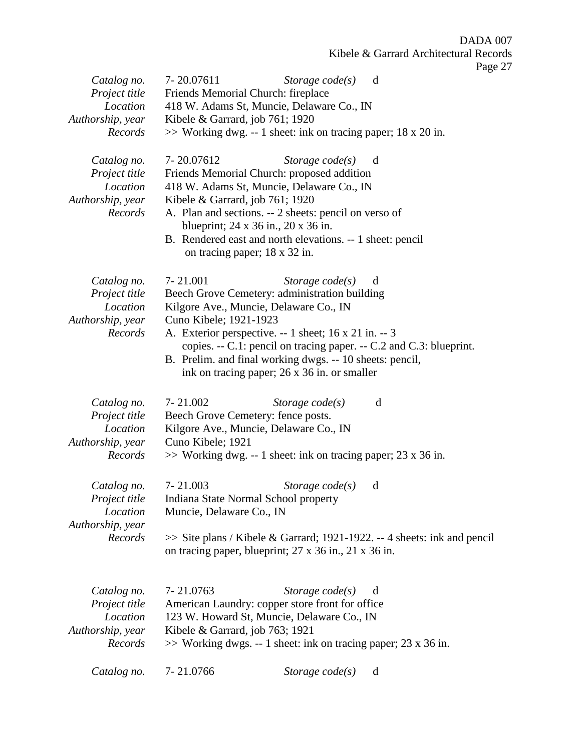|                                                              |                                                                                                                                                                                                                                          | . محب |
|--------------------------------------------------------------|------------------------------------------------------------------------------------------------------------------------------------------------------------------------------------------------------------------------------------------|-------|
| Catalog no.<br>Project title<br>Location                     | 7-20.07611<br>Storage $code(s)$<br>d<br>Friends Memorial Church: fireplace<br>418 W. Adams St, Muncie, Delaware Co., IN                                                                                                                  |       |
| Authorship, year<br>Records                                  | Kibele & Garrard, job 761; 1920<br>>> Working dwg. -- 1 sheet: ink on tracing paper; 18 x 20 in.                                                                                                                                         |       |
| Catalog no.<br>Project title<br>Location                     | 7-20.07612<br>Storage $code(s)$<br>d<br>Friends Memorial Church: proposed addition<br>418 W. Adams St, Muncie, Delaware Co., IN                                                                                                          |       |
| Authorship, year<br>Records                                  | Kibele & Garrard, job 761; 1920<br>A. Plan and sections. -- 2 sheets: pencil on verso of<br>blueprint; 24 x 36 in., 20 x 36 in.                                                                                                          |       |
|                                                              | B. Rendered east and north elevations. -- 1 sheet: pencil<br>on tracing paper; 18 x 32 in.                                                                                                                                               |       |
| Catalog no.<br>Project title<br>Location<br>Authorship, year | 7-21.001<br>Storage $code(s)$<br>d<br>Beech Grove Cemetery: administration building<br>Kilgore Ave., Muncie, Delaware Co., IN<br>Cuno Kibele; 1921-1923                                                                                  |       |
| Records                                                      | A. Exterior perspective. $-1$ sheet; 16 x 21 in. $-3$<br>copies. -- C.1: pencil on tracing paper. -- C.2 and C.3: blueprint.<br>B. Prelim. and final working dwgs. -- 10 sheets: pencil,<br>ink on tracing paper; 26 x 36 in. or smaller |       |
| Catalog no.<br>Project title<br>Location<br>Authorship, year | 7-21.002<br>d<br>Storage $code(s)$<br>Beech Grove Cemetery: fence posts.<br>Kilgore Ave., Muncie, Delaware Co., IN<br>Cuno Kibele; 1921                                                                                                  |       |
| Records                                                      | $\gg$ Working dwg. -- 1 sheet: ink on tracing paper; 23 x 36 in.                                                                                                                                                                         |       |
| Catalog no.<br>Project title<br>Location<br>Authorship, year | 7-21.003<br>Storage $code(s)$<br>d<br>Indiana State Normal School property<br>Muncie, Delaware Co., IN                                                                                                                                   |       |
| Records                                                      | >> Site plans / Kibele & Garrard; 1921-1922. -- 4 sheets: ink and pencil<br>on tracing paper, blueprint; 27 x 36 in., 21 x 36 in.                                                                                                        |       |
| Catalog no.<br>Project title                                 | 7-21.0763<br>Storage $code(s)$<br>d<br>American Laundry: copper store front for office                                                                                                                                                   |       |
| Location<br>Authorship, year<br>Records                      | 123 W. Howard St, Muncie, Delaware Co., IN<br>Kibele & Garrard, job 763; 1921<br>$\gg$ Working dwgs. -- 1 sheet: ink on tracing paper; 23 x 36 in.                                                                                       |       |
| Catalog no.                                                  | 7-21.0766<br>Storage $code(s)$<br>d                                                                                                                                                                                                      |       |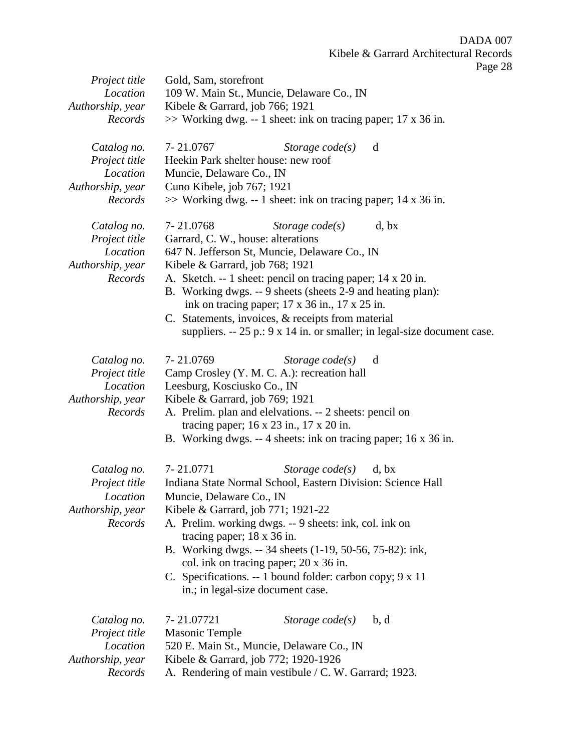| Project title    | Gold, Sam, storefront                                                    |  |  |
|------------------|--------------------------------------------------------------------------|--|--|
| Location         | 109 W. Main St., Muncie, Delaware Co., IN                                |  |  |
| Authorship, year | Kibele & Garrard, job 766; 1921                                          |  |  |
| Records          | $\gg$ Working dwg. -- 1 sheet: ink on tracing paper; 17 x 36 in.         |  |  |
|                  |                                                                          |  |  |
|                  |                                                                          |  |  |
| Catalog no.      | 7-21.0767<br>Storage $code(s)$<br>d                                      |  |  |
| Project title    | Heekin Park shelter house: new roof                                      |  |  |
| Location         | Muncie, Delaware Co., IN                                                 |  |  |
| Authorship, year | Cuno Kibele, job 767; 1921                                               |  |  |
| Records          | $\gg$ Working dwg. -- 1 sheet: ink on tracing paper; 14 x 36 in.         |  |  |
|                  |                                                                          |  |  |
| Catalog no.      | 7-21.0768<br>Storage $code(s)$<br>d, bx                                  |  |  |
| Project title    | Garrard, C. W., house: alterations                                       |  |  |
| Location         | 647 N. Jefferson St, Muncie, Delaware Co., IN                            |  |  |
|                  |                                                                          |  |  |
| Authorship, year | Kibele & Garrard, job 768; 1921                                          |  |  |
| Records          | A. Sketch. -- 1 sheet: pencil on tracing paper; 14 x 20 in.              |  |  |
|                  | B. Working dwgs. -- 9 sheets (sheets 2-9 and heating plan):              |  |  |
|                  | ink on tracing paper; $17 \times 36$ in., $17 \times 25$ in.             |  |  |
|                  | C. Statements, invoices, & receipts from material                        |  |  |
|                  | suppliers. -- 25 p.: 9 x 14 in. or smaller; in legal-size document case. |  |  |
|                  |                                                                          |  |  |
|                  | 7-21.0769<br>d                                                           |  |  |
| Catalog no.      | Storage $code(s)$                                                        |  |  |
| Project title    | Camp Crosley (Y. M. C. A.): recreation hall                              |  |  |
| Location         | Leesburg, Kosciusko Co., IN                                              |  |  |
| Authorship, year | Kibele & Garrard, job 769; 1921                                          |  |  |
| Records          | A. Prelim. plan and elelvations. -- 2 sheets: pencil on                  |  |  |
|                  | tracing paper; $16 \times 23$ in., $17 \times 20$ in.                    |  |  |
|                  | B. Working dwgs. -- 4 sheets: ink on tracing paper; 16 x 36 in.          |  |  |
|                  |                                                                          |  |  |
| Catalog no.      | 7-21.0771<br>Storage $code(s)$<br>d, bx                                  |  |  |
|                  |                                                                          |  |  |
| Project title    | Indiana State Normal School, Eastern Division: Science Hall              |  |  |
| Location         | Muncie, Delaware Co., IN                                                 |  |  |
| Authorship, year | Kibele & Garrard, job 771; 1921-22                                       |  |  |
| Records          | A. Prelim. working dwgs. -- 9 sheets: ink, col. ink on                   |  |  |
|                  | tracing paper; $18 \times 36$ in.                                        |  |  |
|                  | B. Working dwgs. -- 34 sheets (1-19, 50-56, 75-82): ink,                 |  |  |
|                  | col. ink on tracing paper; 20 x 36 in.                                   |  |  |
|                  | C. Specifications. -- 1 bound folder: carbon copy; 9 x 11                |  |  |
|                  |                                                                          |  |  |
|                  | in.; in legal-size document case.                                        |  |  |
|                  |                                                                          |  |  |
| Catalog no.      | 7-21.07721<br>Storage $code(s)$<br>b, d                                  |  |  |
| Project title    | <b>Masonic Temple</b>                                                    |  |  |
| Location         | 520 E. Main St., Muncie, Delaware Co., IN                                |  |  |
| Authorship, year | Kibele & Garrard, job 772; 1920-1926                                     |  |  |
| Records          | A. Rendering of main vestibule / C. W. Garrard; 1923.                    |  |  |
|                  |                                                                          |  |  |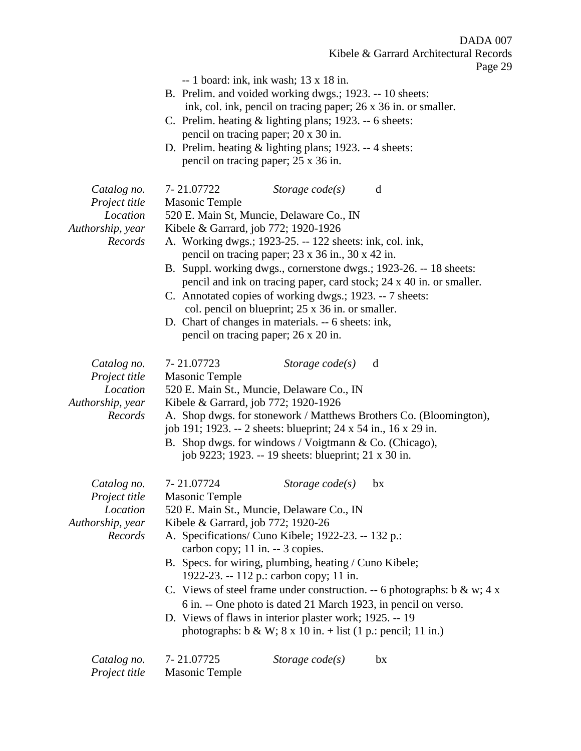DADA 007

Kibele & Garrard Architectural Records

Page 29

-- 1 board: ink, ink wash; 13 x 18 in.

- B. Prelim. and voided working dwgs.; 1923. -- 10 sheets: ink, col. ink, pencil on tracing paper; 26 x 36 in. or smaller.
- C. Prelim. heating & lighting plans; 1923. -- 6 sheets: pencil on tracing paper; 20 x 30 in.
- D. Prelim. heating & lighting plans; 1923. -- 4 sheets: pencil on tracing paper; 25 x 36 in.

*Catalog no.* 7- 21.07722 *Storage code(s)* d *Project title* Masonic Temple *Location* 520 E. Main St, Muncie, Delaware Co., IN *Authorship, year* Kibele & Garrard, job 772; 1920-1926 *Records* A. Working dwgs.; 1923-25. -- 122 sheets: ink, col. ink, pencil on tracing paper; 23 x 36 in., 30 x 42 in. B. Suppl. working dwgs., cornerstone dwgs.; 1923-26. -- 18 sheets: pencil and ink on tracing paper, card stock; 24 x 40 in. or smaller. C. Annotated copies of working dwgs.; 1923. -- 7 sheets: col. pencil on blueprint; 25 x 36 in. or smaller. D. Chart of changes in materials. -- 6 sheets: ink, pencil on tracing paper; 26 x 20 in. *Catalog no.* 7- 21.07723 *Storage code(s)* d *Project title* Masonic Temple *Location* 520 E. Main St., Muncie, Delaware Co., IN *Authorship, year* Kibele & Garrard, job 772; 1920-1926 *Records* A. Shop dwgs. for stonework / Matthews Brothers Co. (Bloomington), job 191; 1923. -- 2 sheets: blueprint; 24 x 54 in., 16 x 29 in. B. Shop dwgs. for windows / Voigtmann & Co. (Chicago), job 9223; 1923. -- 19 sheets: blueprint; 21 x 30 in. *Catalog no.* 7- 21.07724 *Storage code(s)* bx *Project title* Masonic Temple *Location* 520 E. Main St., Muncie, Delaware Co., IN *Authorship, year* Kibele & Garrard, job 772; 1920-26 *Records* A. Specifications/ Cuno Kibele; 1922-23. -- 132 p.: carbon copy; 11 in. -- 3 copies. B. Specs. for wiring, plumbing, heating / Cuno Kibele; 1922-23. -- 112 p.: carbon copy; 11 in. C. Views of steel frame under construction. -- 6 photographs:  $b \& w$ ; 4 x 6 in. -- One photo is dated 21 March 1923, in pencil on verso. D. Views of flaws in interior plaster work; 1925. -- 19 photographs:  $b & W$ ;  $8 \times 10$  in.  $+$  list (1 p.: pencil; 11 in.) *Catalog no.* 7- 21.07725 *Storage code(s)* bx *Project title* Masonic Temple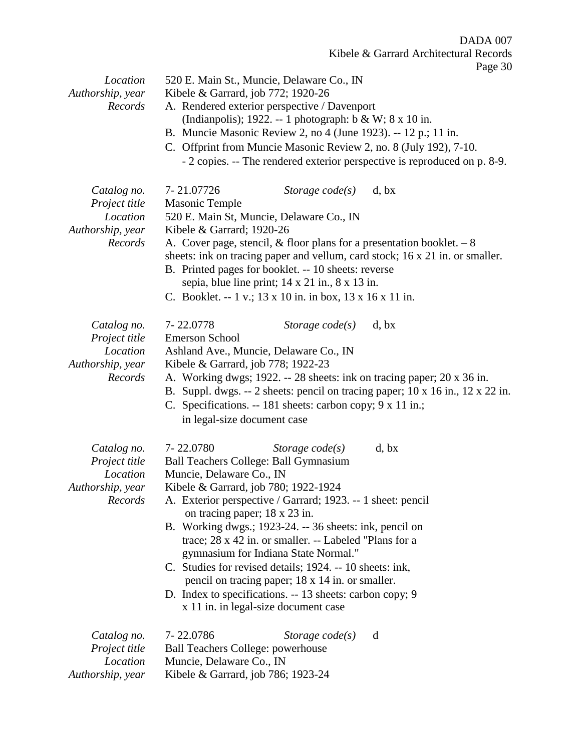DADA 007 Kibele & Garrard Architectural Records  $P<sub>200</sub>$  30

|                                                                         | Page 50                                                                                                                                                                                                                                                                                                                                                                                                                                                                                                                                                                                                                               |
|-------------------------------------------------------------------------|---------------------------------------------------------------------------------------------------------------------------------------------------------------------------------------------------------------------------------------------------------------------------------------------------------------------------------------------------------------------------------------------------------------------------------------------------------------------------------------------------------------------------------------------------------------------------------------------------------------------------------------|
| Location<br>Authorship, year<br>Records                                 | 520 E. Main St., Muncie, Delaware Co., IN<br>Kibele & Garrard, job 772; 1920-26<br>A. Rendered exterior perspective / Davenport<br>(Indianpolis); 1922. -- 1 photograph: $b & W$ ; 8 x 10 in.<br>B. Muncie Masonic Review 2, no 4 (June 1923). -- 12 p.; 11 in.<br>C. Offprint from Muncie Masonic Review 2, no. 8 (July 192), 7-10.<br>- 2 copies. -- The rendered exterior perspective is reproduced on p. 8-9.                                                                                                                                                                                                                     |
| Catalog no.<br>Project title<br>Location<br>Authorship, year<br>Records | 7-21.07726<br>Storage $code(s)$<br>d, bx<br><b>Masonic Temple</b><br>520 E. Main St, Muncie, Delaware Co., IN<br>Kibele & Garrard; 1920-26<br>A. Cover page, stencil, $&$ floor plans for a presentation booklet. $-8$<br>sheets: ink on tracing paper and vellum, card stock; 16 x 21 in. or smaller.<br>B. Printed pages for booklet. -- 10 sheets: reverse<br>sepia, blue line print; $14 \times 21$ in., $8 \times 13$ in.<br>C. Booklet. -- 1 v.; 13 x 10 in. in box, 13 x 16 x 11 in.                                                                                                                                           |
| Catalog no.<br>Project title<br>Location<br>Authorship, year<br>Records | 7-22.0778<br>Storage $code(s)$<br>d, bx<br><b>Emerson School</b><br>Ashland Ave., Muncie, Delaware Co., IN<br>Kibele & Garrard, job 778; 1922-23<br>A. Working dwgs; 1922. -- 28 sheets: ink on tracing paper; 20 x 36 in.<br>B. Suppl. dwgs. -- 2 sheets: pencil on tracing paper; 10 x 16 in., 12 x 22 in.<br>C. Specifications. -- 181 sheets: carbon copy; 9 x 11 in.;<br>in legal-size document case                                                                                                                                                                                                                             |
| Catalog no.<br>Project title<br>Location<br>Authorship, year<br>Records | 7-22.0780<br>d, bx<br>Storage $code(s)$<br>Ball Teachers College: Ball Gymnasium<br>Muncie, Delaware Co., IN<br>Kibele & Garrard, job 780; 1922-1924<br>A. Exterior perspective / Garrard; 1923. -- 1 sheet: pencil<br>on tracing paper; 18 x 23 in.<br>B. Working dwgs.; 1923-24. -- 36 sheets: ink, pencil on<br>trace; 28 x 42 in. or smaller. -- Labeled "Plans for a<br>gymnasium for Indiana State Normal."<br>C. Studies for revised details; 1924. -- 10 sheets: ink,<br>pencil on tracing paper; 18 x 14 in. or smaller.<br>D. Index to specifications. -- 13 sheets: carbon copy; 9<br>x 11 in. in legal-size document case |
| Catalog no.<br>Project title<br>Location<br>Authorship, year            | 7-22.0786<br>Storage $code(s)$<br>d<br><b>Ball Teachers College: powerhouse</b><br>Muncie, Delaware Co., IN<br>Kibele & Garrard, job 786; 1923-24                                                                                                                                                                                                                                                                                                                                                                                                                                                                                     |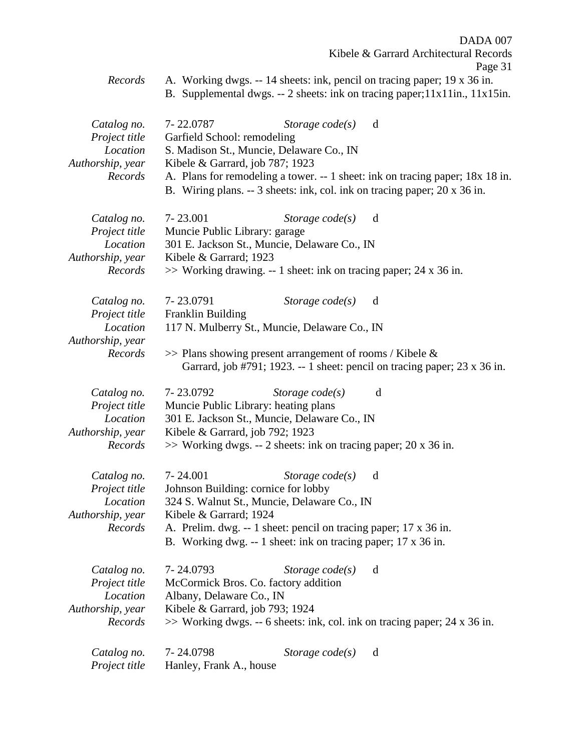Page 31

- *Records* A. Working dwgs. -- 14 sheets: ink, pencil on tracing paper; 19 x 36 in.
	- B. Supplemental dwgs. -- 2 sheets: ink on tracing paper;11x11in., 11x15in.

| Catalog no.<br>Project title<br>Location<br>Authorship, year<br>Records | 7-22.0787<br>Storage $code(s)$<br>d<br>Garfield School: remodeling<br>S. Madison St., Muncie, Delaware Co., IN<br>Kibele & Garrard, job 787; 1923<br>A. Plans for remodeling a tower. -- 1 sheet: ink on tracing paper; 18x 18 in.<br>B. Wiring plans. -- 3 sheets: ink, col. ink on tracing paper; 20 x 36 in. |
|-------------------------------------------------------------------------|-----------------------------------------------------------------------------------------------------------------------------------------------------------------------------------------------------------------------------------------------------------------------------------------------------------------|
| Catalog no.<br>Project title<br>Location<br>Authorship, year<br>Records | 7-23.001<br>Storage $code(s)$<br>d<br>Muncie Public Library: garage<br>301 E. Jackson St., Muncie, Delaware Co., IN<br>Kibele & Garrard; 1923<br>$\gg$ Working drawing. -- 1 sheet: ink on tracing paper; 24 x 36 in.                                                                                           |
| Catalog no.<br>Project title<br>Location<br>Authorship, year<br>Records | 7-23.0791<br>Storage $code(s)$<br>d<br>Franklin Building<br>117 N. Mulberry St., Muncie, Delaware Co., IN<br>$\gg$ Plans showing present arrangement of rooms / Kibele &<br>Garrard, job #791; 1923. -- 1 sheet: pencil on tracing paper; 23 x 36 in.                                                           |
| Catalog no.<br>Project title<br>Location<br>Authorship, year<br>Records | 7-23.0792<br>Storage $code(s)$<br>d<br>Muncie Public Library: heating plans<br>301 E. Jackson St., Muncie, Delaware Co., IN<br>Kibele & Garrard, job 792; 1923<br>$\gg$ Working dwgs. -- 2 sheets: ink on tracing paper; 20 x 36 in.                                                                            |
| Catalog no.<br>Project title<br>Location<br>Authorship, year<br>Records | 7-24.001<br>Storage $code(s)$<br>d<br>Johnson Building: cornice for lobby<br>324 S. Walnut St., Muncie, Delaware Co., IN<br>Kibele & Garrard; 1924<br>A. Prelim. dwg. -- 1 sheet: pencil on tracing paper; 17 x 36 in.<br>B. Working dwg. -- 1 sheet: ink on tracing paper; 17 x 36 in.                         |
| Catalog no.<br>Project title<br>Location<br>Authorship, year<br>Records | 7-24.0793<br>Storage $code(s)$<br>d<br>McCormick Bros. Co. factory addition<br>Albany, Delaware Co., IN<br>Kibele & Garrard, job 793; 1924<br>>> Working dwgs. -- 6 sheets: ink, col. ink on tracing paper; 24 x 36 in.                                                                                         |
| Catalog no.<br>Project title                                            | 7-24.0798<br>Storage $code(s)$<br>d<br>Hanley, Frank A., house                                                                                                                                                                                                                                                  |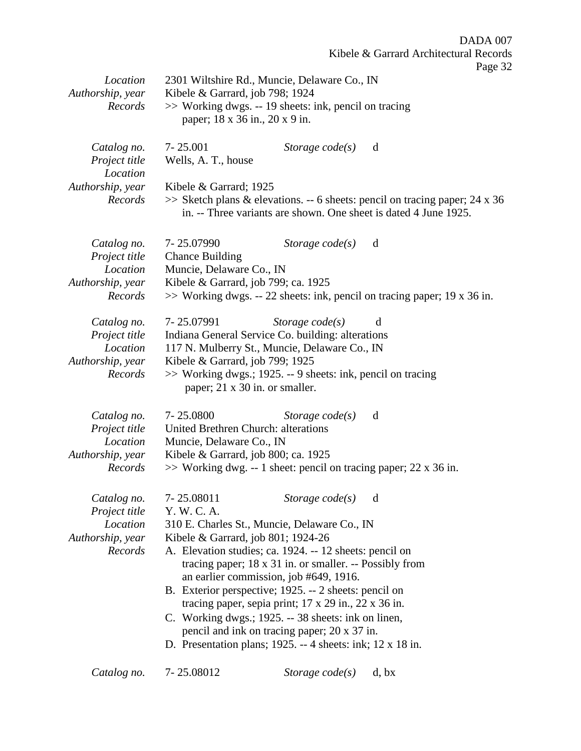Kibele & Garrard Architectural Records Page 32 *Location* 2301 Wiltshire Rd., Muncie, Delaware Co., IN *Authorship, year* Kibele & Garrard, job 798; 1924 *Records* >> Working dwgs. -- 19 sheets: ink, pencil on tracing paper; 18 x 36 in., 20 x 9 in. *Catalog no.* 7- 25.001 *Storage code(s)* d *Project title* Wells, A. T., house *Location Authorship, year* Kibele & Garrard; 1925 *Records* >> Sketch plans & elevations. -- 6 sheets: pencil on tracing paper; 24 x 36 in. -- Three variants are shown. One sheet is dated 4 June 1925. *Catalog no.* 7- 25.07990 *Storage code(s)* d *Project title* Chance Building *Location* Muncie, Delaware Co., IN *Authorship, year* Kibele & Garrard, job 799; ca. 1925 *Records* >> Working dwgs. -- 22 sheets: ink, pencil on tracing paper; 19 x 36 in. *Catalog no.* 7- 25.07991 *Storage code(s)* d *Project title* Indiana General Service Co. building: alterations *Location* 117 N. Mulberry St., Muncie, Delaware Co., IN *Authorship, year* Kibele & Garrard, job 799; 1925 *Records* >> Working dwgs.; 1925. -- 9 sheets: ink, pencil on tracing paper; 21 x 30 in. or smaller. *Catalog no.* 7- 25.0800 *Storage code(s)* d *Project title* United Brethren Church: alterations *Location* Muncie, Delaware Co., IN *Authorship, year* Kibele & Garrard, job 800; ca. 1925 *Records* >> Working dwg. -- 1 sheet: pencil on tracing paper; 22 x 36 in. *Catalog no.* 7- 25.08011 *Storage code(s)* d *Project title* Y. W. C. A. *Location* 310 E. Charles St., Muncie, Delaware Co., IN *Authorship, year* Kibele & Garrard, job 801; 1924-26 *Records* A. Elevation studies; ca. 1924. -- 12 sheets: pencil on tracing paper; 18 x 31 in. or smaller. -- Possibly from an earlier commission, job #649, 1916. B. Exterior perspective; 1925. -- 2 sheets: pencil on tracing paper, sepia print; 17 x 29 in., 22 x 36 in. C. Working dwgs.; 1925. -- 38 sheets: ink on linen, pencil and ink on tracing paper; 20 x 37 in. D. Presentation plans; 1925. -- 4 sheets: ink; 12 x 18 in.

DADA 007

| Catalog no. | 7-25.08012 | Storage $code(s)$ | d, bx |
|-------------|------------|-------------------|-------|
|-------------|------------|-------------------|-------|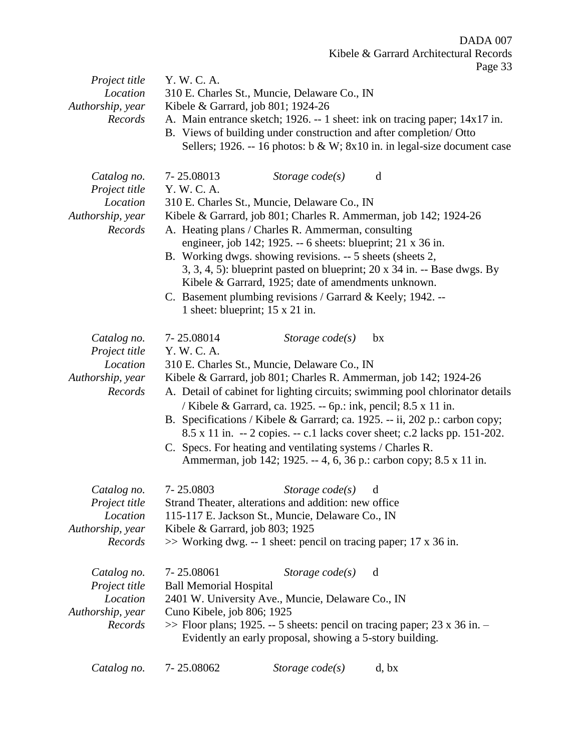|                                                                         | Page 33                                                                                                                                                                                                                                                                                                                                                                                                                                                                                                                                                                                                                       |
|-------------------------------------------------------------------------|-------------------------------------------------------------------------------------------------------------------------------------------------------------------------------------------------------------------------------------------------------------------------------------------------------------------------------------------------------------------------------------------------------------------------------------------------------------------------------------------------------------------------------------------------------------------------------------------------------------------------------|
| Project title<br>Location<br>Authorship, year<br>Records                | Y. W. C. A.<br>310 E. Charles St., Muncie, Delaware Co., IN<br>Kibele & Garrard, job 801; 1924-26<br>A. Main entrance sketch; 1926. -- 1 sheet: ink on tracing paper; 14x17 in.<br>B. Views of building under construction and after completion/Otto<br>Sellers; 1926. -- 16 photos: b & W; 8x10 in. in legal-size document case                                                                                                                                                                                                                                                                                              |
| Catalog no.<br>Project title<br>Location<br>Authorship, year<br>Records | 7-25.08013<br>Storage $code(s)$<br>d<br>Y. W. C. A.<br>310 E. Charles St., Muncie, Delaware Co., IN<br>Kibele & Garrard, job 801; Charles R. Ammerman, job 142; 1924-26<br>A. Heating plans / Charles R. Ammerman, consulting<br>engineer, job 142; 1925. -- 6 sheets: blueprint; 21 x 36 in.<br>B. Working dwgs. showing revisions. -- 5 sheets (sheets 2,<br>3, 3, 4, 5): blueprint pasted on blueprint; 20 x 34 in. -- Base dwgs. By<br>Kibele & Garrard, 1925; date of amendments unknown.<br>C. Basement plumbing revisions / Garrard & Keely; 1942. --<br>1 sheet: blueprint; $15 \times 21$ in.                        |
| Catalog no.<br>Project title<br>Location<br>Authorship, year<br>Records | 7-25.08014<br>Storage $code(s)$<br>bx<br>Y. W. C. A.<br>310 E. Charles St., Muncie, Delaware Co., IN<br>Kibele & Garrard, job 801; Charles R. Ammerman, job 142; 1924-26<br>A. Detail of cabinet for lighting circuits; swimming pool chlorinator details<br>/ Kibele & Garrard, ca. 1925. -- 6p.: ink, pencil; 8.5 x 11 in.<br>B. Specifications / Kibele & Garrard; ca. 1925. -- ii, 202 p.: carbon copy;<br>8.5 x 11 in. -- 2 copies. -- c.1 lacks cover sheet; c.2 lacks pp. 151-202.<br>C. Specs. For heating and ventilating systems / Charles R.<br>Ammerman, job 142; 1925. -- 4, 6, 36 p.: carbon copy; 8.5 x 11 in. |
| Catalog no.<br>Project title<br>Location<br>Authorship, year<br>Records | 7-25.0803<br>Storage $code(s)$ d<br>Strand Theater, alterations and addition: new office<br>115-117 E. Jackson St., Muncie, Delaware Co., IN<br>Kibele & Garrard, job 803; 1925<br>>> Working dwg. -- 1 sheet: pencil on tracing paper; 17 x 36 in.                                                                                                                                                                                                                                                                                                                                                                           |
| Catalog no.<br>Project title<br>Location<br>Authorship, year<br>Records | 7-25.08061<br>Storage $code(s)$<br>d<br><b>Ball Memorial Hospital</b><br>2401 W. University Ave., Muncie, Delaware Co., IN<br>Cuno Kibele, job 806; 1925<br>$\gg$ Floor plans; 1925. -- 5 sheets: pencil on tracing paper; 23 x 36 in. -<br>Evidently an early proposal, showing a 5-story building.                                                                                                                                                                                                                                                                                                                          |

| Catalog no. | 7-25.08062 | Storage $code(s)$ | d, bx |
|-------------|------------|-------------------|-------|
|             |            |                   |       |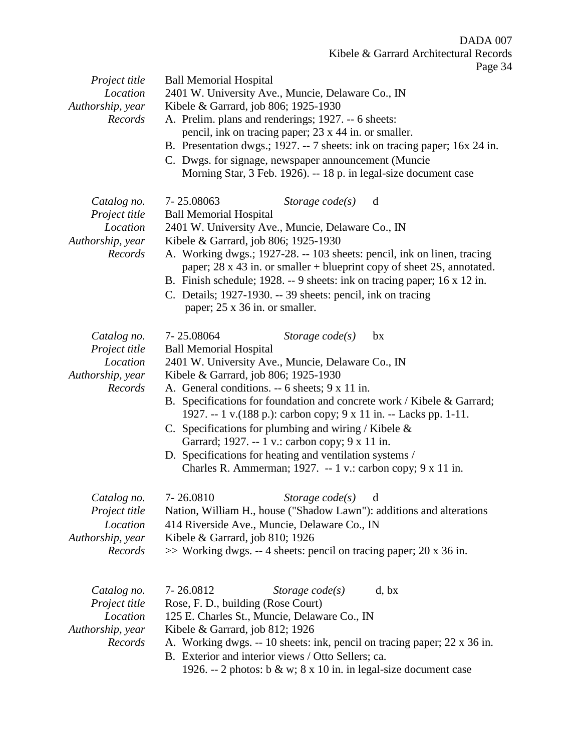|                                                                         | 1 agu                                                                                                                                                                                                                                                                                                                                                                                                                                                                                                                                                                                                                |
|-------------------------------------------------------------------------|----------------------------------------------------------------------------------------------------------------------------------------------------------------------------------------------------------------------------------------------------------------------------------------------------------------------------------------------------------------------------------------------------------------------------------------------------------------------------------------------------------------------------------------------------------------------------------------------------------------------|
| Project title<br>Location<br>Authorship, year<br>Records                | <b>Ball Memorial Hospital</b><br>2401 W. University Ave., Muncie, Delaware Co., IN<br>Kibele & Garrard, job 806; 1925-1930<br>A. Prelim. plans and renderings; 1927. -- 6 sheets:<br>pencil, ink on tracing paper; 23 x 44 in. or smaller.<br>B. Presentation dwgs.; 1927. -- 7 sheets: ink on tracing paper; 16x 24 in.<br>C. Dwgs. for signage, newspaper announcement (Muncie<br>Morning Star, 3 Feb. 1926). -- 18 p. in legal-size document case                                                                                                                                                                 |
| Catalog no.<br>Project title<br>Location<br>Authorship, year<br>Records | 7-25.08063<br>Storage $code(s)$<br>d<br><b>Ball Memorial Hospital</b><br>2401 W. University Ave., Muncie, Delaware Co., IN<br>Kibele & Garrard, job 806; 1925-1930<br>A. Working dwgs.; 1927-28. -- 103 sheets: pencil, ink on linen, tracing<br>paper; $28 \times 43$ in. or smaller + blueprint copy of sheet 2S, annotated.<br>B. Finish schedule; 1928. -- 9 sheets: ink on tracing paper; 16 x 12 in.<br>C. Details; 1927-1930. -- 39 sheets: pencil, ink on tracing<br>paper; 25 x 36 in. or smaller.                                                                                                          |
| Catalog no.<br>Project title<br>Location<br>Authorship, year<br>Records | 7-25.08064<br>Storage $code(s)$<br>bx<br><b>Ball Memorial Hospital</b><br>2401 W. University Ave., Muncie, Delaware Co., IN<br>Kibele & Garrard, job 806; 1925-1930<br>A. General conditions. -- 6 sheets; 9 x 11 in.<br>B. Specifications for foundation and concrete work / Kibele & Garrard;<br>1927. -- 1 v. (188 p.): carbon copy; 9 x 11 in. -- Lacks pp. 1-11.<br>C. Specifications for plumbing and wiring / Kibele $\&$<br>Garrard; 1927. -- 1 v.: carbon copy; 9 x 11 in.<br>D. Specifications for heating and ventilation systems /<br>Charles R. Ammerman; 1927. -- 1 v.: carbon copy; $9 \times 11$ in. |
| Catalog no.<br>Project title<br>Location<br>Authorship, year<br>Records | 7-26.0810<br>Storage $code(s)$<br>d<br>Nation, William H., house ("Shadow Lawn"): additions and alterations<br>414 Riverside Ave., Muncie, Delaware Co., IN<br>Kibele & Garrard, job 810; 1926<br>$\gg$ Working dwgs. -- 4 sheets: pencil on tracing paper; 20 x 36 in.                                                                                                                                                                                                                                                                                                                                              |
| Catalog no.<br>Project title<br>Location<br>Authorship, year<br>Records | 7-26.0812<br>Storage $code(s)$<br>d, bx<br>Rose, F. D., building (Rose Court)<br>125 E. Charles St., Muncie, Delaware Co., IN<br>Kibele & Garrard, job 812; 1926<br>A. Working dwgs. -- 10 sheets: ink, pencil on tracing paper; 22 x 36 in.<br>B. Exterior and interior views / Otto Sellers; ca.<br>1926. -- 2 photos: b & w; 8 x 10 in. in legal-size document case                                                                                                                                                                                                                                               |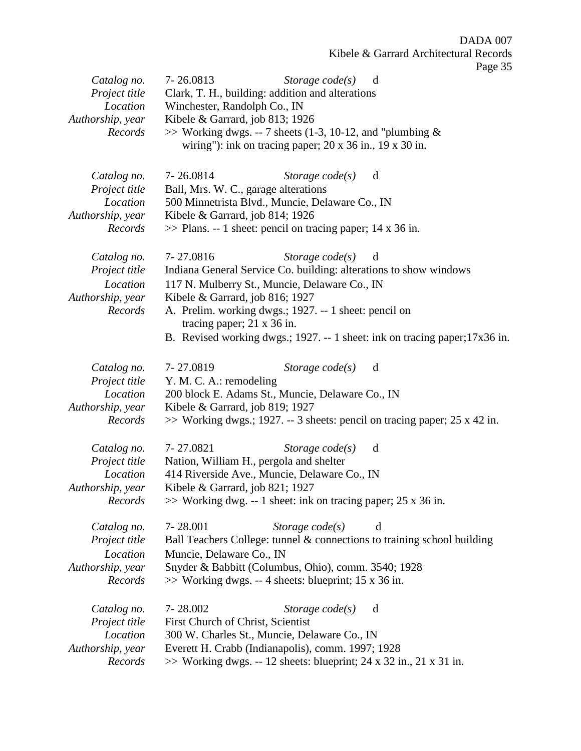Page 35

| Catalog no.                  | 7-26.0813<br>Storage $code(s)$ d                                                                |
|------------------------------|-------------------------------------------------------------------------------------------------|
| Project title                | Clark, T. H., building: addition and alterations                                                |
| Location                     | Winchester, Randolph Co., IN                                                                    |
| Authorship, year<br>Records  | Kibele & Garrard, job 813; 1926<br>$\gg$ Working dwgs. -- 7 sheets (1-3, 10-12, and "plumbing & |
|                              | wiring"): ink on tracing paper; $20 \times 36$ in., $19 \times 30$ in.                          |
|                              |                                                                                                 |
| Catalog no.                  | 7-26.0814<br>Storage $code(s)$<br>d                                                             |
| Project title                | Ball, Mrs. W. C., garage alterations                                                            |
| Location                     | 500 Minnetrista Blvd., Muncie, Delaware Co., IN                                                 |
| Authorship, year             | Kibele & Garrard, job 814; 1926                                                                 |
| Records                      | $\gg$ Plans. -- 1 sheet: pencil on tracing paper; 14 x 36 in.                                   |
| Catalog no.                  | 7-27.0816<br>Storage $code(s)$<br>d                                                             |
| Project title                | Indiana General Service Co. building: alterations to show windows                               |
| Location                     | 117 N. Mulberry St., Muncie, Delaware Co., IN                                                   |
| Authorship, year             | Kibele & Garrard, job 816; 1927                                                                 |
| Records                      | A. Prelim. working dwgs.; 1927. -- 1 sheet: pencil on                                           |
|                              | tracing paper; $21 \times 36$ in.                                                               |
|                              | B. Revised working dwgs.; 1927. -- 1 sheet: ink on tracing paper; 17x36 in.                     |
| Catalog no.                  | 7-27.0819<br>Storage $code(s)$<br>d                                                             |
| Project title                | Y. M. C. A.: remodeling                                                                         |
| Location                     | 200 block E. Adams St., Muncie, Delaware Co., IN                                                |
| Authorship, year             | Kibele & Garrard, job 819; 1927                                                                 |
| Records                      | $\gg$ Working dwgs.; 1927. -- 3 sheets: pencil on tracing paper; 25 x 42 in.                    |
| Catalog no.                  | 7-27.0821<br>Storage $code(s)$<br>d                                                             |
| Project title                | Nation, William H., pergola and shelter                                                         |
| Location                     | 414 Riverside Ave., Muncie, Delaware Co., IN                                                    |
| Authorship, year             | Kibele & Garrard, job 821; 1927                                                                 |
| Records                      | $\gg$ Working dwg. -- 1 sheet: ink on tracing paper; 25 x 36 in.                                |
| Catalog no.                  | 7-28.001<br>Storage $code(s)$<br>d                                                              |
| Project title                | Ball Teachers College: tunnel & connections to training school building                         |
| Location                     | Muncie, Delaware Co., IN                                                                        |
| Authorship, year             | Snyder & Babbitt (Columbus, Ohio), comm. 3540; 1928                                             |
| Records                      | $\gg$ Working dwgs. -- 4 sheets: blueprint; 15 x 36 in.                                         |
|                              |                                                                                                 |
| Catalog no.<br>Project title | 7-28.002<br>Storage $code(s)$<br>d<br>First Church of Christ, Scientist                         |
| Location                     | 300 W. Charles St., Muncie, Delaware Co., IN                                                    |
| Authorship, year             | Everett H. Crabb (Indianapolis), comm. 1997; 1928                                               |
| Records                      | $\gg$ Working dwgs. -- 12 sheets: blueprint; 24 x 32 in., 21 x 31 in.                           |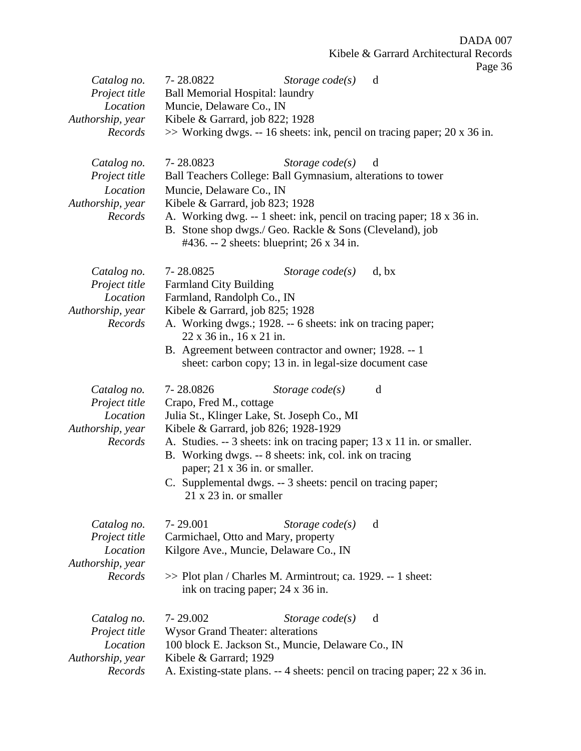|                                                                         | age.                                                                                                                                                                                                                                                                                                                                                                                                                 |
|-------------------------------------------------------------------------|----------------------------------------------------------------------------------------------------------------------------------------------------------------------------------------------------------------------------------------------------------------------------------------------------------------------------------------------------------------------------------------------------------------------|
| Catalog no.<br>Project title<br>Location<br>Authorship, year<br>Records | 7-28.0822<br>Storage $code(s)$<br>d<br><b>Ball Memorial Hospital: laundry</b><br>Muncie, Delaware Co., IN<br>Kibele & Garrard, job 822; 1928<br>$\gg$ Working dwgs. -- 16 sheets: ink, pencil on tracing paper; 20 x 36 in.                                                                                                                                                                                          |
| Catalog no.<br>Project title<br>Location<br>Authorship, year<br>Records | 7-28.0823<br>Storage $code(s)$<br>d<br>Ball Teachers College: Ball Gymnasium, alterations to tower<br>Muncie, Delaware Co., IN<br>Kibele & Garrard, job 823; 1928<br>A. Working dwg. -- 1 sheet: ink, pencil on tracing paper; 18 x 36 in.<br>B. Stone shop dwgs./ Geo. Rackle & Sons (Cleveland), job<br>#436. -- 2 sheets: blueprint; 26 x 34 in.                                                                  |
| Catalog no.<br>Project title<br>Location<br>Authorship, year<br>Records | 7-28.0825<br>Storage $code(s)$<br>d, bx<br><b>Farmland City Building</b><br>Farmland, Randolph Co., IN<br>Kibele & Garrard, job 825; 1928<br>A. Working dwgs.; 1928. -- 6 sheets: ink on tracing paper;<br>22 x 36 in., 16 x 21 in.<br>B. Agreement between contractor and owner; 1928. -- 1<br>sheet: carbon copy; 13 in. in legal-size document case                                                               |
| Catalog no.<br>Project title<br>Location<br>Authorship, year<br>Records | 7-28.0826<br>d<br>Storage $code(s)$<br>Crapo, Fred M., cottage<br>Julia St., Klinger Lake, St. Joseph Co., MI<br>Kibele & Garrard, job 826; 1928-1929<br>A. Studies. -- 3 sheets: ink on tracing paper; 13 x 11 in. or smaller.<br>B. Working dwgs. -- 8 sheets: ink, col. ink on tracing<br>paper; 21 x 36 in. or smaller.<br>C. Supplemental dwgs. -- 3 sheets: pencil on tracing paper;<br>21 x 23 in. or smaller |
| Catalog no.<br>Project title<br>Location<br>Authorship, year<br>Records | 7-29.001<br>Storage $code(s)$<br>d<br>Carmichael, Otto and Mary, property<br>Kilgore Ave., Muncie, Delaware Co., IN<br>$\gg$ Plot plan / Charles M. Armintrout; ca. 1929. -- 1 sheet:<br>ink on tracing paper; 24 x 36 in.                                                                                                                                                                                           |
| Catalog no.<br>Project title<br>Location<br>Authorship, year<br>Records | 7-29.002<br>Storage $code(s)$<br>d<br><b>Wysor Grand Theater: alterations</b><br>100 block E. Jackson St., Muncie, Delaware Co., IN<br>Kibele & Garrard; 1929<br>A. Existing-state plans. -- 4 sheets: pencil on tracing paper; 22 x 36 in.                                                                                                                                                                          |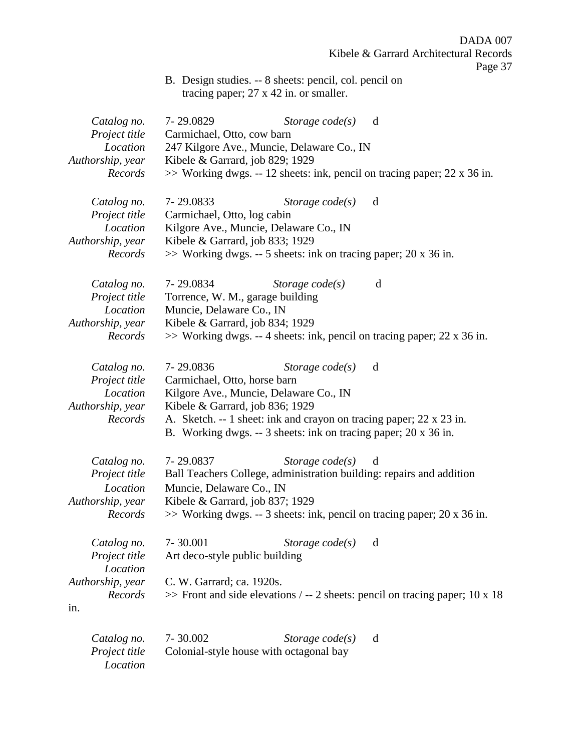|                                                                         | DADA 007                                                                                                                                                                                                                                                                                 |
|-------------------------------------------------------------------------|------------------------------------------------------------------------------------------------------------------------------------------------------------------------------------------------------------------------------------------------------------------------------------------|
|                                                                         | Kibele & Garrard Architectural Records<br>Page 37                                                                                                                                                                                                                                        |
|                                                                         | B. Design studies. -- 8 sheets: pencil, col. pencil on<br>tracing paper; $27 \times 42$ in. or smaller.                                                                                                                                                                                  |
| Catalog no.<br>Project title<br>Location<br>Authorship, year<br>Records | 7-29.0829<br>Storage $code(s)$<br>d<br>Carmichael, Otto, cow barn<br>247 Kilgore Ave., Muncie, Delaware Co., IN<br>Kibele & Garrard, job 829; 1929<br>$\gg$ Working dwgs. -- 12 sheets: ink, pencil on tracing paper; 22 x 36 in.                                                        |
| Catalog no.<br>Project title<br>Location<br>Authorship, year<br>Records | 7-29.0833<br>Storage $code(s)$<br>d<br>Carmichael, Otto, log cabin<br>Kilgore Ave., Muncie, Delaware Co., IN<br>Kibele & Garrard, job 833; 1929<br>>> Working dwgs. -- 5 sheets: ink on tracing paper; 20 x 36 in.                                                                       |
| Catalog no.<br>Project title<br>Location<br>Authorship, year<br>Records | 7-29.0834<br>Storage $code(s)$<br>d<br>Torrence, W. M., garage building<br>Muncie, Delaware Co., IN<br>Kibele & Garrard, job 834; 1929<br>$\gg$ Working dwgs. -- 4 sheets: ink, pencil on tracing paper; 22 x 36 in.                                                                     |
| Catalog no.<br>Project title<br>Location<br>Authorship, year<br>Records | 7-29.0836<br>Storage code(s)<br>d<br>Carmichael, Otto, horse barn<br>Kilgore Ave., Muncie, Delaware Co., IN<br>Kibele & Garrard, job 836; 1929<br>A. Sketch. -- 1 sheet: ink and crayon on tracing paper; 22 x 23 in.<br>B. Working dwgs. -- 3 sheets: ink on tracing paper; 20 x 36 in. |
| Catalog no.<br>Project title<br>Location<br>Authorship, year<br>Records | Storage $code(s)$<br>7-29.0837<br>$\mathbf d$<br>Ball Teachers College, administration building: repairs and addition<br>Muncie, Delaware Co., IN<br>Kibele & Garrard, job 837; 1929<br>$\gg$ Working dwgs. -- 3 sheets: ink, pencil on tracing paper; 20 x 36 in.                       |
| Catalog no.<br>Project title<br>Location<br>Authorship, year<br>Records | $7 - 30.001$<br>Storage $code(s)$<br>d<br>Art deco-style public building<br>C. W. Garrard; ca. 1920s.<br>$\gg$ Front and side elevations / -- 2 sheets: pencil on tracing paper; 10 x 18                                                                                                 |
| in.                                                                     |                                                                                                                                                                                                                                                                                          |
| Catalog no.<br>Project title<br>Location                                | 7-30.002<br>Storage $code(s)$<br>d<br>Colonial-style house with octagonal bay                                                                                                                                                                                                            |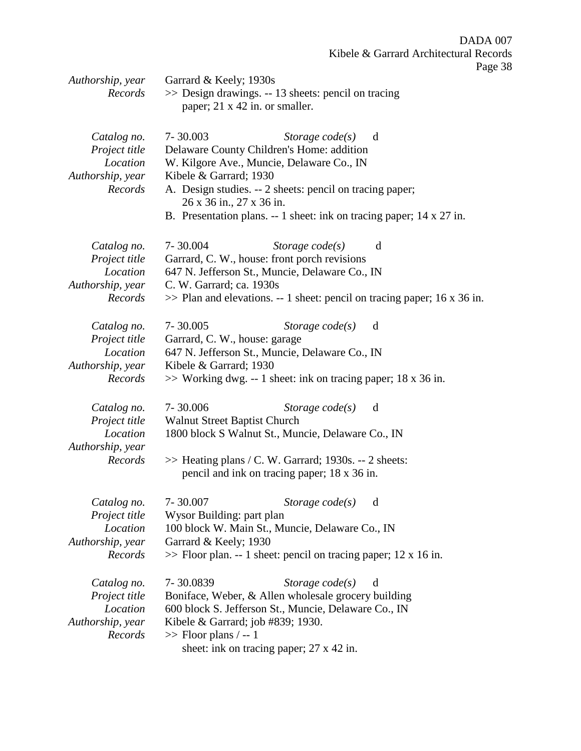| Authorship, year                                                        | Garrard & Keely; 1930s                                                                                                                                                                                                                                                                                                     |
|-------------------------------------------------------------------------|----------------------------------------------------------------------------------------------------------------------------------------------------------------------------------------------------------------------------------------------------------------------------------------------------------------------------|
| Records                                                                 | >> Design drawings. -- 13 sheets: pencil on tracing<br>paper; 21 x 42 in. or smaller.                                                                                                                                                                                                                                      |
| Catalog no.<br>Project title<br>Location<br>Authorship, year<br>Records | $7 - 30.003$<br>Storage $code(s)$<br>d<br>Delaware County Children's Home: addition<br>W. Kilgore Ave., Muncie, Delaware Co., IN<br>Kibele & Garrard; 1930<br>A. Design studies. -- 2 sheets: pencil on tracing paper;<br>26 x 36 in., 27 x 36 in.<br>B. Presentation plans. -- 1 sheet: ink on tracing paper; 14 x 27 in. |
| Catalog no.<br>Project title<br>Location<br>Authorship, year<br>Records | 7-30.004<br>Storage $code(s)$<br>d<br>Garrard, C. W., house: front porch revisions<br>647 N. Jefferson St., Muncie, Delaware Co., IN<br>C. W. Garrard; ca. 1930s<br>$\gg$ Plan and elevations. -- 1 sheet: pencil on tracing paper; 16 x 36 in.                                                                            |
| Catalog no.<br>Project title<br>Location<br>Authorship, year<br>Records | $7 - 30.005$<br>Storage $code(s)$<br>d<br>Garrard, C. W., house: garage<br>647 N. Jefferson St., Muncie, Delaware Co., IN<br>Kibele & Garrard; 1930<br>>> Working dwg. -- 1 sheet: ink on tracing paper; 18 x 36 in.                                                                                                       |
| Catalog no.<br>Project title<br>Location<br>Authorship, year<br>Records | 7-30.006<br>Storage $code(s)$<br>d<br>Walnut Street Baptist Church<br>1800 block S Walnut St., Muncie, Delaware Co., IN<br>>> Heating plans / C. W. Garrard; 1930s. -- 2 sheets:<br>pencil and ink on tracing paper; 18 x 36 in.                                                                                           |
| Catalog no.<br>Project title<br>Location<br>Authorship, year<br>Records | 7-30.007<br>Storage $code(s)$ d<br>Wysor Building: part plan<br>100 block W. Main St., Muncie, Delaware Co., IN<br>Garrard & Keely; 1930<br>$\gg$ Floor plan. -- 1 sheet: pencil on tracing paper; 12 x 16 in.                                                                                                             |
| Catalog no.<br>Project title<br>Location<br>Authorship, year<br>Records | 7-30.0839<br>Storage $code(s)$<br>d<br>Boniface, Weber, & Allen wholesale grocery building<br>600 block S. Jefferson St., Muncie, Delaware Co., IN<br>Kibele & Garrard; job #839; 1930.<br>$\gg$ Floor plans / -- 1<br>sheet: ink on tracing paper; 27 x 42 in.                                                            |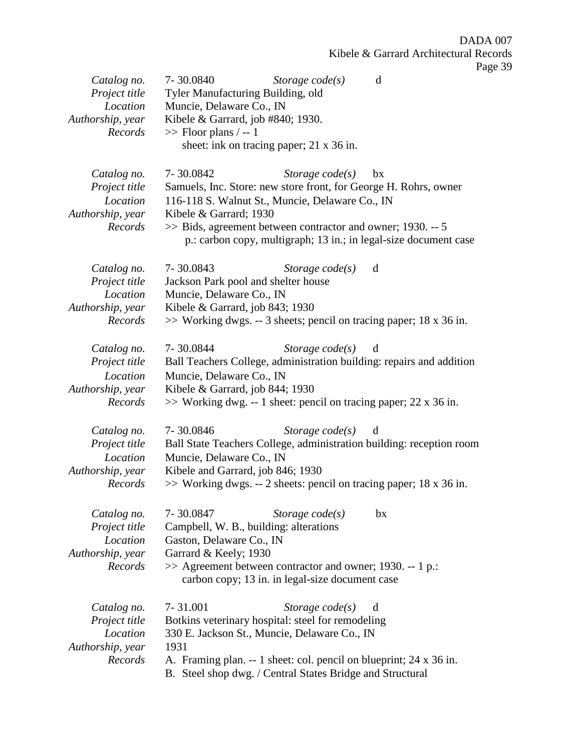| Catalog no.<br>Project title<br>Location<br>Authorship, year<br>Records | 7-30.0840<br>Storage $code(s)$<br>d<br>Tyler Manufacturing Building, old<br>Muncie, Delaware Co., IN<br>Kibele & Garrard, job #840; 1930.<br>$\gg$ Floor plans / -- 1<br>sheet: ink on tracing paper; 21 x 36 in.                                                                                                        |
|-------------------------------------------------------------------------|--------------------------------------------------------------------------------------------------------------------------------------------------------------------------------------------------------------------------------------------------------------------------------------------------------------------------|
| Catalog no.<br>Project title<br>Location<br>Authorship, year<br>Records | 7-30.0842<br>Storage $code(s)$<br>bx<br>Samuels, Inc. Store: new store front, for George H. Rohrs, owner<br>116-118 S. Walnut St., Muncie, Delaware Co., IN<br>Kibele & Garrard; 1930<br>>> Bids, agreement between contractor and owner; 1930. -- 5<br>p.: carbon copy, multigraph; 13 in.; in legal-size document case |
| Catalog no.<br>Project title<br>Location<br>Authorship, year<br>Records | 7-30.0843<br>d<br>Storage $code(s)$<br>Jackson Park pool and shelter house<br>Muncie, Delaware Co., IN<br>Kibele & Garrard, job 843; 1930<br>$\gg$ Working dwgs. -- 3 sheets; pencil on tracing paper; 18 x 36 in.                                                                                                       |
| Catalog no.<br>Project title<br>Location<br>Authorship, year<br>Records | 7-30.0844<br>Storage $code(s)$<br>d<br>Ball Teachers College, administration building: repairs and addition<br>Muncie, Delaware Co., IN<br>Kibele & Garrard, job 844; 1930<br>$\gg$ Working dwg. -- 1 sheet: pencil on tracing paper; 22 x 36 in.                                                                        |
| Catalog no.<br>Project title<br>Location<br>Authorship, year<br>Records | Storage $code(s)$<br>7-30.0846<br>d<br>Ball State Teachers College, administration building: reception room<br>Muncie, Delaware Co., IN<br>Kibele and Garrard, job 846; 1930<br>$\gg$ Working dwgs. -- 2 sheets: pencil on tracing paper; 18 x 36 in.                                                                    |
| Catalog no.<br>Project title<br>Location<br>Authorship, year<br>Records | Storage $code(s)$<br>7-30.0847<br>bx<br>Campbell, W. B., building: alterations<br>Gaston, Delaware Co., IN<br>Garrard & Keely; 1930<br>>> Agreement between contractor and owner; 1930. -- 1 p.:<br>carbon copy; 13 in. in legal-size document case                                                                      |
| Catalog no.<br>Project title<br>Location<br>Authorship, year<br>Records | 7-31.001<br>Storage $code(s)$<br>d<br>Botkins veterinary hospital: steel for remodeling<br>330 E. Jackson St., Muncie, Delaware Co., IN<br>1931<br>A. Framing plan. -- 1 sheet: col. pencil on blueprint; 24 x 36 in.<br>B. Steel shop dwg. / Central States Bridge and Structural                                       |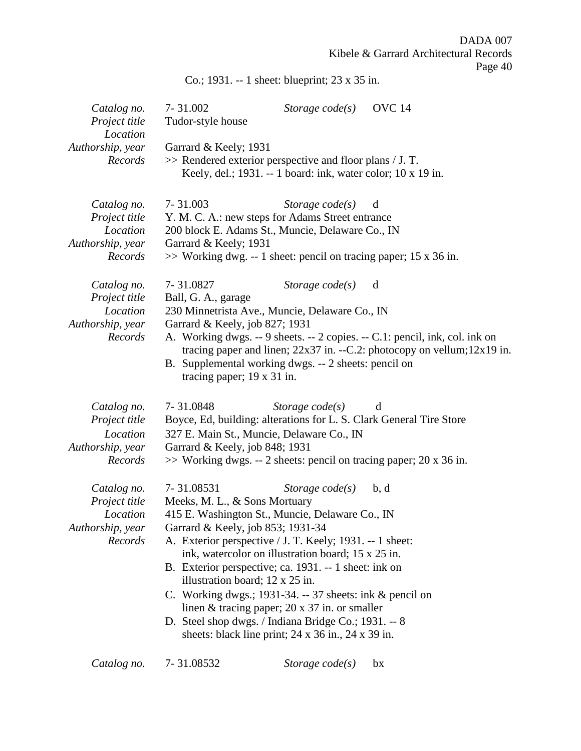Co.; 1931. -- 1 sheet: blueprint; 23 x 35 in.

| Catalog no.<br>Project title<br>Location<br>Authorship, year<br>Records | 7-31.002<br>Tudor-style house<br>Garrard & Keely; 1931                                                              | Storage $code(s)$<br>>> Rendered exterior perspective and floor plans / J. T.<br>Keely, del.; 1931. -- 1 board: ink, water color; 10 x 19 in.                                                                                                                                                                                                                                                                                                                                                    | OVC 14                                                                                                                                                           |
|-------------------------------------------------------------------------|---------------------------------------------------------------------------------------------------------------------|--------------------------------------------------------------------------------------------------------------------------------------------------------------------------------------------------------------------------------------------------------------------------------------------------------------------------------------------------------------------------------------------------------------------------------------------------------------------------------------------------|------------------------------------------------------------------------------------------------------------------------------------------------------------------|
| Catalog no.<br>Project title<br>Location<br>Authorship, year<br>Records | 7-31.003<br>Garrard & Keely; 1931                                                                                   | Storage $code(s)$<br>Y. M. C. A.: new steps for Adams Street entrance<br>200 block E. Adams St., Muncie, Delaware Co., IN<br>$\gg$ Working dwg. -- 1 sheet: pencil on tracing paper; 15 x 36 in.                                                                                                                                                                                                                                                                                                 | d                                                                                                                                                                |
| Catalog no.<br>Project title<br>Location<br>Authorship, year<br>Records | 7-31.0827<br>Ball, G. A., garage<br>Garrard & Keely, job 827; 1931<br>tracing paper; $19 \times 31$ in.             | Storage $code(s)$<br>230 Minnetrista Ave., Muncie, Delaware Co., IN<br>B. Supplemental working dwgs. -- 2 sheets: pencil on                                                                                                                                                                                                                                                                                                                                                                      | d<br>A. Working dwgs. -- 9 sheets. -- 2 copies. -- C.1: pencil, ink, col. ink on<br>tracing paper and linen; $22x37$ in. --C.2: photocopy on vellum; $12x19$ in. |
| Catalog no.<br>Project title<br>Location<br>Authorship, year<br>Records | 7-31.0848<br>Garrard & Keely, job 848; 1931                                                                         | Storage $code(s)$<br>Boyce, Ed, building: alterations for L. S. Clark General Tire Store<br>327 E. Main St., Muncie, Delaware Co., IN<br>$\gg$ Working dwgs. -- 2 sheets: pencil on tracing paper; 20 x 36 in.                                                                                                                                                                                                                                                                                   | d                                                                                                                                                                |
| Catalog no.<br>Project title<br>Location<br>Authorship, year<br>Records | 7-31.08531<br>Meeks, M. L., & Sons Mortuary<br>Garrard & Keely, job 853; 1931-34<br>illustration board; 12 x 25 in. | Storage $code(s)$<br>415 E. Washington St., Muncie, Delaware Co., IN<br>A. Exterior perspective / J. T. Keely; 1931. -- 1 sheet:<br>ink, watercolor on illustration board; 15 x 25 in.<br>B. Exterior perspective; ca. 1931. -- 1 sheet: ink on<br>C. Working dwgs.; $1931-34. - 37$ sheets: ink & pencil on<br>linen & tracing paper; $20 \times 37$ in. or smaller<br>D. Steel shop dwgs. / Indiana Bridge Co.; 1931. -- 8<br>sheets: black line print; $24 \times 36$ in., $24 \times 39$ in. | b, d                                                                                                                                                             |
| Catalog no.                                                             | 7-31.08532                                                                                                          | Storage $code(s)$                                                                                                                                                                                                                                                                                                                                                                                                                                                                                | bx                                                                                                                                                               |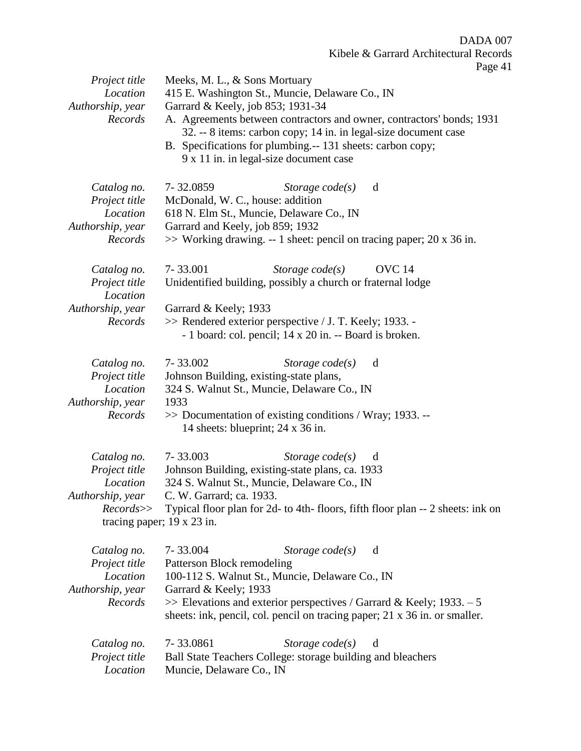| Project title<br>Location<br>Authorship, year<br>Records                                          | Meeks, M. L., & Sons Mortuary<br>415 E. Washington St., Muncie, Delaware Co., IN<br>Garrard & Keely, job 853; 1931-34<br>A. Agreements between contractors and owner, contractors' bonds; 1931<br>32. -- 8 items: carbon copy; 14 in. in legal-size document case<br>B. Specifications for plumbing.-- 131 sheets: carbon copy;<br>9 x 11 in. in legal-size document case |
|---------------------------------------------------------------------------------------------------|---------------------------------------------------------------------------------------------------------------------------------------------------------------------------------------------------------------------------------------------------------------------------------------------------------------------------------------------------------------------------|
| Catalog no.<br>Project title<br>Location<br>Authorship, year<br>Records                           | 7-32.0859<br>d<br>Storage $code(s)$<br>McDonald, W. C., house: addition<br>618 N. Elm St., Muncie, Delaware Co., IN<br>Garrard and Keely, job 859; 1932<br>$\gg$ Working drawing. -- 1 sheet: pencil on tracing paper; 20 x 36 in.                                                                                                                                        |
| Catalog no.<br>Project title<br>Location<br>Authorship, year<br>Records                           | 7-33.001<br><b>OVC</b> 14<br>Storage $code(s)$<br>Unidentified building, possibly a church or fraternal lodge<br>Garrard & Keely; 1933<br>>> Rendered exterior perspective / J. T. Keely; 1933. -<br>- 1 board: col. pencil; 14 x 20 in. -- Board is broken.                                                                                                              |
| Catalog no.<br>Project title<br>Location<br>Authorship, year<br>Records                           | 7-33.002<br>Storage $code(s)$<br>d<br>Johnson Building, existing-state plans,<br>324 S. Walnut St., Muncie, Delaware Co., IN<br>1933<br>>> Documentation of existing conditions / Wray; 1933. --<br>14 sheets: blueprint; 24 x 36 in.                                                                                                                                     |
| Catalog no.<br>Project title<br>Location<br>Authorship, year<br>tracing paper; $19 \times 23$ in. | 7-33.003<br>Storage $code(s)$<br>d<br>Johnson Building, existing-state plans, ca. 1933<br>324 S. Walnut St., Muncie, Delaware Co., IN<br>C. W. Garrard; ca. 1933.<br><i>Records&gt;&gt;</i> Typical floor plan for 2d- to 4th-floors, fifth floor plan -- 2 sheets: ink on                                                                                                |
| Catalog no.<br>Project title<br>Location<br>Authorship, year<br>Records                           | 7-33.004<br>Storage $code(s)$<br>d<br>Patterson Block remodeling<br>100-112 S. Walnut St., Muncie, Delaware Co., IN<br>Garrard & Keely; 1933<br>$\gg$ Elevations and exterior perspectives / Garrard & Keely; 1933. – 5<br>sheets: ink, pencil, col. pencil on tracing paper; 21 x 36 in. or smaller.                                                                     |
| Catalog no.<br>Project title<br>Location                                                          | 7-33.0861<br>Storage $code(s)$<br>d<br>Ball State Teachers College: storage building and bleachers<br>Muncie, Delaware Co., IN                                                                                                                                                                                                                                            |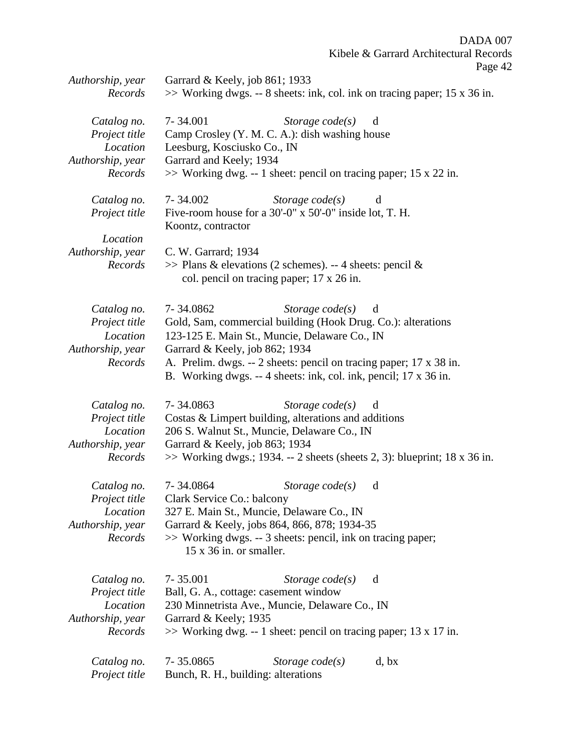DADA 007

Kibele & Garrard Architectural Records Page 42

| Authorship, year<br>Records | Garrard & Keely, job 861; 1933<br>>> Working dwgs. -- 8 sheets: ink, col. ink on tracing paper; 15 x 36 in. |
|-----------------------------|-------------------------------------------------------------------------------------------------------------|
|                             |                                                                                                             |
| Catalog no.                 | 7-34.001<br>Storage $code(s)$<br>d                                                                          |
| Project title               | Camp Crosley (Y. M. C. A.): dish washing house                                                              |
| Location                    | Leesburg, Kosciusko Co., IN                                                                                 |
| Authorship, year            | Garrard and Keely; 1934                                                                                     |
| Records                     | $\gg$ Working dwg. -- 1 sheet: pencil on tracing paper; 15 x 22 in.                                         |
| Catalog no.                 | 7-34.002<br>Storage $code(s)$<br>d                                                                          |
| Project title               | Five-room house for a 30'-0" x 50'-0" inside lot, T. H.                                                     |
|                             | Koontz, contractor                                                                                          |
| Location                    |                                                                                                             |
| Authorship, year            | C. W. Garrard; 1934                                                                                         |
| Records                     | $\gg$ Plans & elevations (2 schemes). -- 4 sheets: pencil &                                                 |
|                             | col. pencil on tracing paper; 17 x 26 in.                                                                   |
| Catalog no.                 | 7-34.0862<br>Storage $code(s)$<br>d                                                                         |
| Project title               | Gold, Sam, commercial building (Hook Drug. Co.): alterations                                                |
| Location                    | 123-125 E. Main St., Muncie, Delaware Co., IN                                                               |
| Authorship, year            | Garrard & Keely, job 862; 1934                                                                              |
| Records                     | A. Prelim. dwgs. -- 2 sheets: pencil on tracing paper; 17 x 38 in.                                          |
|                             | B. Working dwgs. -- 4 sheets: ink, col. ink, pencil; 17 x 36 in.                                            |
| Catalog no.                 | 7-34.0863<br>Storage $code(s)$<br>d                                                                         |
| Project title               | Costas & Limpert building, alterations and additions                                                        |
| Location                    | 206 S. Walnut St., Muncie, Delaware Co., IN                                                                 |
| Authorship, year            | Garrard & Keely, job 863; 1934                                                                              |
| Records                     | $\gg$ Working dwgs.; 1934. -- 2 sheets (sheets 2, 3): blueprint; 18 x 36 in.                                |
|                             |                                                                                                             |
| Catalog no.                 | 7-34.0864<br>Storage $code(s)$<br>d                                                                         |
| <i>Project title</i>        | Clark Service Co.: balcony                                                                                  |
| Location                    | 327 E. Main St., Muncie, Delaware Co., IN                                                                   |
| Authorship, year            | Garrard & Keely, jobs 864, 866, 878; 1934-35                                                                |
| Records                     | >> Working dwgs. -- 3 sheets: pencil, ink on tracing paper;<br>$15 \times 36$ in. or smaller.               |
| Catalog no.                 | 7-35.001<br>Storage $code(s)$<br>d                                                                          |
| Project title               | Ball, G. A., cottage: casement window                                                                       |
| Location                    | 230 Minnetrista Ave., Muncie, Delaware Co., IN                                                              |
| Authorship, year            | Garrard & Keely; 1935                                                                                       |
| Records                     | $\gg$ Working dwg. -- 1 sheet: pencil on tracing paper; 13 x 17 in.                                         |
| Catalog no.                 | 7-35.0865<br>Storage $code(s)$<br>d, bx                                                                     |
| Project title               | Bunch, R. H., building: alterations                                                                         |
|                             |                                                                                                             |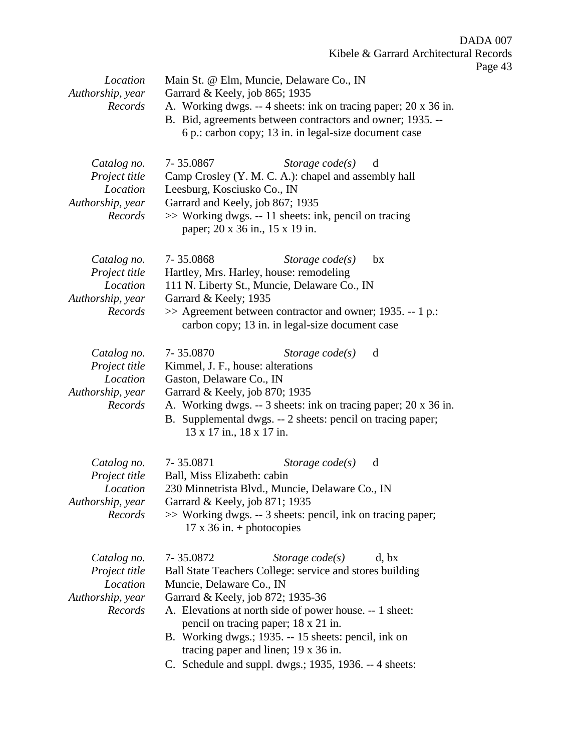Page 43

| Location<br>Authorship, year<br>Records                                 | Main St. @ Elm, Muncie, Delaware Co., IN<br>Garrard & Keely, job 865; 1935<br>A. Working dwgs. -- 4 sheets: ink on tracing paper; 20 x 36 in.<br>B. Bid, agreements between contractors and owner; 1935. --<br>6 p.: carbon copy; 13 in. in legal-size document case                                                                                                                                                                     |  |  |
|-------------------------------------------------------------------------|------------------------------------------------------------------------------------------------------------------------------------------------------------------------------------------------------------------------------------------------------------------------------------------------------------------------------------------------------------------------------------------------------------------------------------------|--|--|
| Catalog no.<br>Project title<br>Location<br>Authorship, year<br>Records | 7-35.0867<br>Storage $code(s)$<br>d<br>Camp Crosley (Y. M. C. A.): chapel and assembly hall<br>Leesburg, Kosciusko Co., IN<br>Garrard and Keely, job 867; 1935<br>>> Working dwgs. -- 11 sheets: ink, pencil on tracing<br>paper; 20 x 36 in., 15 x 19 in.                                                                                                                                                                               |  |  |
| Catalog no.<br>Project title<br>Location<br>Authorship, year<br>Records | 7-35.0868<br>Storage $code(s)$<br>bx<br>Hartley, Mrs. Harley, house: remodeling<br>111 N. Liberty St., Muncie, Delaware Co., IN<br>Garrard & Keely; 1935<br>>> Agreement between contractor and owner; 1935. -- 1 p.:<br>carbon copy; 13 in. in legal-size document case                                                                                                                                                                 |  |  |
| Catalog no.<br>Project title<br>Location<br>Authorship, year<br>Records | 7-35.0870<br>Storage $code(s)$<br>d<br>Kimmel, J. F., house: alterations<br>Gaston, Delaware Co., IN<br>Garrard & Keely, job 870; 1935<br>A. Working dwgs. -- 3 sheets: ink on tracing paper; 20 x 36 in.<br>B. Supplemental dwgs. -- 2 sheets: pencil on tracing paper;<br>13 x 17 in., 18 x 17 in.                                                                                                                                     |  |  |
| Catalog no.<br>Project title<br>Location<br>Authorship, year<br>Records | 7-35.0871<br>Storage $code(s)$<br>d<br>Ball, Miss Elizabeth: cabin<br>230 Minnetrista Blvd., Muncie, Delaware Co., IN<br>Garrard & Keely, job 871; 1935<br>>> Working dwgs. -- 3 sheets: pencil, ink on tracing paper;<br>$17 \times 36$ in. + photocopies                                                                                                                                                                               |  |  |
| Catalog no.<br>Project title<br>Location<br>Authorship, year<br>Records | 7-35.0872<br>Storage $code(s)$<br>d, bx<br>Ball State Teachers College: service and stores building<br>Muncie, Delaware Co., IN<br>Garrard & Keely, job 872; 1935-36<br>A. Elevations at north side of power house. -- 1 sheet:<br>pencil on tracing paper; 18 x 21 in.<br>B. Working dwgs.; 1935. -- 15 sheets: pencil, ink on<br>tracing paper and linen; $19 \times 36$ in.<br>C. Schedule and suppl. dwgs.; 1935, 1936. -- 4 sheets: |  |  |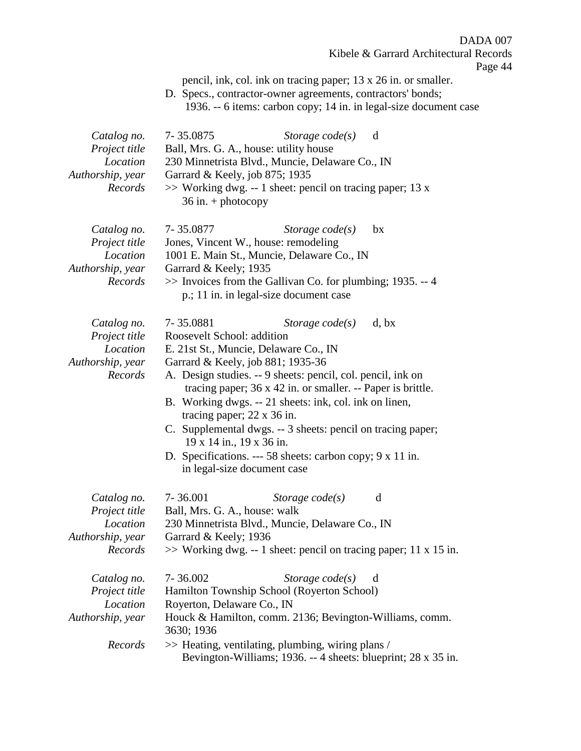|                           | DADA 007                                                                                  |
|---------------------------|-------------------------------------------------------------------------------------------|
|                           | Kibele & Garrard Architectural Records                                                    |
|                           | Page 44                                                                                   |
|                           | pencil, ink, col. ink on tracing paper; 13 x 26 in. or smaller.                           |
|                           | D. Specs., contractor-owner agreements, contractors' bonds;                               |
|                           | 1936. -- 6 items: carbon copy; 14 in. in legal-size document case                         |
|                           |                                                                                           |
| Catalog no.               | 7-35.0875<br>Storage $code(s)$<br>d                                                       |
| Project title<br>Location | Ball, Mrs. G. A., house: utility house<br>230 Minnetrista Blvd., Muncie, Delaware Co., IN |
| Authorship, year          | Garrard & Keely, job 875; 1935                                                            |
| Records                   | $\gg$ Working dwg. -- 1 sheet: pencil on tracing paper; 13 x                              |
|                           | $36$ in. + photocopy                                                                      |
|                           |                                                                                           |
| Catalog no.               | 7-35.0877<br>Storage $code(s)$<br>bx                                                      |
| Project title             | Jones, Vincent W., house: remodeling                                                      |
| Location                  | 1001 E. Main St., Muncie, Delaware Co., IN                                                |
| Authorship, year          | Garrard & Keely; 1935                                                                     |
| Records                   | $\gg$ Invoices from the Gallivan Co. for plumbing; 1935. -- 4                             |
|                           | p.; 11 in. in legal-size document case                                                    |
|                           |                                                                                           |
| Catalog no.               | 7-35.0881<br>Storage $code(s)$<br>d, bx                                                   |
| Project title<br>Location | Roosevelt School: addition                                                                |
| Authorship, year          | E. 21st St., Muncie, Delaware Co., IN<br>Garrard & Keely, job 881; 1935-36                |
| Records                   | A. Design studies. -- 9 sheets: pencil, col. pencil, ink on                               |
|                           | tracing paper; 36 x 42 in. or smaller. -- Paper is brittle.                               |
|                           | B. Working dwgs. -- 21 sheets: ink, col. ink on linen,                                    |
|                           | tracing paper; $22 \times 36$ in.                                                         |
|                           | C. Supplemental dwgs. -- 3 sheets: pencil on tracing paper;                               |
|                           | 19 x 14 in., 19 x 36 in.                                                                  |
|                           | D. Specifications. --- 58 sheets: carbon copy; 9 x 11 in.                                 |
|                           | in legal-size document case                                                               |
|                           |                                                                                           |
| Catalog no.               | $7 - 36.001$<br>Storage $code(s)$<br>d                                                    |
| Project title             | Ball, Mrs. G. A., house: walk                                                             |
| Location                  | 230 Minnetrista Blvd., Muncie, Delaware Co., IN                                           |
| Authorship, year          | Garrard & Keely; 1936                                                                     |
| Records                   | $\gg$ Working dwg. -- 1 sheet: pencil on tracing paper; 11 x 15 in.                       |
| Catalog no.               | 7-36.002<br>Storage $code(s)$<br>d                                                        |
| Project title             | Hamilton Township School (Royerton School)                                                |
| Location                  | Royerton, Delaware Co., IN                                                                |
| Authorship, year          | Houck & Hamilton, comm. 2136; Bevington-Williams, comm.                                   |
|                           | 3630; 1936                                                                                |
| Records                   | >> Heating, ventilating, plumbing, wiring plans /                                         |
|                           | Bevington-Williams; 1936. -- 4 sheets: blueprint; 28 x 35 in.                             |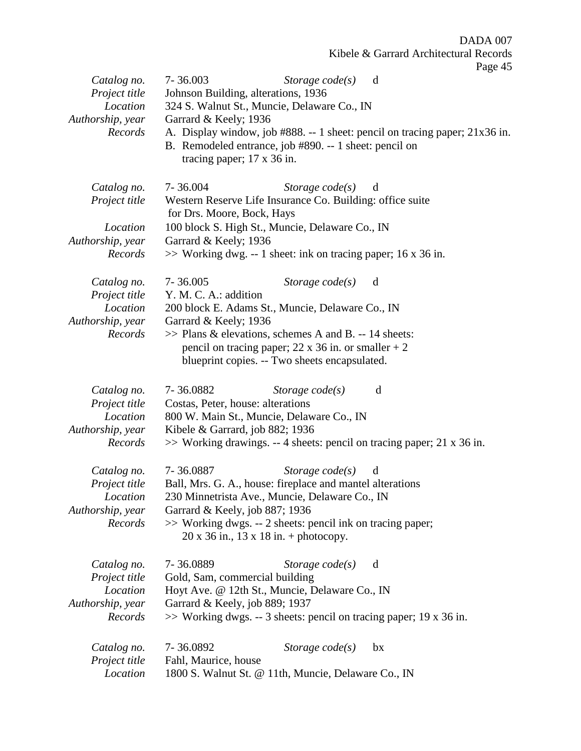|                  | $-5$ $-$                                                                    |
|------------------|-----------------------------------------------------------------------------|
| Catalog no.      | $7 - 36.003$<br>Storage $code(s)$<br>d                                      |
| Project title    | Johnson Building, alterations, 1936                                         |
| Location         | 324 S. Walnut St., Muncie, Delaware Co., IN                                 |
| Authorship, year | Garrard & Keely; 1936                                                       |
| Records          | A. Display window, job #888. -- 1 sheet: pencil on tracing paper; 21x36 in. |
|                  | B. Remodeled entrance, job #890. -- 1 sheet: pencil on                      |
|                  | tracing paper; $17 \times 36$ in.                                           |
|                  |                                                                             |
| Catalog no.      | 7-36.004<br>Storage $code(s)$<br>d                                          |
| Project title    | Western Reserve Life Insurance Co. Building: office suite                   |
|                  | for Drs. Moore, Bock, Hays                                                  |
| Location         | 100 block S. High St., Muncie, Delaware Co., IN                             |
| Authorship, year | Garrard & Keely; 1936                                                       |
| Records          | $\gg$ Working dwg. -- 1 sheet: ink on tracing paper; 16 x 36 in.            |
|                  |                                                                             |
| Catalog no.      | $7 - 36.005$<br>Storage $code(s)$<br>d                                      |
| Project title    | Y. M. C. A.: addition                                                       |
| Location         | 200 block E. Adams St., Muncie, Delaware Co., IN                            |
| Authorship, year | Garrard & Keely; 1936                                                       |
| Records          | $\gg$ Plans & elevations, schemes A and B. -- 14 sheets:                    |
|                  | pencil on tracing paper; 22 x 36 in. or smaller $+2$                        |
|                  | blueprint copies. -- Two sheets encapsulated.                               |
|                  |                                                                             |
| Catalog no.      | 7-36.0882<br>Storage $code(s)$<br>d                                         |
| Project title    | Costas, Peter, house: alterations                                           |
| Location         | 800 W. Main St., Muncie, Delaware Co., IN                                   |
| Authorship, year | Kibele & Garrard, job 882; 1936                                             |
| Records          | $\gg$ Working drawings. -- 4 sheets: pencil on tracing paper; 21 x 36 in.   |
|                  |                                                                             |
| Catalog no.      | 7-36.0887<br>Storage $code(s)$<br>d                                         |
| Project title    | Ball, Mrs. G. A., house: fireplace and mantel alterations                   |
| Location         | 230 Minnetrista Ave., Muncie, Delaware Co., IN                              |
| Authorship, year | Garrard & Keely, job 887; 1936                                              |
| Records          | >> Working dwgs. -- 2 sheets: pencil ink on tracing paper;                  |
|                  | $20 \times 36$ in., 13 x 18 in. + photocopy.                                |
|                  |                                                                             |
| Catalog no.      | 7-36.0889<br>Storage $code(s)$<br>d                                         |
| Project title    | Gold, Sam, commercial building                                              |
| Location         | Hoyt Ave. @ 12th St., Muncie, Delaware Co., IN                              |
| Authorship, year | Garrard & Keely, job 889; 1937                                              |
| Records          | $\gg$ Working dwgs. -- 3 sheets: pencil on tracing paper; 19 x 36 in.       |
|                  |                                                                             |
| Catalog no.      | 7-36.0892<br>Storage $code(s)$<br>bx                                        |
| Project title    | Fahl, Maurice, house                                                        |
| Location         | 1800 S. Walnut St. @ 11th, Muncie, Delaware Co., IN                         |
|                  |                                                                             |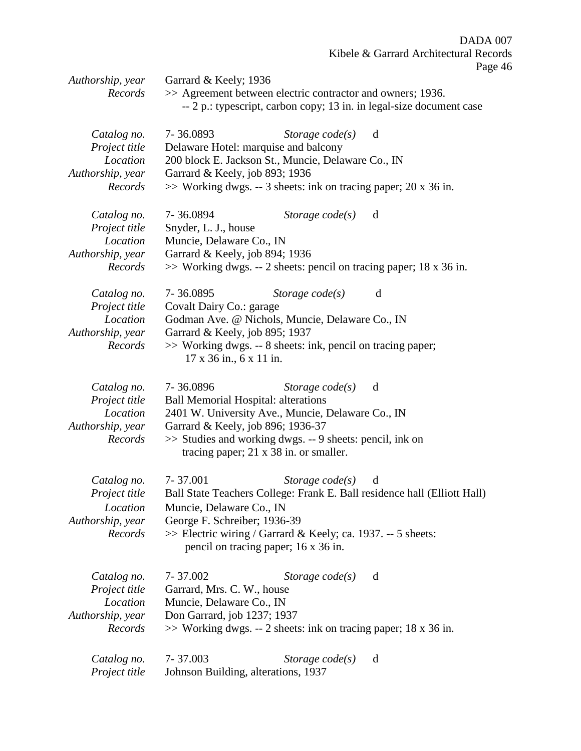| Authorship, year | Garrard & Keely; 1936                                              |                                        |                                                                          |
|------------------|--------------------------------------------------------------------|----------------------------------------|--------------------------------------------------------------------------|
| Records          | >> Agreement between electric contractor and owners; 1936.         |                                        |                                                                          |
|                  |                                                                    |                                        | -- 2 p.: typescript, carbon copy; 13 in. in legal-size document case     |
|                  |                                                                    |                                        |                                                                          |
| Catalog no.      | 7-36.0893                                                          | Storage $code(s)$                      | d                                                                        |
| Project title    | Delaware Hotel: marquise and balcony                               |                                        |                                                                          |
| Location         | 200 block E. Jackson St., Muncie, Delaware Co., IN                 |                                        |                                                                          |
|                  | Garrard & Keely, job 893; 1936                                     |                                        |                                                                          |
| Authorship, year |                                                                    |                                        |                                                                          |
| Records          | $\gg$ Working dwgs. -- 3 sheets: ink on tracing paper; 20 x 36 in. |                                        |                                                                          |
|                  |                                                                    |                                        |                                                                          |
| Catalog no.      | 7-36.0894                                                          | Storage $code(s)$                      | d                                                                        |
| Project title    | Snyder, L. J., house                                               |                                        |                                                                          |
| Location         | Muncie, Delaware Co., IN                                           |                                        |                                                                          |
| Authorship, year | Garrard & Keely, job 894; 1936                                     |                                        |                                                                          |
| Records          |                                                                    |                                        | $\gg$ Working dwgs. -- 2 sheets: pencil on tracing paper; 18 x 36 in.    |
|                  |                                                                    |                                        |                                                                          |
| Catalog no.      | 7-36.0895                                                          | Storage $code(s)$                      | d                                                                        |
| Project title    | Covalt Dairy Co.: garage                                           |                                        |                                                                          |
| Location         | Godman Ave. @ Nichols, Muncie, Delaware Co., IN                    |                                        |                                                                          |
| Authorship, year | Garrard & Keely, job 895; 1937                                     |                                        |                                                                          |
| Records          | >> Working dwgs. -- 8 sheets: ink, pencil on tracing paper;        |                                        |                                                                          |
|                  | 17 x 36 in., 6 x 11 in.                                            |                                        |                                                                          |
|                  |                                                                    |                                        |                                                                          |
| Catalog no.      | 7-36.0896                                                          | Storage $code(s)$                      | d                                                                        |
| Project title    | <b>Ball Memorial Hospital: alterations</b>                         |                                        |                                                                          |
| Location         |                                                                    |                                        |                                                                          |
|                  | 2401 W. University Ave., Muncie, Delaware Co., IN                  |                                        |                                                                          |
| Authorship, year | Garrard & Keely, job 896; 1936-37                                  |                                        |                                                                          |
| Records          | >> Studies and working dwgs. -- 9 sheets: pencil, ink on           |                                        |                                                                          |
|                  |                                                                    | tracing paper; 21 x 38 in. or smaller. |                                                                          |
|                  |                                                                    |                                        |                                                                          |
| Catalog no.      | 7-37.001                                                           | Storage $code(s)$                      | d                                                                        |
| Project title    |                                                                    |                                        | Ball State Teachers College: Frank E. Ball residence hall (Elliott Hall) |
| Location         | Muncie, Delaware Co., IN                                           |                                        |                                                                          |
| Authorship, year | George F. Schreiber; 1936-39                                       |                                        |                                                                          |
| Records          | >> Electric wiring / Garrard & Keely; ca. 1937. -- 5 sheets:       |                                        |                                                                          |
|                  | pencil on tracing paper; 16 x 36 in.                               |                                        |                                                                          |
|                  |                                                                    |                                        |                                                                          |
| Catalog no.      | 7-37.002                                                           | Storage $code(s)$                      | d                                                                        |
| Project title    | Garrard, Mrs. C. W., house                                         |                                        |                                                                          |
| Location         |                                                                    |                                        |                                                                          |
|                  | Muncie, Delaware Co., IN                                           |                                        |                                                                          |
| Authorship, year | Don Garrard, job 1237; 1937                                        |                                        |                                                                          |
| Records          | $\gg$ Working dwgs. -- 2 sheets: ink on tracing paper; 18 x 36 in. |                                        |                                                                          |
|                  |                                                                    |                                        |                                                                          |
| Catalog no.      | 7-37.003                                                           | Storage $code(s)$                      | d                                                                        |
| Project title    | Johnson Building, alterations, 1937                                |                                        |                                                                          |
|                  |                                                                    |                                        |                                                                          |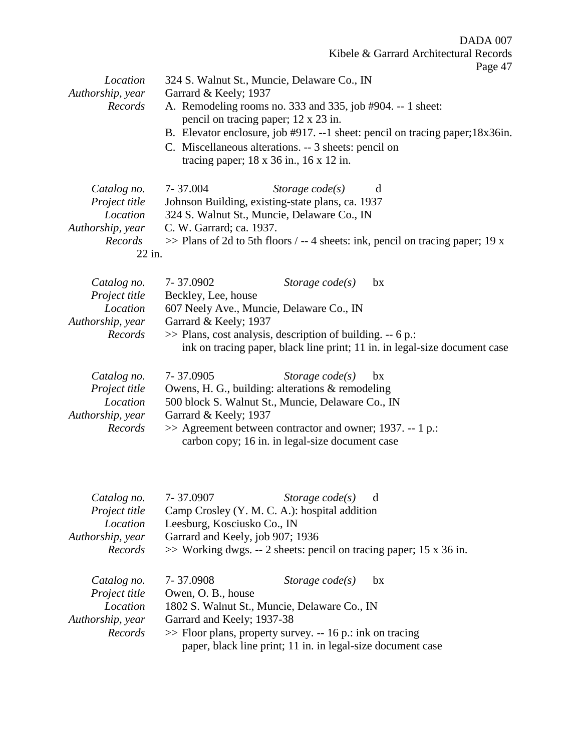| Location<br>Authorship, year<br>Records                                           | $1 \, \mu_{5}$ $\sigma$ $\beta$<br>324 S. Walnut St., Muncie, Delaware Co., IN<br>Garrard & Keely; 1937<br>A. Remodeling rooms no. 333 and 335, job #904. -- 1 sheet:<br>pencil on tracing paper; 12 x 23 in.<br>B. Elevator enclosure, job #917. --1 sheet: pencil on tracing paper;18x36in. |
|-----------------------------------------------------------------------------------|-----------------------------------------------------------------------------------------------------------------------------------------------------------------------------------------------------------------------------------------------------------------------------------------------|
|                                                                                   | C. Miscellaneous alterations. -- 3 sheets: pencil on<br>tracing paper; $18 \times 36$ in., $16 \times 12$ in.                                                                                                                                                                                 |
| Catalog no.<br>Project title<br>Location<br>Authorship, year<br>Records<br>22 in. | 7-37.004<br>Storage $code(s)$<br>d<br>Johnson Building, existing-state plans, ca. 1937<br>324 S. Walnut St., Muncie, Delaware Co., IN<br>C. W. Garrard; ca. 1937.<br>$\gg$ Plans of 2d to 5th floors / -- 4 sheets: ink, pencil on tracing paper; 19 x                                        |
| Catalog no.<br>Project title<br>Location<br>Authorship, year<br>Records           | 7-37.0902<br>Storage $code(s)$<br>bx<br>Beckley, Lee, house<br>607 Neely Ave., Muncie, Delaware Co., IN<br>Garrard & Keely; 1937<br>>> Plans, cost analysis, description of building. -- 6 p.:<br>ink on tracing paper, black line print; 11 in. in legal-size document case                  |
| Catalog no.<br>Project title<br>Location<br>Authorship, year<br>Records           | 7-37.0905<br>Storage $code(s)$<br>bx<br>Owens, H. G., building: alterations & remodeling<br>500 block S. Walnut St., Muncie, Delaware Co., IN<br>Garrard & Keely; 1937<br>>> Agreement between contractor and owner; 1937. -- 1 p.:<br>carbon copy; 16 in. in legal-size document case        |
| Catalog no.<br>Project title<br>Location<br>Authorship, year<br>Records           | 7-37.0907<br>Storage $code(s)$<br>d<br>Camp Crosley (Y. M. C. A.): hospital addition<br>Leesburg, Kosciusko Co., IN<br>Garrard and Keely, job 907; 1936<br>$\gg$ Working dwgs. -- 2 sheets: pencil on tracing paper; 15 x 36 in.                                                              |
| Catalog no.<br>Project title<br>Location<br>Authorship, year<br>Records           | 7-37.0908<br>Storage $code(s)$<br>bx<br>Owen, O. B., house<br>1802 S. Walnut St., Muncie, Delaware Co., IN<br>Garrard and Keely; 1937-38<br>$\gg$ Floor plans, property survey. -- 16 p.: ink on tracing<br>paper, black line print; 11 in. in legal-size document case                       |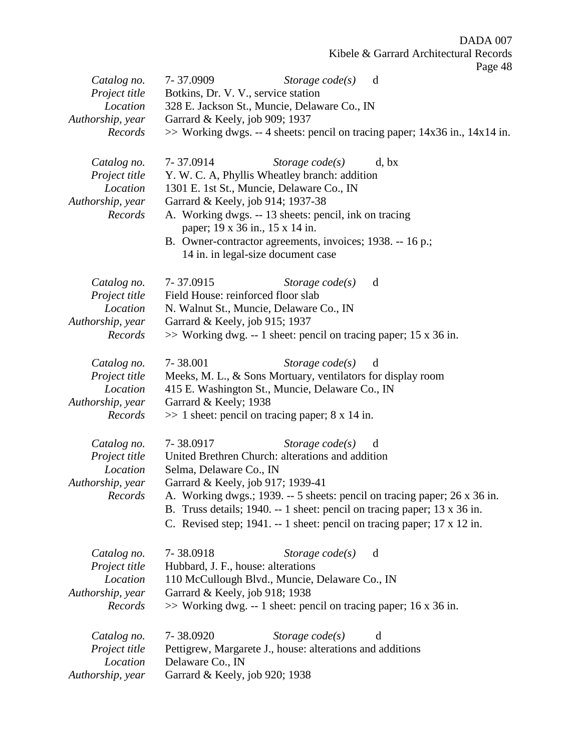| Catalog no.      | 7-37.0909<br>Storage $code(s)$<br>d                                              |
|------------------|----------------------------------------------------------------------------------|
| Project title    | Botkins, Dr. V. V., service station                                              |
| Location         | 328 E. Jackson St., Muncie, Delaware Co., IN                                     |
|                  |                                                                                  |
| Authorship, year | Garrard & Keely, job 909; 1937                                                   |
| Records          | $\gg$ Working dwgs. -- 4 sheets: pencil on tracing paper; 14x36 in., 14x14 in.   |
|                  |                                                                                  |
| Catalog no.      | Storage $code(s)$<br>7-37.0914<br>d, bx                                          |
| Project title    | Y. W. C. A, Phyllis Wheatley branch: addition                                    |
|                  |                                                                                  |
| Location         | 1301 E. 1st St., Muncie, Delaware Co., IN                                        |
| Authorship, year | Garrard & Keely, job 914; 1937-38                                                |
| Records          | A. Working dwgs. -- 13 sheets: pencil, ink on tracing                            |
|                  | paper; 19 x 36 in., 15 x 14 in.                                                  |
|                  | B. Owner-contractor agreements, invoices; 1938. -- 16 p.;                        |
|                  |                                                                                  |
|                  | 14 in. in legal-size document case                                               |
|                  |                                                                                  |
| Catalog no.      | 7-37.0915<br>Storage $code(s)$<br>d                                              |
| Project title    | Field House: reinforced floor slab                                               |
| Location         | N. Walnut St., Muncie, Delaware Co., IN                                          |
| Authorship, year | Garrard & Keely, job 915; 1937                                                   |
|                  |                                                                                  |
| Records          | $\gg$ Working dwg. -- 1 sheet: pencil on tracing paper; 15 x 36 in.              |
|                  |                                                                                  |
| Catalog no.      | 7-38.001<br>Storage $code(s)$<br>d                                               |
| Project title    | Meeks, M. L., & Sons Mortuary, ventilators for display room                      |
| Location         | 415 E. Washington St., Muncie, Delaware Co., IN                                  |
| Authorship, year | Garrard & Keely; 1938                                                            |
|                  |                                                                                  |
| Records          | $\gg$ 1 sheet: pencil on tracing paper; 8 x 14 in.                               |
|                  |                                                                                  |
| Catalog no.      | 7-38.0917<br>Storage $code(s)$<br>d                                              |
| Project title    | United Brethren Church: alterations and addition                                 |
| Location         | Selma, Delaware Co., IN                                                          |
| Authorship, year | Garrard & Keely, job 917; 1939-41                                                |
| Records          | A. Working dwgs.; 1939. -- 5 sheets: pencil on tracing paper; 26 x 36 in.        |
|                  |                                                                                  |
|                  | B. Truss details; $1940. - 1$ sheet: pencil on tracing paper; $13 \times 36$ in. |
|                  | C. Revised step; 1941. -- 1 sheet: pencil on tracing paper; 17 x 12 in.          |
|                  |                                                                                  |
| Catalog no.      | 7-38.0918<br>Storage $code(s)$<br>d                                              |
| Project title    | Hubbard, J. F., house: alterations                                               |
| Location         |                                                                                  |
|                  | 110 McCullough Blvd., Muncie, Delaware Co., IN                                   |
| Authorship, year | Garrard & Keely, job 918; 1938                                                   |
| Records          | $\gg$ Working dwg. -- 1 sheet: pencil on tracing paper; 16 x 36 in.              |
|                  |                                                                                  |
| Catalog no.      | 7-38.0920<br>Storage $code(s)$<br>d                                              |
| Project title    | Pettigrew, Margarete J., house: alterations and additions                        |
| Location         | Delaware Co., IN                                                                 |
| Authorship, year | Garrard & Keely, job 920; 1938                                                   |
|                  |                                                                                  |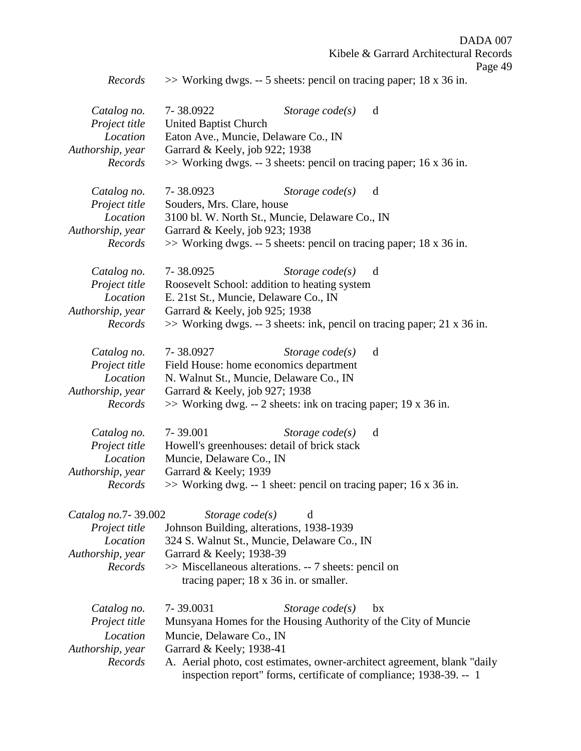Page 49

*Records* >> Working dwgs. -- 5 sheets: pencil on tracing paper; 18 x 36 in.

| Catalog no.                  | 7-38.0922                                   | Storage $code(s)$                                                   | d                                                                        |
|------------------------------|---------------------------------------------|---------------------------------------------------------------------|--------------------------------------------------------------------------|
| Project title                | <b>United Baptist Church</b>                |                                                                     |                                                                          |
| Location                     | Eaton Ave., Muncie, Delaware Co., IN        |                                                                     |                                                                          |
| Authorship, year             | Garrard & Keely, job 922; 1938              |                                                                     |                                                                          |
| Records                      |                                             |                                                                     | $\gg$ Working dwgs. -- 3 sheets: pencil on tracing paper; 16 x 36 in.    |
| Catalog no.                  | 7-38.0923                                   | Storage $code(s)$                                                   | d                                                                        |
| Project title                | Souders, Mrs. Clare, house                  |                                                                     |                                                                          |
| Location                     |                                             | 3100 bl. W. North St., Muncie, Delaware Co., IN                     |                                                                          |
| Authorship, year             | Garrard & Keely, job 923; 1938              |                                                                     |                                                                          |
| Records                      |                                             |                                                                     | $\gg$ Working dwgs. -- 5 sheets: pencil on tracing paper; 18 x 36 in.    |
|                              | 7-38.0925                                   |                                                                     |                                                                          |
| Catalog no.<br>Project title |                                             | Storage $code(s)$<br>Roosevelt School: addition to heating system   | d                                                                        |
| Location                     | E. 21st St., Muncie, Delaware Co., IN       |                                                                     |                                                                          |
| Authorship, year             | Garrard & Keely, job 925; 1938              |                                                                     |                                                                          |
| Records                      |                                             |                                                                     | >> Working dwgs. -- 3 sheets: ink, pencil on tracing paper; 21 x 36 in.  |
|                              |                                             |                                                                     |                                                                          |
| Catalog no.                  | 7-38.0927                                   | Storage $code(s)$                                                   | d                                                                        |
| Project title                | Field House: home economics department      |                                                                     |                                                                          |
| Location                     | N. Walnut St., Muncie, Delaware Co., IN     |                                                                     |                                                                          |
| Authorship, year             | Garrard & Keely, job 927; 1938              |                                                                     |                                                                          |
| Records                      |                                             | $\gg$ Working dwg. -- 2 sheets: ink on tracing paper; 19 x 36 in.   |                                                                          |
| Catalog no.                  | 7-39.001                                    | Storage $code(s)$                                                   | d                                                                        |
| Project title                | Howell's greenhouses: detail of brick stack |                                                                     |                                                                          |
| Location                     | Muncie, Delaware Co., IN                    |                                                                     |                                                                          |
| Authorship, year             | Garrard & Keely; 1939                       |                                                                     |                                                                          |
| Records                      |                                             | $\gg$ Working dwg. -- 1 sheet: pencil on tracing paper; 16 x 36 in. |                                                                          |
|                              |                                             |                                                                     |                                                                          |
| Catalog no.7-39.002          | Storage $code(s)$                           | d                                                                   |                                                                          |
| Project title                | Johnson Building, alterations, 1938-1939    |                                                                     |                                                                          |
| Location                     |                                             | 324 S. Walnut St., Muncie, Delaware Co., IN                         |                                                                          |
| Authorship, year             | Garrard & Keely; 1938-39                    |                                                                     |                                                                          |
| Records                      |                                             | $\gg$ Miscellaneous alterations. -- 7 sheets: pencil on             |                                                                          |
|                              |                                             | tracing paper; $18 \times 36$ in. or smaller.                       |                                                                          |
| Catalog no.                  | 7-39.0031                                   | Storage $code(s)$                                                   | bx                                                                       |
| Project title                |                                             |                                                                     | Munsyana Homes for the Housing Authority of the City of Muncie           |
| Location                     | Muncie, Delaware Co., IN                    |                                                                     |                                                                          |
| Authorship, year             | Garrard & Keely; 1938-41                    |                                                                     |                                                                          |
| Records                      |                                             |                                                                     | A. Aerial photo, cost estimates, owner-architect agreement, blank "daily |
|                              |                                             |                                                                     | inspection report" forms, certificate of compliance; 1938-39. -- 1       |
|                              |                                             |                                                                     |                                                                          |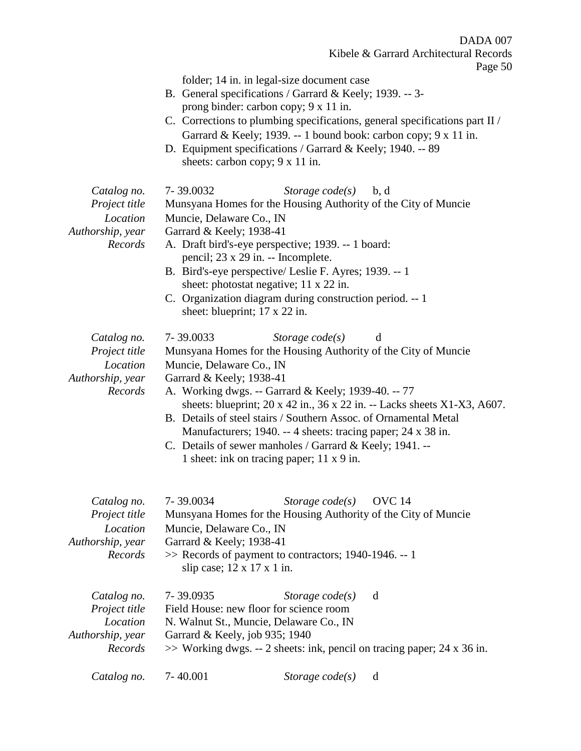DADA 007 Kibele & Garrard Architectural Records Page 50 folder; 14 in. in legal-size document case B. General specifications / Garrard & Keely; 1939. -- 3 prong binder: carbon copy; 9 x 11 in. C. Corrections to plumbing specifications, general specifications part II / Garrard & Keely; 1939. -- 1 bound book: carbon copy;  $9 \times 11$  in. D. Equipment specifications / Garrard & Keely; 1940. -- 89 sheets: carbon copy;  $9 \times 11$  in. *Catalog no.* 7- 39.0032 *Storage code(s)* b, d *Project title* Munsyana Homes for the Housing Authority of the City of Muncie *Location* Muncie, Delaware Co., IN *Authorship, year* Garrard & Keely; 1938-41 *Records* A. Draft bird's-eye perspective; 1939. -- 1 board: pencil; 23 x 29 in. -- Incomplete. B. Bird's-eye perspective/ Leslie F. Ayres; 1939. -- 1 sheet: photostat negative; 11 x 22 in. C. Organization diagram during construction period. -- 1 sheet: blueprint;  $17 \times 22$  in. *Catalog no.* 7- 39.0033 *Storage code(s)* d *Project title* Munsyana Homes for the Housing Authority of the City of Muncie *Location* Muncie, Delaware Co., IN *Authorship, year* Garrard & Keely; 1938-41 *Records* A. Working dwgs. -- Garrard & Keely; 1939-40. -- 77 sheets: blueprint; 20 x 42 in., 36 x 22 in. -- Lacks sheets X1-X3, A607. B. Details of steel stairs / Southern Assoc. of Ornamental Metal Manufacturers; 1940. -- 4 sheets: tracing paper; 24 x 38 in. C. Details of sewer manholes / Garrard & Keely; 1941. -- 1 sheet: ink on tracing paper; 11 x 9 in. *Catalog no.* 7- 39.0034 *Storage code(s)* OVC 14 *Project title* Munsyana Homes for the Housing Authority of the City of Muncie *Location* Muncie, Delaware Co., IN *Authorship, year* Garrard & Keely; 1938-41 *Records* >> Records of payment to contractors; 1940-1946. -- 1 slip case; 12 x 17 x 1 in. *Catalog no.* 7- 39.0935 *Storage code(s)* d *Project title* Field House: new floor for science room *Location* N. Walnut St., Muncie, Delaware Co., IN *Authorship, year* Garrard & Keely, job 935; 1940 *Records* >> Working dwgs. -- 2 sheets: ink, pencil on tracing paper; 24 x 36 in. *Catalog no.* 7- 40.001 *Storage code(s)* d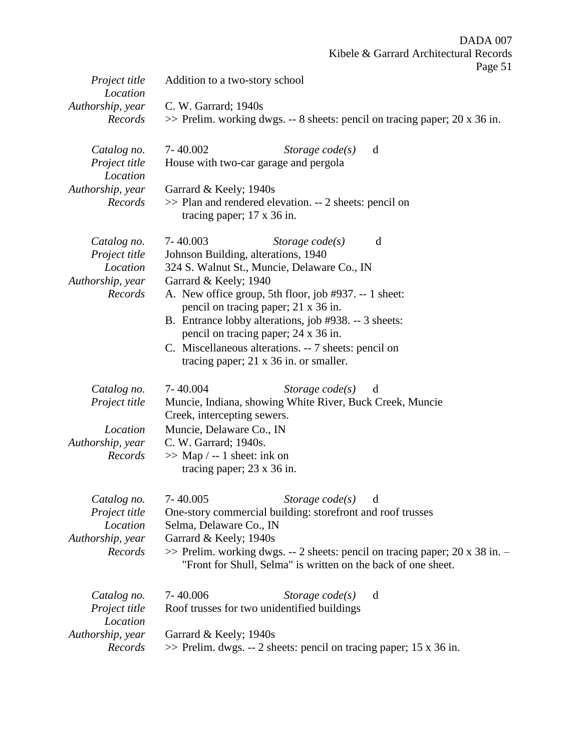|                           |                                     |                                                                                               | Kibele & Garrard Architectural Records<br>Page 51                               |
|---------------------------|-------------------------------------|-----------------------------------------------------------------------------------------------|---------------------------------------------------------------------------------|
| Project title             | Addition to a two-story school      |                                                                                               |                                                                                 |
| Location                  |                                     |                                                                                               |                                                                                 |
| Authorship, year          | C. W. Garrard; 1940s                |                                                                                               |                                                                                 |
| Records                   |                                     |                                                                                               | $\gg$ Prelim. working dwgs. -- 8 sheets: pencil on tracing paper; 20 x 36 in.   |
| Catalog no.               | 7-40.002                            | Storage $code(s)$                                                                             | d                                                                               |
| Project title<br>Location |                                     | House with two-car garage and pergola                                                         |                                                                                 |
| Authorship, year          | Garrard & Keely; 1940s              |                                                                                               |                                                                                 |
| Records                   | tracing paper; $17 \times 36$ in.   | $\gg$ Plan and rendered elevation. -- 2 sheets: pencil on                                     |                                                                                 |
| Catalog no.               | 7-40.003                            | Storage $code(s)$                                                                             | d                                                                               |
| Project title<br>Location | Johnson Building, alterations, 1940 | 324 S. Walnut St., Muncie, Delaware Co., IN                                                   |                                                                                 |
| Authorship, year          | Garrard & Keely; 1940               |                                                                                               |                                                                                 |
| Records                   |                                     | A. New office group, 5th floor, job #937. -- 1 sheet:<br>pencil on tracing paper; 21 x 36 in. |                                                                                 |
|                           |                                     | B. Entrance lobby alterations, job #938. -- 3 sheets:                                         |                                                                                 |
|                           |                                     | pencil on tracing paper; 24 x 36 in.                                                          |                                                                                 |
|                           |                                     | C. Miscellaneous alterations. -- 7 sheets: pencil on                                          |                                                                                 |
|                           |                                     | tracing paper; $21 \times 36$ in. or smaller.                                                 |                                                                                 |
| Catalog no.               | 7-40.004                            | Storage $code(s)$                                                                             | d                                                                               |
| Project title             | Creek, intercepting sewers.         | Muncie, Indiana, showing White River, Buck Creek, Muncie                                      |                                                                                 |
| Location                  | Muncie, Delaware Co., IN            |                                                                                               |                                                                                 |
| Authorship, year          | C. W. Garrard; 1940s.               |                                                                                               |                                                                                 |
| Records                   | $\gg$ Map $/ -1$ sheet: ink on      |                                                                                               |                                                                                 |
|                           | tracing paper; $23 \times 36$ in.   |                                                                                               |                                                                                 |
| Catalog no.               | $7 - 40.005$                        | Storage $code(s)$                                                                             | d                                                                               |
| Project title             |                                     | One-story commercial building: storefront and roof trusses                                    |                                                                                 |
| Location                  | Selma, Delaware Co., IN             |                                                                                               |                                                                                 |
| Authorship, year          | Garrard & Keely; 1940s              |                                                                                               |                                                                                 |
| Records                   |                                     | "Front for Shull, Selma" is written on the back of one sheet.                                 | $\gg$ Prelim. working dwgs. -- 2 sheets: pencil on tracing paper; 20 x 38 in. - |
| Catalog no.               | 7-40.006                            | Storage $code(s)$                                                                             | d                                                                               |
| Project title<br>Location |                                     | Roof trusses for two unidentified buildings                                                   |                                                                                 |
| Authorship, year          | Garrard & Keely; 1940s              |                                                                                               |                                                                                 |
| Records                   |                                     | $\gg$ Prelim. dwgs. -- 2 sheets: pencil on tracing paper; 15 x 36 in.                         |                                                                                 |

DADA 007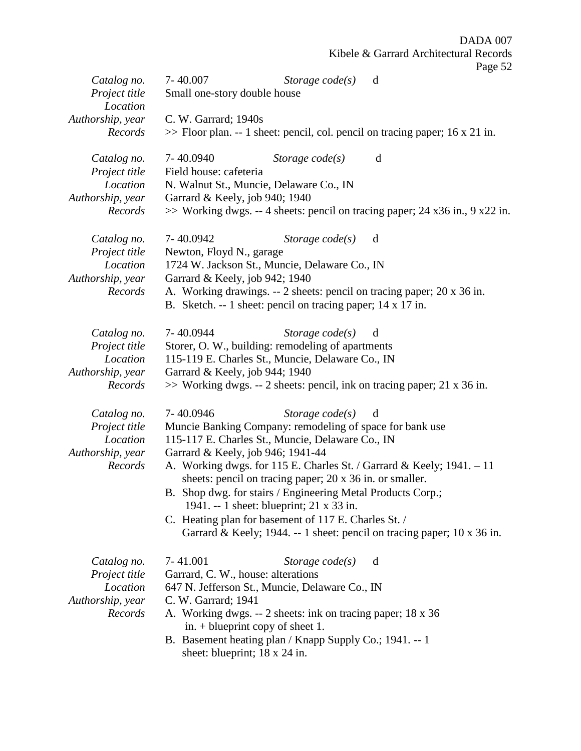|                                                                         | Kibele & Garrard Architectural Records<br>Page 52                                                                                                                                                                                                                                                                                                                                                                                                                                                                                                                           |
|-------------------------------------------------------------------------|-----------------------------------------------------------------------------------------------------------------------------------------------------------------------------------------------------------------------------------------------------------------------------------------------------------------------------------------------------------------------------------------------------------------------------------------------------------------------------------------------------------------------------------------------------------------------------|
| Catalog no.<br>Project title<br>Location                                | 7-40.007<br>Storage $code(s)$<br>d<br>Small one-story double house                                                                                                                                                                                                                                                                                                                                                                                                                                                                                                          |
| Authorship, year<br>Records                                             | C. W. Garrard; 1940s<br>$\gg$ Floor plan. -- 1 sheet: pencil, col. pencil on tracing paper; 16 x 21 in.                                                                                                                                                                                                                                                                                                                                                                                                                                                                     |
| Catalog no.<br>Project title<br>Location<br>Authorship, year<br>Records | 7-40.0940<br>Storage $code(s)$<br>d<br>Field house: cafeteria<br>N. Walnut St., Muncie, Delaware Co., IN<br>Garrard & Keely, job 940; 1940<br>>> Working dwgs. -- 4 sheets: pencil on tracing paper; 24 x36 in., 9 x22 in.                                                                                                                                                                                                                                                                                                                                                  |
| Catalog no.<br>Project title<br>Location<br>Authorship, year<br>Records | 7-40.0942<br>Storage $code(s)$<br>d<br>Newton, Floyd N., garage<br>1724 W. Jackson St., Muncie, Delaware Co., IN<br>Garrard & Keely, job 942; 1940<br>A. Working drawings. -- 2 sheets: pencil on tracing paper; 20 x 36 in.<br>B. Sketch. -- 1 sheet: pencil on tracing paper; 14 x 17 in.                                                                                                                                                                                                                                                                                 |
| Catalog no.<br>Project title<br>Location<br>Authorship, year<br>Records | 7-40.0944<br>Storage $code(s)$<br>d<br>Storer, O. W., building: remodeling of apartments<br>115-119 E. Charles St., Muncie, Delaware Co., IN<br>Garrard & Keely, job 944; 1940<br>$\gg$ Working dwgs. -- 2 sheets: pencil, ink on tracing paper; 21 x 36 in.                                                                                                                                                                                                                                                                                                                |
| Catalog no.<br>Project title<br>Location<br>Authorship, year<br>Records | 7-40.0946<br>Storage $code(s)$<br>d<br>Muncie Banking Company: remodeling of space for bank use<br>115-117 E. Charles St., Muncie, Delaware Co., IN<br>Garrard & Keely, job 946; 1941-44<br>A. Working dwgs. for 115 E. Charles St. / Garrard & Keely; 1941. - 11<br>sheets: pencil on tracing paper; 20 x 36 in. or smaller.<br>B. Shop dwg. for stairs / Engineering Metal Products Corp.;<br>1941. -- 1 sheet: blueprint; 21 x 33 in.<br>C. Heating plan for basement of 117 E. Charles St. /<br>Garrard & Keely; 1944. -- 1 sheet: pencil on tracing paper; 10 x 36 in. |
| Catalog no.<br>Project title<br>Location<br>Authorship, year<br>Records | 7-41.001<br>Storage $code(s)$<br>d<br>Garrard, C. W., house: alterations<br>647 N. Jefferson St., Muncie, Delaware Co., IN<br>C. W. Garrard; 1941<br>A. Working dwgs. -- 2 sheets: ink on tracing paper; 18 x 36<br>in. $+$ blueprint copy of sheet 1.<br>B. Basement heating plan / Knapp Supply Co.; 1941. -- 1<br>sheet: blueprint; 18 x 24 in.                                                                                                                                                                                                                          |

DADA 007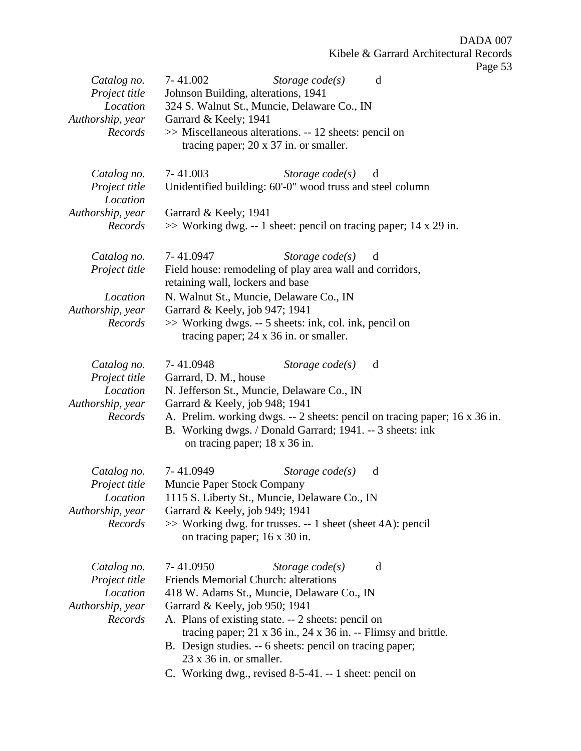|                  | 7-41.002                            |                                                                              | d | -0- |
|------------------|-------------------------------------|------------------------------------------------------------------------------|---|-----|
| Catalog no.      |                                     | Storage $code(s)$                                                            |   |     |
| Project title    | Johnson Building, alterations, 1941 |                                                                              |   |     |
| Location         |                                     | 324 S. Walnut St., Muncie, Delaware Co., IN                                  |   |     |
| Authorship, year | Garrard & Keely; 1941               |                                                                              |   |     |
| Records          |                                     | >> Miscellaneous alterations. -- 12 sheets: pencil on                        |   |     |
|                  |                                     | tracing paper; 20 x 37 in. or smaller.                                       |   |     |
| Catalog no.      | 7-41.003                            | Storage $code(s)$                                                            | d |     |
| Project title    |                                     | Unidentified building: 60'-0" wood truss and steel column                    |   |     |
| Location         |                                     |                                                                              |   |     |
| Authorship, year | Garrard & Keely; 1941               |                                                                              |   |     |
| Records          |                                     | $\gg$ Working dwg. -- 1 sheet: pencil on tracing paper; 14 x 29 in.          |   |     |
|                  |                                     |                                                                              |   |     |
| Catalog no.      | 7-41.0947                           | Storage $code(s)$                                                            | d |     |
| Project title    |                                     | Field house: remodeling of play area wall and corridors,                     |   |     |
|                  | retaining wall, lockers and base    |                                                                              |   |     |
| Location         |                                     | N. Walnut St., Muncie, Delaware Co., IN                                      |   |     |
| Authorship, year | Garrard & Keely, job 947; 1941      |                                                                              |   |     |
| Records          |                                     | >> Working dwgs. -- 5 sheets: ink, col. ink, pencil on                       |   |     |
|                  |                                     | tracing paper; $24 \times 36$ in. or smaller.                                |   |     |
|                  |                                     |                                                                              |   |     |
| Catalog no.      | 7-41.0948                           | Storage $code(s)$                                                            | d |     |
| Project title    | Garrard, D. M., house               |                                                                              |   |     |
| Location         |                                     | N. Jefferson St., Muncie, Delaware Co., IN                                   |   |     |
| Authorship, year | Garrard & Keely, job 948; 1941      |                                                                              |   |     |
| Records          |                                     | A. Prelim. working dwgs. -- 2 sheets: pencil on tracing paper; 16 x 36 in.   |   |     |
|                  |                                     | B. Working dwgs. / Donald Garrard; 1941. -- 3 sheets: ink                    |   |     |
|                  | on tracing paper; 18 x 36 in.       |                                                                              |   |     |
|                  |                                     |                                                                              |   |     |
| Catalog no.      | 7-41.0949                           | Storage $code(s)$                                                            | d |     |
| Project title    | <b>Muncie Paper Stock Company</b>   |                                                                              |   |     |
| Location         |                                     | 1115 S. Liberty St., Muncie, Delaware Co., IN                                |   |     |
| Authorship, year | Garrard & Keely, job 949; 1941      |                                                                              |   |     |
| Records          |                                     | >> Working dwg. for trusses. -- 1 sheet (sheet 4A): pencil                   |   |     |
|                  | on tracing paper; 16 x 30 in.       |                                                                              |   |     |
|                  |                                     |                                                                              |   |     |
| Catalog no.      | 7-41.0950                           | Storage $code(s)$                                                            | d |     |
| Project title    |                                     | Friends Memorial Church: alterations                                         |   |     |
| Location         |                                     | 418 W. Adams St., Muncie, Delaware Co., IN                                   |   |     |
| Authorship, year | Garrard & Keely, job 950; 1941      |                                                                              |   |     |
| Records          |                                     | A. Plans of existing state. -- 2 sheets: pencil on                           |   |     |
|                  |                                     | tracing paper; $21 \times 36$ in., $24 \times 36$ in. -- Flimsy and brittle. |   |     |
|                  |                                     | B. Design studies. -- 6 sheets: pencil on tracing paper;                     |   |     |
|                  | $23 \times 36$ in. or smaller.      |                                                                              |   |     |
|                  |                                     | C. Working dwg., revised 8-5-41. -- 1 sheet: pencil on                       |   |     |
|                  |                                     |                                                                              |   |     |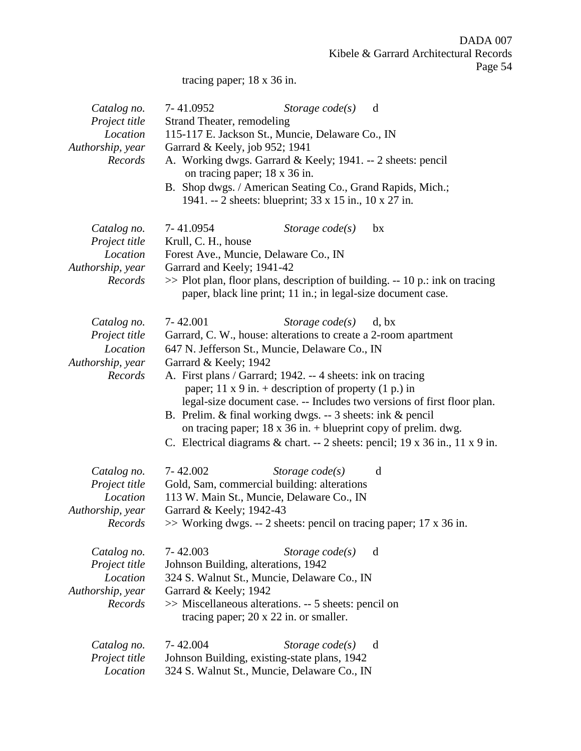tracing paper; 18 x 36 in.

| Catalog no.<br>Project title<br>Location<br>Authorship, year<br>Records                | 7-41.0952<br>Storage $code(s)$<br>d<br><b>Strand Theater, remodeling</b><br>115-117 E. Jackson St., Muncie, Delaware Co., IN<br>Garrard & Keely, job 952; 1941<br>A. Working dwgs. Garrard & Keely; 1941. -- 2 sheets: pencil<br>on tracing paper; 18 x 36 in.<br>B. Shop dwgs. / American Seating Co., Grand Rapids, Mich.;<br>1941. -- 2 sheets: blueprint; 33 x 15 in., 10 x 27 in.                                                                                                                                                                                                                           |
|----------------------------------------------------------------------------------------|------------------------------------------------------------------------------------------------------------------------------------------------------------------------------------------------------------------------------------------------------------------------------------------------------------------------------------------------------------------------------------------------------------------------------------------------------------------------------------------------------------------------------------------------------------------------------------------------------------------|
| Catalog no.<br>Project title<br>Location<br>Authorship, year<br>Records                | 7-41.0954<br>Storage $code(s)$<br>bx<br>Krull, C. H., house<br>Forest Ave., Muncie, Delaware Co., IN<br>Garrard and Keely; 1941-42<br>$\gg$ Plot plan, floor plans, description of building. -- 10 p.: ink on tracing<br>paper, black line print; 11 in.; in legal-size document case.                                                                                                                                                                                                                                                                                                                           |
| Catalog no.<br>Project title<br>Location<br>Authorship, year<br>Records                | 7-42.001<br>Storage $code(s)$<br>d, bx<br>Garrard, C. W., house: alterations to create a 2-room apartment<br>647 N. Jefferson St., Muncie, Delaware Co., IN<br>Garrard & Keely; 1942<br>A. First plans / Garrard; 1942. -- 4 sheets: ink on tracing<br>paper; 11 x 9 in. + description of property $(1 p.)$ in<br>legal-size document case. -- Includes two versions of first floor plan.<br>B. Prelim. & final working dwgs. -- 3 sheets: ink & pencil<br>on tracing paper; $18 \times 36$ in. + blueprint copy of prelim. dwg.<br>C. Electrical diagrams & chart. -- 2 sheets: pencil; 19 x 36 in., 11 x 9 in. |
| Catalog no.<br>Project title<br>Location<br>Authorship, year<br>Records<br>Catalog no. | 7-42.002<br>Storage $code(s)$<br>d<br>Gold, Sam, commercial building: alterations<br>113 W. Main St., Muncie, Delaware Co., IN<br>Garrard & Keely; 1942-43<br>>> Working dwgs. -- 2 sheets: pencil on tracing paper; 17 x 36 in.<br>$7 - 42.003$<br>Storage $code(s)$<br>d                                                                                                                                                                                                                                                                                                                                       |
| Project title<br>Location<br>Authorship, year<br>Records                               | Johnson Building, alterations, 1942<br>324 S. Walnut St., Muncie, Delaware Co., IN<br>Garrard & Keely; 1942<br>>> Miscellaneous alterations. -- 5 sheets: pencil on<br>tracing paper; $20 \times 22$ in. or smaller.                                                                                                                                                                                                                                                                                                                                                                                             |
| Catalog no.<br>Project title<br>Location                                               | 7-42.004<br>Storage $code(s)$<br>d<br>Johnson Building, existing-state plans, 1942<br>324 S. Walnut St., Muncie, Delaware Co., IN                                                                                                                                                                                                                                                                                                                                                                                                                                                                                |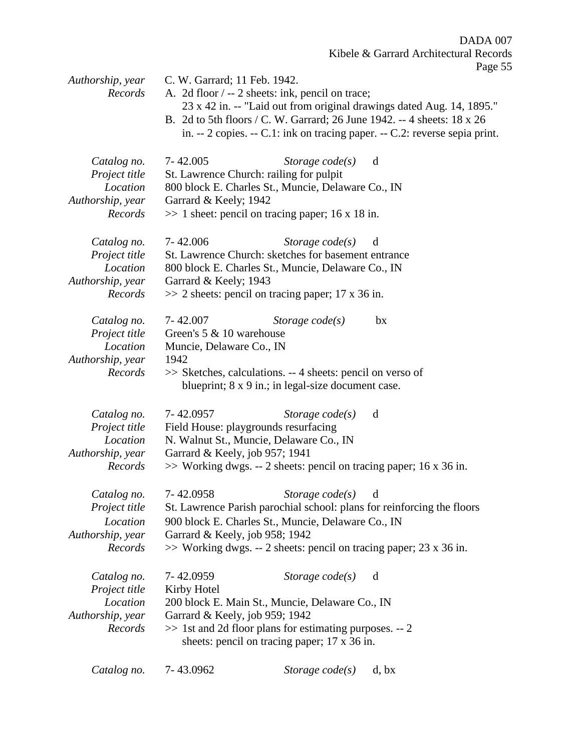| Authorship, year<br>Records                                             | C. W. Garrard; 11 Feb. 1942.                                             | A. 2d floor / -- 2 sheets: ink, pencil on trace;                                                                                                                                       | 23 x 42 in. -- "Laid out from original drawings dated Aug. 14, 1895."<br>B. 2d to 5th floors / C. W. Garrard; 26 June 1942. -- 4 sheets: 18 x 26<br>in. $-2$ copies. $- C.1$ : ink on tracing paper. $- C.2$ : reverse sepia print. |
|-------------------------------------------------------------------------|--------------------------------------------------------------------------|----------------------------------------------------------------------------------------------------------------------------------------------------------------------------------------|-------------------------------------------------------------------------------------------------------------------------------------------------------------------------------------------------------------------------------------|
| Catalog no.<br>Project title<br>Location<br>Authorship, year<br>Records | 7-42.005<br>Garrard & Keely; 1942                                        | Storage $code(s)$<br>St. Lawrence Church: railing for pulpit<br>800 block E. Charles St., Muncie, Delaware Co., IN<br>$\gg$ 1 sheet: pencil on tracing paper; 16 x 18 in.              | d                                                                                                                                                                                                                                   |
| Catalog no.<br>Project title<br>Location<br>Authorship, year<br>Records | 7-42.006<br>Garrard & Keely; 1943                                        | Storage $code(s)$<br>St. Lawrence Church: sketches for basement entrance<br>800 block E. Charles St., Muncie, Delaware Co., IN<br>$\gg$ 2 sheets: pencil on tracing paper; 17 x 36 in. | d                                                                                                                                                                                                                                   |
| Catalog no.<br>Project title<br>Location<br>Authorship, year<br>Records | 7-42.007<br>Green's 5 & 10 warehouse<br>Muncie, Delaware Co., IN<br>1942 | Storage $code(s)$<br>>> Sketches, calculations. -- 4 sheets: pencil on verso of<br>blueprint; 8 x 9 in.; in legal-size document case.                                                  | bx                                                                                                                                                                                                                                  |
| Catalog no.<br>Project title<br>Location<br>Authorship, year<br>Records | 7-42.0957<br>Garrard & Keely, job 957; 1941                              | Storage $code(s)$<br>Field House: playgrounds resurfacing<br>N. Walnut St., Muncie, Delaware Co., IN<br>$\gg$ Working dwgs. -- 2 sheets: pencil on tracing paper; 16 x 36 in.          | d                                                                                                                                                                                                                                   |
| Catalog no.<br>Project title<br>Location<br>Authorship, year<br>Records | 7-42.0958<br>Garrard & Keely, job 958; 1942                              | Storage $code(s)$<br>900 block E. Charles St., Muncie, Delaware Co., IN<br>>> Working dwgs. -- 2 sheets: pencil on tracing paper; 23 x 36 in.                                          | d<br>St. Lawrence Parish parochial school: plans for reinforcing the floors                                                                                                                                                         |
| Catalog no.<br>Project title<br>Location<br>Authorship, year<br>Records | 7-42.0959<br>Kirby Hotel<br>Garrard & Keely, job 959; 1942               | Storage $code(s)$<br>200 block E. Main St., Muncie, Delaware Co., IN<br>>> 1st and 2d floor plans for estimating purposes. -- 2<br>sheets: pencil on tracing paper; 17 x 36 in.        | d                                                                                                                                                                                                                                   |
| Catalog no.                                                             | 7-43.0962                                                                | Storage $code(s)$                                                                                                                                                                      | d, bx                                                                                                                                                                                                                               |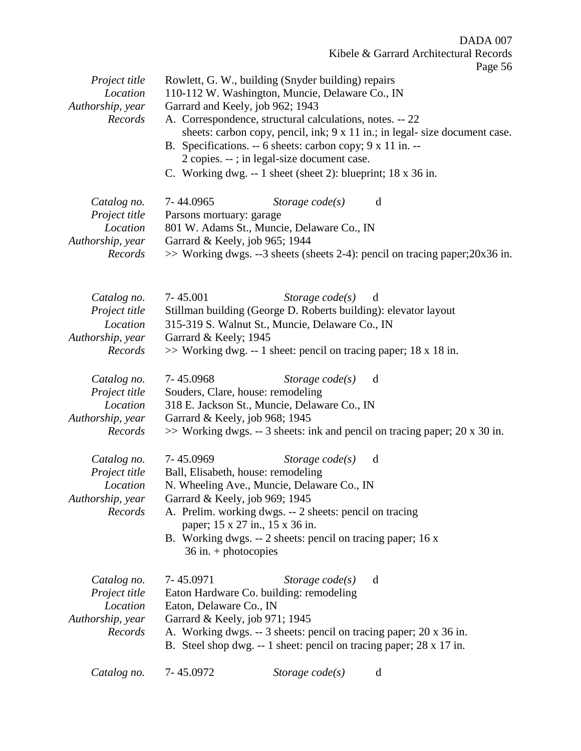Page 56

|                                                                         | $\frac{1}{2}$ ugu $\frac{1}{2}$                                                                                                                                                                                                                                                                                                                                                                                                                                  |
|-------------------------------------------------------------------------|------------------------------------------------------------------------------------------------------------------------------------------------------------------------------------------------------------------------------------------------------------------------------------------------------------------------------------------------------------------------------------------------------------------------------------------------------------------|
| Project title<br>Location<br>Authorship, year<br>Records                | Rowlett, G. W., building (Snyder building) repairs<br>110-112 W. Washington, Muncie, Delaware Co., IN<br>Garrard and Keely, job 962; 1943<br>A. Correspondence, structural calculations, notes. -- 22<br>sheets: carbon copy, pencil, ink; 9 x 11 in.; in legal- size document case.<br>B. Specifications. -- 6 sheets: carbon copy; 9 x 11 in. --<br>2 copies. --; in legal-size document case.<br>C. Working dwg. -- 1 sheet (sheet 2): blueprint; 18 x 36 in. |
| Catalog no.<br>Project title<br>Location<br>Authorship, year<br>Records | 7-44.0965<br>Storage $code(s)$<br>d<br>Parsons mortuary: garage<br>801 W. Adams St., Muncie, Delaware Co., IN<br>Garrard & Keely, job 965; 1944<br>$\gg$ Working dwgs. --3 sheets (sheets 2-4): pencil on tracing paper; 20x36 in.                                                                                                                                                                                                                               |
| Catalog no.<br>Project title<br>Location<br>Authorship, year<br>Records | Storage $code(s)$<br>$7 - 45.001$<br>d<br>Stillman building (George D. Roberts building): elevator layout<br>315-319 S. Walnut St., Muncie, Delaware Co., IN<br>Garrard & Keely; 1945<br>$\gg$ Working dwg. -- 1 sheet: pencil on tracing paper; 18 x 18 in.                                                                                                                                                                                                     |
| Catalog no.<br>Project title<br>Location<br>Authorship, year<br>Records | 7-45.0968<br>Storage $code(s)$<br>d<br>Souders, Clare, house: remodeling<br>318 E. Jackson St., Muncie, Delaware Co., IN<br>Garrard & Keely, job 968; 1945<br>$\gg$ Working dwgs. -- 3 sheets: ink and pencil on tracing paper; 20 x 30 in.                                                                                                                                                                                                                      |
| Catalog no.<br>Project title<br>Location<br>Authorship, year<br>Records | 7-45.0969<br>d<br>Storage $code(s)$<br>Ball, Elisabeth, house: remodeling<br>N. Wheeling Ave., Muncie, Delaware Co., IN<br>Garrard & Keely, job 969; 1945<br>A. Prelim. working dwgs. -- 2 sheets: pencil on tracing<br>paper; 15 x 27 in., 15 x 36 in.<br>B. Working dwgs. -- 2 sheets: pencil on tracing paper; 16 x<br>$36$ in. + photocopies                                                                                                                 |
| Catalog no.<br>Project title<br>Location<br>Authorship, year<br>Records | 7-45.0971<br>Storage $code(s)$<br>d<br>Eaton Hardware Co. building: remodeling<br>Eaton, Delaware Co., IN<br>Garrard & Keely, job 971; 1945<br>A. Working dwgs. -- 3 sheets: pencil on tracing paper; 20 x 36 in.<br>B. Steel shop dwg. -- 1 sheet: pencil on tracing paper; 28 x 17 in.                                                                                                                                                                         |
| Catalog no.                                                             | 7-45.0972<br>Storage $code(s)$<br>d                                                                                                                                                                                                                                                                                                                                                                                                                              |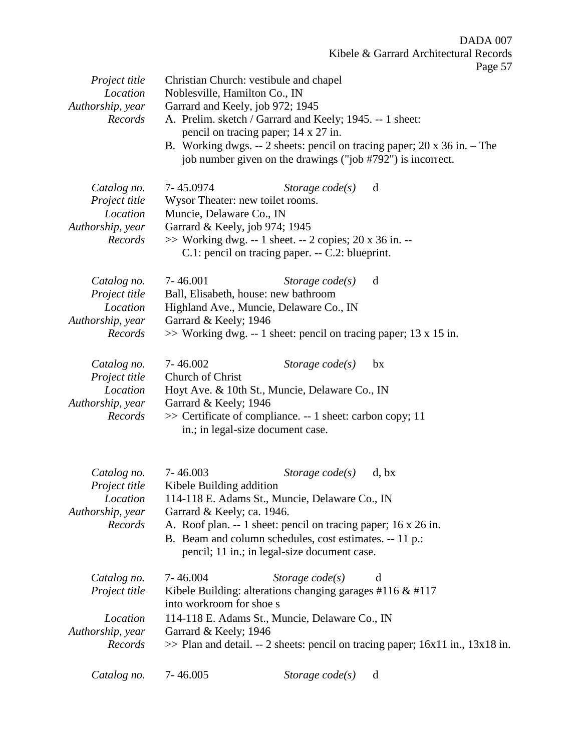Page 57

| Project title<br>Location<br>Authorship, year<br>Records                | Noblesville, Hamilton Co., IN<br>Garrard and Keely, job 972; 1945                                           | Christian Church: vestibule and chapel<br>A. Prelim. sketch / Garrard and Keely; 1945. -- 1 sheet:<br>pencil on tracing paper; 14 x 27 in.<br>job number given on the drawings ("job #792") is incorrect.                                        | B. Working dwgs. $-2$ sheets: pencil on tracing paper; 20 x 36 in. $-$ The             |
|-------------------------------------------------------------------------|-------------------------------------------------------------------------------------------------------------|--------------------------------------------------------------------------------------------------------------------------------------------------------------------------------------------------------------------------------------------------|----------------------------------------------------------------------------------------|
| Catalog no.<br>Project title<br>Location<br>Authorship, year<br>Records | 7-45.0974<br>Wysor Theater: new toilet rooms.<br>Muncie, Delaware Co., IN<br>Garrard & Keely, job 974; 1945 | Storage $code(s)$<br>>> Working dwg. -- 1 sheet. -- 2 copies; 20 x 36 in. --<br>C.1: pencil on tracing paper. -- C.2: blueprint.                                                                                                                 | d                                                                                      |
| Catalog no.<br>Project title<br>Location<br>Authorship, year<br>Records | $7 - 46.001$<br>Garrard & Keely; 1946                                                                       | Storage $code(s)$<br>Ball, Elisabeth, house: new bathroom<br>Highland Ave., Muncie, Delaware Co., IN<br>$\gg$ Working dwg. -- 1 sheet: pencil on tracing paper; 13 x 15 in.                                                                      | d                                                                                      |
| Catalog no.<br>Project title<br>Location<br>Authorship, year<br>Records | $7 - 46.002$<br>Church of Christ<br>Garrard & Keely; 1946                                                   | Storage $code(s)$<br>Hoyt Ave. & 10th St., Muncie, Delaware Co., IN<br>>> Certificate of compliance. -- 1 sheet: carbon copy; 11<br>in.; in legal-size document case.                                                                            | bx                                                                                     |
| Catalog no.<br>Project title<br>Location<br>Authorship, year<br>Records | $7 - 46.003$<br>Kibele Building addition<br>Garrard & Keely; ca. 1946.                                      | Storage $code(s)$<br>114-118 E. Adams St., Muncie, Delaware Co., IN<br>A. Roof plan. -- 1 sheet: pencil on tracing paper; 16 x 26 in.<br>B. Beam and column schedules, cost estimates. -- 11 p.:<br>pencil; 11 in.; in legal-size document case. | d, bx                                                                                  |
| Catalog no.<br>Project title<br>Location<br>Authorship, year<br>Records | 7-46.004<br>into workroom for shoe s<br>Garrard & Keely; 1946                                               | Storage $code(s)$<br>Kibele Building: alterations changing garages $#116 \& #117$<br>114-118 E. Adams St., Muncie, Delaware Co., IN                                                                                                              | d<br>$\gg$ Plan and detail. -- 2 sheets: pencil on tracing paper; 16x11 in., 13x18 in. |
| Catalog no.                                                             | 7-46.005                                                                                                    | Storage $code(s)$                                                                                                                                                                                                                                | d                                                                                      |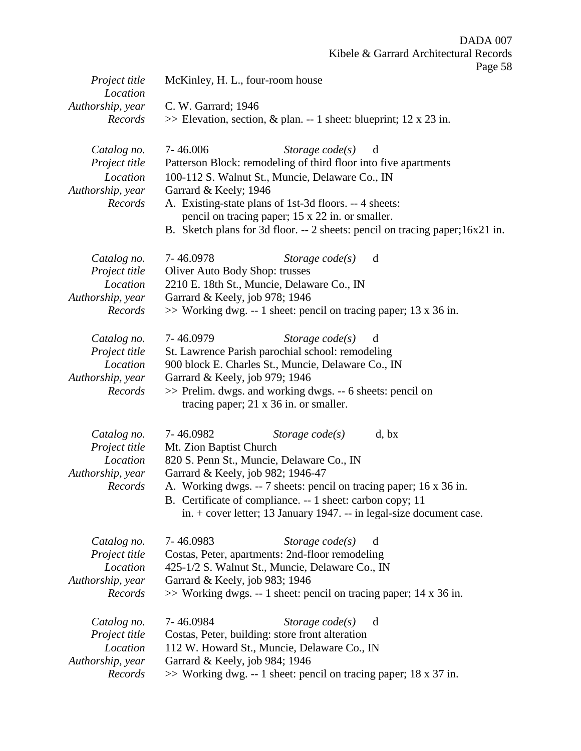Kibele & Garrard Architectural Records Page 58 *Project title* McKinley, H. L., four-room house *Location Authorship, year* C. W. Garrard; 1946 *Records* >> Elevation, section, & plan. -- 1 sheet: blueprint; 12 x 23 in. *Catalog no.* 7- 46.006 *Storage code(s)* d *Project title* Patterson Block: remodeling of third floor into five apartments *Location* 100-112 S. Walnut St., Muncie, Delaware Co., IN *Authorship, year* Garrard & Keely; 1946 *Records* A. Existing-state plans of 1st-3d floors. -- 4 sheets: pencil on tracing paper; 15 x 22 in. or smaller. B. Sketch plans for 3d floor. -- 2 sheets: pencil on tracing paper;16x21 in. *Catalog no.* 7- 46.0978 *Storage code(s)* d *Project title* Oliver Auto Body Shop: trusses *Location* 2210 E. 18th St., Muncie, Delaware Co., IN *Authorship, year* Garrard & Keely, job 978; 1946 *Records* >> Working dwg. -- 1 sheet: pencil on tracing paper; 13 x 36 in. *Catalog no.* 7- 46.0979 *Storage code(s)* d *Project title* St. Lawrence Parish parochial school: remodeling *Location* 900 block E. Charles St., Muncie, Delaware Co., IN *Authorship, year* Garrard & Keely, job 979; 1946 *Records* >> Prelim. dwgs. and working dwgs. -- 6 sheets: pencil on tracing paper; 21 x 36 in. or smaller. *Catalog no.* 7- 46.0982 *Storage code(s)* d, bx *Project title* Mt. Zion Baptist Church *Location* 820 S. Penn St., Muncie, Delaware Co., IN *Authorship, year* Garrard & Keely, job 982; 1946-47 *Records* A. Working dwgs. -- 7 sheets: pencil on tracing paper; 16 x 36 in. B. Certificate of compliance. -- 1 sheet: carbon copy; 11 in. + cover letter; 13 January 1947. -- in legal-size document case. *Catalog no.* 7- 46.0983 *Storage code(s)* d *Project title* Costas, Peter, apartments: 2nd-floor remodeling *Location* 425-1/2 S. Walnut St., Muncie, Delaware Co., IN *Authorship, year* Garrard & Keely, job 983; 1946 *Records* >> Working dwgs. -- 1 sheet: pencil on tracing paper; 14 x 36 in. *Catalog no.* 7- 46.0984 *Storage code(s)* d *Project title* Costas, Peter, building: store front alteration *Location* 112 W. Howard St., Muncie, Delaware Co., IN *Authorship, year* Garrard & Keely, job 984; 1946 *Records* >> Working dwg. -- 1 sheet: pencil on tracing paper; 18 x 37 in.

DADA 007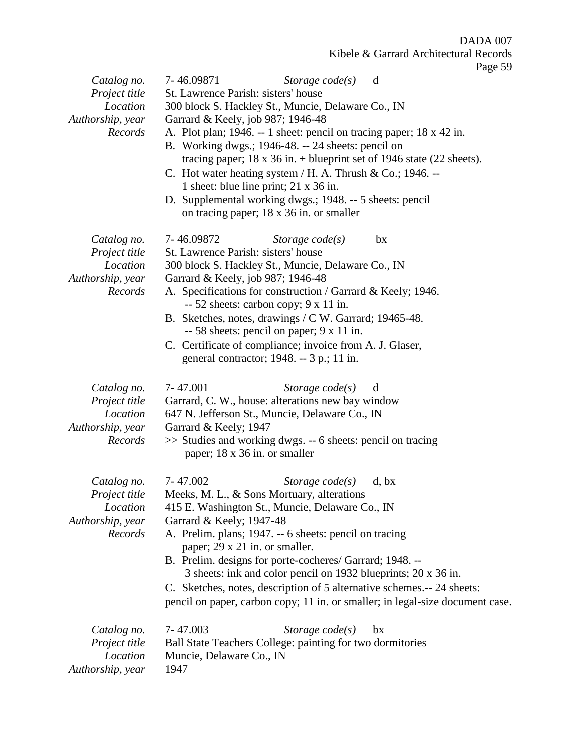|                                                                         | 1 agu J                                                                                                                                                                                                                                                                                                                                                                                                                                                                                                                                                                                             |
|-------------------------------------------------------------------------|-----------------------------------------------------------------------------------------------------------------------------------------------------------------------------------------------------------------------------------------------------------------------------------------------------------------------------------------------------------------------------------------------------------------------------------------------------------------------------------------------------------------------------------------------------------------------------------------------------|
| Catalog no.<br>Project title<br>Location<br>Authorship, year<br>Records | 7-46.09871<br>Storage $code(s)$<br>d<br>St. Lawrence Parish: sisters' house<br>300 block S. Hackley St., Muncie, Delaware Co., IN<br>Garrard & Keely, job 987; 1946-48<br>A. Plot plan; 1946. -- 1 sheet: pencil on tracing paper; 18 x 42 in.<br>B. Working dwgs.; 1946-48. -- 24 sheets: pencil on<br>tracing paper; $18 \times 36$ in. + blueprint set of 1946 state (22 sheets).<br>C. Hot water heating system / H. A. Thrush & Co.; 1946. --<br>1 sheet: blue line print; 21 x 36 in.<br>D. Supplemental working dwgs.; 1948. -- 5 sheets: pencil<br>on tracing paper; 18 x 36 in. or smaller |
| Catalog no.<br>Project title<br>Location<br>Authorship, year<br>Records | 7-46.09872<br>Storage $code(s)$<br>bx<br>St. Lawrence Parish: sisters' house<br>300 block S. Hackley St., Muncie, Delaware Co., IN<br>Garrard & Keely, job 987; 1946-48<br>A. Specifications for construction / Garrard & Keely; 1946.<br>$-52$ sheets: carbon copy; $9 \times 11$ in.                                                                                                                                                                                                                                                                                                              |
|                                                                         | B. Sketches, notes, drawings / C W. Garrard; 19465-48.<br>-- 58 sheets: pencil on paper; 9 x 11 in.<br>C. Certificate of compliance; invoice from A. J. Glaser,<br>general contractor; 1948. -- 3 p.; 11 in.                                                                                                                                                                                                                                                                                                                                                                                        |
| Catalog no.<br>Project title<br>Location<br>Authorship, year<br>Records | 7-47.001<br>Storage $code(s)$<br>d<br>Garrard, C. W., house: alterations new bay window<br>647 N. Jefferson St., Muncie, Delaware Co., IN<br>Garrard & Keely; 1947<br>>> Studies and working dwgs. -- 6 sheets: pencil on tracing<br>paper; 18 x 36 in. or smaller                                                                                                                                                                                                                                                                                                                                  |
| Catalog no.<br>Project title<br>Location<br>Authorship, year<br>Records | 7-47.002<br>Storage $code(s)$<br>d, bx<br>Meeks, M. L., & Sons Mortuary, alterations<br>415 E. Washington St., Muncie, Delaware Co., IN<br>Garrard & Keely; 1947-48<br>A. Prelim. plans; 1947. -- 6 sheets: pencil on tracing<br>paper; 29 x 21 in. or smaller.<br>B. Prelim. designs for porte-cocheres/ Garrard; 1948. --<br>3 sheets: ink and color pencil on 1932 blueprints; 20 x 36 in.<br>C. Sketches, notes, description of 5 alternative schemes.-- 24 sheets:<br>pencil on paper, carbon copy; 11 in. or smaller; in legal-size document case.                                            |
| Catalog no.<br>Project title<br>Location<br>Authorship, year            | 7-47.003<br>Storage $code(s)$<br>bx<br>Ball State Teachers College: painting for two dormitories<br>Muncie, Delaware Co., IN<br>1947                                                                                                                                                                                                                                                                                                                                                                                                                                                                |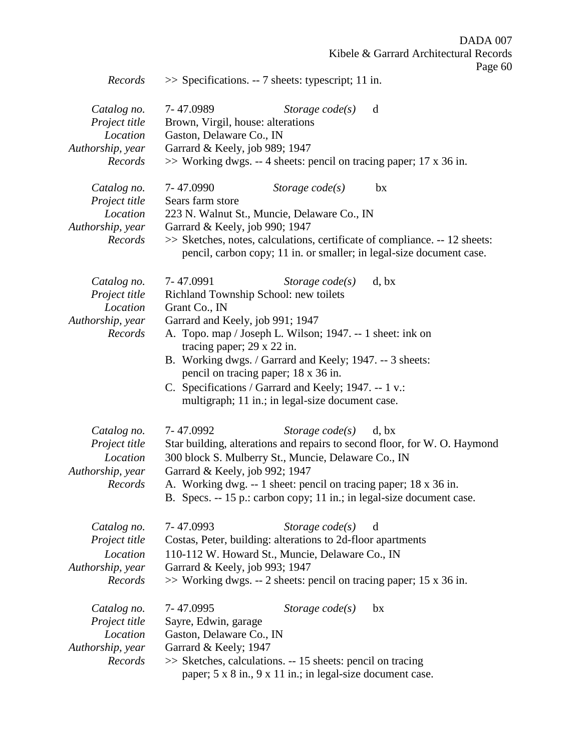|                                                                         | age (                                                                                                                                                                                                                                                                                                                                                                                                                                                    |
|-------------------------------------------------------------------------|----------------------------------------------------------------------------------------------------------------------------------------------------------------------------------------------------------------------------------------------------------------------------------------------------------------------------------------------------------------------------------------------------------------------------------------------------------|
| Records                                                                 | >> Specifications. -- 7 sheets: typescript; 11 in.                                                                                                                                                                                                                                                                                                                                                                                                       |
| Catalog no.<br>Project title<br>Location<br>Authorship, year<br>Records | 7-47.0989<br>Storage $code(s)$<br>d<br>Brown, Virgil, house: alterations<br>Gaston, Delaware Co., IN<br>Garrard & Keely, job 989; 1947<br>$\gg$ Working dwgs. -- 4 sheets: pencil on tracing paper; 17 x 36 in.                                                                                                                                                                                                                                          |
| Catalog no.<br>Project title<br>Location<br>Authorship, year<br>Records | 7-47.0990<br>Storage $code(s)$<br>bx<br>Sears farm store<br>223 N. Walnut St., Muncie, Delaware Co., IN<br>Garrard & Keely, job 990; 1947<br>>> Sketches, notes, calculations, certificate of compliance. -- 12 sheets:<br>pencil, carbon copy; 11 in. or smaller; in legal-size document case.                                                                                                                                                          |
| Catalog no.<br>Project title<br>Location<br>Authorship, year<br>Records | 7-47.0991<br>Storage $code(s)$<br>d, bx<br>Richland Township School: new toilets<br>Grant Co., IN<br>Garrard and Keely, job 991; 1947<br>A. Topo. map / Joseph L. Wilson; 1947. -- 1 sheet: ink on<br>tracing paper; $29 \times 22$ in.<br>B. Working dwgs. / Garrard and Keely; 1947. -- 3 sheets:<br>pencil on tracing paper; 18 x 36 in.<br>C. Specifications / Garrard and Keely; 1947. -- 1 v.:<br>multigraph; 11 in.; in legal-size document case. |
| Catalog no.<br>Project title<br>Location<br>Authorship, year<br>Records | 7-47.0992<br>Storage $code(s)$<br>d, bx<br>Star building, alterations and repairs to second floor, for W.O. Haymond<br>300 block S. Mulberry St., Muncie, Delaware Co., IN<br>Garrard & Keely, job 992; 1947<br>A. Working dwg. -- 1 sheet: pencil on tracing paper; 18 x 36 in.<br>B. Specs. -- 15 p.: carbon copy; 11 in.; in legal-size document case.                                                                                                |
| Catalog no.<br>Project title<br>Location<br>Authorship, year<br>Records | 7-47.0993<br>Storage $code(s)$<br>d<br>Costas, Peter, building: alterations to 2d-floor apartments<br>110-112 W. Howard St., Muncie, Delaware Co., IN<br>Garrard & Keely, job 993; 1947<br>$\gg$ Working dwgs. -- 2 sheets: pencil on tracing paper; 15 x 36 in.                                                                                                                                                                                         |
| Catalog no.<br>Project title<br>Location<br>Authorship, year<br>Records | 7-47.0995<br>Storage $code(s)$<br>bx<br>Sayre, Edwin, garage<br>Gaston, Delaware Co., IN<br>Garrard & Keely; 1947<br>>> Sketches, calculations. -- 15 sheets: pencil on tracing<br>paper; 5 x 8 in., 9 x 11 in.; in legal-size document case.                                                                                                                                                                                                            |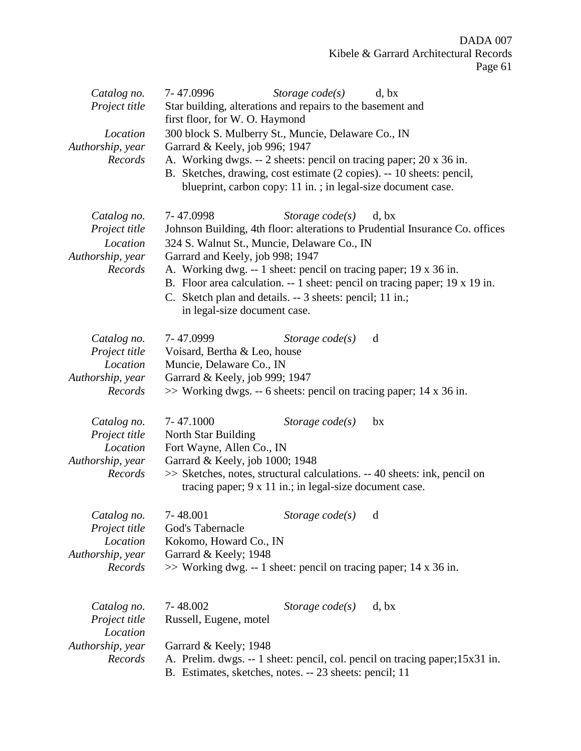| Catalog no.<br>Project title<br>Location<br>Authorship, year<br>Records | 7-47.0996<br>Storage $code(s)$<br>d, bx<br>Star building, alterations and repairs to the basement and<br>first floor, for W. O. Haymond<br>300 block S. Mulberry St., Muncie, Delaware Co., IN<br>Garrard & Keely, job 996; 1947<br>A. Working dwgs. -- 2 sheets: pencil on tracing paper; 20 x 36 in.<br>B. Sketches, drawing, cost estimate (2 copies). -- 10 sheets: pencil,<br>blueprint, carbon copy: 11 in.; in legal-size document case.           |
|-------------------------------------------------------------------------|-----------------------------------------------------------------------------------------------------------------------------------------------------------------------------------------------------------------------------------------------------------------------------------------------------------------------------------------------------------------------------------------------------------------------------------------------------------|
| Catalog no.<br>Project title<br>Location<br>Authorship, year<br>Records | Storage $code(s)$<br>7-47.0998<br>d, bx<br>Johnson Building, 4th floor: alterations to Prudential Insurance Co. offices<br>324 S. Walnut St., Muncie, Delaware Co., IN<br>Garrard and Keely, job 998; 1947<br>A. Working dwg. -- 1 sheet: pencil on tracing paper; 19 x 36 in.<br>B. Floor area calculation. -- 1 sheet: pencil on tracing paper; 19 x 19 in.<br>C. Sketch plan and details. -- 3 sheets: pencil; 11 in.;<br>in legal-size document case. |
| Catalog no.<br>Project title<br>Location<br>Authorship, year<br>Records | 7-47.0999<br>d<br>Storage $code(s)$<br>Voisard, Bertha & Leo, house<br>Muncie, Delaware Co., IN<br>Garrard & Keely, job 999; 1947<br>$\gg$ Working dwgs. -- 6 sheets: pencil on tracing paper; 14 x 36 in.                                                                                                                                                                                                                                                |
| Catalog no.<br>Project title<br>Location<br>Authorship, year<br>Records | 7-47.1000<br>Storage $code(s)$<br>bx<br>North Star Building<br>Fort Wayne, Allen Co., IN<br>Garrard & Keely, job 1000; 1948<br>>> Sketches, notes, structural calculations. -- 40 sheets: ink, pencil on<br>tracing paper; 9 x 11 in.; in legal-size document case.                                                                                                                                                                                       |
| Catalog no.<br>Project title<br>Location<br>Authorship, year<br>Records | 7-48.001<br>Storage $code(s)$<br>d<br>God's Tabernacle<br>Kokomo, Howard Co., IN<br>Garrard & Keely; 1948<br>$\gg$ Working dwg. -- 1 sheet: pencil on tracing paper; 14 x 36 in.                                                                                                                                                                                                                                                                          |
| Catalog no.<br>Project title<br>Location<br>Authorship, year<br>Records | 7-48.002<br>Storage $code(s)$<br>d, bx<br>Russell, Eugene, motel<br>Garrard & Keely; 1948<br>A. Prelim. dwgs. -- 1 sheet: pencil, col. pencil on tracing paper; 15x31 in.<br>B. Estimates, sketches, notes. -- 23 sheets: pencil; 11                                                                                                                                                                                                                      |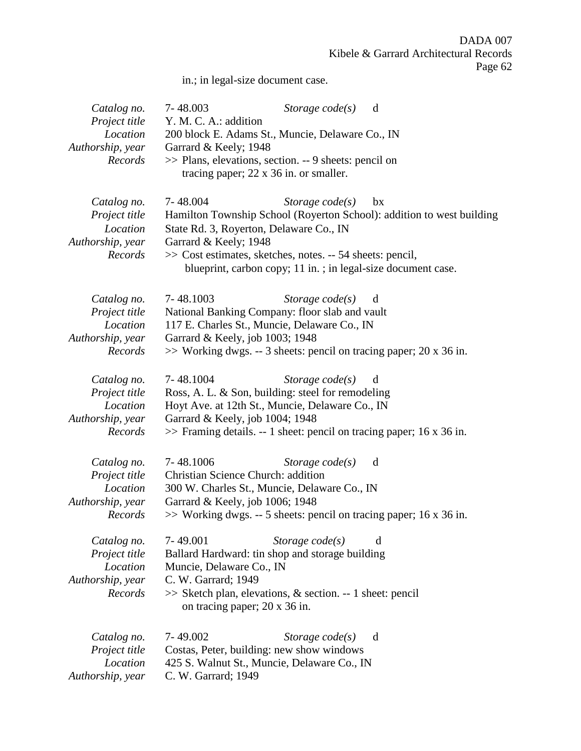in.; in legal-size document case.

| Catalog no.<br>Project title | 7-48.003<br>Storage $code(s)$<br>d<br>Y. M. C. A.: addition                                |
|------------------------------|--------------------------------------------------------------------------------------------|
| Location                     | 200 block E. Adams St., Muncie, Delaware Co., IN                                           |
| Authorship, year<br>Records  | Garrard & Keely; 1948<br>>> Plans, elevations, section. -- 9 sheets: pencil on             |
|                              | tracing paper; $22 \times 36$ in. or smaller.                                              |
| Catalog no.                  | 7-48.004<br>Storage $code(s)$<br>bx                                                        |
| Project title                | Hamilton Township School (Royerton School): addition to west building                      |
| Location                     | State Rd. 3, Royerton, Delaware Co., IN                                                    |
| Authorship, year<br>Records  | Garrard & Keely; 1948<br>>> Cost estimates, sketches, notes. -- 54 sheets: pencil,         |
|                              | blueprint, carbon copy; 11 in.; in legal-size document case.                               |
|                              |                                                                                            |
| Catalog no.                  | 7-48.1003<br>Storage $code(s)$<br>d                                                        |
| Project title                | National Banking Company: floor slab and vault                                             |
| Location                     | 117 E. Charles St., Muncie, Delaware Co., IN                                               |
| Authorship, year             | Garrard & Keely, job 1003; 1948                                                            |
| Records                      | $\gg$ Working dwgs. -- 3 sheets: pencil on tracing paper; 20 x 36 in.                      |
| Catalog no.                  | 7-48.1004<br>Storage $code(s)$<br>d                                                        |
| Project title                | Ross, A. L. & Son, building: steel for remodeling                                          |
| Location                     | Hoyt Ave. at 12th St., Muncie, Delaware Co., IN                                            |
| Authorship, year             | Garrard & Keely, job 1004; 1948                                                            |
| Records                      | $\gg$ Framing details. -- 1 sheet: pencil on tracing paper; 16 x 36 in.                    |
| Catalog no.                  | 7-48.1006<br>Storage $code(s)$<br>d                                                        |
| Project title                | Christian Science Church: addition                                                         |
| Location                     | 300 W. Charles St., Muncie, Delaware Co., IN                                               |
| Authorship, year             | Garrard & Keely, job 1006; 1948                                                            |
| Records                      | >> Working dwgs. -- 5 sheets: pencil on tracing paper; 16 x 36 in.                         |
| Catalog no.                  | 7-49.001<br>Storage $code(s)$<br>d                                                         |
| Project title                | Ballard Hardward: tin shop and storage building                                            |
| Location                     | Muncie, Delaware Co., IN                                                                   |
| Authorship, year             | C. W. Garrard; 1949                                                                        |
| Records                      | >> Sketch plan, elevations, & section. -- 1 sheet: pencil<br>on tracing paper; 20 x 36 in. |
| Catalog no.                  | 7-49.002<br>Storage $code(s)$<br>d                                                         |
| Project title                | Costas, Peter, building: new show windows                                                  |
| Location                     | 425 S. Walnut St., Muncie, Delaware Co., IN                                                |
| Authorship, year             | C. W. Garrard; 1949                                                                        |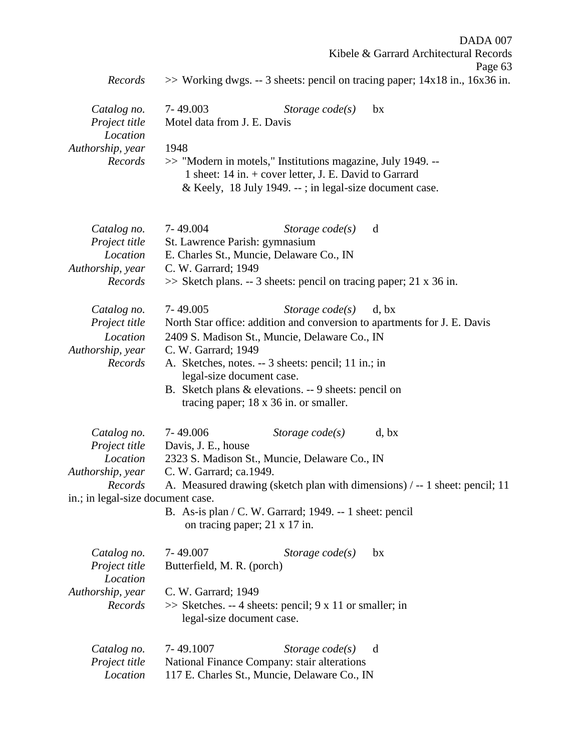|                                                                                                              |                                                               |                                                                                                                                                                                                                                                                                                                                        | DADA 007                                                                            |
|--------------------------------------------------------------------------------------------------------------|---------------------------------------------------------------|----------------------------------------------------------------------------------------------------------------------------------------------------------------------------------------------------------------------------------------------------------------------------------------------------------------------------------------|-------------------------------------------------------------------------------------|
|                                                                                                              |                                                               |                                                                                                                                                                                                                                                                                                                                        | Kibele & Garrard Architectural Records<br>Page 63                                   |
| Records                                                                                                      |                                                               |                                                                                                                                                                                                                                                                                                                                        | $\gg$ Working dwgs. -- 3 sheets: pencil on tracing paper; 14x18 in., 16x36 in.      |
| Catalog no.<br>Project title<br>Location                                                                     | 7-49.003<br>Motel data from J. E. Davis                       | Storage $code(s)$                                                                                                                                                                                                                                                                                                                      | bx                                                                                  |
| Authorship, year<br>Records                                                                                  | 1948                                                          | >> "Modern in motels," Institutions magazine, July 1949. --<br>1 sheet: 14 in. + cover letter, J. E. David to Garrard<br>& Keely, 18 July 1949. --; in legal-size document case.                                                                                                                                                       |                                                                                     |
| Catalog no.<br>Project title<br>Location<br>Authorship, year<br>Records                                      | 7-49.004<br>C. W. Garrard; 1949                               | Storage $code(s)$<br>St. Lawrence Parish: gymnasium<br>E. Charles St., Muncie, Delaware Co., IN<br>$\gg$ Sketch plans. -- 3 sheets: pencil on tracing paper; 21 x 36 in.                                                                                                                                                               | d                                                                                   |
|                                                                                                              |                                                               |                                                                                                                                                                                                                                                                                                                                        |                                                                                     |
| Catalog no.<br>Project title<br>Location<br>Authorship, year<br>Records                                      | 7-49.005<br>C. W. Garrard; 1949                               | Storage $code(s)$<br>North Star office: addition and conversion to apartments for J. E. Davis<br>2409 S. Madison St., Muncie, Delaware Co., IN<br>A. Sketches, notes. -- 3 sheets: pencil; 11 in.; in<br>legal-size document case.<br>B. Sketch plans $&$ elevations. -- 9 sheets: pencil on<br>tracing paper; 18 x 36 in. or smaller. | d, bx                                                                               |
| Catalog no.<br>Project title<br>Location<br>Authorship, year<br>Records<br>in.; in legal-size document case. | 7-49.006<br>Davis, J. E., house<br>C. W. Garrard; ca.1949.    | Storage $code(s)$<br>2323 S. Madison St., Muncie, Delaware Co., IN<br>B. As-is plan / C. W. Garrard; 1949. -- 1 sheet: pencil<br>on tracing paper; 21 x 17 in.                                                                                                                                                                         | d, bx<br>A. Measured drawing (sketch plan with dimensions) / -- 1 sheet: pencil; 11 |
| Catalog no.<br>Project title<br>Location<br>Authorship, year<br>Records                                      | 7-49.007<br>Butterfield, M. R. (porch)<br>C. W. Garrard; 1949 | Storage $code(s)$<br>$\gg$ Sketches. -- 4 sheets: pencil; 9 x 11 or smaller; in<br>legal-size document case.                                                                                                                                                                                                                           | bx                                                                                  |
| Catalog no.<br>Project title<br>Location                                                                     | 7-49.1007                                                     | Storage $code(s)$<br>National Finance Company: stair alterations<br>117 E. Charles St., Muncie, Delaware Co., IN                                                                                                                                                                                                                       | d                                                                                   |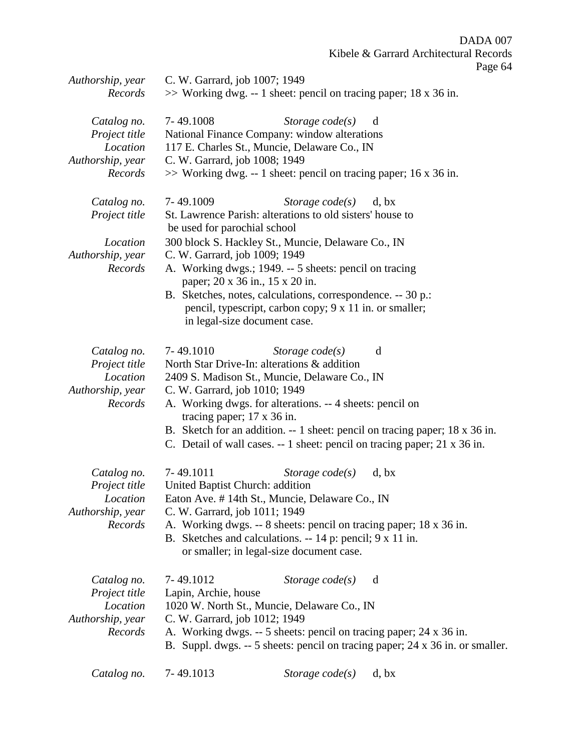Page 64

| Authorship, year            | C. W. Garrard, job 1007; 1949                                       |                                                                                                       |                                                                                                                                                          |  |
|-----------------------------|---------------------------------------------------------------------|-------------------------------------------------------------------------------------------------------|----------------------------------------------------------------------------------------------------------------------------------------------------------|--|
| Records                     | $\gg$ Working dwg. -- 1 sheet: pencil on tracing paper; 18 x 36 in. |                                                                                                       |                                                                                                                                                          |  |
| Catalog no.                 | 7-49.1008                                                           | Storage $code(s)$                                                                                     | d                                                                                                                                                        |  |
| Project title               | National Finance Company: window alterations                        |                                                                                                       |                                                                                                                                                          |  |
| Location                    |                                                                     | 117 E. Charles St., Muncie, Delaware Co., IN                                                          |                                                                                                                                                          |  |
| Authorship, year            | C. W. Garrard, job 1008; 1949                                       |                                                                                                       |                                                                                                                                                          |  |
| Records                     | $\gg$ Working dwg. -- 1 sheet: pencil on tracing paper; 16 x 36 in. |                                                                                                       |                                                                                                                                                          |  |
| Catalog no.                 | 7-49.1009                                                           | Storage $code(s)$                                                                                     | d, bx                                                                                                                                                    |  |
| Project title               | be used for parochial school                                        | St. Lawrence Parish: alterations to old sisters' house to                                             |                                                                                                                                                          |  |
| Location                    |                                                                     | 300 block S. Hackley St., Muncie, Delaware Co., IN                                                    |                                                                                                                                                          |  |
| Authorship, year            | C. W. Garrard, job 1009; 1949                                       |                                                                                                       |                                                                                                                                                          |  |
| Records                     | paper; 20 x 36 in., 15 x 20 in.                                     | A. Working dwgs.; 1949. -- 5 sheets: pencil on tracing                                                |                                                                                                                                                          |  |
|                             |                                                                     | B. Sketches, notes, calculations, correspondence. -- 30 p.:                                           |                                                                                                                                                          |  |
|                             |                                                                     | pencil, typescript, carbon copy; 9 x 11 in. or smaller;                                               |                                                                                                                                                          |  |
|                             | in legal-size document case.                                        |                                                                                                       |                                                                                                                                                          |  |
| Catalog no.                 | 7-49.1010                                                           | Storage $code(s)$                                                                                     | d                                                                                                                                                        |  |
| Project title               | North Star Drive-In: alterations & addition                         |                                                                                                       |                                                                                                                                                          |  |
| Location                    | 2409 S. Madison St., Muncie, Delaware Co., IN                       |                                                                                                       |                                                                                                                                                          |  |
| Authorship, year            | C. W. Garrard, job 1010; 1949                                       |                                                                                                       |                                                                                                                                                          |  |
| Records                     |                                                                     | A. Working dwgs. for alterations. -- 4 sheets: pencil on                                              |                                                                                                                                                          |  |
|                             | tracing paper; $17 \times 36$ in.                                   |                                                                                                       |                                                                                                                                                          |  |
|                             |                                                                     |                                                                                                       | B. Sketch for an addition. -- 1 sheet: pencil on tracing paper; 18 x 36 in.<br>C. Detail of wall cases. -- 1 sheet: pencil on tracing paper; 21 x 36 in. |  |
| Catalog no.                 | 7-49.1011                                                           | Storage $code(s)$                                                                                     | d, bx                                                                                                                                                    |  |
| Project title               | United Baptist Church: addition                                     |                                                                                                       |                                                                                                                                                          |  |
| Location                    |                                                                     | Eaton Ave. #14th St., Muncie, Delaware Co., IN                                                        |                                                                                                                                                          |  |
| Authorship, year            | C. W. Garrard, job 1011; 1949                                       |                                                                                                       |                                                                                                                                                          |  |
| Records                     |                                                                     |                                                                                                       | A. Working dwgs. -- 8 sheets: pencil on tracing paper; 18 x 36 in.                                                                                       |  |
|                             |                                                                     | B. Sketches and calculations. -- 14 p: pencil; 9 x 11 in.<br>or smaller; in legal-size document case. |                                                                                                                                                          |  |
|                             |                                                                     |                                                                                                       |                                                                                                                                                          |  |
| Catalog no.                 | 7-49.1012                                                           | Storage $code(s)$                                                                                     | d                                                                                                                                                        |  |
| Project title               | Lapin, Archie, house                                                |                                                                                                       |                                                                                                                                                          |  |
| Location                    |                                                                     | 1020 W. North St., Muncie, Delaware Co., IN                                                           |                                                                                                                                                          |  |
| Authorship, year<br>Records | C. W. Garrard, job 1012; 1949                                       |                                                                                                       | A. Working dwgs. -- 5 sheets: pencil on tracing paper; 24 x 36 in.                                                                                       |  |
|                             |                                                                     |                                                                                                       | B. Suppl. dwgs. -- 5 sheets: pencil on tracing paper; 24 x 36 in. or smaller.                                                                            |  |
| Catalog no.                 | 7-49.1013                                                           | Storage $code(s)$                                                                                     | d, bx                                                                                                                                                    |  |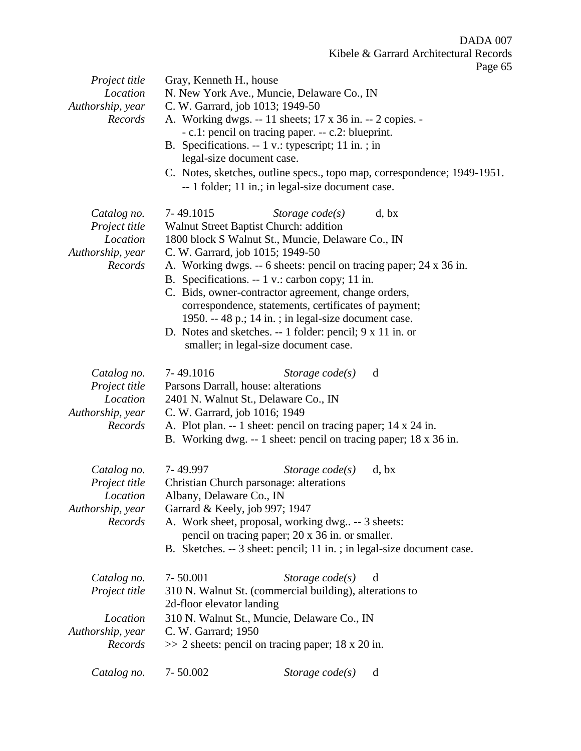| Project title<br>Location | Gray, Kenneth H., house                           | N. New York Ave., Muncie, Delaware Co., IN                            |                                                                          |
|---------------------------|---------------------------------------------------|-----------------------------------------------------------------------|--------------------------------------------------------------------------|
| Authorship, year          | C. W. Garrard, job 1013; 1949-50                  |                                                                       |                                                                          |
| Records                   |                                                   | A. Working dwgs. -- 11 sheets; 17 x 36 in. -- 2 copies. -             |                                                                          |
|                           |                                                   | - c.1: pencil on tracing paper. -- c.2: blueprint.                    |                                                                          |
|                           |                                                   | B. Specifications. -- 1 v.: typescript; 11 in.; in                    |                                                                          |
|                           | legal-size document case.                         |                                                                       |                                                                          |
|                           |                                                   |                                                                       | C. Notes, sketches, outline specs., topo map, correspondence; 1949-1951. |
|                           |                                                   | -- 1 folder; 11 in.; in legal-size document case.                     |                                                                          |
| Catalog no.               | 7-49.1015                                         | Storage $code(s)$                                                     | d, bx                                                                    |
| Project title             |                                                   | Walnut Street Baptist Church: addition                                |                                                                          |
| Location                  |                                                   | 1800 block S Walnut St., Muncie, Delaware Co., IN                     |                                                                          |
| Authorship, year          | C. W. Garrard, job 1015; 1949-50                  |                                                                       |                                                                          |
| Records                   |                                                   | A. Working dwgs. -- 6 sheets: pencil on tracing paper; 24 x 36 in.    |                                                                          |
|                           |                                                   | B. Specifications. -- 1 v.: carbon copy; 11 in.                       |                                                                          |
|                           |                                                   | C. Bids, owner-contractor agreement, change orders,                   |                                                                          |
|                           |                                                   | correspondence, statements, certificates of payment;                  |                                                                          |
|                           |                                                   | 1950. -- 48 p.; 14 in.; in legal-size document case.                  |                                                                          |
|                           |                                                   | D. Notes and sketches. -- 1 folder: pencil; 9 x 11 in. or             |                                                                          |
|                           |                                                   | smaller; in legal-size document case.                                 |                                                                          |
| Catalog no.               | 7-49.1016                                         | Storage $code(s)$                                                     | d                                                                        |
| Project title             | Parsons Darrall, house: alterations               |                                                                       |                                                                          |
| Location                  |                                                   | 2401 N. Walnut St., Delaware Co., IN                                  |                                                                          |
| Authorship, year          | C. W. Garrard, job 1016; 1949                     |                                                                       |                                                                          |
| Records                   |                                                   | A. Plot plan. -- 1 sheet: pencil on tracing paper; 14 x 24 in.        |                                                                          |
|                           |                                                   | B. Working dwg. -- 1 sheet: pencil on tracing paper; 18 x 36 in.      |                                                                          |
| Catalog no.               | 7-49.997                                          | Storage $code(s)$                                                     | d, bx                                                                    |
| Project title             |                                                   | Christian Church parsonage: alterations                               |                                                                          |
| Location                  | Albany, Delaware Co., IN                          |                                                                       |                                                                          |
| Authorship, year          | Garrard & Keely, job 997; 1947                    |                                                                       |                                                                          |
| Records                   | A. Work sheet, proposal, working dwg -- 3 sheets: |                                                                       |                                                                          |
|                           |                                                   | pencil on tracing paper; 20 x 36 in. or smaller.                      |                                                                          |
|                           |                                                   | B. Sketches. -- 3 sheet: pencil; 11 in.; in legal-size document case. |                                                                          |
| Catalog no.               | $7 - 50.001$                                      | Storage $code(s)$                                                     | d                                                                        |
| Project title             |                                                   | 310 N. Walnut St. (commercial building), alterations to               |                                                                          |
|                           | 2d-floor elevator landing                         |                                                                       |                                                                          |
| Location                  |                                                   | 310 N. Walnut St., Muncie, Delaware Co., IN                           |                                                                          |
| Authorship, year          | C. W. Garrard; 1950                               |                                                                       |                                                                          |
| Records                   |                                                   | $\gg$ 2 sheets: pencil on tracing paper; 18 x 20 in.                  |                                                                          |
|                           | 7-50.002                                          |                                                                       | d                                                                        |
| Catalog no.               |                                                   | Storage $code(s)$                                                     |                                                                          |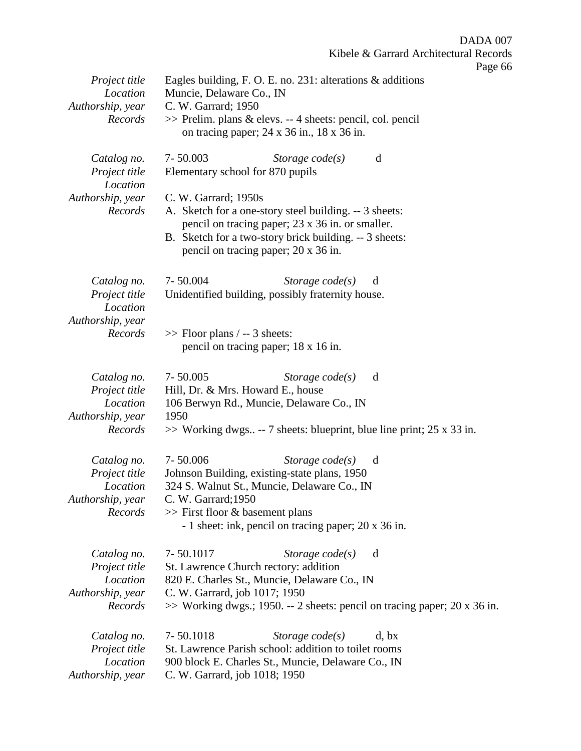Kibele & Garrard Architectural Records Page 66 *Project title* Eagles building, F. O. E. no. 231: alterations & additions *Location* Muncie, Delaware Co., IN *Authorship, year* C. W. Garrard; 1950 *Records* >> Prelim. plans & elevs. -- 4 sheets: pencil, col. pencil on tracing paper; 24 x 36 in., 18 x 36 in. *Catalog no.* 7- 50.003 *Storage code(s)* d *Project title* Elementary school for 870 pupils *Location Authorship, year* C. W. Garrard; 1950s *Records* A. Sketch for a one-story steel building. -- 3 sheets: pencil on tracing paper; 23 x 36 in. or smaller. B. Sketch for a two-story brick building. -- 3 sheets: pencil on tracing paper; 20 x 36 in. *Catalog no.* 7- 50.004 *Storage code(s)* d *Project title* Unidentified building, possibly fraternity house. *Location Authorship, year Records* >> Floor plans / -- 3 sheets: pencil on tracing paper; 18 x 16 in. *Catalog no.* 7- 50.005 *Storage code(s)* d *Project title* Hill, Dr. & Mrs. Howard E., house *Location* 106 Berwyn Rd., Muncie, Delaware Co., IN *Authorship, year* 1950 *Records* >> Working dwgs.. -- 7 sheets: blueprint, blue line print; 25 x 33 in. *Catalog no.* 7- 50.006 *Storage code(s)* d *Project title* Johnson Building, existing-state plans, 1950 *Location* 324 S. Walnut St., Muncie, Delaware Co., IN *Authorship, year* C. W. Garrard;1950 *Records* >> First floor & basement plans - 1 sheet: ink, pencil on tracing paper; 20 x 36 in. *Catalog no.* 7- 50.1017 *Storage code(s)* d *Project title* St. Lawrence Church rectory: addition *Location* 820 E. Charles St., Muncie, Delaware Co., IN *Authorship, year* C. W. Garrard, job 1017; 1950 *Records*  $\gg$  Working dwgs.; 1950. -- 2 sheets: pencil on tracing paper; 20 x 36 in. *Catalog no.* 7- 50.1018 *Storage code(s)* d, bx *Project title* St. Lawrence Parish school: addition to toilet rooms *Location* 900 block E. Charles St., Muncie, Delaware Co., IN *Authorship, year* C. W. Garrard, job 1018; 1950

DADA 007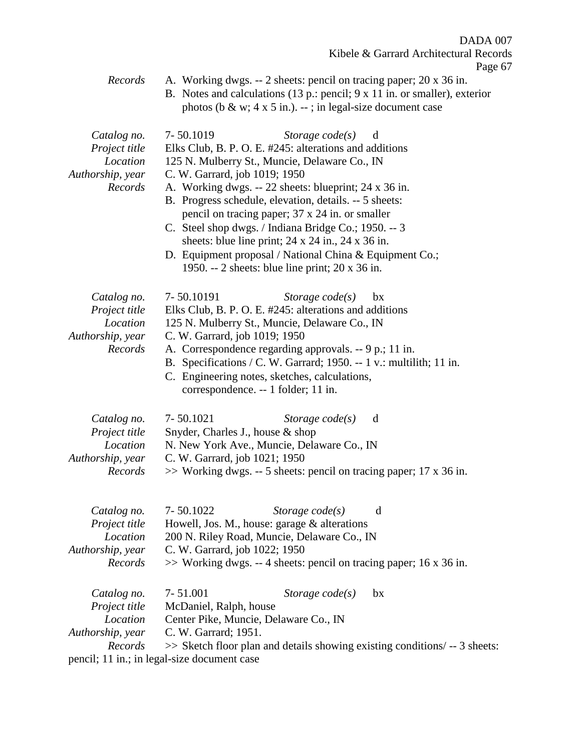$ge 67$ 

|                                                                         | Page                                                                                                                                                                                                                                                                                                                                                                                                                                                                                                                                                                                                  |
|-------------------------------------------------------------------------|-------------------------------------------------------------------------------------------------------------------------------------------------------------------------------------------------------------------------------------------------------------------------------------------------------------------------------------------------------------------------------------------------------------------------------------------------------------------------------------------------------------------------------------------------------------------------------------------------------|
| Records                                                                 | A. Working dwgs. -- 2 sheets: pencil on tracing paper; 20 x 36 in.<br>B. Notes and calculations (13 p.: pencil; 9 x 11 in. or smaller), exterior<br>photos (b & w; $4 \times 5$ in.). --; in legal-size document case                                                                                                                                                                                                                                                                                                                                                                                 |
| Catalog no.<br>Project title<br>Location<br>Authorship, year<br>Records | 7-50.1019<br>Storage $code(s)$<br>d<br>Elks Club, B. P. O. E. #245: alterations and additions<br>125 N. Mulberry St., Muncie, Delaware Co., IN<br>C. W. Garrard, job 1019; 1950<br>A. Working dwgs. -- 22 sheets: blueprint; 24 x 36 in.<br>B. Progress schedule, elevation, details. -- 5 sheets:<br>pencil on tracing paper; 37 x 24 in. or smaller<br>C. Steel shop dwgs. / Indiana Bridge Co.; 1950. -- 3<br>sheets: blue line print; $24 \times 24$ in., $24 \times 36$ in.<br>D. Equipment proposal / National China & Equipment Co.;<br>1950. -- 2 sheets: blue line print; $20 \times 36$ in. |
| Catalog no.<br>Project title<br>Location<br>Authorship, year<br>Records | 7-50.10191<br>Storage $code(s)$<br>bx<br>Elks Club, B. P. O. E. #245: alterations and additions<br>125 N. Mulberry St., Muncie, Delaware Co., IN<br>C. W. Garrard, job 1019; 1950<br>A. Correspondence regarding approvals. -- 9 p.; 11 in.<br>B. Specifications / C. W. Garrard; 1950. -- 1 v.: multilith; 11 in.<br>C. Engineering notes, sketches, calculations,<br>correspondence. -- 1 folder; 11 in.                                                                                                                                                                                            |
| Catalog no.<br>Project title<br>Location<br>Authorship, year<br>Records | 7-50.1021<br>Storage $code(s)$<br>d<br>Snyder, Charles J., house & shop<br>N. New York Ave., Muncie, Delaware Co., IN<br>C. W. Garrard, job 1021; 1950<br>$\gg$ Working dwgs. -- 5 sheets: pencil on tracing paper; 17 x 36 in.                                                                                                                                                                                                                                                                                                                                                                       |
| Catalog no.<br>Project title<br>Location<br>Authorship, year<br>Records | 7-50.1022<br>Storage $code(s)$<br>d<br>Howell, Jos. M., house: garage & alterations<br>200 N. Riley Road, Muncie, Delaware Co., IN<br>C. W. Garrard, job 1022; 1950<br>$\gg$ Working dwgs. -- 4 sheets: pencil on tracing paper; 16 x 36 in.                                                                                                                                                                                                                                                                                                                                                          |
| Catalog no.<br>Project title<br>Location<br>Authorship, year<br>Records | 7-51.001<br>Storage $code(s)$<br>bx<br>McDaniel, Ralph, house<br>Center Pike, Muncie, Delaware Co., IN<br>C. W. Garrard; 1951.<br>>> Sketch floor plan and details showing existing conditions/ -- 3 sheets:                                                                                                                                                                                                                                                                                                                                                                                          |

pencil; 11 in.; in legal-size document case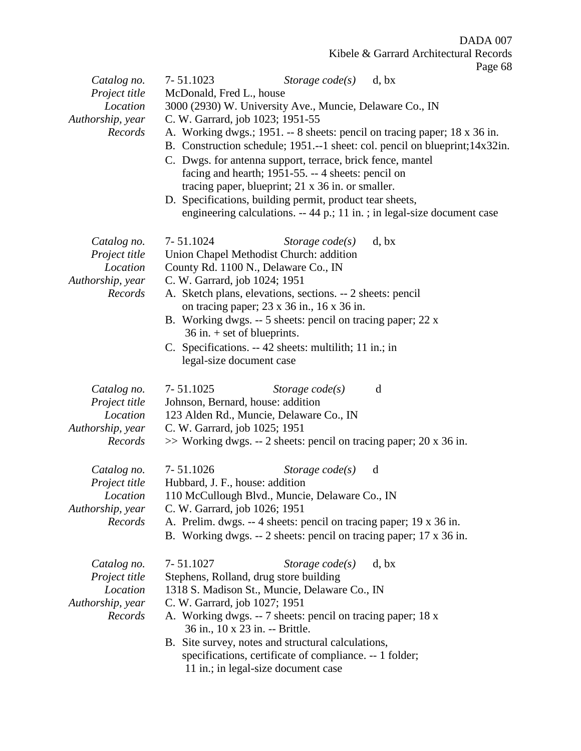|                                                                         |                                                                                                                                                                                                                                                                                                                                                                                                                                                                                                                                         |                         |                                                                         | i ugu vo |
|-------------------------------------------------------------------------|-----------------------------------------------------------------------------------------------------------------------------------------------------------------------------------------------------------------------------------------------------------------------------------------------------------------------------------------------------------------------------------------------------------------------------------------------------------------------------------------------------------------------------------------|-------------------------|-------------------------------------------------------------------------|----------|
| Catalog no.<br>Project title<br>Location<br>Authorship, year<br>Records | 7-51.1023<br>McDonald, Fred L., house<br>3000 (2930) W. University Ave., Muncie, Delaware Co., IN<br>C. W. Garrard, job 1023; 1951-55<br>A. Working dwgs.; 1951. -- 8 sheets: pencil on tracing paper; 18 x 36 in.<br>B. Construction schedule; 1951.--1 sheet: col. pencil on blueprint; 14x32in.<br>C. Dwgs. for antenna support, terrace, brick fence, mantel<br>facing and hearth; 1951-55. -- 4 sheets: pencil on<br>tracing paper, blueprint; 21 x 36 in. or smaller.<br>D. Specifications, building permit, product tear sheets, | Storage $code(s)$ d, bx | engineering calculations. -- 44 p.; 11 in.; in legal-size document case |          |
| Catalog no.<br>Project title<br>Location<br>Authorship, year<br>Records | 7-51.1024<br>Union Chapel Methodist Church: addition<br>County Rd. 1100 N., Delaware Co., IN<br>C. W. Garrard, job 1024; 1951<br>A. Sketch plans, elevations, sections. -- 2 sheets: pencil<br>on tracing paper; 23 x 36 in., 16 x 36 in.<br>B. Working dwgs. -- 5 sheets: pencil on tracing paper; 22 x<br>$36$ in. $+$ set of blueprints.<br>C. Specifications. -- 42 sheets: multilith; 11 in.; in<br>legal-size document case                                                                                                       | Storage $code(s)$       | d, bx                                                                   |          |
| Catalog no.<br>Project title<br>Location<br>Authorship, year<br>Records | 7-51.1025<br>Johnson, Bernard, house: addition<br>123 Alden Rd., Muncie, Delaware Co., IN<br>C. W. Garrard, job 1025; 1951<br>$\gg$ Working dwgs. -- 2 sheets: pencil on tracing paper; 20 x 36 in.                                                                                                                                                                                                                                                                                                                                     | Storage $code(s)$       | d                                                                       |          |
| Catalog no.<br>Project title<br>Location<br>Authorship, year<br>Records | 7-51.1026<br>Hubbard, J. F., house: addition<br>110 McCullough Blvd., Muncie, Delaware Co., IN<br>C. W. Garrard, job 1026; 1951<br>A. Prelim. dwgs. -- 4 sheets: pencil on tracing paper; 19 x 36 in.<br>B. Working dwgs. -- 2 sheets: pencil on tracing paper; 17 x 36 in.                                                                                                                                                                                                                                                             | Storage $code(s)$       | d                                                                       |          |
| Catalog no.<br>Project title<br>Location<br>Authorship, year<br>Records | 7-51.1027<br>Stephens, Rolland, drug store building<br>1318 S. Madison St., Muncie, Delaware Co., IN<br>C. W. Garrard, job 1027; 1951<br>A. Working dwgs. -- 7 sheets: pencil on tracing paper; 18 x<br>36 in., 10 x 23 in. -- Brittle.<br>B. Site survey, notes and structural calculations,<br>specifications, certificate of compliance. -- 1 folder;<br>11 in.; in legal-size document case                                                                                                                                         | Storage $code(s)$       | d, bx                                                                   |          |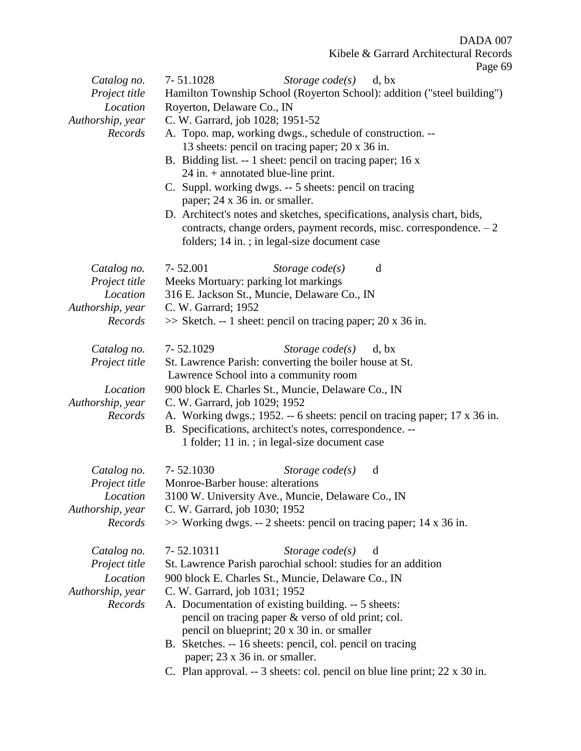DADA 007

Kibele & Garrard Architectural Records

| Ω  | ۱ |
|----|---|
| 41 | 7 |
|    |   |

|                                                                         | i agu t                                                                                                                                                                                                                                                                                                                                                                                                                                                                                                                                                                                                                                                                                                      |
|-------------------------------------------------------------------------|--------------------------------------------------------------------------------------------------------------------------------------------------------------------------------------------------------------------------------------------------------------------------------------------------------------------------------------------------------------------------------------------------------------------------------------------------------------------------------------------------------------------------------------------------------------------------------------------------------------------------------------------------------------------------------------------------------------|
| Catalog no.<br>Project title<br>Location<br>Authorship, year<br>Records | 7-51.1028<br>Storage $code(s)$<br>d, bx<br>Hamilton Township School (Royerton School): addition ("steel building")<br>Royerton, Delaware Co., IN<br>C. W. Garrard, job 1028; 1951-52<br>A. Topo. map, working dwgs., schedule of construction. --<br>13 sheets: pencil on tracing paper; 20 x 36 in.<br>B. Bidding list. -- 1 sheet: pencil on tracing paper; 16 x<br>$24$ in. + annotated blue-line print.<br>C. Suppl. working dwgs. -- 5 sheets: pencil on tracing<br>paper; 24 x 36 in. or smaller.<br>D. Architect's notes and sketches, specifications, analysis chart, bids,<br>contracts, change orders, payment records, misc. correspondence. $-2$<br>folders; 14 in.; in legal-size document case |
| Catalog no.                                                             | 7-52.001<br>Storage $code(s)$<br>d                                                                                                                                                                                                                                                                                                                                                                                                                                                                                                                                                                                                                                                                           |
| Project title                                                           | Meeks Mortuary: parking lot markings                                                                                                                                                                                                                                                                                                                                                                                                                                                                                                                                                                                                                                                                         |
| Location                                                                | 316 E. Jackson St., Muncie, Delaware Co., IN                                                                                                                                                                                                                                                                                                                                                                                                                                                                                                                                                                                                                                                                 |
| Authorship, year                                                        | C. W. Garrard; 1952                                                                                                                                                                                                                                                                                                                                                                                                                                                                                                                                                                                                                                                                                          |
| Records                                                                 | $\gg$ Sketch. -- 1 sheet: pencil on tracing paper; 20 x 36 in.                                                                                                                                                                                                                                                                                                                                                                                                                                                                                                                                                                                                                                               |
| Catalog no.                                                             | 7-52.1029<br>Storage $code(s)$<br>d, bx                                                                                                                                                                                                                                                                                                                                                                                                                                                                                                                                                                                                                                                                      |
| Project title                                                           | St. Lawrence Parish: converting the boiler house at St.                                                                                                                                                                                                                                                                                                                                                                                                                                                                                                                                                                                                                                                      |
|                                                                         | Lawrence School into a community room                                                                                                                                                                                                                                                                                                                                                                                                                                                                                                                                                                                                                                                                        |
| Location                                                                | 900 block E. Charles St., Muncie, Delaware Co., IN                                                                                                                                                                                                                                                                                                                                                                                                                                                                                                                                                                                                                                                           |
| Authorship, year                                                        | C. W. Garrard, job 1029; 1952                                                                                                                                                                                                                                                                                                                                                                                                                                                                                                                                                                                                                                                                                |
| Records                                                                 | A. Working dwgs.; 1952. -- 6 sheets: pencil on tracing paper; 17 x 36 in.                                                                                                                                                                                                                                                                                                                                                                                                                                                                                                                                                                                                                                    |
|                                                                         | B. Specifications, architect's notes, correspondence. --                                                                                                                                                                                                                                                                                                                                                                                                                                                                                                                                                                                                                                                     |
|                                                                         | 1 folder; 11 in.; in legal-size document case                                                                                                                                                                                                                                                                                                                                                                                                                                                                                                                                                                                                                                                                |
| Catalog no.                                                             | 7-52.1030<br>Storage $code(s)$<br>d                                                                                                                                                                                                                                                                                                                                                                                                                                                                                                                                                                                                                                                                          |
| Project title                                                           | Monroe-Barber house: alterations                                                                                                                                                                                                                                                                                                                                                                                                                                                                                                                                                                                                                                                                             |
| Location                                                                | 3100 W. University Ave., Muncie, Delaware Co., IN                                                                                                                                                                                                                                                                                                                                                                                                                                                                                                                                                                                                                                                            |
| Authorship, year                                                        | C. W. Garrard, job 1030; 1952                                                                                                                                                                                                                                                                                                                                                                                                                                                                                                                                                                                                                                                                                |
| Records                                                                 | $\gg$ Working dwgs. -- 2 sheets: pencil on tracing paper; 14 x 36 in.                                                                                                                                                                                                                                                                                                                                                                                                                                                                                                                                                                                                                                        |
| Catalog no.                                                             | 7-52.10311<br>Storage $code(s)$<br>d                                                                                                                                                                                                                                                                                                                                                                                                                                                                                                                                                                                                                                                                         |
| Project title                                                           | St. Lawrence Parish parochial school: studies for an addition                                                                                                                                                                                                                                                                                                                                                                                                                                                                                                                                                                                                                                                |
| Location                                                                | 900 block E. Charles St., Muncie, Delaware Co., IN                                                                                                                                                                                                                                                                                                                                                                                                                                                                                                                                                                                                                                                           |
| Authorship, year                                                        | C. W. Garrard, job 1031; 1952                                                                                                                                                                                                                                                                                                                                                                                                                                                                                                                                                                                                                                                                                |
| Records                                                                 | A. Documentation of existing building. -- 5 sheets:                                                                                                                                                                                                                                                                                                                                                                                                                                                                                                                                                                                                                                                          |
|                                                                         | pencil on tracing paper & verso of old print; col.                                                                                                                                                                                                                                                                                                                                                                                                                                                                                                                                                                                                                                                           |
|                                                                         | pencil on blueprint; 20 x 30 in. or smaller<br>B. Sketches. -- 16 sheets: pencil, col. pencil on tracing                                                                                                                                                                                                                                                                                                                                                                                                                                                                                                                                                                                                     |
|                                                                         | paper; 23 x 36 in. or smaller.                                                                                                                                                                                                                                                                                                                                                                                                                                                                                                                                                                                                                                                                               |
|                                                                         | C. Plan approval. -- 3 sheets: col. pencil on blue line print; $22 \times 30$ in.                                                                                                                                                                                                                                                                                                                                                                                                                                                                                                                                                                                                                            |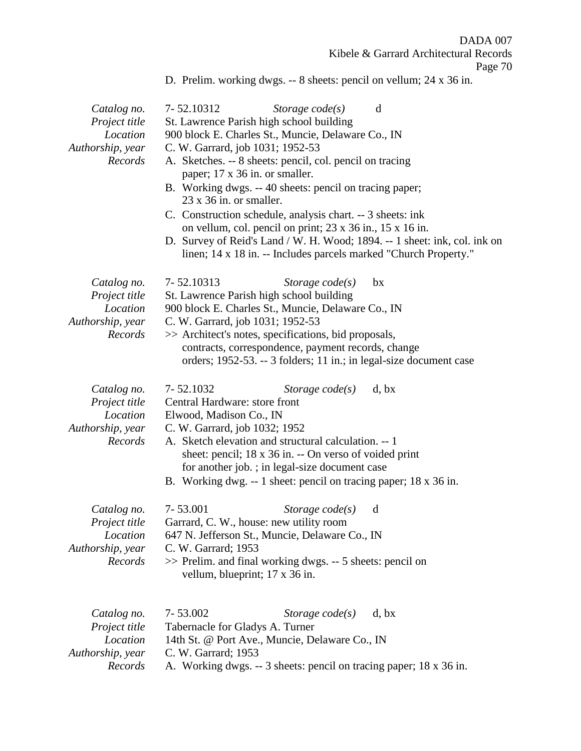Page 70

D. Prelim. working dwgs. -- 8 sheets: pencil on vellum; 24 x 36 in.

| Catalog no.<br>Project title<br>Location<br>Authorship, year<br>Records | 7-52.10312<br>Storage $code(s)$<br>d<br>St. Lawrence Parish high school building<br>900 block E. Charles St., Muncie, Delaware Co., IN<br>C. W. Garrard, job 1031; 1952-53<br>A. Sketches. -- 8 sheets: pencil, col. pencil on tracing<br>paper; 17 x 36 in. or smaller.<br>B. Working dwgs. -- 40 sheets: pencil on tracing paper;<br>$23 \times 36$ in. or smaller.<br>C. Construction schedule, analysis chart. -- 3 sheets: ink<br>on vellum, col. pencil on print; $23 \times 36$ in., $15 \times 16$ in.<br>D. Survey of Reid's Land / W. H. Wood; 1894. -- 1 sheet: ink, col. ink on<br>linen; 14 x 18 in. -- Includes parcels marked "Church Property." |
|-------------------------------------------------------------------------|-----------------------------------------------------------------------------------------------------------------------------------------------------------------------------------------------------------------------------------------------------------------------------------------------------------------------------------------------------------------------------------------------------------------------------------------------------------------------------------------------------------------------------------------------------------------------------------------------------------------------------------------------------------------|
| Catalog no.<br>Project title<br>Location<br>Authorship, year<br>Records | 7-52.10313<br>Storage $code(s)$<br>bx<br>St. Lawrence Parish high school building<br>900 block E. Charles St., Muncie, Delaware Co., IN<br>C. W. Garrard, job 1031; 1952-53<br>>> Architect's notes, specifications, bid proposals,<br>contracts, correspondence, payment records, change<br>orders; 1952-53. -- 3 folders; 11 in.; in legal-size document case                                                                                                                                                                                                                                                                                                 |
| Catalog no.<br>Project title<br>Location<br>Authorship, year<br>Records | 7-52.1032<br>Storage $code(s)$<br>d, bx<br>Central Hardware: store front<br>Elwood, Madison Co., IN<br>C. W. Garrard, job 1032; 1952<br>A. Sketch elevation and structural calculation. -- 1<br>sheet: pencil; 18 x 36 in. -- On verso of voided print<br>for another job.; in legal-size document case<br>B. Working dwg. -- 1 sheet: pencil on tracing paper; 18 x 36 in.                                                                                                                                                                                                                                                                                     |
| Catalog no.<br>Project title<br>Location<br>Authorship, year<br>Records | 7-53.001<br>Storage $code(s)$<br>d<br>Garrard, C. W., house: new utility room<br>647 N. Jefferson St., Muncie, Delaware Co., IN<br>C. W. Garrard; 1953<br>>> Prelim. and final working dwgs. -- 5 sheets: pencil on<br>vellum, blueprint; 17 x 36 in.                                                                                                                                                                                                                                                                                                                                                                                                           |
| Catalog no.<br>Project title<br>Location<br>Authorship, year<br>Records | 7-53.002<br>Storage $code(s)$<br>d, bx<br>Tabernacle for Gladys A. Turner<br>14th St. @ Port Ave., Muncie, Delaware Co., IN<br>C. W. Garrard; 1953<br>A. Working dwgs. -- 3 sheets: pencil on tracing paper; 18 x 36 in.                                                                                                                                                                                                                                                                                                                                                                                                                                        |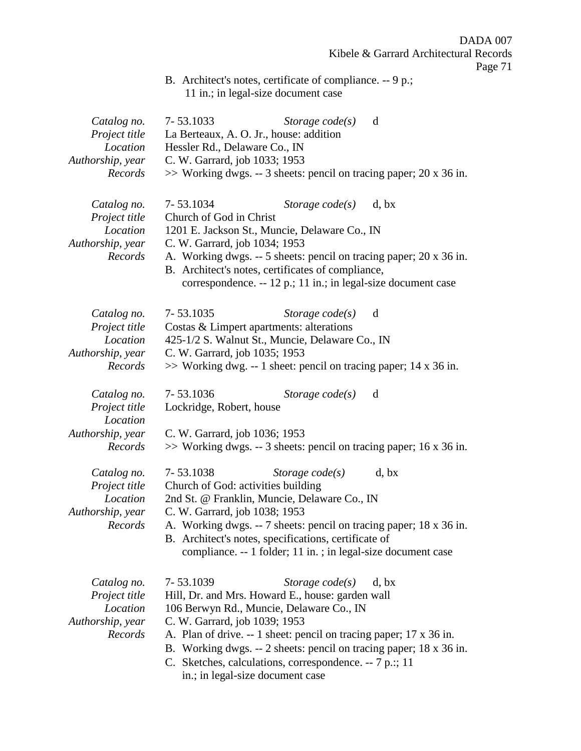DADA 007 Kibele & Garrard Architectural Records Page 71 B. Architect's notes, certificate of compliance. -- 9 p.; 11 in.; in legal-size document case *Catalog no.* 7- 53.1033 *Storage code(s)* d *Project title* La Berteaux, A. O. Jr., house: addition *Location* Hessler Rd., Delaware Co., IN *Authorship, year* C. W. Garrard, job 1033; 1953 *Records* >> Working dwgs. -- 3 sheets: pencil on tracing paper; 20 x 36 in. *Catalog no.* 7- 53.1034 *Storage code(s)* d, bx *Project title* Church of God in Christ *Location* 1201 E. Jackson St., Muncie, Delaware Co., IN *Authorship, year* C. W. Garrard, job 1034; 1953 *Records* A. Working dwgs. -- 5 sheets: pencil on tracing paper; 20 x 36 in. B. Architect's notes, certificates of compliance, correspondence. -- 12 p.; 11 in.; in legal-size document case *Catalog no.* 7- 53.1035 *Storage code(s)* d *Project title* Costas & Limpert apartments: alterations *Location* 425-1/2 S. Walnut St., Muncie, Delaware Co., IN *Authorship, year* C. W. Garrard, job 1035; 1953 *Records*  $\gg$  Working dwg. -- 1 sheet: pencil on tracing paper; 14 x 36 in. *Catalog no.* 7- 53.1036 *Storage code(s)* d *Project title* Lockridge, Robert, house *Location Authorship, year* C. W. Garrard, job 1036; 1953 *Records* >> Working dwgs. -- 3 sheets: pencil on tracing paper; 16 x 36 in. *Catalog no.* 7- 53.1038 *Storage code(s)* d, bx *Project title* Church of God: activities building *Location* 2nd St. @ Franklin, Muncie, Delaware Co., IN *Authorship, year* C. W. Garrard, job 1038; 1953 *Records* A. Working dwgs. -- 7 sheets: pencil on tracing paper; 18 x 36 in. B. Architect's notes, specifications, certificate of compliance. -- 1 folder; 11 in. ; in legal-size document case *Catalog no.* 7- 53.1039 *Storage code(s)* d, bx *Project title* Hill, Dr. and Mrs. Howard E., house: garden wall *Location* 106 Berwyn Rd., Muncie, Delaware Co., IN *Authorship, year* C. W. Garrard, job 1039; 1953 *Records* A. Plan of drive. -- 1 sheet: pencil on tracing paper; 17 x 36 in. B. Working dwgs. -- 2 sheets: pencil on tracing paper; 18 x 36 in. C. Sketches, calculations, correspondence. -- 7 p.:; 11

in.; in legal-size document case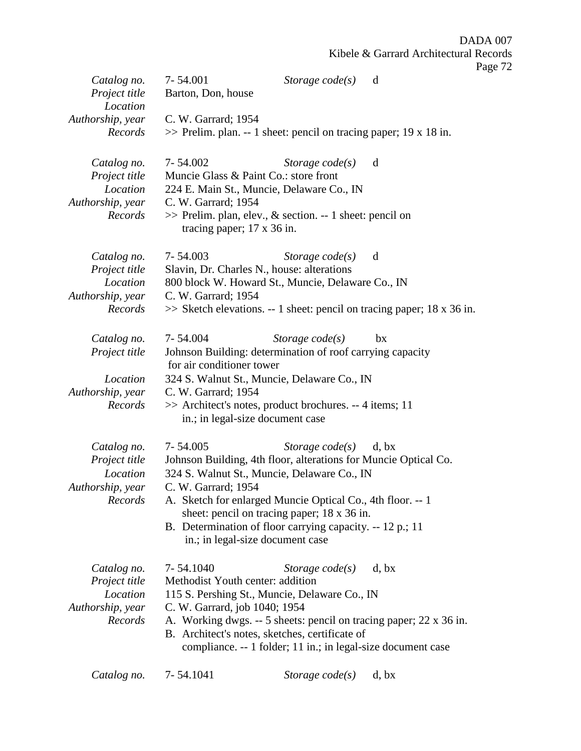| Catalog no.<br>Project title<br>Location                                | 7-54.001<br>Barton, Don, house                                                                                                                                                                                                                                                                                   | Storage $code(s)$                                                                 | d                                                                              |
|-------------------------------------------------------------------------|------------------------------------------------------------------------------------------------------------------------------------------------------------------------------------------------------------------------------------------------------------------------------------------------------------------|-----------------------------------------------------------------------------------|--------------------------------------------------------------------------------|
| Authorship, year<br>Records                                             | C. W. Garrard; 1954<br>$\gg$ Prelim. plan. -- 1 sheet: pencil on tracing paper; 19 x 18 in.                                                                                                                                                                                                                      |                                                                                   |                                                                                |
| Catalog no.<br>Project title<br>Location<br>Authorship, year<br>Records | 7-54.002<br>Muncie Glass & Paint Co.: store front<br>224 E. Main St., Muncie, Delaware Co., IN<br>C. W. Garrard; 1954<br>$\gg$ Prelim. plan, elev., & section. -- 1 sheet: pencil on<br>tracing paper; $17 \times 36$ in.                                                                                        | Storage $code(s)$                                                                 | d                                                                              |
| Catalog no.<br>Project title<br>Location<br>Authorship, year<br>Records | 7-54.003<br>Slavin, Dr. Charles N., house: alterations<br>800 block W. Howard St., Muncie, Delaware Co., IN<br>C. W. Garrard; 1954                                                                                                                                                                               | Storage $code(s)$                                                                 | d<br>$\gg$ Sketch elevations. -- 1 sheet: pencil on tracing paper; 18 x 36 in. |
| Catalog no.<br>Project title<br>Location<br>Authorship, year<br>Records | 7-54.004<br>Johnson Building: determination of roof carrying capacity<br>for air conditioner tower<br>324 S. Walnut St., Muncie, Delaware Co., IN<br>C. W. Garrard; 1954<br>>> Architect's notes, product brochures. -- 4 items; 11<br>in.; in legal-size document case                                          | Storage $code(s)$                                                                 | bx                                                                             |
| Catalog no.<br>Project title<br>Location<br>Authorship, year<br>Records | 7-54.005<br>Johnson Building, 4th floor, alterations for Muncie Optical Co.<br>324 S. Walnut St., Muncie, Delaware Co., IN<br>C. W. Garrard; 1954<br>A. Sketch for enlarged Muncie Optical Co., 4th floor. -- 1<br>B. Determination of floor carrying capacity. -- 12 p.; 11<br>in.; in legal-size document case | Storage $code(s)$<br>sheet: pencil on tracing paper; 18 x 36 in.                  | d, bx                                                                          |
| Catalog no.<br>Project title<br>Location<br>Authorship, year<br>Records | 7-54.1040<br>Methodist Youth center: addition<br>115 S. Pershing St., Muncie, Delaware Co., IN<br>C. W. Garrard, job 1040; 1954<br>A. Working dwgs. -- 5 sheets: pencil on tracing paper; 22 x 36 in.<br>B. Architect's notes, sketches, certificate of                                                          | Storage $code(s)$<br>compliance. -- 1 folder; 11 in.; in legal-size document case | d, bx                                                                          |
| Catalog no.                                                             | 7-54.1041                                                                                                                                                                                                                                                                                                        | Storage $code(s)$                                                                 | d, bx                                                                          |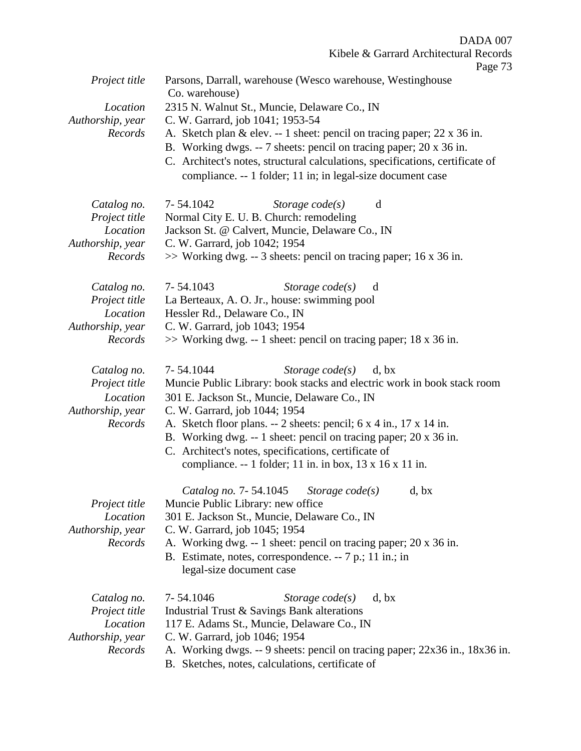DADA 007 Kibele & Garrard Architectural Records Page 73 *Project title* Parsons, Darrall, warehouse (Wesco warehouse, Westinghouse *Location* 2315 N. Walnut St., Muncie, Delaware Co., IN<br>*Authorship, year* C. W. Garrard, job 1041; 1953-54 *Authorship, year* C. W. Garrard, job 1041; 1953-54

Co. warehouse)

- *Records* A. Sketch plan & elev. -- 1 sheet: pencil on tracing paper; 22 x 36 in. B. Working dwgs. -- 7 sheets: pencil on tracing paper; 20 x 36 in.
	- C. Architect's notes, structural calculations, specifications, certificate of compliance. -- 1 folder; 11 in; in legal-size document case

| Catalog no.<br>Project title<br>Location<br>Authorship, year<br>Records | 7-54.1042<br>Storage $code(s)$<br>d<br>Normal City E. U. B. Church: remodeling<br>Jackson St. @ Calvert, Muncie, Delaware Co., IN<br>C. W. Garrard, job 1042; 1954<br>$\gg$ Working dwg. -- 3 sheets: pencil on tracing paper; 16 x 36 in.                                                                                                                                                                                                                        |
|-------------------------------------------------------------------------|-------------------------------------------------------------------------------------------------------------------------------------------------------------------------------------------------------------------------------------------------------------------------------------------------------------------------------------------------------------------------------------------------------------------------------------------------------------------|
| Catalog no.<br>Project title<br>Location<br>Authorship, year<br>Records | 7-54.1043<br>Storage $code(s)$<br>d<br>La Berteaux, A. O. Jr., house: swimming pool<br>Hessler Rd., Delaware Co., IN<br>C. W. Garrard, job 1043; 1954<br>$\gg$ Working dwg. -- 1 sheet: pencil on tracing paper; 18 x 36 in.                                                                                                                                                                                                                                      |
| Catalog no.<br>Project title<br>Location<br>Authorship, year<br>Records | 7-54.1044<br>Storage $code(s)$<br>d, bx<br>Muncie Public Library: book stacks and electric work in book stack room<br>301 E. Jackson St., Muncie, Delaware Co., IN<br>C. W. Garrard, job 1044; 1954<br>A. Sketch floor plans. $-2$ sheets: pencil; 6 x 4 in., 17 x 14 in.<br>B. Working dwg. -- 1 sheet: pencil on tracing paper; 20 x 36 in.<br>C. Architect's notes, specifications, certificate of<br>compliance. -- 1 folder; 11 in. in box, 13 x 16 x 11 in. |
| Project title<br>Location<br>Authorship, year<br>Records                | Catalog no. 7-54.1045<br>Storage $code(s)$<br>d, bx<br>Muncie Public Library: new office<br>301 E. Jackson St., Muncie, Delaware Co., IN<br>C. W. Garrard, job 1045; 1954<br>A. Working dwg. -- 1 sheet: pencil on tracing paper; 20 x 36 in.<br>B. Estimate, notes, correspondence. -- 7 p.; 11 in.; in<br>legal-size document case                                                                                                                              |
| Catalog no.<br>Project title<br>Location<br>Authorship, year<br>Records | 7-54.1046<br>Storage $code(s)$<br>d, bx<br>Industrial Trust & Savings Bank alterations<br>117 E. Adams St., Muncie, Delaware Co., IN<br>C. W. Garrard, job 1046; 1954<br>A. Working dwgs. -- 9 sheets: pencil on tracing paper; 22x36 in., 18x36 in.                                                                                                                                                                                                              |

B. Sketches, notes, calculations, certificate of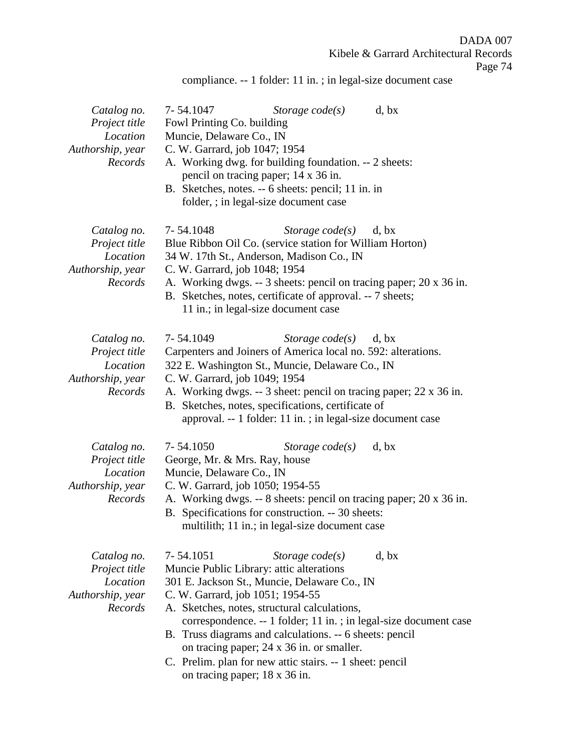Page 74

compliance. -- 1 folder: 11 in. ; in legal-size document case

| Catalog no.<br>Project title<br>Location<br>Authorship, year<br>Records | 7-54.1047<br>Storage $code(s)$<br>d, bx<br>Fowl Printing Co. building<br>Muncie, Delaware Co., IN<br>C. W. Garrard, job 1047; 1954<br>A. Working dwg. for building foundation. -- 2 sheets:<br>pencil on tracing paper; 14 x 36 in.<br>B. Sketches, notes. -- 6 sheets: pencil; 11 in. in<br>folder, ; in legal-size document case                                                                                                                                                                |
|-------------------------------------------------------------------------|---------------------------------------------------------------------------------------------------------------------------------------------------------------------------------------------------------------------------------------------------------------------------------------------------------------------------------------------------------------------------------------------------------------------------------------------------------------------------------------------------|
| Catalog no.<br>Project title<br>Location<br>Authorship, year<br>Records | 7-54.1048<br>Storage $code(s)$<br>d, bx<br>Blue Ribbon Oil Co. (service station for William Horton)<br>34 W. 17th St., Anderson, Madison Co., IN<br>C. W. Garrard, job 1048; 1954<br>A. Working dwgs. -- 3 sheets: pencil on tracing paper; 20 x 36 in.<br>B. Sketches, notes, certificate of approval. -- 7 sheets;<br>11 in.; in legal-size document case                                                                                                                                       |
| Catalog no.<br>Project title<br>Location<br>Authorship, year<br>Records | 7-54.1049<br>Storage $code(s)$<br>d, bx<br>Carpenters and Joiners of America local no. 592: alterations.<br>322 E. Washington St., Muncie, Delaware Co., IN<br>C. W. Garrard, job 1049; 1954<br>A. Working dwgs. -- 3 sheet: pencil on tracing paper; 22 x 36 in.<br>B. Sketches, notes, specifications, certificate of<br>approval. -- 1 folder: 11 in.; in legal-size document case                                                                                                             |
| Catalog no.<br>Project title<br>Location<br>Authorship, year<br>Records | 7-54.1050<br>Storage $code(s)$<br>d, bx<br>George, Mr. & Mrs. Ray, house<br>Muncie, Delaware Co., IN<br>C. W. Garrard, job 1050; 1954-55<br>A. Working dwgs. -- 8 sheets: pencil on tracing paper; 20 x 36 in.<br>B. Specifications for construction. -- 30 sheets:<br>multilith; 11 in.; in legal-size document case                                                                                                                                                                             |
| Catalog no.<br>Project title<br>Location<br>Authorship, year<br>Records | 7-54.1051<br>Storage $code(s)$<br>d, bx<br>Muncie Public Library: attic alterations<br>301 E. Jackson St., Muncie, Delaware Co., IN<br>C. W. Garrard, job 1051; 1954-55<br>A. Sketches, notes, structural calculations,<br>correspondence. -- 1 folder; 11 in. ; in legal-size document case<br>B. Truss diagrams and calculations. -- 6 sheets: pencil<br>on tracing paper; 24 x 36 in. or smaller.<br>C. Prelim. plan for new attic stairs. -- 1 sheet: pencil<br>on tracing paper; 18 x 36 in. |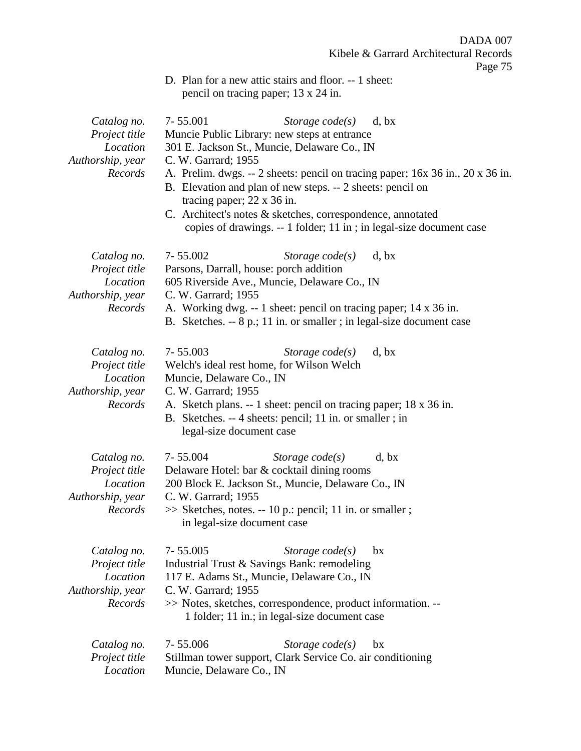D. Plan for a new attic stairs and floor. -- 1 sheet: pencil on tracing paper; 13 x 24 in.

| Catalog no.<br>Project title<br>Location<br>Authorship, year<br>Records | $7 - 55.001$<br>Storage $code(s)$<br>d, bx<br>Muncie Public Library: new steps at entrance<br>301 E. Jackson St., Muncie, Delaware Co., IN<br>C. W. Garrard; 1955<br>A. Prelim. dwgs. -- 2 sheets: pencil on tracing paper; 16x 36 in., 20 x 36 in.<br>B. Elevation and plan of new steps. -- 2 sheets: pencil on<br>tracing paper; $22 \times 36$ in.<br>C. Architect's notes & sketches, correspondence, annotated<br>copies of drawings. -- 1 folder; 11 in ; in legal-size document case |
|-------------------------------------------------------------------------|----------------------------------------------------------------------------------------------------------------------------------------------------------------------------------------------------------------------------------------------------------------------------------------------------------------------------------------------------------------------------------------------------------------------------------------------------------------------------------------------|
| Catalog no.<br>Project title<br>Location<br>Authorship, year<br>Records | 7-55.002<br>Storage $code(s)$<br>d, bx<br>Parsons, Darrall, house: porch addition<br>605 Riverside Ave., Muncie, Delaware Co., IN<br>C. W. Garrard; 1955<br>A. Working dwg. -- 1 sheet: pencil on tracing paper; 14 x 36 in.<br>B. Sketches. -- 8 p.; 11 in. or smaller ; in legal-size document case                                                                                                                                                                                        |
| Catalog no.<br>Project title<br>Location<br>Authorship, year<br>Records | 7-55.003<br>Storage $code(s)$<br>d, bx<br>Welch's ideal rest home, for Wilson Welch<br>Muncie, Delaware Co., IN<br>C. W. Garrard; 1955<br>A. Sketch plans. -- 1 sheet: pencil on tracing paper; 18 x 36 in.<br>B. Sketches. -- 4 sheets: pencil; 11 in. or smaller; in<br>legal-size document case                                                                                                                                                                                           |
| Catalog no.<br>Project title<br>Location<br>Authorship, year<br>Records | 7-55.004<br>Storage $code(s)$<br>d, bx<br>Delaware Hotel: bar & cocktail dining rooms<br>200 Block E. Jackson St., Muncie, Delaware Co., IN<br>C. W. Garrard; 1955<br>$\gg$ Sketches, notes. -- 10 p.: pencil; 11 in. or smaller;<br>in legal-size document case                                                                                                                                                                                                                             |
| Catalog no.<br>Project title<br>Location<br>Authorship, year<br>Records | $7 - 55.005$<br>Storage $code(s)$<br>bx<br>Industrial Trust & Savings Bank: remodeling<br>117 E. Adams St., Muncie, Delaware Co., IN<br>C. W. Garrard; 1955<br>>> Notes, sketches, correspondence, product information. --<br>1 folder; 11 in.; in legal-size document case                                                                                                                                                                                                                  |
| Catalog no.<br>Project title<br>Location                                | 7-55.006<br>Storage $code(s)$<br>bx<br>Stillman tower support, Clark Service Co. air conditioning<br>Muncie, Delaware Co., IN                                                                                                                                                                                                                                                                                                                                                                |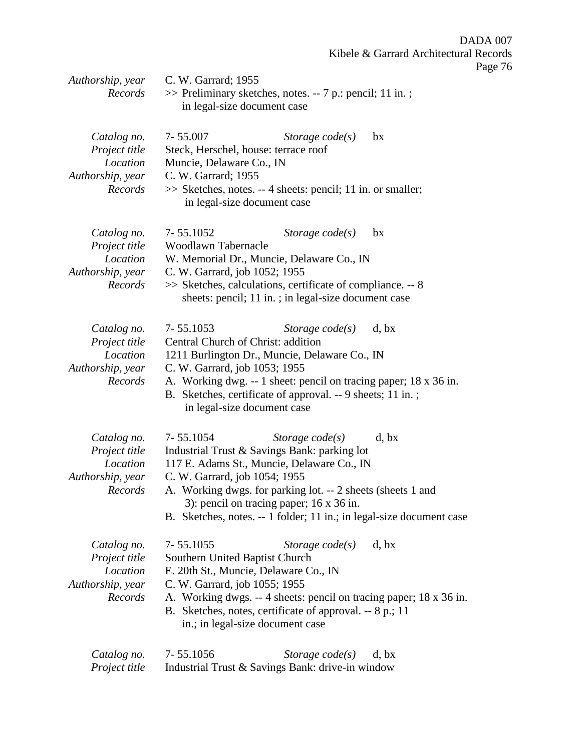| Authorship, year<br>Records                                             | C. W. Garrard; 1955<br>>> Preliminary sketches, notes. -- 7 p.: pencil; 11 in.;<br>in legal-size document case |                                                                                                                                                                                                                                                                                                    |       |
|-------------------------------------------------------------------------|----------------------------------------------------------------------------------------------------------------|----------------------------------------------------------------------------------------------------------------------------------------------------------------------------------------------------------------------------------------------------------------------------------------------------|-------|
| Catalog no.<br>Project title<br>Location<br>Authorship, year<br>Records | $7 - 55.007$<br>Muncie, Delaware Co., IN<br>C. W. Garrard; 1955                                                | Storage $code(s)$<br>Steck, Herschel, house: terrace roof<br>$\gg$ Sketches, notes. -- 4 sheets: pencil; 11 in. or smaller;<br>in legal-size document case                                                                                                                                         | bx    |
| Catalog no.<br>Project title<br>Location<br>Authorship, year<br>Records | 7-55.1052<br><b>Woodlawn Tabernacle</b><br>C. W. Garrard, job 1052; 1955                                       | Storage $code(s)$<br>W. Memorial Dr., Muncie, Delaware Co., IN<br>>> Sketches, calculations, certificate of compliance. -- 8<br>sheets: pencil; 11 in.; in legal-size document case                                                                                                                | bx    |
| Catalog no.<br>Project title<br>Location<br>Authorship, year<br>Records | 7-55.1053<br>Central Church of Christ: addition<br>C. W. Garrard, job 1053; 1955                               | Storage $code(s)$<br>1211 Burlington Dr., Muncie, Delaware Co., IN<br>A. Working dwg. -- 1 sheet: pencil on tracing paper; 18 x 36 in.<br>B. Sketches, certificate of approval. -- 9 sheets; 11 in.;<br>in legal-size document case                                                                | d, bx |
| Catalog no.<br>Project title<br>Location<br>Authorship, year<br>Records | 7-55.1054<br>C. W. Garrard, job 1054; 1955                                                                     | Storage $code(s)$<br>Industrial Trust & Savings Bank: parking lot<br>117 E. Adams St., Muncie, Delaware Co., IN<br>A. Working dwgs. for parking lot. -- 2 sheets (sheets 1 and<br>3): pencil on tracing paper; 16 x 36 in.<br>B. Sketches, notes. -- 1 folder; 11 in.; in legal-size document case | d, bx |
| Catalog no.<br>Project title<br>Location<br>Authorship, year<br>Records | 7-55.1055<br>Southern United Baptist Church<br>C. W. Garrard, job 1055; 1955<br>В.                             | Storage $code(s)$<br>E. 20th St., Muncie, Delaware Co., IN<br>A. Working dwgs. -- 4 sheets: pencil on tracing paper; 18 x 36 in.<br>Sketches, notes, certificate of approval. -- 8 p.; 11<br>in.; in legal-size document case                                                                      | d, bx |
| Catalog no.                                                             | 7-55.1056                                                                                                      | Storage $code(s)$                                                                                                                                                                                                                                                                                  | d, bx |

*Project title* Industrial Trust & Savings Bank: drive-in window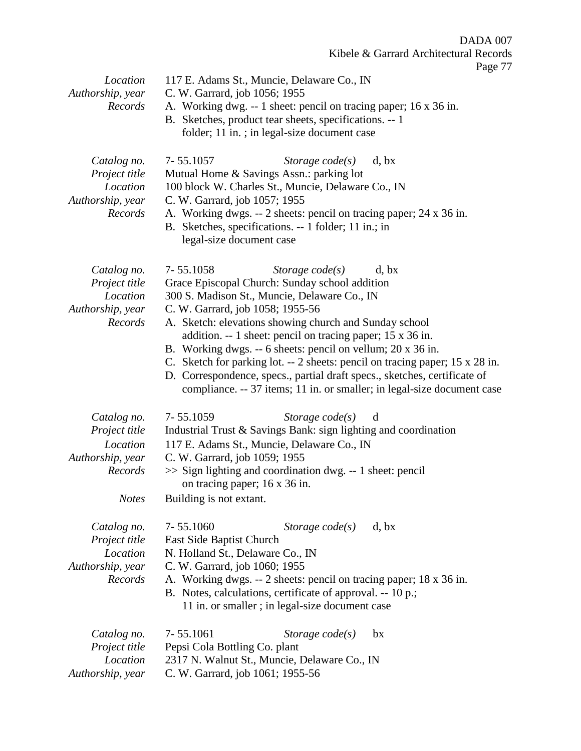Page 77

| Location                                                                                | 1 age<br>117 E. Adams St., Muncie, Delaware Co., IN                                                                                                                                                                                                                                                                                                                                                                                                                                                                                                                                                          |  |
|-----------------------------------------------------------------------------------------|--------------------------------------------------------------------------------------------------------------------------------------------------------------------------------------------------------------------------------------------------------------------------------------------------------------------------------------------------------------------------------------------------------------------------------------------------------------------------------------------------------------------------------------------------------------------------------------------------------------|--|
| Authorship, year<br>Records                                                             | C. W. Garrard, job 1056; 1955<br>A. Working dwg. -- 1 sheet: pencil on tracing paper; 16 x 36 in.<br>B. Sketches, product tear sheets, specifications. -- 1<br>folder; 11 in.; in legal-size document case                                                                                                                                                                                                                                                                                                                                                                                                   |  |
| Catalog no.<br>Project title<br>Location<br>Authorship, year<br>Records                 | 7-55.1057<br>Storage $code(s)$<br>d, bx<br>Mutual Home & Savings Assn.: parking lot<br>100 block W. Charles St., Muncie, Delaware Co., IN<br>C. W. Garrard, job 1057; 1955<br>A. Working dwgs. -- 2 sheets: pencil on tracing paper; 24 x 36 in.<br>B. Sketches, specifications. -- 1 folder; 11 in.; in<br>legal-size document case                                                                                                                                                                                                                                                                         |  |
| Catalog no.<br>Project title<br>Location<br>Authorship, year<br>Records                 | 7-55.1058<br>Storage $code(s)$<br>d, bx<br>Grace Episcopal Church: Sunday school addition<br>300 S. Madison St., Muncie, Delaware Co., IN<br>C. W. Garrard, job 1058; 1955-56<br>A. Sketch: elevations showing church and Sunday school<br>addition. -- 1 sheet: pencil on tracing paper; 15 x 36 in.<br>B. Working dwgs. -- 6 sheets: pencil on vellum; 20 x 36 in.<br>C. Sketch for parking lot. -- 2 sheets: pencil on tracing paper; 15 x 28 in.<br>D. Correspondence, specs., partial draft specs., sketches, certificate of<br>compliance. -- 37 items; 11 in. or smaller; in legal-size document case |  |
| Catalog no.<br>Project title<br>Location<br>Authorship, year<br>Records<br><b>Notes</b> | 7-55.1059<br>Storage $code(s)$<br>d<br>Industrial Trust & Savings Bank: sign lighting and coordination<br>117 E. Adams St., Muncie, Delaware Co., IN<br>C. W. Garrard, job 1059; 1955<br>>> Sign lighting and coordination dwg. -- 1 sheet: pencil<br>on tracing paper; 16 x 36 in.<br>Building is not extant.                                                                                                                                                                                                                                                                                               |  |
| Catalog no.<br>Project title<br>Location<br>Authorship, year<br>Records                 | 7-55.1060<br>Storage $code(s)$<br>d, bx<br>East Side Baptist Church<br>N. Holland St., Delaware Co., IN<br>C. W. Garrard, job 1060; 1955<br>A. Working dwgs. -- 2 sheets: pencil on tracing paper; 18 x 36 in.<br>B. Notes, calculations, certificate of approval. -- 10 p.;<br>11 in. or smaller; in legal-size document case                                                                                                                                                                                                                                                                               |  |
| Catalog no.<br>Project title<br>Location<br>Authorship, year                            | 7-55.1061<br>Storage $code(s)$<br>bx<br>Pepsi Cola Bottling Co. plant<br>2317 N. Walnut St., Muncie, Delaware Co., IN<br>C. W. Garrard, job 1061; 1955-56                                                                                                                                                                                                                                                                                                                                                                                                                                                    |  |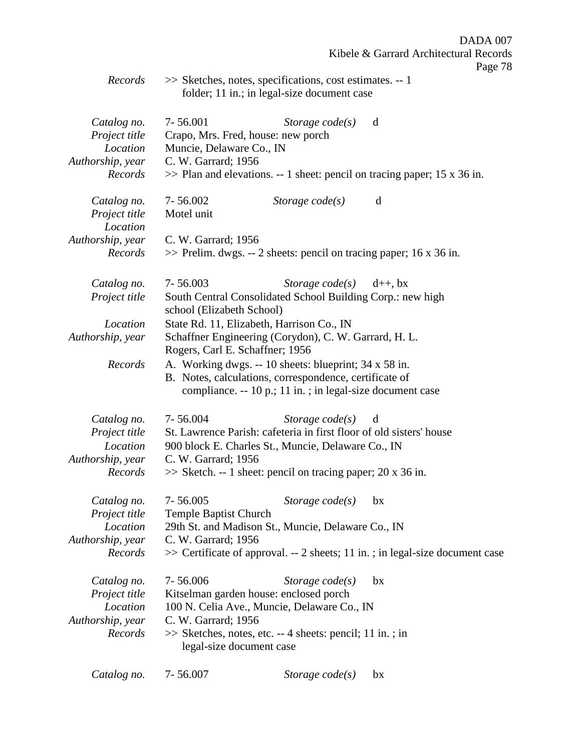| D<br>аре |  | . .<br>n |
|----------|--|----------|
|----------|--|----------|

*Records* >> Sketches, notes, specifications, cost estimates. -- 1 folder; 11 in.; in legal-size document case

| Catalog no.<br>Project title<br>Location<br>Authorship, year<br>Records | $7 - 56.001$<br>Muncie, Delaware Co., IN<br>C. W. Garrard; 1956     | Storage $code(s)$<br>Crapo, Mrs. Fred, house: new porch<br>$\gg$ Plan and elevations. -- 1 sheet: pencil on tracing paper; 15 x 36 in.                                                                           | d                                                                                     |
|-------------------------------------------------------------------------|---------------------------------------------------------------------|------------------------------------------------------------------------------------------------------------------------------------------------------------------------------------------------------------------|---------------------------------------------------------------------------------------|
| Catalog no.<br>Project title<br>Location                                | 7-56.002<br>Motel unit                                              | Storage $code(s)$                                                                                                                                                                                                | d                                                                                     |
| Authorship, year<br>Records                                             | C. W. Garrard; 1956                                                 | $\gg$ Prelim. dwgs. -- 2 sheets: pencil on tracing paper; 16 x 36 in.                                                                                                                                            |                                                                                       |
| Catalog no.<br>Project title                                            | $7 - 56.003$<br>school (Elizabeth School)                           | Storage $code(s)$<br>South Central Consolidated School Building Corp.: new high                                                                                                                                  | $d++$ , bx                                                                            |
| Location<br>Authorship, year                                            | Rogers, Carl E. Schaffner; 1956                                     | State Rd. 11, Elizabeth, Harrison Co., IN<br>Schaffner Engineering (Corydon), C. W. Garrard, H. L.                                                                                                               |                                                                                       |
| Records                                                                 |                                                                     | A. Working dwgs. -- 10 sheets: blueprint; 34 x 58 in.<br>B. Notes, calculations, correspondence, certificate of<br>compliance. -- 10 p.; 11 in.; in legal-size document case                                     |                                                                                       |
| Catalog no.<br>Project title<br>Location<br>Authorship, year<br>Records | 7-56.004<br>C. W. Garrard; 1956                                     | Storage $code(s)$<br>St. Lawrence Parish: cafeteria in first floor of old sisters' house<br>900 block E. Charles St., Muncie, Delaware Co., IN<br>$\gg$ Sketch. -- 1 sheet: pencil on tracing paper; 20 x 36 in. | d                                                                                     |
| Catalog no.<br>Project title<br>Location<br>Authorship, year<br>Records | $7 - 56.005$<br><b>Temple Baptist Church</b><br>C. W. Garrard; 1956 | Storage $code(s)$<br>29th St. and Madison St., Muncie, Delaware Co., IN                                                                                                                                          | bx<br>$\gg$ Certificate of approval. -- 2 sheets; 11 in.; in legal-size document case |
| Catalog no.<br>Project title<br>Location<br>Authorship, year<br>Records | 7-56.006<br>C. W. Garrard; 1956<br>legal-size document case         | Storage $code(s)$<br>Kitselman garden house: enclosed porch<br>100 N. Celia Ave., Muncie, Delaware Co., IN<br>>> Sketches, notes, etc. -- 4 sheets: pencil; 11 in.; in.                                          | bx                                                                                    |
| Catalog no.                                                             | 7-56.007                                                            | Storage $code(s)$                                                                                                                                                                                                | bx                                                                                    |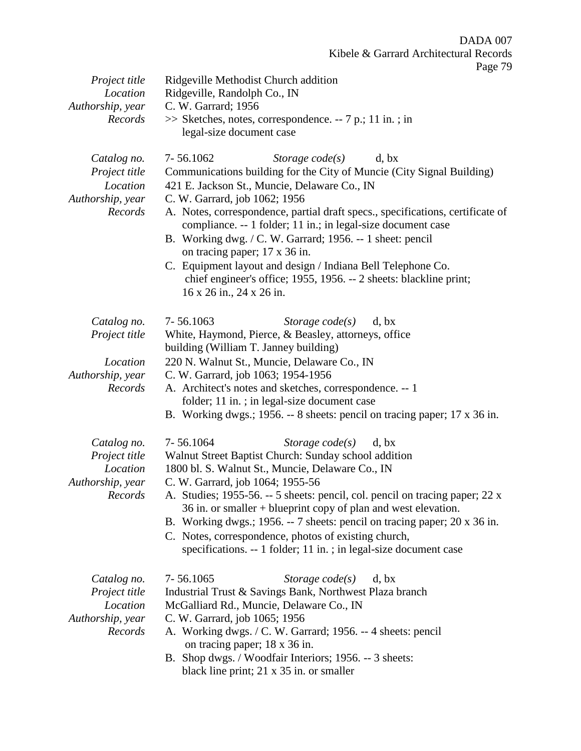| Project title<br>Location<br>Authorship, year<br>Records                | Ridgeville Methodist Church addition<br>Ridgeville, Randolph Co., IN<br>C. W. Garrard; 1956<br>$\gg$ Sketches, notes, correspondence. -- 7 p.; 11 in.; in.<br>legal-size document case                                                                                                                                                                                                                                                                                                                                                                                                                             |
|-------------------------------------------------------------------------|--------------------------------------------------------------------------------------------------------------------------------------------------------------------------------------------------------------------------------------------------------------------------------------------------------------------------------------------------------------------------------------------------------------------------------------------------------------------------------------------------------------------------------------------------------------------------------------------------------------------|
| Catalog no.<br>Project title<br>Location<br>Authorship, year<br>Records | 7-56.1062<br>Storage $code(s)$<br>d, bx<br>Communications building for the City of Muncie (City Signal Building)<br>421 E. Jackson St., Muncie, Delaware Co., IN<br>C. W. Garrard, job 1062; 1956<br>A. Notes, correspondence, partial draft specs., specifications, certificate of<br>compliance. -- 1 folder; 11 in.; in legal-size document case<br>B. Working dwg. / C. W. Garrard; 1956. -- 1 sheet: pencil<br>on tracing paper; 17 x 36 in.<br>C. Equipment layout and design / Indiana Bell Telephone Co.<br>chief engineer's office; 1955, 1956. -- 2 sheets: blackline print;<br>16 x 26 in., 24 x 26 in. |
| Catalog no.<br>Project title<br>Location<br>Authorship, year<br>Records | 7-56.1063<br>Storage $code(s)$<br>d, bx<br>White, Haymond, Pierce, & Beasley, attorneys, office<br>building (William T. Janney building)<br>220 N. Walnut St., Muncie, Delaware Co., IN<br>C. W. Garrard, job 1063; 1954-1956<br>A. Architect's notes and sketches, correspondence. -- 1<br>folder; 11 in.; in legal-size document case<br>B. Working dwgs.; 1956. -- 8 sheets: pencil on tracing paper; 17 x 36 in.                                                                                                                                                                                               |
| Catalog no.<br>Project title<br>Location<br>Authorship, year<br>Records | 7-56.1064<br>Storage $code(s)$<br>d, bx<br>Walnut Street Baptist Church: Sunday school addition<br>1800 bl. S. Walnut St., Muncie, Delaware Co., IN<br>C. W. Garrard, job 1064; 1955-56<br>A. Studies; 1955-56. -- 5 sheets: pencil, col. pencil on tracing paper; 22 x<br>$36$ in. or smaller + blueprint copy of plan and west elevation.<br>B. Working dwgs.; 1956. -- 7 sheets: pencil on tracing paper; 20 x 36 in.<br>C. Notes, correspondence, photos of existing church,<br>specifications. -- 1 folder; 11 in.; in legal-size document case                                                               |
| Catalog no.<br>Project title<br>Location<br>Authorship, year<br>Records | Storage $code(s)$<br>7-56.1065<br>d, bx<br>Industrial Trust & Savings Bank, Northwest Plaza branch<br>McGalliard Rd., Muncie, Delaware Co., IN<br>C. W. Garrard, job 1065; 1956<br>A. Working dwgs. / C. W. Garrard; 1956. -- 4 sheets: pencil<br>on tracing paper; 18 x 36 in.<br>B. Shop dwgs. / Woodfair Interiors; 1956. -- 3 sheets:                                                                                                                                                                                                                                                                          |

black line print; 21 x 35 in. or smaller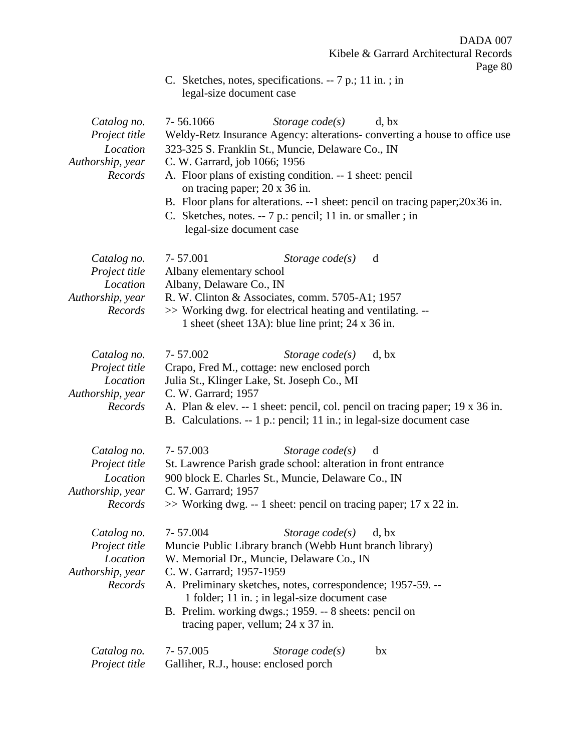C. Sketches, notes, specifications. -- 7 p.; 11 in. ; in legal-size document case

| Catalog no.<br>Project title<br>Location<br>Authorship, year<br>Records | 7-56.1066<br>Storage $code(s)$<br>d, bx<br>Weldy-Retz Insurance Agency: alterations-converting a house to office use<br>323-325 S. Franklin St., Muncie, Delaware Co., IN<br>C. W. Garrard, job 1066; 1956<br>A. Floor plans of existing condition. -- 1 sheet: pencil<br>on tracing paper; 20 x 36 in.<br>B. Floor plans for alterations. --1 sheet: pencil on tracing paper; 20x36 in.<br>C. Sketches, notes. -- 7 p.: pencil; 11 in. or smaller; in<br>legal-size document case |
|-------------------------------------------------------------------------|------------------------------------------------------------------------------------------------------------------------------------------------------------------------------------------------------------------------------------------------------------------------------------------------------------------------------------------------------------------------------------------------------------------------------------------------------------------------------------|
| Catalog no.<br>Project title<br>Location<br>Authorship, year<br>Records | 7-57.001<br>Storage $code(s)$<br>d<br>Albany elementary school<br>Albany, Delaware Co., IN<br>R. W. Clinton & Associates, comm. 5705-A1; 1957<br>>> Working dwg. for electrical heating and ventilating. --<br>1 sheet (sheet 13A): blue line print; 24 x 36 in.                                                                                                                                                                                                                   |
| Catalog no.<br>Project title<br>Location<br>Authorship, year<br>Records | 7-57.002<br>Storage $code(s)$<br>d, bx<br>Crapo, Fred M., cottage: new enclosed porch<br>Julia St., Klinger Lake, St. Joseph Co., MI<br>C. W. Garrard; 1957<br>A. Plan & elev. -- 1 sheet: pencil, col. pencil on tracing paper; 19 x 36 in.<br>B. Calculations. -- 1 p.: pencil; 11 in.; in legal-size document case                                                                                                                                                              |
| Catalog no.<br>Project title<br>Location<br>Authorship, year<br>Records | Storage $code(s)$<br>7-57.003<br>d<br>St. Lawrence Parish grade school: alteration in front entrance<br>900 block E. Charles St., Muncie, Delaware Co., IN<br>C. W. Garrard; 1957<br>>> Working dwg. -- 1 sheet: pencil on tracing paper; 17 x 22 in.                                                                                                                                                                                                                              |
| Catalog no.<br>Project title<br>Location<br>Authorship, year<br>Records | 7-57.004<br>Storage $code(s)$<br>d, bx<br>Muncie Public Library branch (Webb Hunt branch library)<br>W. Memorial Dr., Muncie, Delaware Co., IN<br>C. W. Garrard; 1957-1959<br>A. Preliminary sketches, notes, correspondence; 1957-59. --<br>1 folder; 11 in.; in legal-size document case<br>B. Prelim. working dwgs.; 1959. -- 8 sheets: pencil on<br>tracing paper, vellum; $24 \times 37$ in.                                                                                  |
| Catalog no.<br>Project title                                            | 7-57.005<br>Storage $code(s)$<br>bx<br>Galliher, R.J., house: enclosed porch                                                                                                                                                                                                                                                                                                                                                                                                       |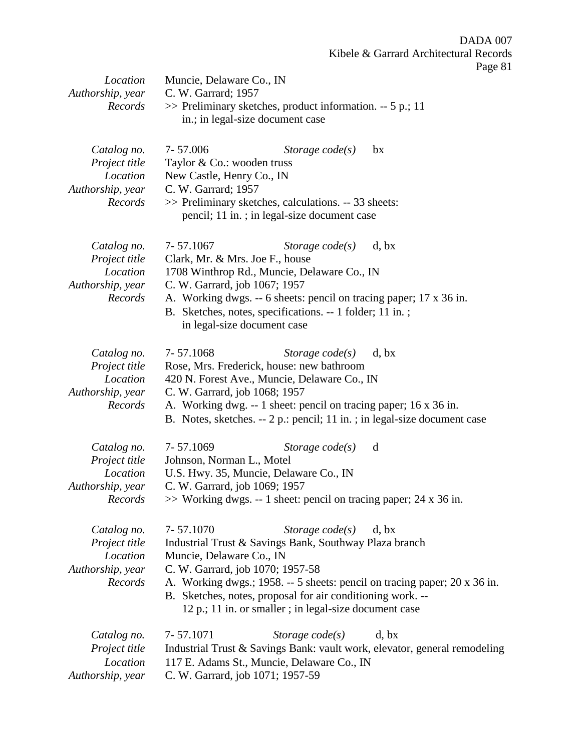| Location<br>Authorship, year<br>Records                                 | Page 81<br>Muncie, Delaware Co., IN<br>C. W. Garrard; 1957<br>$\gg$ Preliminary sketches, product information. -- 5 p.; 11<br>in.; in legal-size document case                                                                                                                                                                                                        |
|-------------------------------------------------------------------------|-----------------------------------------------------------------------------------------------------------------------------------------------------------------------------------------------------------------------------------------------------------------------------------------------------------------------------------------------------------------------|
| Catalog no.<br>Project title<br>Location<br>Authorship, year<br>Records | 7-57.006<br>Storage $code(s)$<br>bx<br>Taylor & Co.: wooden truss<br>New Castle, Henry Co., IN<br>C. W. Garrard; 1957<br>>> Preliminary sketches, calculations. -- 33 sheets:<br>pencil; 11 in.; in legal-size document case                                                                                                                                          |
| Catalog no.<br>Project title<br>Location<br>Authorship, year<br>Records | 7-57.1067<br>Storage $code(s)$<br>d, bx<br>Clark, Mr. & Mrs. Joe F., house<br>1708 Winthrop Rd., Muncie, Delaware Co., IN<br>C. W. Garrard, job 1067; 1957<br>A. Working dwgs. -- 6 sheets: pencil on tracing paper; 17 x 36 in.<br>B. Sketches, notes, specifications. -- 1 folder; 11 in.;<br>in legal-size document case                                           |
| Catalog no.<br>Project title<br>Location<br>Authorship, year<br>Records | 7-57.1068<br>Storage $code(s)$<br>d, bx<br>Rose, Mrs. Frederick, house: new bathroom<br>420 N. Forest Ave., Muncie, Delaware Co., IN<br>C. W. Garrard, job 1068; 1957<br>A. Working dwg. -- 1 sheet: pencil on tracing paper; 16 x 36 in.<br>B. Notes, sketches. -- 2 p.: pencil; 11 in.; in legal-size document case                                                 |
| Catalog no.<br>Project title<br>Location<br>Records                     | 7-57.1069<br>Storage $code(s)$<br>d<br>Johnson, Norman L., Motel<br>U.S. Hwy. 35, Muncie, Delaware Co., IN<br>Authorship, year C. W. Garrard, job 1069; 1957<br>$\gg$ Working dwgs. -- 1 sheet: pencil on tracing paper; 24 x 36 in.                                                                                                                                  |
| Catalog no.<br>Project title<br>Location<br>Authorship, year<br>Records | 7-57.1070<br>Storage $code(s)$<br>d, bx<br>Industrial Trust & Savings Bank, Southway Plaza branch<br>Muncie, Delaware Co., IN<br>C. W. Garrard, job 1070; 1957-58<br>A. Working dwgs.; 1958. -- 5 sheets: pencil on tracing paper; 20 x 36 in.<br>B. Sketches, notes, proposal for air conditioning work. --<br>12 p.; 11 in. or smaller; in legal-size document case |
| Catalog no.<br>$D_{\text{noise}}$ t titla                               | 7-57.1071<br>Storage $code(s)$<br>d, bx<br>Industrial Trust & Savings Rank yoult work elevator general remodeling                                                                                                                                                                                                                                                     |

*Project title* Industrial Trust & Savings Bank: vault work, elevator, general remodeling *Location* 117 E. Adams St., Muncie, Delaware Co., IN

*Authorship, year* C. W. Garrard, job 1071; 1957-59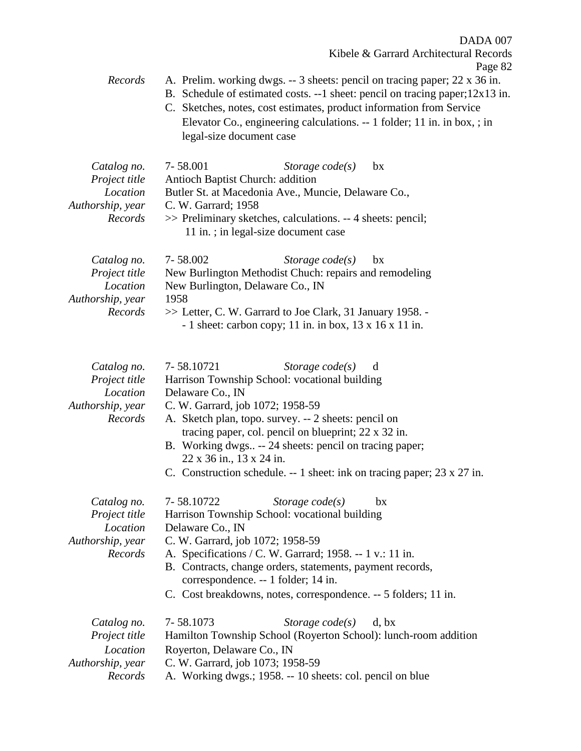- *Records* A. Prelim. working dwgs. -- 3 sheets: pencil on tracing paper; 22 x 36 in.
	- B. Schedule of estimated costs. --1 sheet: pencil on tracing paper;12x13 in.
	- C. Sketches, notes, cost estimates, product information from Service Elevator Co., engineering calculations. -- 1 folder; 11 in. in box, ; in legal-size document case

| Catalog no.<br>Project title<br>Location<br>Authorship, year<br>Records | 7-58.001<br>Storage $code(s)$<br>bx<br>Antioch Baptist Church: addition<br>Butler St. at Macedonia Ave., Muncie, Delaware Co.,<br>C. W. Garrard; 1958<br>>> Preliminary sketches, calculations. -- 4 sheets: pencil;<br>11 in.; in legal-size document case                                                                                                                                                                    |
|-------------------------------------------------------------------------|--------------------------------------------------------------------------------------------------------------------------------------------------------------------------------------------------------------------------------------------------------------------------------------------------------------------------------------------------------------------------------------------------------------------------------|
| Catalog no.<br>Project title<br>Location<br>Authorship, year<br>Records | 7-58.002<br>Storage $code(s)$<br>bx<br>New Burlington Methodist Chuch: repairs and remodeling<br>New Burlington, Delaware Co., IN<br>1958<br>>> Letter, C. W. Garrard to Joe Clark, 31 January 1958. -<br>$-1$ sheet: carbon copy; 11 in. in box, 13 x 16 x 11 in.                                                                                                                                                             |
| Catalog no.<br>Project title<br>Location<br>Authorship, year<br>Records | Storage $code(s)$<br>7-58.10721<br>d<br>Harrison Township School: vocational building<br>Delaware Co., IN<br>C. W. Garrard, job 1072; 1958-59<br>A. Sketch plan, topo. survey. -- 2 sheets: pencil on<br>tracing paper, col. pencil on blueprint; 22 x 32 in.<br>B. Working dwgs -- 24 sheets: pencil on tracing paper;<br>22 x 36 in., 13 x 24 in.<br>C. Construction schedule. -- 1 sheet: ink on tracing paper; 23 x 27 in. |
| Catalog no.<br>Project title<br>Location<br>Authorship, year<br>Records | 7-58.10722<br>Storage $code(s)$<br>bx<br>Harrison Township School: vocational building<br>Delaware Co., IN<br>C. W. Garrard, job 1072; 1958-59<br>A. Specifications / C. W. Garrard; 1958. -- 1 v.: 11 in.<br>B. Contracts, change orders, statements, payment records,<br>correspondence. -- 1 folder; 14 in.<br>C. Cost breakdowns, notes, correspondence. -- 5 folders; 11 in.                                              |
| Catalog no.<br>Project title<br>Location<br>Authorship, year<br>Records | 7-58.1073<br>Storage $code(s)$<br>d, bx<br>Hamilton Township School (Royerton School): lunch-room addition<br>Royerton, Delaware Co., IN<br>C. W. Garrard, job 1073; 1958-59<br>A. Working dwgs.; 1958. -- 10 sheets: col. pencil on blue                                                                                                                                                                                      |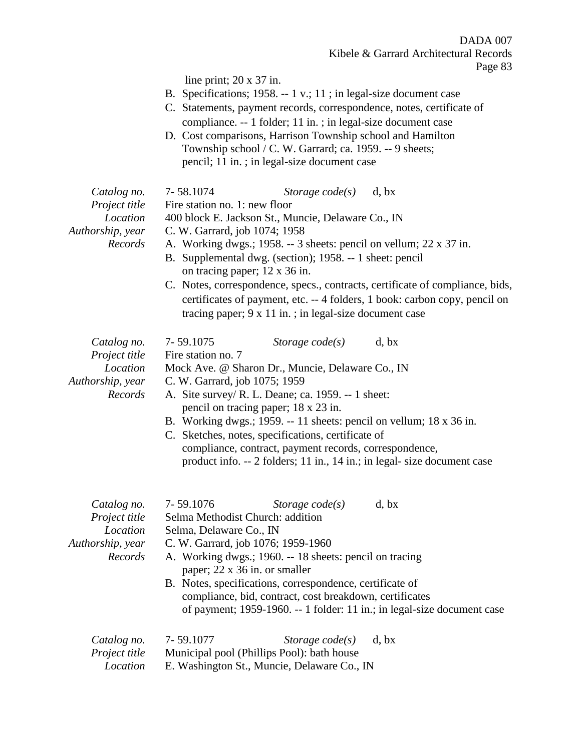line print; 20 x 37 in.

- B. Specifications; 1958. -- 1 v.; 11 ; in legal-size document case
- C. Statements, payment records, correspondence, notes, certificate of compliance. -- 1 folder; 11 in. ; in legal-size document case
- D. Cost comparisons, Harrison Township school and Hamilton Township school / C. W. Garrard; ca. 1959. -- 9 sheets; pencil; 11 in. ; in legal-size document case

*Catalog no.* 7- 58.1074 *Storage code(s)* d, bx *Project title* Fire station no. 1: new floor *Location* 400 block E. Jackson St., Muncie, Delaware Co., IN *Authorship, year* C. W. Garrard, job 1074; 1958 *Records* A. Working dwgs.; 1958. -- 3 sheets: pencil on vellum; 22 x 37 in. B. Supplemental dwg. (section); 1958. -- 1 sheet: pencil on tracing paper; 12 x 36 in. C. Notes, correspondence, specs., contracts, certificate of compliance, bids, certificates of payment, etc. -- 4 folders, 1 book: carbon copy, pencil on tracing paper; 9 x 11 in. ; in legal-size document case *Catalog no.* 7- 59.1075 *Storage code(s)* d, bx *Project title* Fire station no. 7 *Location* Mock Ave. @ Sharon Dr., Muncie, Delaware Co., IN *Authorship, year* C. W. Garrard, job 1075; 1959 *Records* A. Site survey/ R. L. Deane; ca. 1959. -- 1 sheet: pencil on tracing paper; 18 x 23 in. B. Working dwgs.; 1959. -- 11 sheets: pencil on vellum; 18 x 36 in. C. Sketches, notes, specifications, certificate of compliance, contract, payment records, correspondence, product info. -- 2 folders; 11 in., 14 in.; in legal- size document case *Catalog no.* 7- 59.1076 *Storage code(s)* d, bx *Project title* Selma Methodist Church: addition *Location* Selma, Delaware Co., IN *Authorship, year* C. W. Garrard, job 1076; 1959-1960 *Records* A. Working dwgs.; 1960. -- 18 sheets: pencil on tracing paper; 22 x 36 in. or smaller B. Notes, specifications, correspondence, certificate of compliance, bid, contract, cost breakdown, certificates of payment; 1959-1960. -- 1 folder: 11 in.; in legal-size document case

| Catalog no.   | 7-59.1077 | Storage $code(s)$                           | d, bx |
|---------------|-----------|---------------------------------------------|-------|
| Project title |           | Municipal pool (Phillips Pool): bath house  |       |
| Location      |           | E. Washington St., Muncie, Delaware Co., IN |       |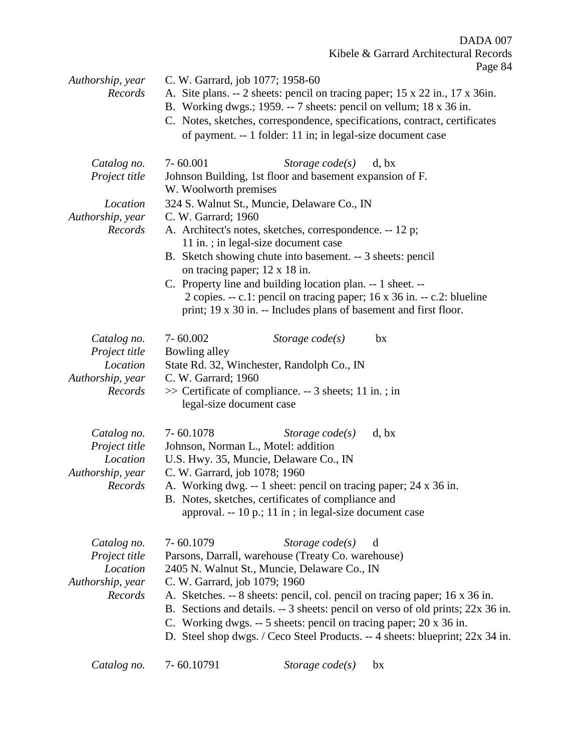DADA 007

Kibele & Garrard Architectural Records

|                                                                              | Page 84 |
|------------------------------------------------------------------------------|---------|
| C. W. Garrard, job 1077; 1958-60                                             |         |
| A. Site plans. -- 2 sheets: pencil on tracing paper; 15 x 22 in., 17 x 36in. |         |
| B. Working dwgs.; 1959. -- 7 sheets: pencil on vellum; $18 \times 36$ in.    |         |
| C. Notes, sketches, correspondence, specifications, contract, certificates   |         |
| of payment $-1$ folder: 11 in in legal-size document case                    |         |

|                                                                         | C. Notes, sketches, correspondence, specifications, contract, certificates<br>of payment. -- 1 folder: 11 in; in legal-size document case                                                                                                                                                                                                                                                                                                                                                                                                                                                                              |
|-------------------------------------------------------------------------|------------------------------------------------------------------------------------------------------------------------------------------------------------------------------------------------------------------------------------------------------------------------------------------------------------------------------------------------------------------------------------------------------------------------------------------------------------------------------------------------------------------------------------------------------------------------------------------------------------------------|
| Catalog no.<br>Project title<br>Location<br>Authorship, year<br>Records | $7 - 60.001$<br>Storage $code(s)$<br>d, bx<br>Johnson Building, 1st floor and basement expansion of F.<br>W. Woolworth premises<br>324 S. Walnut St., Muncie, Delaware Co., IN<br>C. W. Garrard; 1960<br>A. Architect's notes, sketches, correspondence. -- 12 p;<br>11 in.; in legal-size document case<br>B. Sketch showing chute into basement. -- 3 sheets: pencil<br>on tracing paper; 12 x 18 in.<br>C. Property line and building location plan. -- 1 sheet. --<br>2 copies. -- c.1: pencil on tracing paper; 16 x 36 in. -- c.2: blueline<br>print; 19 x 30 in. -- Includes plans of basement and first floor. |
| Catalog no.<br>Project title<br>Location<br>Authorship, year<br>Records | 7-60.002<br>Storage $code(s)$<br>bx<br>Bowling alley<br>State Rd. 32, Winchester, Randolph Co., IN<br>C. W. Garrard; 1960<br>$\gg$ Certificate of compliance. -- 3 sheets; 11 in.; in.<br>legal-size document case                                                                                                                                                                                                                                                                                                                                                                                                     |
| Catalog no.<br>Project title<br>Location<br>Authorship, year<br>Records | 7-60.1078<br>Storage $code(s)$<br>d, bx<br>Johnson, Norman L., Motel: addition<br>U.S. Hwy. 35, Muncie, Delaware Co., IN<br>C. W. Garrard, job 1078; 1960<br>A. Working dwg. -- 1 sheet: pencil on tracing paper; 24 x 36 in.<br>B. Notes, sketches, certificates of compliance and<br>approval. -- 10 p.; 11 in ; in legal-size document case                                                                                                                                                                                                                                                                         |
| Catalog no.<br>Project title<br>Location<br>Authorship, year<br>Records | 7-60.1079<br>Storage $code(s)$<br>d<br>Parsons, Darrall, warehouse (Treaty Co. warehouse)<br>2405 N. Walnut St., Muncie, Delaware Co., IN<br>C. W. Garrard, job 1079; 1960<br>A. Sketches. -- 8 sheets: pencil, col. pencil on tracing paper; 16 x 36 in.<br>B. Sections and details. -- 3 sheets: pencil on verso of old prints; 22x 36 in.<br>C. Working dwgs. -- 5 sheets: pencil on tracing paper; 20 x 36 in.<br>D. Steel shop dwgs. / Ceco Steel Products. -- 4 sheets: blueprint; 22x 34 in.                                                                                                                    |

*Authorship, year* C. W. Garrard, job 1077; 1958-60<br>*Records* A. Site plans. -- 2 sheets: pencil o

| 7-60.10791<br>Catalog no. | Storage $code(s)$ bx |  |
|---------------------------|----------------------|--|
|---------------------------|----------------------|--|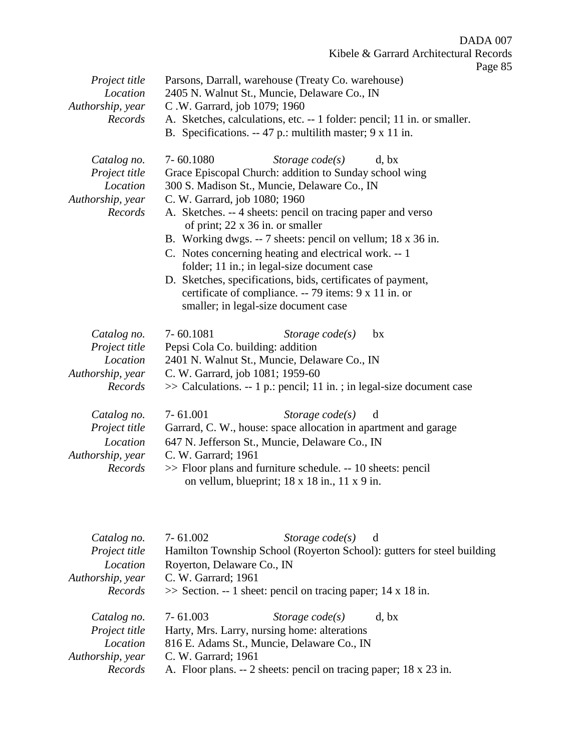$ge 85$ 

|                  | Page                                                                     |
|------------------|--------------------------------------------------------------------------|
| Project title    | Parsons, Darrall, warehouse (Treaty Co. warehouse)                       |
| Location         | 2405 N. Walnut St., Muncie, Delaware Co., IN                             |
| Authorship, year | C.W. Garrard, job 1079; 1960                                             |
| Records          | A. Sketches, calculations, etc. -- 1 folder: pencil; 11 in. or smaller.  |
|                  | B. Specifications. -- 47 p.: multilith master; 9 x 11 in.                |
| Catalog no.      | 7-60.1080<br>Storage $code(s)$<br>$d$ , $bx$                             |
| Project title    | Grace Episcopal Church: addition to Sunday school wing                   |
| Location         | 300 S. Madison St., Muncie, Delaware Co., IN                             |
| Authorship, year | C. W. Garrard, job 1080; 1960                                            |
| Records          | A. Sketches. -- 4 sheets: pencil on tracing paper and verso              |
|                  | of print; 22 x 36 in. or smaller                                         |
|                  | B. Working dwgs. -- 7 sheets: pencil on vellum; 18 x 36 in.              |
|                  | C. Notes concerning heating and electrical work. -- 1                    |
|                  | folder; 11 in.; in legal-size document case                              |
|                  | D. Sketches, specifications, bids, certificates of payment,              |
|                  | certificate of compliance. -- 79 items: 9 x 11 in. or                    |
|                  | smaller; in legal-size document case                                     |
|                  |                                                                          |
| Catalog no.      | 7-60.1081<br>Storage $code(s)$<br>bx                                     |
| Project title    | Pepsi Cola Co. building: addition                                        |
| Location         | 2401 N. Walnut St., Muncie, Delaware Co., IN                             |
| Authorship, year | C. W. Garrard, job 1081; 1959-60                                         |
| Records          | $\gg$ Calculations. -- 1 p.: pencil; 11 in.; in legal-size document case |
|                  |                                                                          |
| Catalog no.      | $7 - 61.001$<br>Storage $code(s)$<br>d                                   |
| Project title    | Garrard, C. W., house: space allocation in apartment and garage          |
| Location         | 647 N. Jefferson St., Muncie, Delaware Co., IN                           |
| Authorship, year | C. W. Garrard; 1961                                                      |
| Records          | >> Floor plans and furniture schedule. -- 10 sheets: pencil              |
|                  | on vellum, blueprint; $18 \times 18$ in., $11 \times 9$ in.              |
|                  |                                                                          |
|                  |                                                                          |
| Catalog no.      | $7 - 61.002$<br>Storage $code(s)$<br>d                                   |
| Project title    | Hamilton Township School (Royerton School): gutters for steel building   |
| Location         | Royerton, Delaware Co., IN                                               |
| Authorship, year | C. W. Garrard; 1961                                                      |
| Records          | $\gg$ Section. -- 1 sheet: pencil on tracing paper; 14 x 18 in.          |

| Catalog no.      | $7 - 61.003$        | Storage $code(s)$                                                 | d, bx |
|------------------|---------------------|-------------------------------------------------------------------|-------|
| Project title    |                     | Harty, Mrs. Larry, nursing home: alterations                      |       |
| Location         |                     | 816 E. Adams St., Muncie, Delaware Co., IN                        |       |
| Authorship, year | C. W. Garrard; 1961 |                                                                   |       |
| Records          |                     | A. Floor plans. -- 2 sheets: pencil on tracing paper; 18 x 23 in. |       |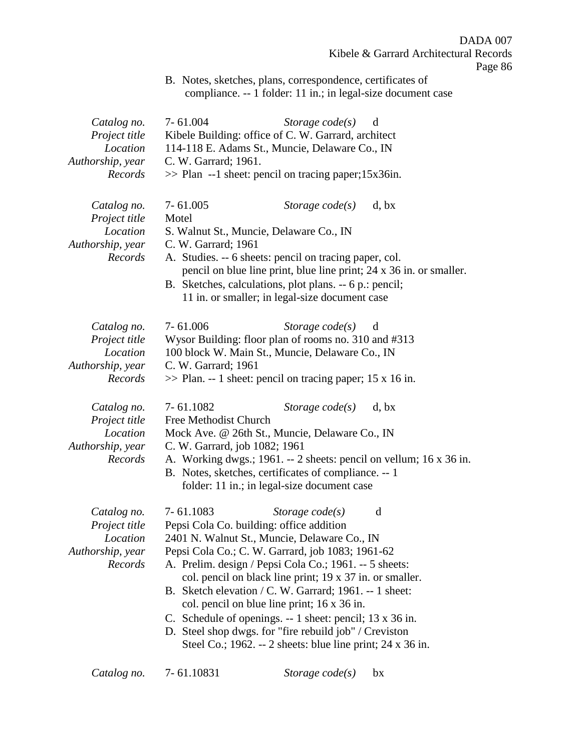Page 86

B. Notes, sketches, plans, correspondence, certificates of compliance. -- 1 folder: 11 in.; in legal-size document case

| Catalog no.<br>Project title<br>Location<br>Authorship, year<br>Records | 7-61.004<br>Storage $code(s)$<br>Kibele Building: office of C. W. Garrard, architect<br>114-118 E. Adams St., Muncie, Delaware Co., IN<br>C. W. Garrard; 1961.<br>$\gg$ Plan --1 sheet: pencil on tracing paper; 15x36in.                                                                                                                                                                                                                                                                                                                                                                                | d     |
|-------------------------------------------------------------------------|----------------------------------------------------------------------------------------------------------------------------------------------------------------------------------------------------------------------------------------------------------------------------------------------------------------------------------------------------------------------------------------------------------------------------------------------------------------------------------------------------------------------------------------------------------------------------------------------------------|-------|
| Catalog no.<br>Project title<br>Location<br>Authorship, year<br>Records | $7 - 61.005$<br>Storage $code(s)$<br>Motel<br>S. Walnut St., Muncie, Delaware Co., IN<br>C. W. Garrard; 1961<br>A. Studies. -- 6 sheets: pencil on tracing paper, col.<br>pencil on blue line print, blue line print; 24 x 36 in. or smaller.<br>B. Sketches, calculations, plot plans. -- 6 p.: pencil;<br>11 in. or smaller; in legal-size document case                                                                                                                                                                                                                                               | d, bx |
| Catalog no.<br>Project title<br>Location<br>Authorship, year<br>Records | 7-61.006<br>Storage code(s)<br>Wysor Building: floor plan of rooms no. 310 and #313<br>100 block W. Main St., Muncie, Delaware Co., IN<br>C. W. Garrard; 1961<br>$\gg$ Plan. -- 1 sheet: pencil on tracing paper; 15 x 16 in.                                                                                                                                                                                                                                                                                                                                                                            | d     |
| Catalog no.<br>Project title<br>Location<br>Authorship, year<br>Records | 7-61.1082<br>Storage $code(s)$<br>Free Methodist Church<br>Mock Ave. @ 26th St., Muncie, Delaware Co., IN<br>C. W. Garrard, job 1082; 1961<br>A. Working dwgs.; 1961. -- 2 sheets: pencil on vellum; 16 x 36 in.<br>B. Notes, sketches, certificates of compliance. -- 1<br>folder: 11 in.; in legal-size document case                                                                                                                                                                                                                                                                                  | d, bx |
| Catalog no.<br>Project title<br>Location<br>Authorship, year<br>Records | 7-61.1083<br>Storage $code(s)$<br>Pepsi Cola Co. building: office addition<br>2401 N. Walnut St., Muncie, Delaware Co., IN<br>Pepsi Cola Co.; C. W. Garrard, job 1083; 1961-62<br>A. Prelim. design / Pepsi Cola Co.; 1961. -- 5 sheets:<br>col. pencil on black line print; 19 x 37 in. or smaller.<br>B. Sketch elevation / C. W. Garrard; 1961. -- 1 sheet:<br>col. pencil on blue line print; 16 x 36 in.<br>C. Schedule of openings. -- 1 sheet: pencil; 13 x 36 in.<br>D. Steel shop dwgs. for "fire rebuild job" / Creviston<br>Steel Co.; 1962. -- 2 sheets: blue line print; $24 \times 36$ in. | d     |
| Catalog no.                                                             | 7-61.10831<br>Storage $code(s)$                                                                                                                                                                                                                                                                                                                                                                                                                                                                                                                                                                          | bx    |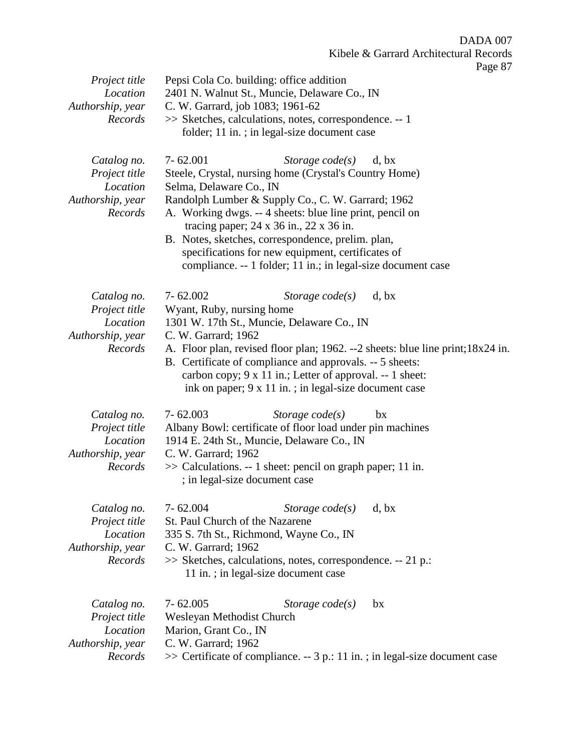Page 87

|                                                                         | $-5 - 3$                                                                                                                                                                                                                                                                                                                                                                                                         |
|-------------------------------------------------------------------------|------------------------------------------------------------------------------------------------------------------------------------------------------------------------------------------------------------------------------------------------------------------------------------------------------------------------------------------------------------------------------------------------------------------|
| Project title<br>Location<br>Authorship, year                           | Pepsi Cola Co. building: office addition<br>2401 N. Walnut St., Muncie, Delaware Co., IN<br>C. W. Garrard, job 1083; 1961-62                                                                                                                                                                                                                                                                                     |
| Records                                                                 | >> Sketches, calculations, notes, correspondence. -- 1<br>folder; 11 in.; in legal-size document case                                                                                                                                                                                                                                                                                                            |
| Catalog no.<br>Project title<br>Location<br>Authorship, year<br>Records | $7 - 62.001$<br>Storage $code(s)$<br>d, bx<br>Steele, Crystal, nursing home (Crystal's Country Home)<br>Selma, Delaware Co., IN<br>Randolph Lumber & Supply Co., C. W. Garrard; 1962<br>A. Working dwgs. -- 4 sheets: blue line print, pencil on<br>tracing paper; $24 \times 36$ in., $22 \times 36$ in.<br>B. Notes, sketches, correspondence, prelim. plan,                                                   |
|                                                                         | specifications for new equipment, certificates of<br>compliance. -- 1 folder; 11 in.; in legal-size document case                                                                                                                                                                                                                                                                                                |
| Catalog no.<br>Project title<br>Location<br>Authorship, year<br>Records | $7 - 62.002$<br>Storage $code(s)$<br>d, bx<br>Wyant, Ruby, nursing home<br>1301 W. 17th St., Muncie, Delaware Co., IN<br>C. W. Garrard; 1962<br>A. Floor plan, revised floor plan; 1962. --2 sheets: blue line print; 18x24 in.<br>B. Certificate of compliance and approvals. -- 5 sheets:<br>carbon copy; 9 x 11 in.; Letter of approval. -- 1 sheet:<br>ink on paper; 9 x 11 in.; in legal-size document case |
| Catalog no.<br>Project title<br>Location<br>Authorship, year<br>Records | $7 - 62.003$<br>Storage $code(s)$<br>bx<br>Albany Bowl: certificate of floor load under pin machines<br>1914 E. 24th St., Muncie, Delaware Co., IN<br>C. W. Garrard; 1962<br>$\gg$ Calculations. -- 1 sheet: pencil on graph paper; 11 in.<br>; in legal-size document case                                                                                                                                      |
| Catalog no.<br>Project title<br>Location<br>Authorship, year<br>Records | 7-62.004<br>Storage $code(s)$<br>d, bx<br>St. Paul Church of the Nazarene<br>335 S. 7th St., Richmond, Wayne Co., IN<br>C. W. Garrard; 1962<br>>> Sketches, calculations, notes, correspondence. -- 21 p.:<br>11 in.; in legal-size document case                                                                                                                                                                |
| Catalog no.<br>Project title<br>Location<br>Authorship, year<br>Records | $7 - 62.005$<br>Storage $code(s)$<br>bx<br>Wesleyan Methodist Church<br>Marion, Grant Co., IN<br>C. W. Garrard; 1962<br>$\gg$ Certificate of compliance. -- 3 p.: 11 in.; in legal-size document case                                                                                                                                                                                                            |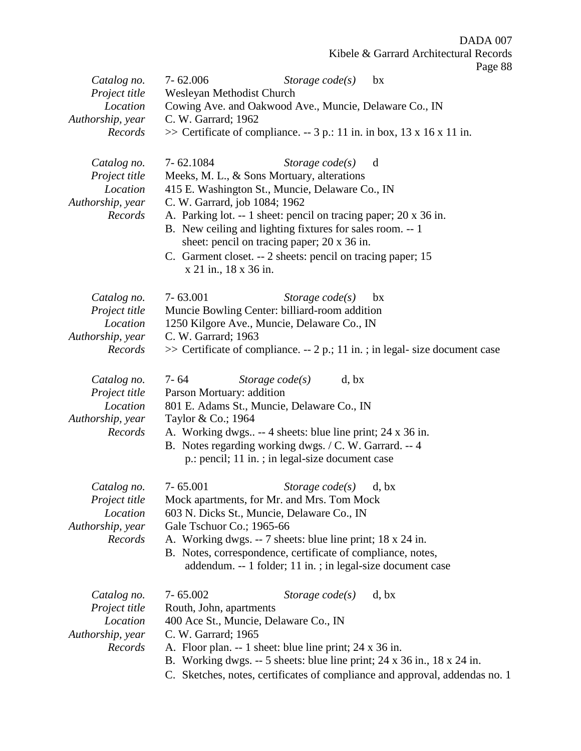| .x<br>∙ао.<br>тe.<br>c |
|------------------------|
|------------------------|

|                  |                               |                                                                                |       | $\frac{1}{2}$ ugu oc |
|------------------|-------------------------------|--------------------------------------------------------------------------------|-------|----------------------|
| Catalog no.      | $7 - 62.006$                  | Storage $code(s)$                                                              | bx    |                      |
| Project title    | Wesleyan Methodist Church     |                                                                                |       |                      |
| Location         |                               | Cowing Ave. and Oakwood Ave., Muncie, Delaware Co., IN                         |       |                      |
| Authorship, year | C. W. Garrard; 1962           |                                                                                |       |                      |
| Records          |                               | $\gg$ Certificate of compliance. -- 3 p.: 11 in. in box, 13 x 16 x 11 in.      |       |                      |
| Catalog no.      | 7-62.1084                     | Storage $code(s)$                                                              | d     |                      |
| Project title    |                               | Meeks, M. L., & Sons Mortuary, alterations                                     |       |                      |
| Location         |                               | 415 E. Washington St., Muncie, Delaware Co., IN                                |       |                      |
| Authorship, year | C. W. Garrard, job 1084; 1962 |                                                                                |       |                      |
| Records          |                               | A. Parking lot. -- 1 sheet: pencil on tracing paper; 20 x 36 in.               |       |                      |
|                  |                               | B. New ceiling and lighting fixtures for sales room. -- 1                      |       |                      |
|                  |                               | sheet: pencil on tracing paper; 20 x 36 in.                                    |       |                      |
|                  |                               | C. Garment closet. -- 2 sheets: pencil on tracing paper; 15                    |       |                      |
|                  | x 21 in., 18 x 36 in.         |                                                                                |       |                      |
| Catalog no.      | $7 - 63.001$                  | Storage $code(s)$                                                              | bx    |                      |
| Project title    |                               | Muncie Bowling Center: billiard-room addition                                  |       |                      |
| Location         |                               | 1250 Kilgore Ave., Muncie, Delaware Co., IN                                    |       |                      |
| Authorship, year | C. W. Garrard; 1963           |                                                                                |       |                      |
| Records          |                               | $\gg$ Certificate of compliance. -- 2 p.; 11 in.; in legal- size document case |       |                      |
| Catalog no.      | $7 - 64$                      | d, bx<br>Storage $code(s)$                                                     |       |                      |
| Project title    | Parson Mortuary: addition     |                                                                                |       |                      |
| Location         |                               | 801 E. Adams St., Muncie, Delaware Co., IN                                     |       |                      |
| Authorship, year | Taylor & Co.; 1964            |                                                                                |       |                      |
| Records          |                               | A. Working dwgs -- 4 sheets: blue line print; 24 x 36 in.                      |       |                      |
|                  |                               | B. Notes regarding working dwgs. / C. W. Garrard. -- 4                         |       |                      |
|                  |                               | p.: pencil; 11 in.; in legal-size document case                                |       |                      |
| Catalog no.      | 7-65.001                      | Storage $code(s)$                                                              | d, bx |                      |
| Project title    |                               | Mock apartments, for Mr. and Mrs. Tom Mock                                     |       |                      |
| Location         |                               | 603 N. Dicks St., Muncie, Delaware Co., IN                                     |       |                      |
| Authorship, year | Gale Tschuor Co.; 1965-66     |                                                                                |       |                      |
| Records          |                               | A. Working dwgs. -- 7 sheets: blue line print; 18 x 24 in.                     |       |                      |
|                  |                               | B. Notes, correspondence, certificate of compliance, notes,                    |       |                      |
|                  |                               | addendum. -- 1 folder; 11 in. ; in legal-size document case                    |       |                      |
| Catalog no.      | $7 - 65.002$                  | Storage $code(s)$                                                              | d, bx |                      |
| Project title    | Routh, John, apartments       |                                                                                |       |                      |
| Location         |                               | 400 Ace St., Muncie, Delaware Co., IN                                          |       |                      |
| Authorship, year | C. W. Garrard; 1965           |                                                                                |       |                      |
| Records          |                               | A. Floor plan. -- 1 sheet: blue line print; 24 x 36 in.                        |       |                      |
|                  |                               | B. Working dwgs. -- 5 sheets: blue line print; 24 x 36 in., 18 x 24 in.        |       |                      |
|                  |                               | C. Sketches, notes, certificates of compliance and approval, addendas no. 1    |       |                      |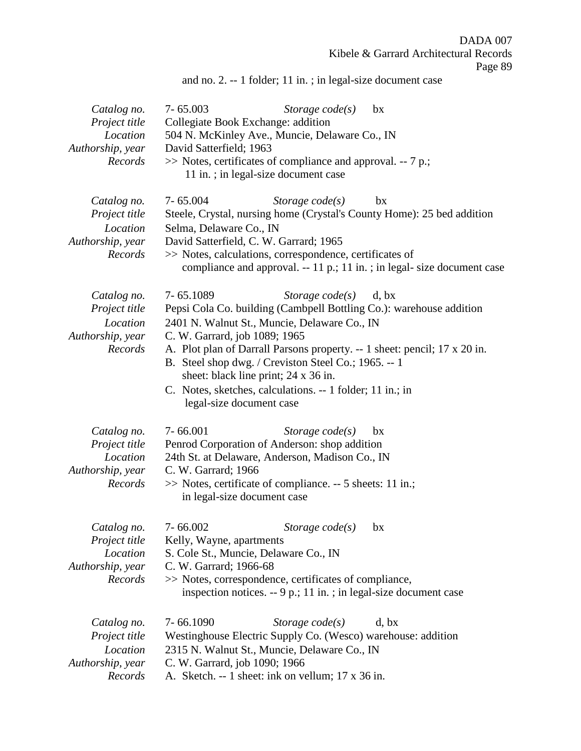and no. 2. -- 1 folder; 11 in. ; in legal-size document case

| Catalog no.<br>Project title<br>Location<br>Authorship, year<br>Records          | $7 - 65.003$<br>Storage $code(s)$<br>bx<br>Collegiate Book Exchange: addition<br>504 N. McKinley Ave., Muncie, Delaware Co., IN<br>David Satterfield; 1963<br>>> Notes, certificates of compliance and approval. -- 7 p.;<br>11 in.; in legal-size document case                                                                                                                                                                                                      |
|----------------------------------------------------------------------------------|-----------------------------------------------------------------------------------------------------------------------------------------------------------------------------------------------------------------------------------------------------------------------------------------------------------------------------------------------------------------------------------------------------------------------------------------------------------------------|
| Catalog no.<br>Project title<br>Location<br>Authorship, year<br>Records          | 7-65.004<br>Storage code(s)<br>bx<br>Steele, Crystal, nursing home (Crystal's County Home): 25 bed addition<br>Selma, Delaware Co., IN<br>David Satterfield, C. W. Garrard; 1965<br>>> Notes, calculations, correspondence, certificates of<br>compliance and approval. $-11$ p.; 11 in.; in legal-size document case                                                                                                                                                 |
| Catalog no.<br>Project title<br>Location<br>Authorship, year<br>Records          | 7-65.1089<br>Storage $code(s)$<br>d, bx<br>Pepsi Cola Co. building (Cambpell Bottling Co.): warehouse addition<br>2401 N. Walnut St., Muncie, Delaware Co., IN<br>C. W. Garrard, job 1089; 1965<br>A. Plot plan of Darrall Parsons property. -- 1 sheet: pencil; 17 x 20 in.<br>B. Steel shop dwg. / Creviston Steel Co.; 1965. -- 1<br>sheet: black line print; 24 x 36 in.<br>C. Notes, sketches, calculations. -- 1 folder; 11 in.; in<br>legal-size document case |
| Catalog no.<br>Project title<br>Location<br>Authorship, year<br>Records          | $7 - 66.001$<br>Storage code(s)<br>bx<br>Penrod Corporation of Anderson: shop addition<br>24th St. at Delaware, Anderson, Madison Co., IN<br>C. W. Garrard; 1966<br>>> Notes, certificate of compliance. -- 5 sheets: 11 in.;<br>in legal-size document case                                                                                                                                                                                                          |
| Catalog no. 7-66.002<br>Project title<br>Location<br>Authorship, year<br>Records | Storage $code(s)$ bx<br>Kelly, Wayne, apartments<br>S. Cole St., Muncie, Delaware Co., IN<br>C. W. Garrard; 1966-68<br>>> Notes, correspondence, certificates of compliance,<br>inspection notices. $-9$ p.; 11 in.; in legal-size document case                                                                                                                                                                                                                      |
| Catalog no.<br>Project title<br>Location<br>Authorship, year<br>Records          | 7-66.1090<br>Storage $code(s)$<br>d, bx<br>Westinghouse Electric Supply Co. (Wesco) warehouse: addition<br>2315 N. Walnut St., Muncie, Delaware Co., IN<br>C. W. Garrard, job 1090; 1966<br>A. Sketch. -- 1 sheet: ink on vellum; 17 x 36 in.                                                                                                                                                                                                                         |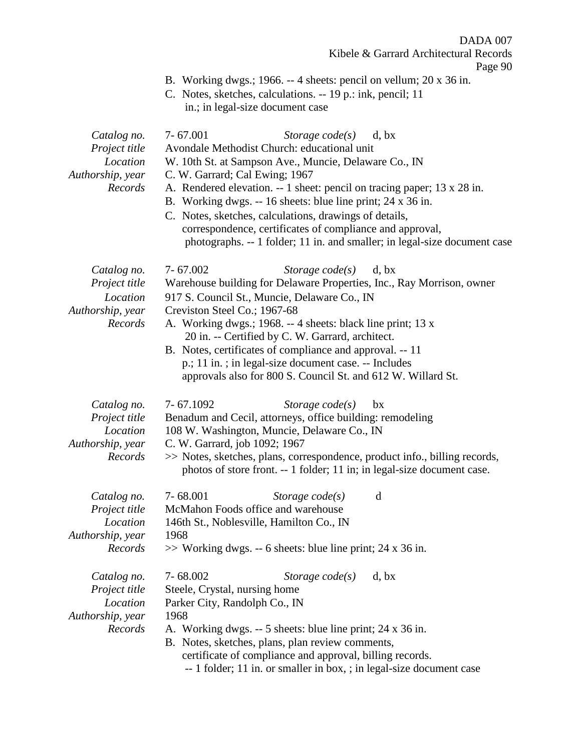- B. Working dwgs.; 1966. -- 4 sheets: pencil on vellum; 20 x 36 in.
- C. Notes, sketches, calculations. -- 19 p.: ink, pencil; 11 in.; in legal-size document case

| Catalog no.<br>Project title<br>Location<br>Authorship, year<br>Records | $7 - 67.001$<br>Storage $code(s)$<br>d, bx<br>Avondale Methodist Church: educational unit<br>W. 10th St. at Sampson Ave., Muncie, Delaware Co., IN<br>C. W. Garrard; Cal Ewing; 1967<br>A. Rendered elevation. -- 1 sheet: pencil on tracing paper; 13 x 28 in.<br>B. Working dwgs. -- 16 sheets: blue line print; 24 x 36 in.<br>C. Notes, sketches, calculations, drawings of details,<br>correspondence, certificates of compliance and approval,<br>photographs. -- 1 folder; 11 in. and smaller; in legal-size document case |
|-------------------------------------------------------------------------|-----------------------------------------------------------------------------------------------------------------------------------------------------------------------------------------------------------------------------------------------------------------------------------------------------------------------------------------------------------------------------------------------------------------------------------------------------------------------------------------------------------------------------------|
| Catalog no.<br>Project title<br>Location<br>Authorship, year<br>Records | 7-67.002<br>Storage $code(s)$<br>d, bx<br>Warehouse building for Delaware Properties, Inc., Ray Morrison, owner<br>917 S. Council St., Muncie, Delaware Co., IN<br>Creviston Steel Co.; 1967-68<br>A. Working dwgs.; 1968. -- 4 sheets: black line print; 13 x<br>20 in. -- Certified by C. W. Garrard, architect.<br>B. Notes, certificates of compliance and approval. -- 11<br>p.; 11 in.; in legal-size document case. -- Includes<br>approvals also for 800 S. Council St. and 612 W. Willard St.                            |
| Catalog no.<br>Project title<br>Location<br>Authorship, year<br>Records | 7-67.1092<br>Storage $code(s)$<br>bx<br>Benadum and Cecil, attorneys, office building: remodeling<br>108 W. Washington, Muncie, Delaware Co., IN<br>C. W. Garrard, job 1092; 1967<br>>> Notes, sketches, plans, correspondence, product info., billing records,<br>photos of store front. -- 1 folder; 11 in; in legal-size document case.                                                                                                                                                                                        |
| Catalog no.<br>Project title<br>Location<br>Authorship, year<br>Records | $7 - 68.001$<br>d<br>Storage $code(s)$<br>McMahon Foods office and warehouse<br>146th St., Noblesville, Hamilton Co., IN<br>1968<br>>> Working dwgs. -- 6 sheets: blue line print; 24 x 36 in.                                                                                                                                                                                                                                                                                                                                    |
| Catalog no.<br>Project title<br>Location<br>Authorship, year<br>Records | 7-68.002<br>Storage $code(s)$<br>d, bx<br>Steele, Crystal, nursing home<br>Parker City, Randolph Co., IN<br>1968<br>A. Working dwgs. -- 5 sheets: blue line print; 24 x 36 in.<br>B. Notes, sketches, plans, plan review comments,<br>certificate of compliance and approval, billing records.<br>-- 1 folder; 11 in. or smaller in box, ; in legal-size document case                                                                                                                                                            |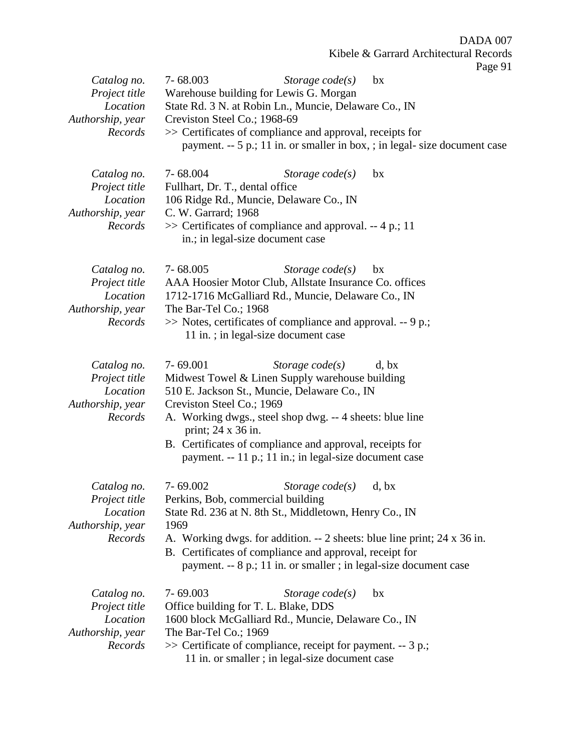|                                                                         |                                                                                                                                                   |                                                                                                                                                                                                                                                                                                        | Page 91                                                                                                                                       |
|-------------------------------------------------------------------------|---------------------------------------------------------------------------------------------------------------------------------------------------|--------------------------------------------------------------------------------------------------------------------------------------------------------------------------------------------------------------------------------------------------------------------------------------------------------|-----------------------------------------------------------------------------------------------------------------------------------------------|
| Catalog no.<br>Project title<br>Location<br>Authorship, year<br>Records | 7-68.003<br>Warehouse building for Lewis G. Morgan<br>Creviston Steel Co.; 1968-69                                                                | Storage $code(s)$<br>State Rd. 3 N. at Robin Ln., Muncie, Delaware Co., IN<br>>> Certificates of compliance and approval, receipts for                                                                                                                                                                 | bx<br>payment. -- 5 p.; 11 in. or smaller in box, ; in legal- size document case                                                              |
| Catalog no.<br>Project title<br>Location<br>Authorship, year<br>Records | 7-68.004<br>Fullhart, Dr. T., dental office<br>106 Ridge Rd., Muncie, Delaware Co., IN<br>C. W. Garrard; 1968<br>in.; in legal-size document case | Storage $code(s)$<br>>> Certificates of compliance and approval. -- 4 p.; 11                                                                                                                                                                                                                           | bx                                                                                                                                            |
| Catalog no.<br>Project title<br>Location<br>Authorship, year<br>Records | $7 - 68.005$<br>The Bar-Tel Co.; 1968                                                                                                             | Storage $code(s)$<br>AAA Hoosier Motor Club, Allstate Insurance Co. offices<br>1712-1716 McGalliard Rd., Muncie, Delaware Co., IN<br>>> Notes, certificates of compliance and approval. -- 9 p.;<br>11 in.; in legal-size document case                                                                | bx                                                                                                                                            |
| Catalog no.<br>Project title<br>Location<br>Authorship, year<br>Records | $7 - 69.001$<br>Creviston Steel Co.; 1969<br>print; 24 x 36 in.                                                                                   | Storage $code(s)$<br>Midwest Towel & Linen Supply warehouse building<br>510 E. Jackson St., Muncie, Delaware Co., IN<br>A. Working dwgs., steel shop dwg. -- 4 sheets: blue line<br>B. Certificates of compliance and approval, receipts for<br>payment. -- 11 p.; 11 in.; in legal-size document case | d, bx                                                                                                                                         |
| Catalog no.<br>Project title<br>Location<br>Authorship, year<br>Records | 7-69.002<br>Perkins, Bob, commercial building<br>1969                                                                                             | <i>Storage code(s)</i> d, bx<br>State Rd. 236 at N. 8th St., Middletown, Henry Co., IN<br>B. Certificates of compliance and approval, receipt for                                                                                                                                                      | A. Working dwgs. for addition. -- 2 sheets: blue line print; 24 x 36 in.<br>payment. -- 8 p.; 11 in. or smaller ; in legal-size document case |
| Catalog no.<br>Project title<br>Location<br>Authorship, year<br>Records | $7 - 69.003$<br>Office building for T. L. Blake, DDS<br>The Bar-Tel Co.; 1969                                                                     | Storage $code(s)$<br>1600 block McGalliard Rd., Muncie, Delaware Co., IN<br>>> Certificate of compliance, receipt for payment. -- 3 p.;<br>11 in. or smaller; in legal-size document case                                                                                                              | bx                                                                                                                                            |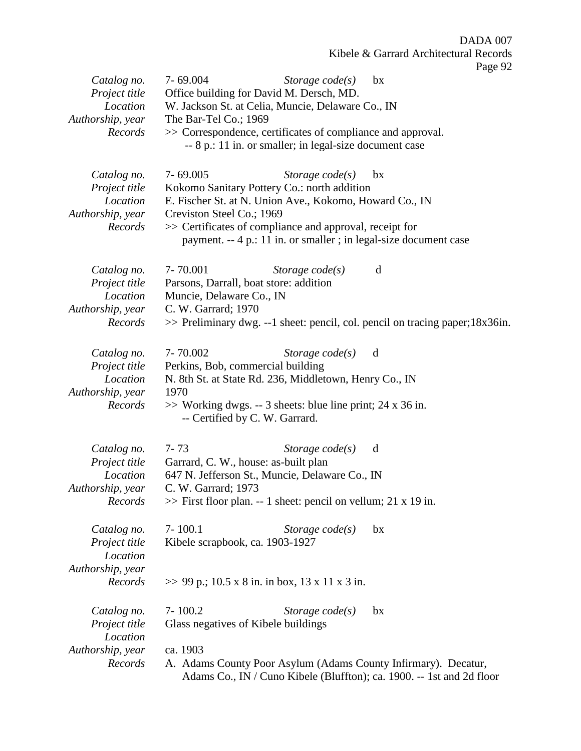| Catalog no.<br>Project title<br>Location<br>Authorship, year<br>Records | 7-69.004<br>Office building for David M. Dersch, MD.<br>W. Jackson St. at Celia, Muncie, Delaware Co., IN<br>The Bar-Tel Co.; 1969<br>>> Correspondence, certificates of compliance and approval.<br>-- 8 p.: 11 in. or smaller; in legal-size document case                       | Storage $code(s)$ | ັ<br>bx                                                                               |
|-------------------------------------------------------------------------|------------------------------------------------------------------------------------------------------------------------------------------------------------------------------------------------------------------------------------------------------------------------------------|-------------------|---------------------------------------------------------------------------------------|
| Catalog no.<br>Project title<br>Location<br>Authorship, year<br>Records | $7 - 69.005$<br>Kokomo Sanitary Pottery Co.: north addition<br>E. Fischer St. at N. Union Ave., Kokomo, Howard Co., IN<br>Creviston Steel Co.; 1969<br>>> Certificates of compliance and approval, receipt for<br>payment. -- 4 p.: 11 in. or smaller; in legal-size document case | Storage $code(s)$ | bx                                                                                    |
| Catalog no.<br>Project title<br>Location<br>Authorship, year<br>Records | 7-70.001<br>Parsons, Darrall, boat store: addition<br>Muncie, Delaware Co., IN<br>C. W. Garrard; 1970                                                                                                                                                                              | Storage $code(s)$ | d<br>$\gg$ Preliminary dwg. --1 sheet: pencil, col. pencil on tracing paper; 18x36in. |
| Catalog no.<br>Project title<br>Location<br>Authorship, year<br>Records | 7-70.002<br>Perkins, Bob, commercial building<br>N. 8th St. at State Rd. 236, Middletown, Henry Co., IN<br>1970<br>$\gg$ Working dwgs. -- 3 sheets: blue line print; 24 x 36 in.<br>-- Certified by C. W. Garrard.                                                                 | Storage $code(s)$ | d                                                                                     |
| Catalog no.<br>Project title<br>Location<br>Authorship, year<br>Records | $7 - 73$<br>Garrard, C. W., house: as-built plan<br>647 N. Jefferson St., Muncie, Delaware Co., IN<br>C. W. Garrard; 1973<br>$\gg$ First floor plan. -- 1 sheet: pencil on vellum; 21 x 19 in.                                                                                     | Storage $code(s)$ | d                                                                                     |
| Catalog no.<br>Project title<br>Location<br>Authorship, year<br>Records | $7 - 100.1$<br>Kibele scrapbook, ca. 1903-1927<br>$\gg$ 99 p.; 10.5 x 8 in. in box, 13 x 11 x 3 in.                                                                                                                                                                                | Storage $code(s)$ | bx                                                                                    |
| Catalog no.<br>Project title<br>Location<br>Authorship, year<br>Records | $7 - 100.2$<br>Glass negatives of Kibele buildings<br>ca. 1903<br>A. Adams County Poor Asylum (Adams County Infirmary). Decatur,                                                                                                                                                   | Storage $code(s)$ | bx<br>Adams Co., IN / Cuno Kibele (Bluffton); ca. 1900. -- 1st and 2d floor           |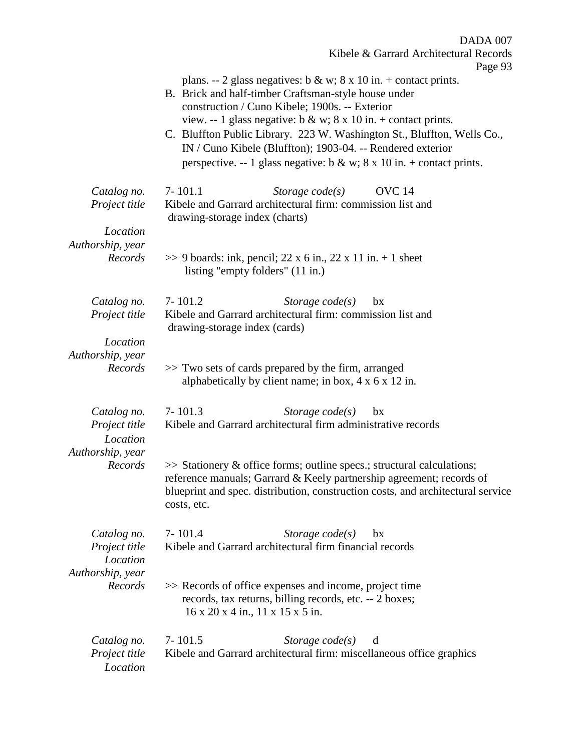DADA 007 Kibele & Garrard Architectural Records Page 93 plans. -- 2 glass negatives: b & w; 8 x 10 in. + contact prints. B. Brick and half-timber Craftsman-style house under construction / Cuno Kibele; 1900s. -- Exterior view.  $-1$  glass negative: b & w; 8 x 10 in. + contact prints. C. Bluffton Public Library. 223 W. Washington St., Bluffton, Wells Co., IN / Cuno Kibele (Bluffton); 1903-04. -- Rendered exterior perspective. -- 1 glass negative: b & w; 8 x 10 in. + contact prints. *Catalog no.* 7- 101.1 *Storage code(s)* OVC 14 *Project title* Kibele and Garrard architectural firm: commission list and drawing-storage index (charts) *Location Authorship, year Records*  $\gg$  9 boards: ink, pencil; 22 x 6 in., 22 x 11 in. + 1 sheet listing "empty folders" (11 in.) *Catalog no.* 7- 101.2 *Storage code(s)* bx *Project title* Kibele and Garrard architectural firm: commission list and drawing-storage index (cards) *Location Authorship, year Records*  $\gg$  Two sets of cards prepared by the firm, arranged alphabetically by client name; in box, 4 x 6 x 12 in. *Catalog no.* 7- 101.3 *Storage code(s)* bx *Project title* Kibele and Garrard architectural firm administrative records *Location Authorship, year Records* >> Stationery & office forms; outline specs.; structural calculations; reference manuals; Garrard & Keely partnership agreement; records of blueprint and spec. distribution, construction costs, and architectural service costs, etc. *Catalog no.* 7- 101.4 *Storage code(s)* bx *Project title* Kibele and Garrard architectural firm financial records *Location Authorship, year Records* >> Records of office expenses and income, project time records, tax returns, billing records, etc. -- 2 boxes; 16 x 20 x 4 in., 11 x 15 x 5 in.

*Catalog no.* 7- 101.5 *Storage code(s)* d *Project title* Kibele and Garrard architectural firm: miscellaneous office graphics *Location*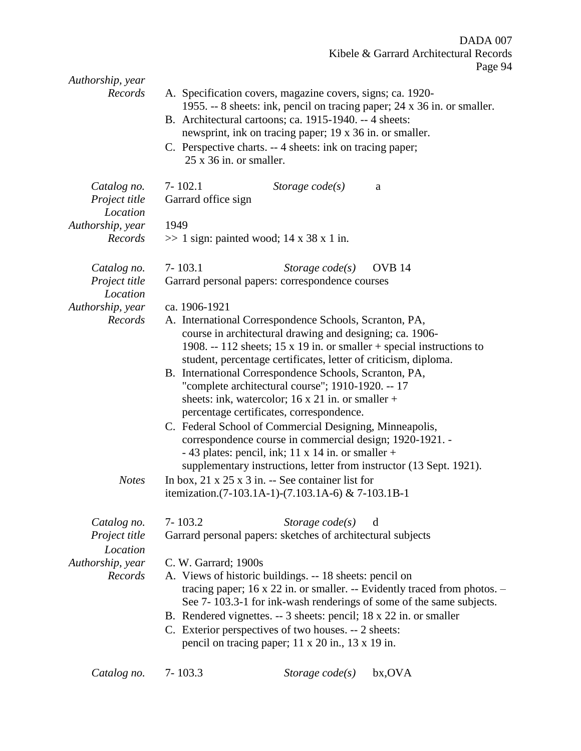| Authorship, year<br>Records                                             | A. Specification covers, magazine covers, signs; ca. 1920-<br>1955. -- 8 sheets: ink, pencil on tracing paper; 24 x 36 in. or smaller.<br>B. Architectural cartoons; ca. 1915-1940. -- 4 sheets:<br>newsprint, ink on tracing paper; 19 x 36 in. or smaller.<br>C. Perspective charts. -- 4 sheets: ink on tracing paper;<br>$25 \times 36$ in. or smaller.                                                                                                                                                                                                                                                                                                                                                                                                                                                                                                                        |
|-------------------------------------------------------------------------|------------------------------------------------------------------------------------------------------------------------------------------------------------------------------------------------------------------------------------------------------------------------------------------------------------------------------------------------------------------------------------------------------------------------------------------------------------------------------------------------------------------------------------------------------------------------------------------------------------------------------------------------------------------------------------------------------------------------------------------------------------------------------------------------------------------------------------------------------------------------------------|
| Catalog no.<br>Project title<br>Location<br>Authorship, year<br>Records | $7 - 102.1$<br>Storage $code(s)$<br>a<br>Garrard office sign<br>1949<br>$\gg$ 1 sign: painted wood; 14 x 38 x 1 in.                                                                                                                                                                                                                                                                                                                                                                                                                                                                                                                                                                                                                                                                                                                                                                |
| Catalog no.<br>Project title<br>Location                                | $7 - 103.1$<br>OVB <sub>14</sub><br>Storage $code(s)$<br>Garrard personal papers: correspondence courses                                                                                                                                                                                                                                                                                                                                                                                                                                                                                                                                                                                                                                                                                                                                                                           |
| Authorship, year<br>Records<br><b>Notes</b>                             | ca. 1906-1921<br>A. International Correspondence Schools, Scranton, PA,<br>course in architectural drawing and designing; ca. 1906-<br>1908. -- 112 sheets; 15 x 19 in. or smaller + special instructions to<br>student, percentage certificates, letter of criticism, diploma.<br>B. International Correspondence Schools, Scranton, PA,<br>"complete architectural course"; 1910-1920. -- 17<br>sheets: ink, watercolor; $16 \times 21$ in. or smaller +<br>percentage certificates, correspondence.<br>C. Federal School of Commercial Designing, Minneapolis,<br>correspondence course in commercial design; 1920-1921. -<br>$-43$ plates: pencil, ink; 11 x 14 in. or smaller +<br>supplementary instructions, letter from instructor (13 Sept. 1921).<br>In box, $21 \times 25 \times 3$ in. -- See container list for<br>itemization.(7-103.1A-1)-(7.103.1A-6) & 7-103.1B-1 |
| Catalog no.<br>Project title<br>Location<br>Authorship, year<br>Records | 7-103.2<br>Storage $code(s)$<br>d<br>Garrard personal papers: sketches of architectural subjects<br>C. W. Garrard; 1900s<br>A. Views of historic buildings. -- 18 sheets: pencil on<br>tracing paper; $16 \times 22$ in. or smaller. -- Evidently traced from photos. -<br>See 7-103.3-1 for ink-wash renderings of some of the same subjects.<br>B. Rendered vignettes. -- 3 sheets: pencil; 18 x 22 in. or smaller<br>C. Exterior perspectives of two houses. -- 2 sheets:<br>pencil on tracing paper; 11 x 20 in., 13 x 19 in.                                                                                                                                                                                                                                                                                                                                                  |
| Catalog no.                                                             | 7-103.3<br>bx, OVA<br>Storage $code(s)$                                                                                                                                                                                                                                                                                                                                                                                                                                                                                                                                                                                                                                                                                                                                                                                                                                            |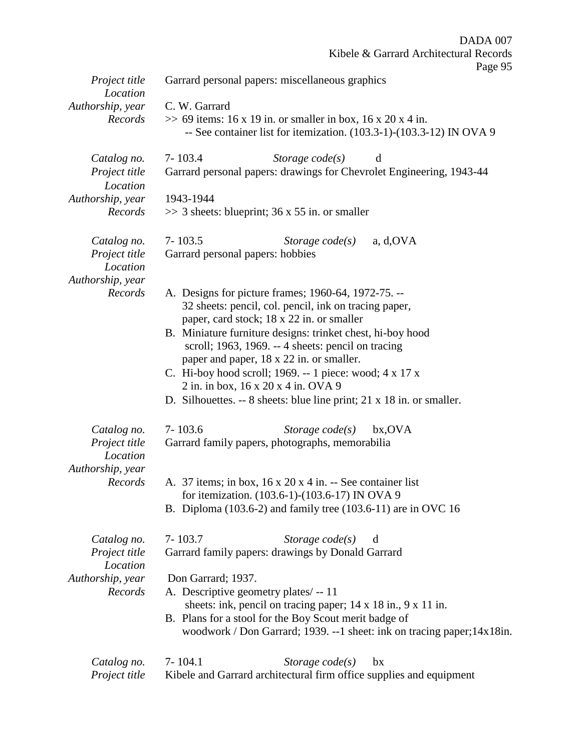|                                                                         | Kibele & Garrard Architectural Records<br>Page 95                                                                                                                                                                                                                                                                                                                                                                                                                                                                |
|-------------------------------------------------------------------------|------------------------------------------------------------------------------------------------------------------------------------------------------------------------------------------------------------------------------------------------------------------------------------------------------------------------------------------------------------------------------------------------------------------------------------------------------------------------------------------------------------------|
| Project title<br>Location                                               | Garrard personal papers: miscellaneous graphics                                                                                                                                                                                                                                                                                                                                                                                                                                                                  |
| Authorship, year<br>Records                                             | C. W. Garrard<br>$\gg$ 69 items: 16 x 19 in. or smaller in box, 16 x 20 x 4 in.<br>-- See container list for itemization. (103.3-1)-(103.3-12) IN OVA 9                                                                                                                                                                                                                                                                                                                                                          |
| Catalog no.<br>Project title<br>Location<br>Authorship, year            | $7 - 103.4$<br>Storage code(s)<br>d<br>Garrard personal papers: drawings for Chevrolet Engineering, 1943-44<br>1943-1944                                                                                                                                                                                                                                                                                                                                                                                         |
| Records                                                                 | $\gg$ 3 sheets: blueprint; 36 x 55 in. or smaller                                                                                                                                                                                                                                                                                                                                                                                                                                                                |
| Catalog no.<br>Project title<br>Location<br>Authorship, year            | $7 - 103.5$<br>Storage $code(s)$<br>a, d, OVA<br>Garrard personal papers: hobbies                                                                                                                                                                                                                                                                                                                                                                                                                                |
| Records                                                                 | A. Designs for picture frames; 1960-64, 1972-75. --<br>32 sheets: pencil, col. pencil, ink on tracing paper,<br>paper, card stock; 18 x 22 in. or smaller<br>B. Miniature furniture designs: trinket chest, hi-boy hood<br>scroll; 1963, 1969. -- 4 sheets: pencil on tracing<br>paper and paper, 18 x 22 in. or smaller.<br>C. Hi-boy hood scroll; 1969. -- 1 piece: wood; $4 \times 17 \times$<br>2 in. in box, 16 x 20 x 4 in. OVA 9<br>D. Silhouettes. $-8$ sheets: blue line print; 21 x 18 in. or smaller. |
| Catalog no.<br>Project title<br>Location                                | $7 - 103.6$<br>Storage $code(s)$<br>bx, OVA<br>Garrard family papers, photographs, memorabilia                                                                                                                                                                                                                                                                                                                                                                                                                   |
| Authorship, year<br>Records                                             | A. 37 items; in box, 16 x 20 x 4 in. -- See container list<br>for itemization. (103.6-1)-(103.6-17) IN OVA 9<br>B. Diploma $(103.6-2)$ and family tree $(103.6-11)$ are in OVC 16                                                                                                                                                                                                                                                                                                                                |
| Catalog no.<br>Project title<br>Location<br>Authorship, year<br>Records | $7 - 103.7$<br>Storage $code(s)$<br>d<br>Garrard family papers: drawings by Donald Garrard<br>Don Garrard; 1937.<br>A. Descriptive geometry plates/--11<br>sheets: ink, pencil on tracing paper; 14 x 18 in., 9 x 11 in.<br>B. Plans for a stool for the Boy Scout merit badge of<br>woodwork / Don Garrard; 1939. --1 sheet: ink on tracing paper; 14x18in.                                                                                                                                                     |
| Catalog no.<br>Project title                                            | $7 - 104.1$<br>Storage $code(s)$<br>bx<br>Kibele and Garrard architectural firm office supplies and equipment                                                                                                                                                                                                                                                                                                                                                                                                    |

DADA 007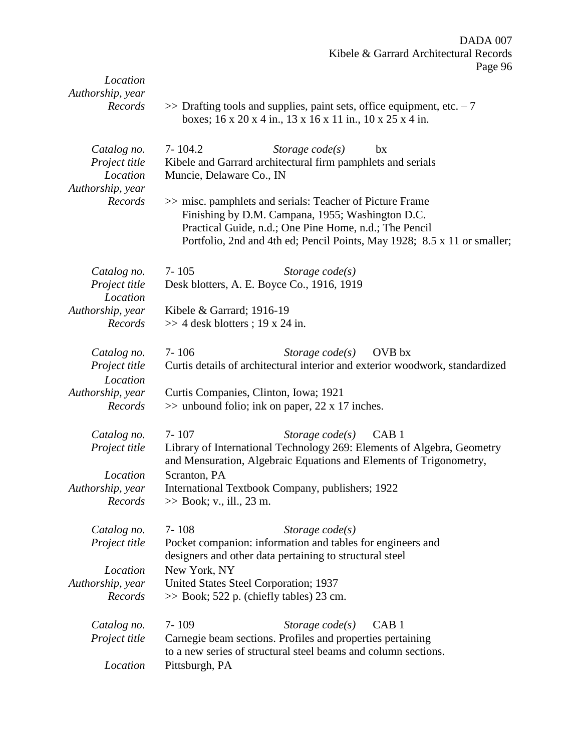|                  | $1 - 45$                                                                     |
|------------------|------------------------------------------------------------------------------|
| Location         |                                                                              |
| Authorship, year |                                                                              |
| Records          | $\gg$ Drafting tools and supplies, paint sets, office equipment, etc. - 7    |
|                  | boxes; 16 x 20 x 4 in., 13 x 16 x 11 in., 10 x 25 x 4 in.                    |
| Catalog no.      | 7-104.2<br>Storage $code(s)$<br>bx                                           |
| Project title    | Kibele and Garrard architectural firm pamphlets and serials                  |
| Location         | Muncie, Delaware Co., IN                                                     |
| Authorship, year |                                                                              |
| Records          | >> misc. pamphlets and serials: Teacher of Picture Frame                     |
|                  | Finishing by D.M. Campana, 1955; Washington D.C.                             |
|                  | Practical Guide, n.d.; One Pine Home, n.d.; The Pencil                       |
|                  | Portfolio, 2nd and 4th ed; Pencil Points, May 1928; 8.5 x 11 or smaller;     |
| Catalog no.      | $7 - 105$<br>Storage $code(s)$                                               |
| Project title    | Desk blotters, A. E. Boyce Co., 1916, 1919                                   |
| Location         |                                                                              |
| Authorship, year | Kibele & Garrard; $1916-19$                                                  |
| Records          | $\gg$ 4 desk blotters; 19 x 24 in.                                           |
|                  |                                                                              |
| Catalog no.      | $7 - 106$<br>Storage $code(s)$<br>OVB bx                                     |
| Project title    | Curtis details of architectural interior and exterior woodwork, standardized |
| Location         |                                                                              |
| Authorship, year | Curtis Companies, Clinton, Iowa; 1921                                        |
| Records          | $\gg$ unbound folio; ink on paper, 22 x 17 inches.                           |
|                  |                                                                              |
| Catalog no.      | $7 - 107$<br>Storage $code(s)$<br>CAB 1                                      |
| Project title    | Library of International Technology 269: Elements of Algebra, Geometry       |
|                  | and Mensuration, Algebraic Equations and Elements of Trigonometry,           |
| Location         | Scranton, PA                                                                 |
| Authorship, year | International Textbook Company, publishers; 1922                             |
| Records          | $\gg$ Book; v., ill., 23 m.                                                  |
| Catalog no.      | $7 - 108$<br>Storage $code(s)$                                               |
| Project title    | Pocket companion: information and tables for engineers and                   |
|                  | designers and other data pertaining to structural steel                      |
| Location         | New York, NY                                                                 |
| Authorship, year | United States Steel Corporation; 1937                                        |
| Records          | $\gg$ Book; 522 p. (chiefly tables) 23 cm.                                   |
| Catalog no.      | $7 - 109$<br>CAB <sub>1</sub><br>Storage $code(s)$                           |
| Project title    | Carnegie beam sections. Profiles and properties pertaining                   |
|                  | to a new series of structural steel beams and column sections.               |
| Location         | Pittsburgh, PA                                                               |
|                  |                                                                              |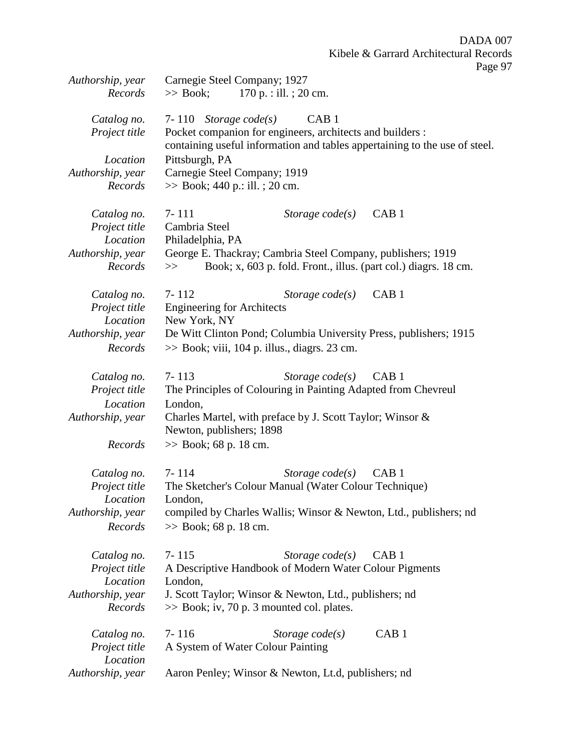| Authorship, year<br>Records | Carnegie Steel Company; 1927<br>170 p. : ill. ; 20 cm.<br>$\gg$ Book;                                                                   |  |  |
|-----------------------------|-----------------------------------------------------------------------------------------------------------------------------------------|--|--|
|                             |                                                                                                                                         |  |  |
| Catalog no.                 | 7-110<br>Storage $code(s)$<br>CAB <sub>1</sub>                                                                                          |  |  |
| Project title               | Pocket companion for engineers, architects and builders :<br>containing useful information and tables appertaining to the use of steel. |  |  |
| Location                    | Pittsburgh, PA                                                                                                                          |  |  |
| Authorship, year            | Carnegie Steel Company; 1919                                                                                                            |  |  |
| Records                     | $\gg$ Book; 440 p.: ill.; 20 cm.                                                                                                        |  |  |
| Catalog no.                 | CAB <sub>1</sub><br>$7 - 111$<br>Storage $code(s)$                                                                                      |  |  |
| Project title               | Cambria Steel                                                                                                                           |  |  |
| Location                    | Philadelphia, PA                                                                                                                        |  |  |
| Authorship, year            | George E. Thackray; Cambria Steel Company, publishers; 1919                                                                             |  |  |
| Records                     | Book; x, 603 p. fold. Front., illus. (part col.) diagrs. 18 cm.<br>$>>$                                                                 |  |  |
| Catalog no.                 | $7 - 112$<br>CAB <sub>1</sub><br>Storage $code(s)$                                                                                      |  |  |
| Project title               | <b>Engineering for Architects</b>                                                                                                       |  |  |
| Location                    | New York, NY                                                                                                                            |  |  |
| Authorship, year            | De Witt Clinton Pond; Columbia University Press, publishers; 1915                                                                       |  |  |
| Records                     | $\gg$ Book; viii, 104 p. illus., diagrs. 23 cm.                                                                                         |  |  |
| Catalog no.                 | $7 - 113$<br>CAB <sub>1</sub><br>Storage $code(s)$                                                                                      |  |  |
| Project title               | The Principles of Colouring in Painting Adapted from Chevreul                                                                           |  |  |
| Location                    | London,                                                                                                                                 |  |  |
| Authorship, year            | Charles Martel, with preface by J. Scott Taylor; Winsor &                                                                               |  |  |
|                             | Newton, publishers; 1898                                                                                                                |  |  |
| Records                     | $\gg$ Book; 68 p. 18 cm.                                                                                                                |  |  |
| Catalog no.                 | $7 - 114$<br>Storage $code(s)$<br>CAB <sub>1</sub>                                                                                      |  |  |
| Project title               | The Sketcher's Colour Manual (Water Colour Technique)                                                                                   |  |  |
| Location                    | London,                                                                                                                                 |  |  |
| Authorship, year            | compiled by Charles Wallis; Winsor & Newton, Ltd., publishers; nd                                                                       |  |  |
| Records                     | $\gg$ Book; 68 p. 18 cm.                                                                                                                |  |  |
| Catalog no.                 | $7 - 115$<br>Storage $code(s)$<br>CAB <sub>1</sub>                                                                                      |  |  |
| Project title               | A Descriptive Handbook of Modern Water Colour Pigments                                                                                  |  |  |
| Location                    | London,                                                                                                                                 |  |  |
|                             |                                                                                                                                         |  |  |
| Authorship, year<br>Records | J. Scott Taylor; Winsor & Newton, Ltd., publishers; nd<br>$\gg$ Book; iv, 70 p. 3 mounted col. plates.                                  |  |  |
| Catalog no.                 | $7 - 116$<br>CAB <sub>1</sub><br>Storage $code(s)$                                                                                      |  |  |
| Project title               | A System of Water Colour Painting                                                                                                       |  |  |
| Location                    |                                                                                                                                         |  |  |
| Authorship, year            | Aaron Penley; Winsor & Newton, Lt.d, publishers; nd                                                                                     |  |  |
|                             |                                                                                                                                         |  |  |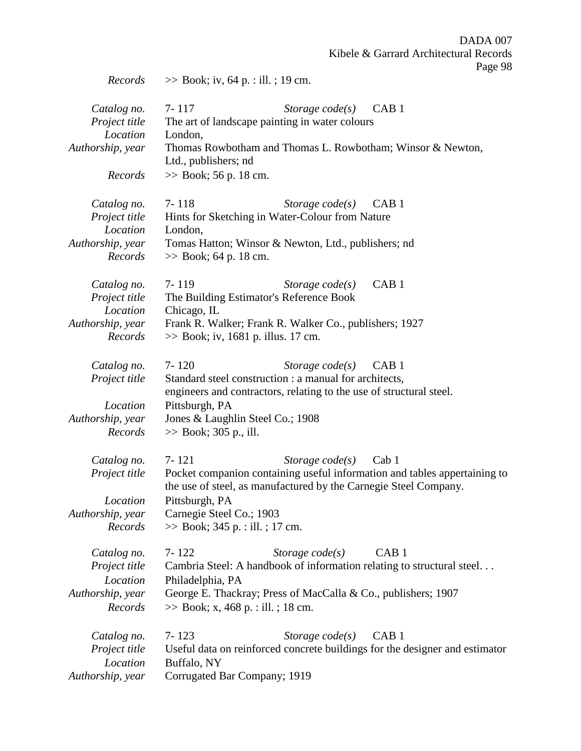*Records* >> Book; iv, 64 p. : ill. ; 19 cm.

| Catalog no.<br>Project title<br>Location<br>Authorship, year<br>Records | $7 - 117$<br>CAB <sub>1</sub><br>Storage $code(s)$<br>The art of landscape painting in water colours<br>London,<br>Thomas Rowbotham and Thomas L. Rowbotham; Winsor & Newton,<br>Ltd., publishers; nd<br>$\gg$ Book; 56 p. 18 cm.                         |
|-------------------------------------------------------------------------|-----------------------------------------------------------------------------------------------------------------------------------------------------------------------------------------------------------------------------------------------------------|
|                                                                         |                                                                                                                                                                                                                                                           |
| Catalog no.<br>Project title<br>Location<br>Authorship, year<br>Records | $7 - 118$<br>Storage $code(s)$<br>CAB1<br>Hints for Sketching in Water-Colour from Nature<br>London,<br>Tomas Hatton; Winsor & Newton, Ltd., publishers; nd<br>$\gg$ Book; 64 p. 18 cm.                                                                   |
| Catalog no.<br>Project title                                            | $7 - 119$<br>CAB <sub>1</sub><br>Storage $code(s)$<br>The Building Estimator's Reference Book                                                                                                                                                             |
| Location<br>Authorship, year<br>Records                                 | Chicago, IL<br>Frank R. Walker; Frank R. Walker Co., publishers; 1927<br>$\gg$ Book; iv, 1681 p. illus. 17 cm.                                                                                                                                            |
| Catalog no.<br>Project title                                            | $7 - 120$<br>Storage $code(s)$<br>CAB <sub>1</sub><br>Standard steel construction : a manual for architects,<br>engineers and contractors, relating to the use of structural steel.                                                                       |
| Location<br>Authorship, year<br>Records                                 | Pittsburgh, PA<br>Jones & Laughlin Steel Co.; 1908<br>$\gg$ Book; 305 p., ill.                                                                                                                                                                            |
| Catalog no.<br>Project title<br>Location                                | $7 - 121$<br>Cab1<br>Storage $code(s)$<br>Pocket companion containing useful information and tables appertaining to<br>the use of steel, as manufactured by the Carnegie Steel Company.<br>Pittsburgh, PA                                                 |
| Authorship, year<br>Records                                             | Carnegie Steel Co.; 1903<br>>> Book; 345 p. : ill. ; 17 cm.                                                                                                                                                                                               |
| Catalog no.<br>Project title<br>Location<br>Authorship, year<br>Records | $7 - 122$<br>Storage $code(s)$<br>CAB <sub>1</sub><br>Cambria Steel: A handbook of information relating to structural steel<br>Philadelphia, PA<br>George E. Thackray; Press of MacCalla & Co., publishers; 1907<br>$\gg$ Book; x, 468 p. : ill. ; 18 cm. |
| Catalog no.<br>Project title<br>Location<br>Authorship, year            | $7 - 123$<br>Storage $code(s)$<br>CAB <sub>1</sub><br>Useful data on reinforced concrete buildings for the designer and estimator<br>Buffalo, NY<br>Corrugated Bar Company; 1919                                                                          |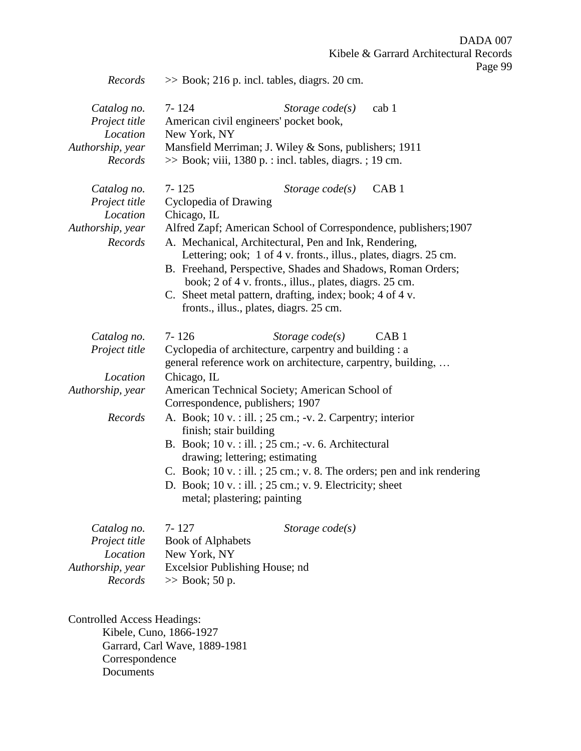$\textit{Records} \Rightarrow$  Book; 216 p. incl. tables, diagrs. 20 cm. *Catalog no.* 7- 124 *Storage code(s)* cab 1 *Project title* American civil engineers' pocket book, *Location* New York, NY *Authorship, year* Mansfield Merriman; J. Wiley & Sons, publishers; 1911 *Records* >> Book; viii, 1380 p. : incl. tables, diagrs. ; 19 cm. *Catalog no.* 7- 125 *Storage code(s)* CAB 1 *Project title* Cyclopedia of Drawing *Location* Chicago, IL *Authorship, year* Alfred Zapf; American School of Correspondence, publishers;1907 *Records* A. Mechanical, Architectural, Pen and Ink, Rendering, Lettering; ook; 1 of 4 v. fronts., illus., plates, diagrs. 25 cm. B. Freehand, Perspective, Shades and Shadows, Roman Orders; book; 2 of 4 v. fronts., illus., plates, diagrs. 25 cm. C. Sheet metal pattern, drafting, index; book; 4 of 4 v. fronts., illus., plates, diagrs. 25 cm. *Catalog no.* 7- 126 *Storage code(s)* CAB 1 *Project title* Cyclopedia of architecture, carpentry and building : a general reference work on architecture, carpentry, building, … *Location* Chicago, IL *Authorship, year* American Technical Society; American School of Correspondence, publishers; 1907 *Records* A. Book; 10 v. : ill. ; 25 cm.; -v. 2. Carpentry; interior finish; stair building B. Book; 10 v. : ill. ; 25 cm.; -v. 6. Architectural drawing; lettering; estimating C. Book;  $10 \text{ v}$ . : ill. ;  $25 \text{ cm}$ .; v. 8. The orders; pen and ink rendering D. Book; 10 v. : ill. ; 25 cm.; v. 9. Electricity; sheet metal; plastering; painting *Catalog no.* 7- 127 *Storage code(s) Project title* Book of Alphabets *Location* New York, NY *Authorship, year* Excelsior Publishing House; nd *Records* >> Book; 50 p.

Controlled Access Headings: Kibele, Cuno, 1866-1927 Garrard, Carl Wave, 1889-1981 Correspondence **Documents**